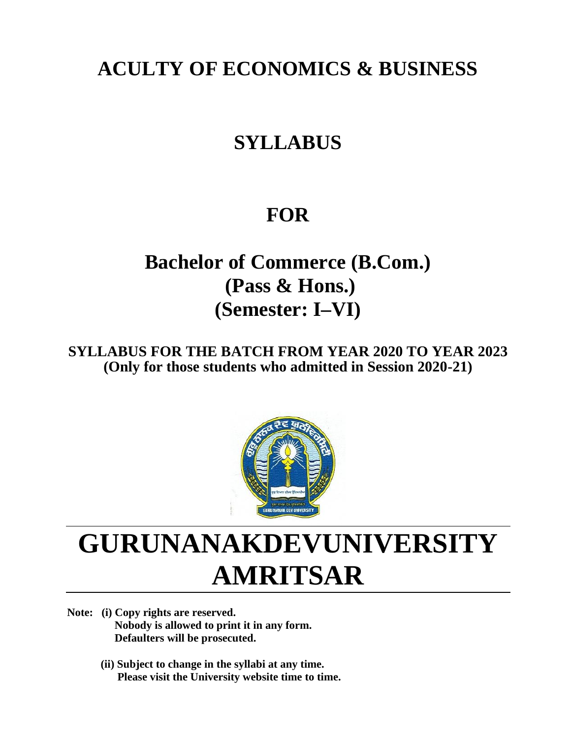## **ACULTY OF ECONOMICS & BUSINESS**

## **SYLLABUS**

## **FOR**

**Bachelor of Commerce (B.Com.) (Pass & Hons.) (Semester: I–VI)**

**SYLLABUS FOR THE BATCH FROM YEAR 2020 TO YEAR 2023 (Only for those students who admitted in Session 2020-21)**



# **GURUNANAKDEVUNIVERSITY AMRITSAR**

**Note: (i) Copy rights are reserved. Nobody is allowed to print it in any form. Defaulters will be prosecuted.**

> **(ii) Subject to change in the syllabi at any time. Please visit the University website time to time.**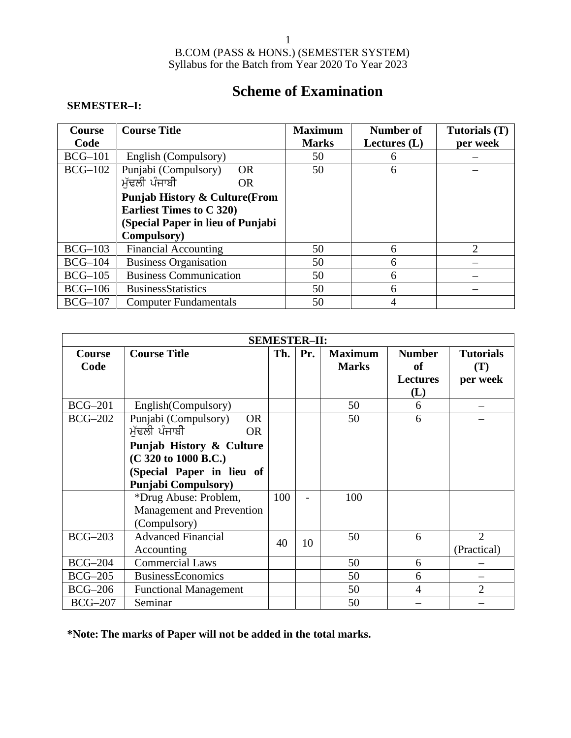### **Scheme of Examination**

### **SEMESTER–I:**

| <b>Course</b> | <b>Course Title</b>                       | <b>Maximum</b> | Number of      | Tutorials (T) |
|---------------|-------------------------------------------|----------------|----------------|---------------|
| Code          |                                           | <b>Marks</b>   | Lectures $(L)$ | per week      |
| $BCG-101$     | English (Compulsory)                      | 50             | 6              |               |
| $BCG-102$     | Punjabi (Compulsory)<br><b>OR</b>         | 50             | 6              |               |
|               | ਮੱਢਲੀ ਪੰਜਾਬੀ<br><b>OR</b>                 |                |                |               |
|               | <b>Punjab History &amp; Culture (From</b> |                |                |               |
|               | <b>Earliest Times to C 320)</b>           |                |                |               |
|               | (Special Paper in lieu of Punjabi         |                |                |               |
|               | Compulsory)                               |                |                |               |
| $BCG-103$     | <b>Financial Accounting</b>               | 50             | 6              | 2             |
| $BCG-104$     | <b>Business Organisation</b>              | 50             | 6              |               |
| $BCG-105$     | <b>Business Communication</b>             | 50             | 6              |               |
| $BCG-106$     | <b>BusinessStatistics</b>                 | 50             | 6              |               |
| $BCG-107$     | <b>Computer Fundamentals</b>              | 50             | 4              |               |

| <b>SEMESTER-II:</b>   |                                                                                                                                                                                                                                                      |     |     |                                |                                                      |                                     |  |
|-----------------------|------------------------------------------------------------------------------------------------------------------------------------------------------------------------------------------------------------------------------------------------------|-----|-----|--------------------------------|------------------------------------------------------|-------------------------------------|--|
| <b>Course</b><br>Code | <b>Course Title</b>                                                                                                                                                                                                                                  | Th. | Pr. | <b>Maximum</b><br><b>Marks</b> | <b>Number</b><br><b>of</b><br><b>Lectures</b><br>(L) | <b>Tutorials</b><br>(T)<br>per week |  |
| <b>BCG-201</b>        | English(Compulsory)                                                                                                                                                                                                                                  |     |     | 50                             | 6                                                    |                                     |  |
| <b>BCG-202</b>        | Punjabi (Compulsory)<br><b>OR</b><br>ਮੱਢਲੀ ਪੰਜਾਬੀ<br><b>OR</b><br>Punjab History & Culture<br>(C 320 to 1000 B.C.)<br>(Special Paper in lieu of<br><b>Punjabi Compulsory</b> )<br>*Drug Abuse: Problem,<br>Management and Prevention<br>(Compulsory) | 100 |     | 50<br>100                      | 6                                                    |                                     |  |
| $BCG-203$             | <b>Advanced Financial</b><br>Accounting                                                                                                                                                                                                              | 40  | 10  | 50                             | 6                                                    | $\overline{2}$<br>(Practical)       |  |
| $BCG-204$             | <b>Commercial Laws</b>                                                                                                                                                                                                                               |     |     | 50                             | 6                                                    |                                     |  |
| <b>BCG-205</b>        | <b>BusinessEconomics</b>                                                                                                                                                                                                                             |     |     | 50                             | 6                                                    |                                     |  |
| <b>BCG-206</b>        | <b>Functional Management</b>                                                                                                                                                                                                                         |     |     | 50                             | $\overline{4}$                                       | $\overline{2}$                      |  |
| $BCG-207$             | Seminar                                                                                                                                                                                                                                              |     |     | 50                             |                                                      |                                     |  |

**\*Note: The marks of Paper will not be added in the total marks.**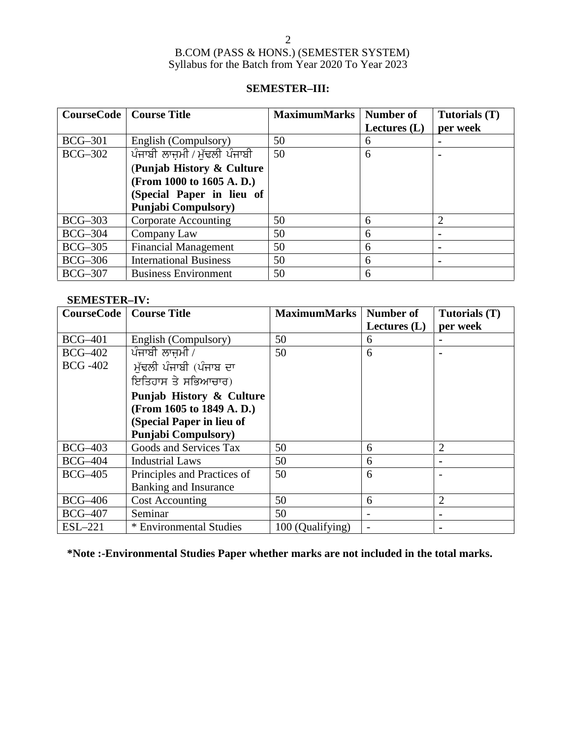### **SEMESTER–III:**

|                | <b>CourseCode</b>   Course Title | <b>MaximumMarks</b> | Number of<br>Lectures $(L)$ | Tutorials (T)<br>per week |
|----------------|----------------------------------|---------------------|-----------------------------|---------------------------|
| $BCG-301$      | English (Compulsory)             | 50                  | 6                           |                           |
| <b>BCG-302</b> | ਪੰਜਾਬੀ ਲਾਜ਼ਮੀ / ਮੁੱਢਲੀ ਪੰਜਾਬੀ    | 50                  | 6                           |                           |
|                | (Punjab History & Culture        |                     |                             |                           |
|                | (From 1000 to 1605 A.D.)         |                     |                             |                           |
|                | (Special Paper in lieu of        |                     |                             |                           |
|                | <b>Punjabi Compulsory</b> )      |                     |                             |                           |
| $BCG-303$      | Corporate Accounting             | 50                  | 6                           | 2                         |
| $BCG-304$      | Company Law                      | 50                  | 6                           |                           |
| $BCG-305$      | <b>Financial Management</b>      | 50                  | 6                           | $\blacksquare$            |
| $BCG-306$      | <b>International Business</b>    | 50                  | 6                           |                           |
| $BCG-307$      | <b>Business Environment</b>      | 50                  | 6                           |                           |

### **SEMESTER–IV:**

| <b>CourseCode</b> | <b>Course Title</b>         | <b>MaximumMarks</b> | <b>Number of</b><br>Lectures $(L)$ | Tutorials (T)<br>per week |
|-------------------|-----------------------------|---------------------|------------------------------------|---------------------------|
| <b>BCG-401</b>    | English (Compulsory)        | 50                  | 6                                  |                           |
| <b>BCG-402</b>    | ਪੰਜਾਬੀ ਲਾਜਮੀ /              | 50                  | 6                                  |                           |
| <b>BCG -402</b>   | ਮੱਢਲੀ ਪੰਜਾਬੀ (ਪੰਜਾਬ ਦਾ      |                     |                                    |                           |
|                   | ਇਤਿਹਾਸ ਤੇ ਸਭਿਆਚਾਰ)          |                     |                                    |                           |
|                   | Punjab History & Culture    |                     |                                    |                           |
|                   | (From 1605 to 1849 A.D.)    |                     |                                    |                           |
|                   | (Special Paper in lieu of   |                     |                                    |                           |
|                   | <b>Punjabi Compulsory</b> ) |                     |                                    |                           |
| <b>BCG-403</b>    | Goods and Services Tax      | 50                  | 6                                  | $\overline{2}$            |
| <b>BCG-404</b>    | <b>Industrial Laws</b>      | 50                  | 6                                  |                           |
| <b>BCG-405</b>    | Principles and Practices of | 50                  | 6                                  |                           |
|                   | Banking and Insurance       |                     |                                    |                           |
| <b>BCG-406</b>    | <b>Cost Accounting</b>      | 50                  | 6                                  | $\overline{2}$            |
| <b>BCG-407</b>    | Seminar                     | 50                  |                                    |                           |
| $ESL-221$         | * Environmental Studies     | 100 (Qualifying)    |                                    |                           |

**\*Note :-Environmental Studies Paper whether marks are not included in the total marks.**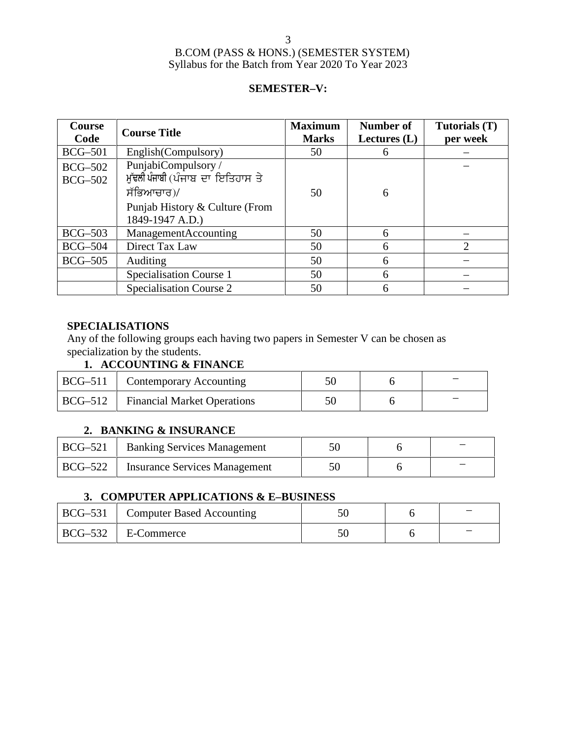### **SEMESTER–V:**

| <b>Course</b><br>Code            | <b>Course Title</b>                                                                                                        | <b>Maximum</b><br><b>Marks</b> | Number of<br>Lectures $(L)$ | Tutorials (T)<br>per week |
|----------------------------------|----------------------------------------------------------------------------------------------------------------------------|--------------------------------|-----------------------------|---------------------------|
| <b>BCG-501</b>                   | English(Compulsory)                                                                                                        | 50                             | 6                           |                           |
| <b>BCG-502</b><br><b>BCG-502</b> | PunjabiCompulsory/<br>ਮੁੱਢਲੀ ਪੰਜਾਬੀ (ਪੰਜਾਬ ਦਾ ਇਤਿਹਾਸ ਤੇ<br>ਸੱਭਿਆਚਾਰ)/<br>Punjab History & Culture (From<br>1849-1947 A.D.) | 50                             | 6                           |                           |
| $BCG-503$                        | ManagementAccounting                                                                                                       | 50                             | 6                           |                           |
| <b>BCG-504</b>                   | Direct Tax Law                                                                                                             | 50                             | 6                           | 2                         |
| $BCG-505$                        | <b>Auditing</b>                                                                                                            | 50                             | 6                           |                           |
|                                  | Specialisation Course 1                                                                                                    | 50                             | 6                           |                           |
|                                  | Specialisation Course 2                                                                                                    | 50                             | 6                           |                           |

### **SPECIALISATIONS**

Any of the following groups each having two papers in Semester V can be chosen as specialization by the students.

### **1. ACCOUNTING & FINANCE**

| $\vert$ BCG-511 $\vert$ | Contemporary Accounting            |  |  |
|-------------------------|------------------------------------|--|--|
| $ BCG-512 $             | <b>Financial Market Operations</b> |  |  |

### **2. BANKING & INSURANCE**

|                         | BCG–521   Banking Services Management |  |  |
|-------------------------|---------------------------------------|--|--|
| $\vert$ BCG-522 $\vert$ | <b>Insurance Services Management</b>  |  |  |

### **3. COMPUTER APPLICATIONS & E–BUSINESS**

| BCG–531   Computer Based Accounting |  |  |
|-------------------------------------|--|--|
| $\vert$ BCG-532 $\vert$ E-Commerce  |  |  |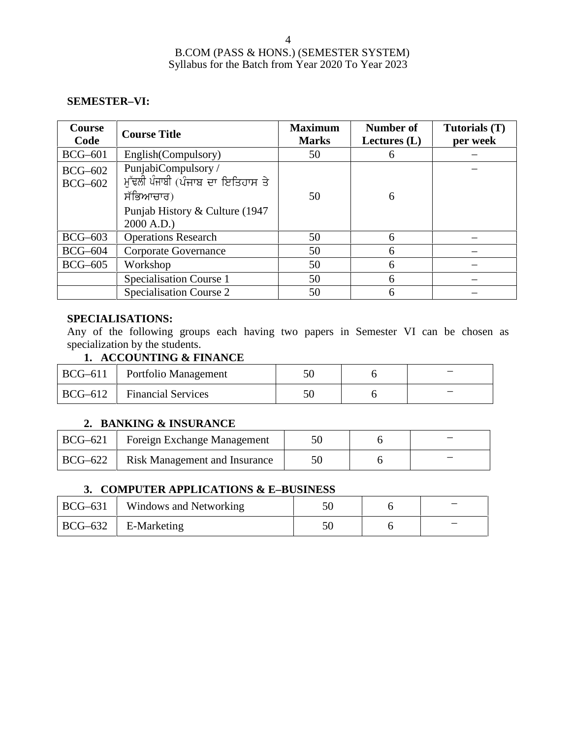### **SEMESTER–VI:**

| <b>Course</b><br>Code            | <b>Course Title</b>                                                                                                   | <b>Maximum</b><br><b>Marks</b> | Number of<br>Lectures $(L)$ | Tutorials (T)<br>per week |
|----------------------------------|-----------------------------------------------------------------------------------------------------------------------|--------------------------------|-----------------------------|---------------------------|
| $BCG-601$                        | English(Compulsory)                                                                                                   | 50                             | 6                           |                           |
| <b>BCG-602</b><br><b>BCG-602</b> | PunjabiCompulsory /<br>ਮੱਢਲੀ ਪੰਜਾਬੀ (ਪੰਜਾਬ ਦਾ ਇਤਿਹਾਸ ਤੇ<br>ਸੱਭਿਆਚਾਰ)<br>Punjab History & Culture (1947)<br>2000 A.D.) | 50                             | 6                           |                           |
| $BCG-603$                        | <b>Operations Research</b>                                                                                            | 50                             | 6                           |                           |
| <b>BCG-604</b>                   | <b>Corporate Governance</b>                                                                                           | 50                             | 6                           |                           |
| <b>BCG-605</b>                   | Workshop                                                                                                              | 50                             | 6                           |                           |
|                                  | Specialisation Course 1                                                                                               | 50                             | 6                           |                           |
|                                  | Specialisation Course 2                                                                                               | 50                             | 6                           |                           |

### **SPECIALISATIONS:**

Any of the following groups each having two papers in Semester VI can be chosen as specialization by the students.

### **1. ACCOUNTING & FINANCE**

| $BCG-611$ | Portfolio Management      |  |  |
|-----------|---------------------------|--|--|
| $BCG-612$ | <b>Financial Services</b> |  |  |

### **2. BANKING & INSURANCE**

| BCG-621 | Foreign Exchange Management          |  |  |
|---------|--------------------------------------|--|--|
| BCG-622 | <b>Risk Management and Insurance</b> |  |  |

### **3. COMPUTER APPLICATIONS & E–BUSINESS**

| $\vert$ BCG-631 | Windows and Networking              |  |   |
|-----------------|-------------------------------------|--|---|
|                 | $\vert$ BCG-632 $\vert$ E-Marketing |  | _ |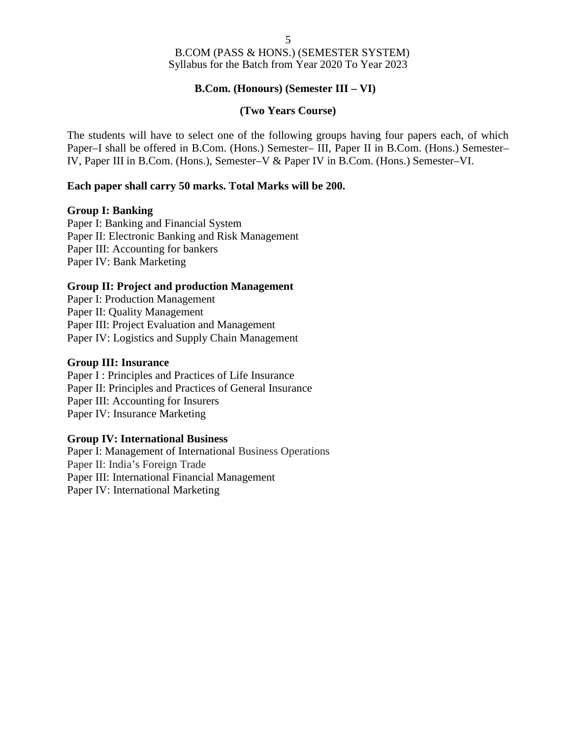### **B.Com. (Honours) (Semester III – VI)**

### **(Two Years Course)**

The students will have to select one of the following groups having four papers each, of which Paper–I shall be offered in B.Com. (Hons.) Semester– III, Paper II in B.Com. (Hons.) Semester– IV, Paper III in B.Com. (Hons.), Semester–V & Paper IV in B.Com. (Hons.) Semester–VI.

### **Each paper shall carry 50 marks. Total Marks will be 200.**

### **Group I: Banking**

Paper I: Banking and Financial System Paper II: Electronic Banking and Risk Management Paper III: Accounting for bankers Paper IV: Bank Marketing

### **Group II: Project and production Management**

Paper I: Production Management Paper II: Quality Management Paper III: Project Evaluation and Management Paper IV: Logistics and Supply Chain Management

### **Group III: Insurance**

Paper I : Principles and Practices of Life Insurance Paper II: Principles and Practices of General Insurance Paper III: Accounting for Insurers Paper IV: Insurance Marketing

### **Group IV: International Business**

Paper I: Management of International Business Operations Paper II: India's Foreign Trade Paper III: International Financial Management Paper IV: International Marketing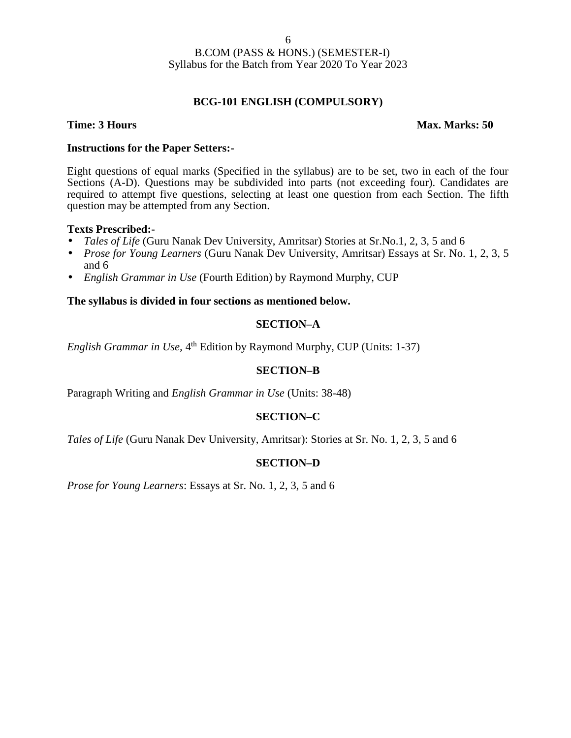### **BCG-101 ENGLISH (COMPULSORY)**

### **Time: 3 Hours Max. Marks: 50**

### **Instructions for the Paper Setters:-**

Eight questions of equal marks (Specified in the syllabus) are to be set, two in each of the four Sections (A-D). Questions may be subdivided into parts (not exceeding four). Candidates are required to attempt five questions, selecting at least one question from each Section. The fifth question may be attempted from any Section.

### **Texts Prescribed:-**

- *Tales of Life* (Guru Nanak Dev University, Amritsar) Stories at Sr.No.1, 2, 3, 5 and 6
- *Prose for Young Learners* (Guru Nanak Dev University, Amritsar) Essays at Sr. No. 1, 2, 3, 5 and 6
- *English Grammar in Use* (Fourth Edition) by Raymond Murphy, CUP

### **The syllabus is divided in four sections as mentioned below.**

### **SECTION–A**

English Grammar in Use, 4<sup>th</sup> Edition by Raymond Murphy, CUP (Units: 1-37)

### **SECTION–B**

Paragraph Writing and *English Grammar in Use* (Units: 38-48)

### **SECTION–C**

*Tales of Life* (Guru Nanak Dev University, Amritsar): Stories at Sr. No. 1, 2, 3, 5 and 6

### **SECTION–D**

*Prose for Young Learners*: Essays at Sr. No. 1, 2, 3, 5 and 6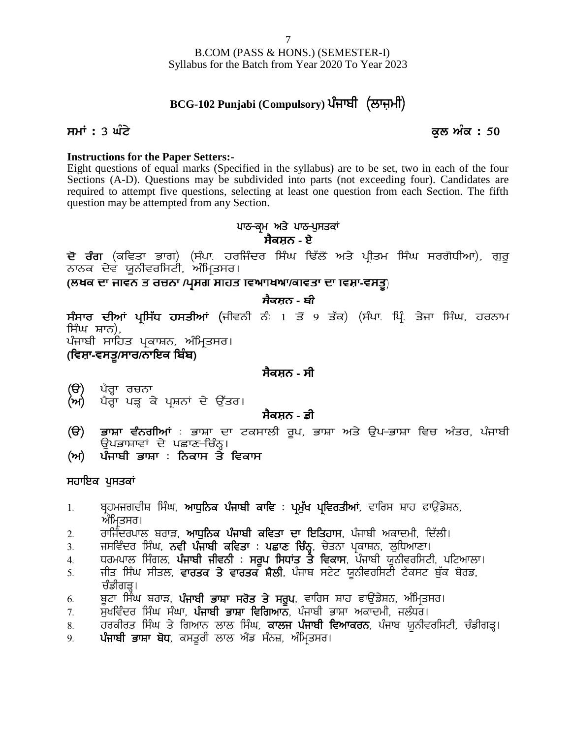# B.COM (PASS & HONS.) (SEMESTER-I) Syllabus for the Batch from Year 2020 To Year 2023 B.COM (PASS & HONS.) (SEMESTER-I)<br>Syllabus for the Batch from Year 2020 To Year 2023<br>**BCG-102 Punjabi (Compulsory) ਪੰਜਾਬੀ (ਲਾਜ਼ਮੀ)**<br>ਕੁਲ ਅੰਕ : 50

# Syllabus for the Batch from Year 2020 To Year 2023<br>**BCG-102 Punjabi (Compulsory) ਪੰਜਾਬੀ (ਲਾਜ਼ਮੀ)**<br>ਸਮਾਂ : 3 ਘੰਟੇ ਕੁਲ ਅੰਕ : 50<br>Instructions for the Paper Setters:-

### **Instructions for the Paper Setters:-**

Eight questions of equal marks (Specified in the syllabus) are to be set, two in each of the four Sections (A-D). Questions may be subdivided into parts (not exceeding four). Candidates are required to attempt five questions, selecting at least one question from each Section. The fifth question may be attempted from any Section. ified in the syllabus) are to be set, two is<br>
ubdivided into parts (not exceeding four<br>
electing at least one question from each<br>
section.<br> **ਪਾਠ-ਕ੍ਰਮ ਅਤੇ ਪਾਠ-ਪੁਸਤਕਾਂ**<br> **ਸੈਕਸ਼ਨ - ਏ** Sections (A-D). Questions may be subdivided into parts (not exceeding four). Candidates are<br>required to attempt five questions, selecting at least one question from each Section. The fifth<br>question may be attempted from

# **ਸੈਕਸ਼ਨ - ਏ**

(ਲਖਕ ਦਾ ਜੀਵਨ ਤ ਰਚਨਾ /ਪ੍ਰਸਗ ਸੀਹਤ ਵਿਆਬਿਆ/ਕੀਵਤਾ ਦਾ ਵਿਸ਼ਾ-ਵਸਤੂ)

### **ਸੈਕਸ਼ਨ - ਬੀ**

**ਦੋ ਰੰਗ** (ਕਵਿਤਾ ਭਾਗ) (ਸੰਪਾ ਹਰਜਿੰਦਰ ਸਿੰਘ ਢਿੱਲੋਂ ਅਤੇ ਪ੍ਰੀਤਮ ਸਿੰਘ ਸਰਗੋਧੀਆ), ਗੁਰੂ<br>ਨਾਨਕ ਦੇਵ ਯੂਨੀਵਰਸਿਟੀ, ਅੰਮ੍ਰਿਤਸਰ।<br>(ਲਖਕ ਦਾ ਜਾਵਨ ਤ ਰਚਨਾ /ਪ੍ਰਸਗ ਸਾਹਤ ਵਿਆ।ਖਆ/ਕਾਵਤਾ ਦਾ ਵਿਸ਼ਾ-ਵਸਤੂ)<br>ਸੰਸਾਰ ਦੀਆਂ ਪ੍ਰਸਿੱਧ ਹਸਤੀਆਂ (ਜੀਵਨੀ ਨੰ 1 ਤੋਂ 9 ਤੱਕ) **ਦੋ ਰੰਗ** (ਕਵਿਤਾ ਭਾਗ)<br>ਨਾਨਕ ਦੇਵ ਯੂਨੀਵਰਸਿਟੀ,<br>(ਲਖਕ ਦਾ ਜਾਵਨ ਤ ਰਚਨਾ*।*<br>ਸੰਸਾਰ ਦੀਆਂ ਪ੍ਰਸਿੱਧ ਹਸ<br>ਸਿੰਘ ਸ਼ਾਨ),<br>ਪੰਜਾਬੀ ਸਾਹਿਤ ਪ੍ਰਕਾਸ਼ਨ, <sup>,</sup><br>ਪੰਜਾਬੀ ਸਾਹਿਤ ਪ੍ਰਕਾਸ਼ਨ, <sup>,</sup> **ਸੰਸਾਰ ਦੀਆਂ ਪ੍ਰਸਿੱਧ ਹਸਤੀਆਂ (**ਜੀਵਨੀ ਨੰ 1 ਤੋਂ 9 ਤੱਕ) (ਸੰਪਾ ਪ੍ਰਿੰ ਤੇਜਾ ਸਿੰਘ, ਹਰਨਾਮ<br>ਸਿੰਘ ਸ਼ਾਨ),<br>ਪੰਜਾਬੀ ਸਾਹਿਤ ਪ੍ਰਕਾਸ਼ਨ, ਅੰਮ੍ਰਿਤਸਰ।<br>(**ਵਿਸ਼ਾ-ਵਸਤੂ/ਸਾਰ/ਨਾਇਕ ਬਿੰਬ)**<br>(ੳ) ਪੈਰ੍ਹਾ ਰਚਨਾ **(T)** g?o Qk ouBk **(n)** g?o Qk gV Q e/ gqFBK d / T[`so.

ਪੰਜਾਬੀ ਸਾਹਿਤ ਪ੍ਰਕਾਸ਼ਨ, ਅੰਮ੍ਰਿਤਸਰ।

### **ਸੈਕਸ਼ਨ - ਸੀ**

- 
- 

### **ਸੈਕਸ਼ਨ - ਡੀ**

- **(ਵਿਸ਼ਾ-ਵਸਤੂ/ਸਾਰ/ਨਾਇਕ ਬਿਬ)**<br>(ੳ) ਪੈਰ੍ਹਾ ਰਚਨਾ<br>(ਅ) ਪੈਰ੍ਹਾ ਪੜ੍ਹ ਕੇ ਪ੍ਰਸ਼ਨਾਂ ਦੇ ਉੱਤਰ।<br>(ੳ) ਭਾਸ਼ਾ ਵੰਨਗੀਆਂ : ਭਾਸ਼ਾ ਦਾ ਟਕਸਾਲੀ ਰੂਪ, ਭਾਸ਼ਾ ਅਤੇ ਉਪ–ਭਾਸ਼ਾ ਵਿਚ ਅੰਤਰ, ਪੰਜਾਬੀ<br>ਉਪਭਾਸ਼ਾਵਾਂ ਦੇ ਪਛਾਣ-ਚਿੰਨ੍ਹ।<br>(ਅ) ਪੰਜਾਬੀ ਭਾਸ਼ਾ : ਨਿਕਾਸ ਤੇ ਵਿਕਾਸ ਪੈਰ੍ਹਾ ਰਚਨਾ<br>ਪੈਰ੍ਹਾ ਪੜ੍ਹ ਕੇ ਪ੍ਰਸ਼ਨਾਂ ਦੇ ਉੱਤਰ।<br>**ਸੈਕਸ਼ਨ - ਡੀ**<br>ਭਾਸ਼ਾ ਵੰਨਗੀਆਂ : ਭਾਸ਼ਾ ਦਾ ਟਕਸਾਲੀ ਰੂਪ, ਭਾ<br>ਉਪਭਾਸ਼ਾਵਾਂ ਦੇ ਪਛਾਣ-ਚਿੰਨ੍ਹ।<br>ਪੰਜਾਬੀ ਭਾਸ਼ਾ : ਨਿਕਾਸ ਤੇ ਵਿਕਾਸ **(ੳ)** ਪੈਰ੍ਹਾ ਰਚਨਾ<br>(ਅ) ਪੈਰ੍ਹਾ ਪੜ੍ਹ ਕੇ ਪ੍ਰਸ਼ਨਾਂ ਦੇ ਉੱਤਰ।<br>**(ੳ) ਭਾਸ਼ਾ ਵੰਨਗੀਆਂ** : ਭਾਸ਼ਾ ਦਾ ਟਕਸਾਲੀ ਰੂਪ, ਭ<br>ਉਪਭਾਸ਼ਾਵਾਂ ਦੇ ਪਛਾਣ-ਚਿੰਨ੍ਹ।<br>(ਅ) ਪੰਜਾਬੀ ਭਾਸ਼ਾ : ਨਿਕਾਸ ਤੇ ਵਿਕਾਸ<br>ਸਹਾਇਕ ਪਸਤਕਾਂ **(ੳ) ਭਾਸ਼ਾ ਵੰਨਗੀਆਂ** : ਭਾਸ਼ਾ ਦਾ ਟਕਸਾਲੀ ਰੂਪ, ਭਾਸ਼ਾ ਅਤੇ ਉਪ–ਭਾਸ਼ਾ ਵਿਚ ਅੰਤਰ, ਪੰਜਾਬੀ<br>(ਅ) ਪੰਜਾ**ਬੀ ਭਾਸ਼ਾ : ਨਿਕਾਸ ਤੇ ਵਿਕਾਸ**<br>ਸਹਾ<mark>ਇਕ ਪੁਸਤਕਾਂ</mark><br>ਸਹਾਇਕ ਪੁਸਤਕਾਂ<br>1. ਬ੍ਰਹਮਜਗਦੀਸ਼ ਸਿੰਘ, **ਆਧੁਨਿਕ ਪੰਜਾਬੀ ਕਾਵਿ : ਪ੍ਰਮੁੱਖ ਪ੍ਰਵਿਰਤੀਆਂ**, ਵਾਰਿਸ ਸ਼
- 

### ਸਹਾਇਕ ਪੁਸਤਕਾ<u>ਂ</u>

- **(ਅ) ਪੰਜਾਬੀ ਭਾਸ਼ਾ : ਨਿਕਾਸ ਤੇ ਵਿਕਾਸ**<br>ਸਹਾਇਕ ਪੁਸਤਕਾਂ<br>1. ਬ੍ਰਹਮਜਗਦੀਸ਼ ਸਿੰਘ, **ਆਧੁਨਿਕ ਪੰਜਾਬੀ ਕਾਵਿ : ਪ੍ਰਮੁੱਖ ਪ੍ਰਵਿਰਤੀਆਂ**, ਵਾਰਿਸ ਸ਼ਾਹ ਫਾਉਂਡੇਸ਼ਨ,<br>ਅੰਮ੍ਰਿਤਸਰ।<br>2. ਜਸਵਿੰਦਰ ਸਿੰਘ, **ਨਵੀਂ ਪੰਜਾਬੀ ਕਵਿਤਾ : ਪਛਾਣ ਚਿੰਨ੍ਹ**, ਚੇਤਨਾ ਪ੍ਰਕਾਸ਼ਨ, <sup>ੇ ⁄</sup><br>ਸਹਾਇਕ ਪੁਸਤਕਾਂ<br>1. ਬ੍ਰਹਮਜਗਦੀਸ਼ ਸਿੰਘ, **ਆਧੁਨਿਕ ਪੰਜਾਬੀ ਕਾਵਿ : ਪ੍ਰਮੁੱਖ ਪ੍ਰਵਿਰਤੀਆਂ**, ਵਾਰਿਸ ਸ਼ਾਹ ਫਾਉਂਡੇਸ਼ਨ,<br>2. ਗਾਜਿੰਦਰਪਾਲ ਬਰਾੜ, **ਆਧੁਨਿਕ ਪੰਜਾਬੀ ਕਵਿਤਾ ਦਾ ਇਤਿਹਾਸ**, ਪੰਜਾਬੀ ਅਕਾਦਮੀ, ਦਿੱਲੀ।<br>3. ਜਸਵਿੰਦਰ ਸਿੰਘ, **ਨਵੀ ਪੰਜਾਬੀ**
- ਅੰਮ੍ਰਿਤਸਰ।<br>ਰਾਜਿੰਦਰਪਾਲ ਬਰਾੜ, **ਆਧੁਨਿਕ ਪੰਜਾਬੀ ਕਵਿਤਾ ਦਾ ਇਤਿਹਾਸ**, ਪੰਜਾਬੀ ਅਕਾਦਮੀ, ਦਿੱਲੀ।
- 
- 
- **ਸਹਾਇਕ ਪੁਸਤਕਾਂ**<br>1. ਬ੍ਰਹਮਜਗਦੀਸ਼ ਸਿੰਘ, **ਆਧੁਨਿਕ ਪੰਜਾਬੀ ਕਾਵਿ : ਪ੍ਰਮੁੱਖ ਪ੍ਰਵਿਰਤੀਆਂ**, ਵਾਰਿਸ ਸ਼ਾਹ ਫਾਉਂਡੇਸ਼ਨ,<br>ਅੰਮ੍ਰਿਤਸਰ।<br>3. ਜਸਵਿੰਦਰ ਸਿੰਘ, **ਨਵੀਂ ਪੰਜਾਬੀ ਕਵਿਤਾ : ਪਛਾਣ ਚਿੰਨ੍ਹ**, ਚੇਤਨਾ ਪ੍ਰਕਾਸ਼ਨ, ਲੁਧਿਆਣਾ।<br>4. ਧਰਮਪਾਲ ਸਿੰਗਲ, **ਪੰ** 1. ਬ੍ਰਹਮਜਗਦੀਸ਼ ਸਿੰਘ, **ਆਧੁਨਿਕ ਪੰਜਾਬੀ ਕਾਵਿ** : **ਪ੍ਰਮੁੱਖ ਪ੍ਰਵਿਰਤੀਆਂ**, ਵਾਰਿਸ ਸ਼ਾਹ ਫਾਉਂਡੇਸ਼ਨ,<br>ਅੰਮ੍ਰਿਤਸਰ।<br>2. ਰਾਜਿੰਦਰਪਾਲ ਬਰਾੜ, **ਆਧੁਨਿਕ ਪੰਜਾਬੀ ਕਵਿਤਾ ਦਾ ਇਤਿਹਾਸ**, ਪੰਜਾਬੀ ਅਕਾਦਮੀ, ਦਿੱਲੀ।<br>3. ਜਸਵਿੰਦਰ ਸਿੰਘ, **ਨਵੀਂ ਪੰਜਾਬੀ ਕਵਿਤਾ : ਪ** 2. ਯਸਿੰਦਰਪਾਲ ਬਰਾੜ, **ਆਧੁਨਿਕ ਪੰਜਾਬੀ ਕਵਿਤਾ ਦਾ ਇਤਿਹਾਸ**, ਪੰਜਾਬੀ ਅਕਾਦਮੀ, ਦਿੱਲੀ।<br>3. ਜਸਵਿੰਦਰ ਸਿੰਘ, **ਨਵੀ ਪੰਜਾਬੀ ਕਵਿਤਾ : ਪਛਾਣ ਚਿੰਨ੍ਹ**, ਚੇਤਨਾ ਪ੍ਰਕਾਸ਼ਨ, ਲੁਧਿਆਣਾ।<br>4. ਪਰਮਪਾਲ ਸਿੰਗਲ, **ਪੰਜਾਬੀ ਜੀਵਨੀ : ਸਰੂਪ ਸਿਧਾਂਤ ਤੇ ਵਿਕਾਸ**, ਪੰਜਾਬੀ ਯੂਨੀਵਰ 2. ਰਾਜਿੰਦਰਪਾਲ ਬਰਾੜ, **ਆਧੁਨਿਕ ਪੰਜਾਬੀ ਕਵਿਤਾ ਦਾ ਇਤਿਹਾਸ**, ਪੰਜਾਬੀ ਅਕਾਦਮੀ, ਦਿੱਲੀ।<br>3. ਜਸਵਿੰਦਰ ਸਿੰਘ, **ਨਵੀਂ ਪੰਜਾਬੀ ਕਵਿਤਾ : ਪਛਾਣ ਚਿੰਨ੍ਹ**, ਚੇਤਨਾ ਪ੍ਰਕਾਸ਼ਨ, ਲੁਧਿਆਣਾ।<br>4. ਧਰਮਪਾਲ ਸਿੰਗਲ, **ਪੰਜਾਬੀ ਜੀਵਨੀ : ਸਰੂਪ ਸਿਧਾਂਤ ਤੇ ਵਿਕਾਸ**, ਪੰਜਾਬੀ ਯੂਨੀਵ 3. ਜਸਵਿੰਦਰ ਸਿੰਘ, **ਨਵੀਂ ਪੰਜਾਬੀ ਕਵਿਤਾ : ਪਛਾਣ ਚਿੰਨ੍ਹ**, ਚੇਤਨਾ ਪ੍ਰਕਾਸ਼ਨ, ਲੁਧਿਆਣਾ।<br>4. ਧਰਮਪਾਲ ਸਿੰਗਲ, **ਪੰਜਾਬੀ ਜੀਵਨੀ : ਸਰੂਪ ਸਿਧਾਂਤ ਤੇ ਵਿਕਾਸ**, ਪੰਜਾਬੀ ਯੂਨੀਵਰਸਿਟੀ, ਪਟਿਆਲਾ।<br>5. ਜ਼ੀਤ ਸਿੰਘ ਸੀਤਲ, **ਵਾਰਤਕ ਤੇ ਵਾਰਤਕ ਸ਼ੈਲੀ**, ਪੰਜਾਬ ਸਟੇਟ 9H **g zikph GkFk p'X**, e;s{oh bkb n?\_v ;zB}, nzfwqs;o.
- 
- 
- 
-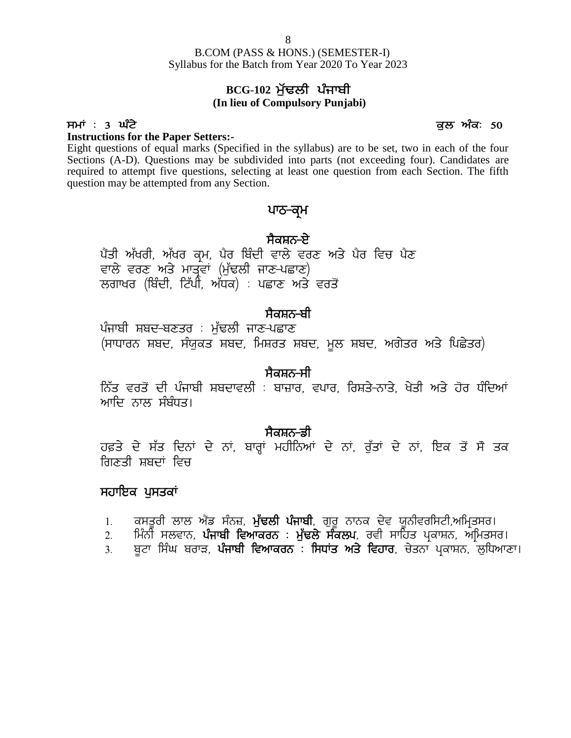B.COM (PASS & HONS.) (SEMESTER-I) Syllabus for the Batch from Year 2020 To Year 2023 8<br>**BCG-102 ਮੁੱਢਲੀ ਪੰਜਾਬੀ**<br>BCG-102 ਮੁੱਢਲੀ ਪੰਜਾਬੀ<br>lieu of Compulsory Punjabi) B.COM (PASS & HONS.) (SEMESTER-I)<br>Syllabus for the Batch from Year 2020 To Year 2023<br>**BCG-102 ਮੁੱਢਲੀ ਪੰਜਾਬੀ**<br>(In lieu of Compulsory Punjabi)<br>Between the Paper Setters:-<br>Eight questions of equal marks (Specified in the syl

# **(In lieu of Compulsory Punjabi)**

### **Instructions for the Paper Setters:-**

Eight questions of equal marks (Specified in the syllabus) are to be set, two in each of the four Sections (A-D). Questions may be subdivided into parts (not exceeding four). Candidates are required to attempt five questions, selecting at least one question from each Section. The fifth question may be attempted from any Section. n the syllabus) are to be set, two in earded into parts (not exceeding four).<br><u>i</u>g at least one question from each Sec<br>.<br>**ਪਾਠ-ਕ੍ਰਮ**<br>ਸੈਕਸ਼ਨ-ਏ<br>ਵਾਲੇ ਵਰਣ ਅਤੇ ਪੈਰ ਵਿਚ ਪੈਣ<br>ਣ-ਪਛਾਣ)

### ਪਾਠ<del>-</del>ਕ੍ਰਮ

ਪੈਂਤੀ ਅੱਖਰੀ, ਅੱਖਰ ਕਮ, ਪੈਰ ਬਿੰਦੀ ਵਾਲੇ ਵਰਣ ਅਤੇ ਪੈਰ ਵਿਚ ਪੈਣ ਵਾਲੇ ਵਰਣ ਅਤੇ ਮਾਤੰਵਾਂ (ਮੁੱਢਲੀ ਜਾਣ-ਪਛਾਣ) ਲਗਾਖਰ (ਬਿੰਦੀ, ਟਿੱਪੀ, ਅੱਧਕ) : ਪਛਾਣ ਅਤੇ ਵਰਤੋਂ

### <u>ਸੈਕਸ਼ਨ–ਬੀ</u>

ਪੰਜਾਬੀ ਸ਼ਬਦ-ਬਣਤਰ : ਮੱਢਲੀ ਜਾਣ-ਪਛਾਣ (ਸਾਧਾਰਨ ਸ਼ਬਦ, ਸੰਯਕਤ ਸ਼ਬਦ, ਮਿਸ਼ਰਤ ਸ਼ਬਦ, ਮਲ ਸ਼ਬਦ, ਅਗੇਤਰ ਅਤੇ ਪਿਛੇਤਰ)

### ਸੈਕਸ਼ਨ<del>-</del>ਸੀ

fਨੱਤ ਵਰਤੋਂ ਦੀ ਪੰਜਾਬੀ ਸ਼ਬਦਾਵਲੀ : ਬਾਜ਼ਾਰ, ਵਪਾਰ, ਰਿਸ਼ਤੇ–ਨਾਤੇ, ਖੇਤੀ ਅਤੇ ਹੋਰ ਧੰਦਿਆਂ ਆਦਿ ਨਾਲ ਸੰਬੰਧਤ। ਂ<br>ਨਿੱਤ ਵਰਤੋਂ ਦੀ ਪੰਜਾਬੀ ਸਬਦਾਵਲੀ : ਬਾਜ਼ਾਰ, ਵਪਾਰ, ਰਿਸ਼ਤੇ-ਨਾਤੇ, ਖੇਤੀ ਅਤੇ ਹੋਰ ਧੰਦਿਆਂ<br>ਆਦਿ ਨਾਲ ਸੰਬੰਧਤ।<br>ਹਫ਼ਤੇ ਦੇ ਸੱਤ ਦਿਨਾਂ ਦੇ ਨਾਂ, ਬਾਰ੍ਹਾਂ ਮਹੀਨਿਆਂ ਦੇ ਨਾਂ, ਰੁੱਤਾਂ ਦੇ ਨਾਂ, ਇਕ ਤੋਂ ਸੌ ਤਕ<br>ਗਿਣਤੀ ਸ਼ਬਦਾਂ ਵਿਚ

**, ਜੋਕਸ਼ਨ-ਡੀ**<br>ਹਫ਼ਤੇ ਦੇ ਸੱਤ ਦਿਨਾਂ ਦੇ ਨਾਂ, ਬਾਰ੍ਹਾਂ ਮਹੀਨਿਆਂ ਦੇ ਨਾਂ, ਰੱਤਾਂ ਦੇ ਨਾਂ, ਇਕ ਤੋਂ ਸੋ ਤਕ ਗਿਣਤੀ ਸ਼ਬਦਾਂ ਵਿਚ ਸਕਸ਼ਨ-ਡਾ<br>ਸਫ਼ਤੇ ਦੇ ਸੱਤ ਦਿਨਾਂ ਦੇ ਨਾਂ, ਬਾਰ੍ਹਾਂ ਮਹੀਨਿਆਂ ਦੇ ਨਾਂ, ਰੁੱਤਾਂ ਦੇ ਨਾਂ, ਇਕ ਤੋਂ ਸੋ ਤਕ<br>ਗਣਤੀ ਸ਼ਬਦਾਂ ਵਿਚ<br>1. ਕਸਤੂਰੀ ਲਾਲ ਅੱਡ ਸੰਨਜ਼, ਮੁੱ**ਢਲੀ ਪੰਜਾਬੀ**, ਗੁਰੂ ਨਾਨਕ ਦੇਵ ਯੂਨੀਵਰਸਿਟੀ,ਅਮ੍ਰਿਤਸਰ।<br>2. ਸਿੰਨੀ ਸਲਵਾਨ, **ਪੰਜਾਬੀ ਵਿਆਕਰਨ : ਮੁ** ਸ਼ੁਤ ਦ ਸਤ ਦਿਨਾ ਦ ਨਾ, ਬਾਰ੍ਹਾ ਮਹੀਨਿਆ ਦ ਨਾ, ਰੁਤਾ ਦ ਨਾ, ਇਕ ਤ ਸ ਤਕ<br>ਗਣਤੀ ਸ਼ਬਦਾਂ ਵਿਚ<br>ਹਾਇਕ <mark>ਪੁਸਤਕਾਂ</mark><br>1. ਕਸਤੂਰੀ ਲਾਲ ਐਂਡ ਸੰਨਜ਼, ਮੁੱ**ਢਲੀ ਪੰਜਾਬੀ**, ਗੁਰੂ ਨਾਨਕ ਦੇਵ ਯੂਨੀਵਰਸਿਟੀ,ਅਮ੍ਰਿਤਸਰ।<br>2. ਮਿੰਨੀ ਸਲਵਾਨ, **ਪੰਜਾਬੀ ਵਿਆਕਰਨ : ਮੁੱਢਲੇ ਸੰਕਲਪ**,

### ਸਹਾਇਕ ਪੁਸਤਕਾ<u>ਂ</u>

- 
- 
- ਗਣਤੀ ਸ਼ਬਦਾ ਵਿਚ<br>**1ਹਾਇਕ ਪੁਸਤਕਾਂ**<br>1. ਕਸਤੂਰੀ ਲਾਲ ਐਂਡ ਸੰਨਜ਼, **ਮੁੱਢਲੀ ਪੰਜਾਬੀ**, ਗੁਰੂ ਨਾਨਕ ਦੇਵ ਯੂਨੀਵਰਸਿਟੀ,ਅਮ੍ਰਿਤਸਰ।<br>2. ਸਿੰਨੀ ਸਲਵਾਨ, **ਪੰਜਾਬੀ ਵਿਆਕਰਨ : ਸਿਧਾਂਤ ਅਤੇ ਵਿਹਾਰ**, ਚੇਤਨਾ ਪ੍ਰਕਾਸ਼ਨ, ਲੁਧਿਆਣਾ।<br>3. ਬੂਟਾ ਸਿੰਘ ਬਰਾੜ, **ਪੰਜਾਬੀ ਵਿ**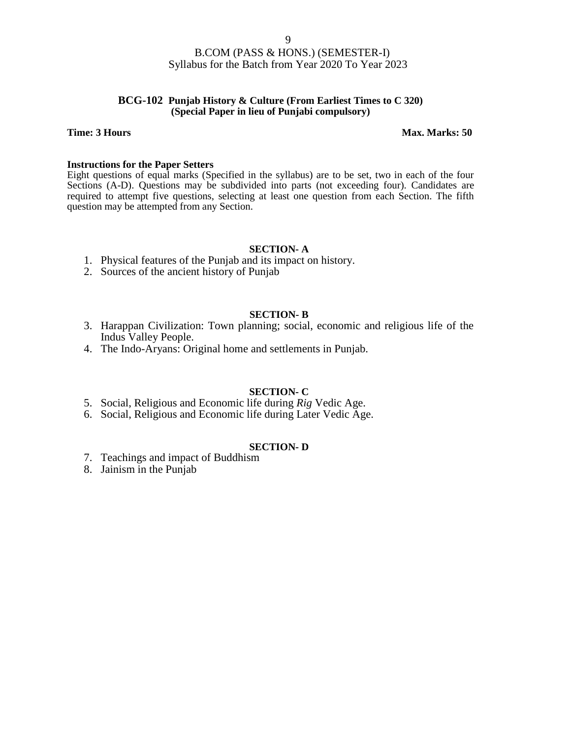### **BCG-102 Punjab History & Culture (From Earliest Times to C 320) (Special Paper in lieu of Punjabi compulsory)**

### **Time: 3 Hours Max. Marks: 50**

### **Instructions for the Paper Setters**

Eight questions of equal marks (Specified in the syllabus) are to be set, two in each of the four Sections (A-D). Questions may be subdivided into parts (not exceeding four). Candidates are required to attempt five questions, selecting at least one question from each Section. The fifth question may be attempted from any Section.

### **SECTION- A**

- 1. Physical features of the Punjab and its impact on history.
- 2. Sources of the ancient history of Punjab

### **SECTION- B**

- 3. Harappan Civilization: Town planning; social, economic and religious life of the Indus Valley People.
- 4. The Indo-Aryans: Original home and settlements in Punjab.

### **SECTION- C**

- 5. Social, Religious and Economic life during *Rig* Vedic Age.
- 6. Social, Religious and Economic life during Later Vedic Age.

### **SECTION- D**

- 7. Teachings and impact of Buddhism
- 8. Jainism in the Punjab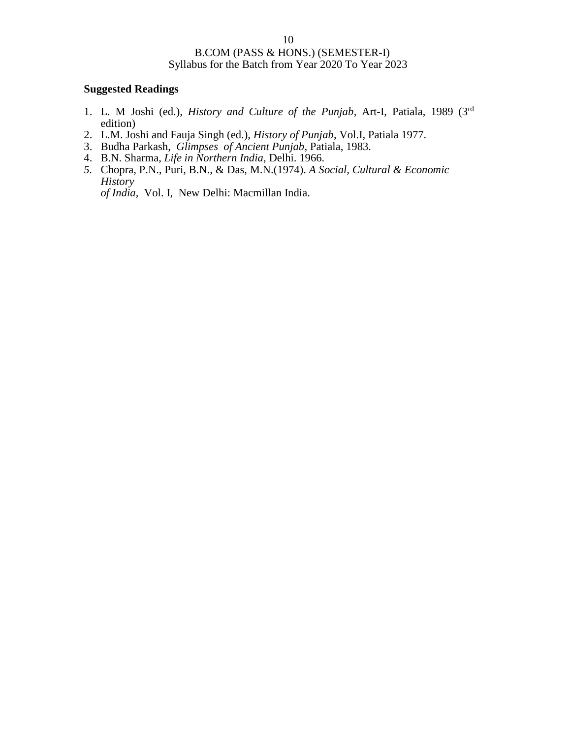### **Suggested Readings**

- 1. L. M Joshi (ed.), *History and Culture of the Punjab*, Art-I, Patiala, 1989 (3rd edition)
- 2. L.M. Joshi and Fauja Singh (ed.), *History of Punjab*, Vol.I, Patiala 1977.
- 3. Budha Parkash, *Glimpses of Ancient Punjab*, Patiala, 1983.
- 4. B.N. Sharma, *Life in Northern India*, Delhi. 1966.
- *5.* Chopra, P.N., Puri, B.N., & Das, M.N.(1974). *A Social, Cultural & Economic History of India,* Vol. I, New Delhi: Macmillan India.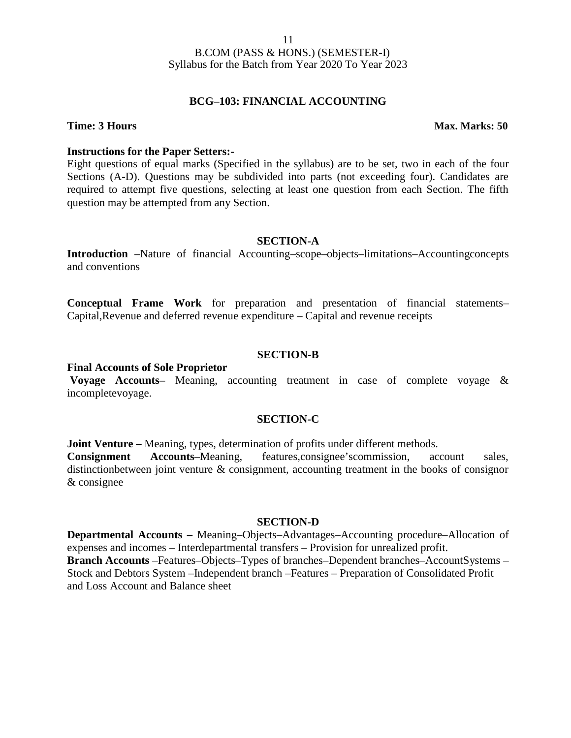### **BCG–103: FINANCIAL ACCOUNTING**

### **Time: 3 Hours Max. Marks: 50**

### **Instructions for the Paper Setters:-**

Eight questions of equal marks (Specified in the syllabus) are to be set, two in each of the four Sections (A-D). Questions may be subdivided into parts (not exceeding four). Candidates are required to attempt five questions, selecting at least one question from each Section. The fifth question may be attempted from any Section.

### **SECTION-A**

**Introduction** –Nature of financial Accounting–scope–objects–limitations–Accountingconcepts and conventions

**Conceptual Frame Work** for preparation and presentation of financial statements– Capital,Revenue and deferred revenue expenditure – Capital and revenue receipts

### **SECTION-B**

### **Final Accounts of Sole Proprietor**

**Voyage Accounts–** Meaning, accounting treatment in case of complete voyage & incompletevoyage.

### **SECTION-C**

**Joint Venture** – Meaning, types, determination of profits under different methods. **Consignment Accounts**–Meaning, features,consignee'scommission, account sales, distinctionbetween joint venture & consignment, accounting treatment in the books of consignor & consignee

### **SECTION-D**

**Departmental Accounts –** Meaning–Objects–Advantages–Accounting procedure–Allocation of expenses and incomes – Interdepartmental transfers – Provision for unrealized profit. **Branch Accounts** –Features–Objects–Types of branches–Dependent branches–AccountSystems – Stock and Debtors System –Independent branch –Features – Preparation of Consolidated Profit and Loss Account and Balance sheet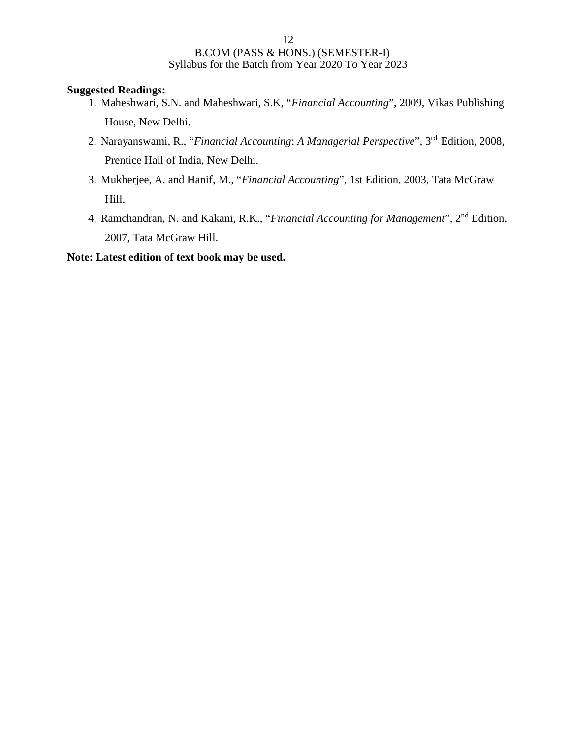### **Suggested Readings:**

- 1. Maheshwari, S.N. and Maheshwari, S.K, "*Financial Accounting*", 2009, Vikas Publishing House, New Delhi.
- 2. Narayanswami, R., "*Financial Accounting*: *A Managerial Perspective*", 3rd Edition, 2008, Prentice Hall of India, New Delhi.
- 3. Mukherjee, A. and Hanif, M., "*Financial Accounting*", 1st Edition, 2003, Tata McGraw Hill.
- 4. Ramchandran, N. and Kakani, R.K., "*Financial Accounting for Management*", 2nd Edition, 2007, Tata McGraw Hill.

### **Note: Latest edition of text book may be used.**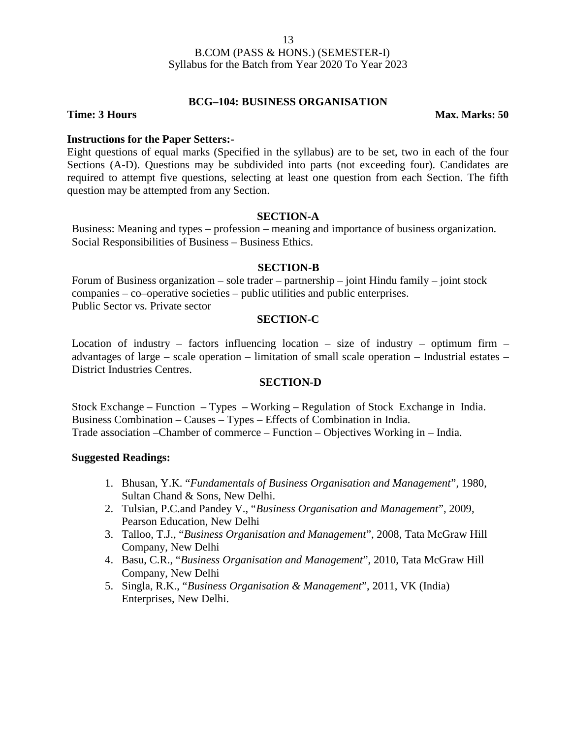### **BCG–104: BUSINESS ORGANISATION**

**Time: 3 Hours Max. Marks: 50** 

### **Instructions for the Paper Setters:-**

Eight questions of equal marks (Specified in the syllabus) are to be set, two in each of the four Sections (A-D). Questions may be subdivided into parts (not exceeding four). Candidates are required to attempt five questions, selecting at least one question from each Section. The fifth question may be attempted from any Section.

### **SECTION-A**

Business: Meaning and types – profession – meaning and importance of business organization. Social Responsibilities of Business – Business Ethics.

### **SECTION-B**

Forum of Business organization – sole trader – partnership – joint Hindu family – joint stock companies – co–operative societies – public utilities and public enterprises. Public Sector vs. Private sector

### **SECTION-C**

Location of industry – factors influencing location – size of industry – optimum firm – advantages of large – scale operation – limitation of small scale operation – Industrial estates – District Industries Centres.

### **SECTION-D**

Stock Exchange – Function – Types – Working – Regulation of Stock Exchange in India. Business Combination – Causes – Types – Effects of Combination in India. Trade association –Chamber of commerce – Function – Objectives Working in – India.

### **Suggested Readings:**

- 1. Bhusan, Y.K. "*Fundamentals of Business Organisation and Management*", 1980, Sultan Chand & Sons, New Delhi.
- 2. Tulsian, P.C.and Pandey V., "*Business Organisation and Management*", 2009, Pearson Education, New Delhi
- 3. Talloo, T.J., "*Business Organisation and Management*", 2008, Tata McGraw Hill Company, New Delhi
- 4. Basu, C.R., "*Business Organisation and Management*", 2010, Tata McGraw Hill Company, New Delhi
- 5. Singla, R.K., "*Business Organisation & Management*", 2011, VK (India) Enterprises, New Delhi.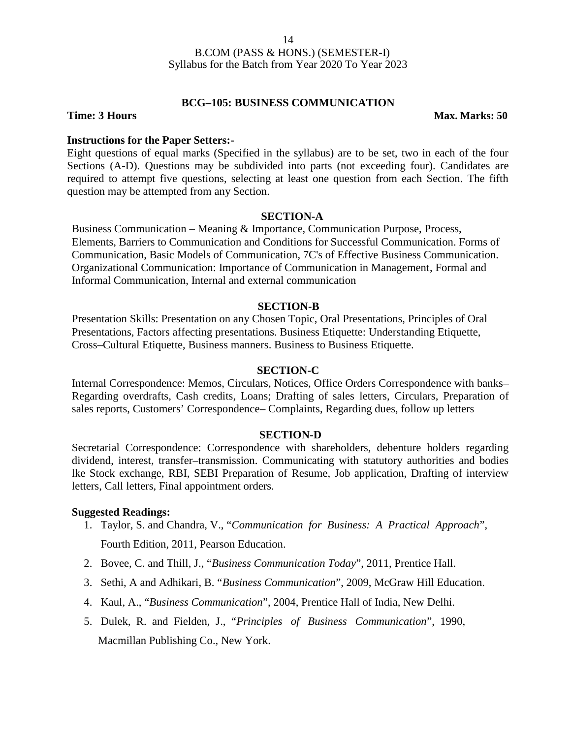### **BCG–105: BUSINESS COMMUNICATION**

### **Time: 3 Hours Max. Marks: 50**

### **Instructions for the Paper Setters:-**

Eight questions of equal marks (Specified in the syllabus) are to be set, two in each of the four Sections (A-D). Questions may be subdivided into parts (not exceeding four). Candidates are required to attempt five questions, selecting at least one question from each Section. The fifth question may be attempted from any Section.

### **SECTION-A**

Business Communication – Meaning & Importance, Communication Purpose, Process, Elements, Barriers to Communication and Conditions for Successful Communication. Forms of Communication, Basic Models of Communication, 7C's of Effective Business Communication. Organizational Communication: Importance of Communication in Management, Formal and Informal Communication, Internal and external communication

### **SECTION-B**

Presentation Skills: Presentation on any Chosen Topic, Oral Presentations, Principles of Oral Presentations, Factors affecting presentations. Business Etiquette: Understanding Etiquette, Cross–Cultural Etiquette, Business manners. Business to Business Etiquette.

### **SECTION-C**

Internal Correspondence: Memos, Circulars, Notices, Office Orders Correspondence with banks– Regarding overdrafts, Cash credits, Loans; Drafting of sales letters, Circulars, Preparation of sales reports, Customers' Correspondence– Complaints, Regarding dues, follow up letters

### **SECTION-D**

Secretarial Correspondence: Correspondence with shareholders, debenture holders regarding dividend, interest, transfer–transmission. Communicating with statutory authorities and bodies lke Stock exchange, RBI, SEBI Preparation of Resume, Job application, Drafting of interview letters, Call letters, Final appointment orders.

### **Suggested Readings:**

- 1. Taylor, S. and Chandra, V., "*Communication for Business: A Practical Approach*", Fourth Edition, 2011, Pearson Education.
- 2. Bovee, C. and Thill, J., "*Business Communication Today*", 2011, Prentice Hall.
- 3. Sethi, A and Adhikari, B. "*Business Communication*", 2009, McGraw Hill Education.
- 4. Kaul, A., "*Business Communication*", 2004, Prentice Hall of India, New Delhi.
- 5. Dulek, R. and Fielden, J., "*Principles of Business Communication*", 1990, Macmillan Publishing Co., New York.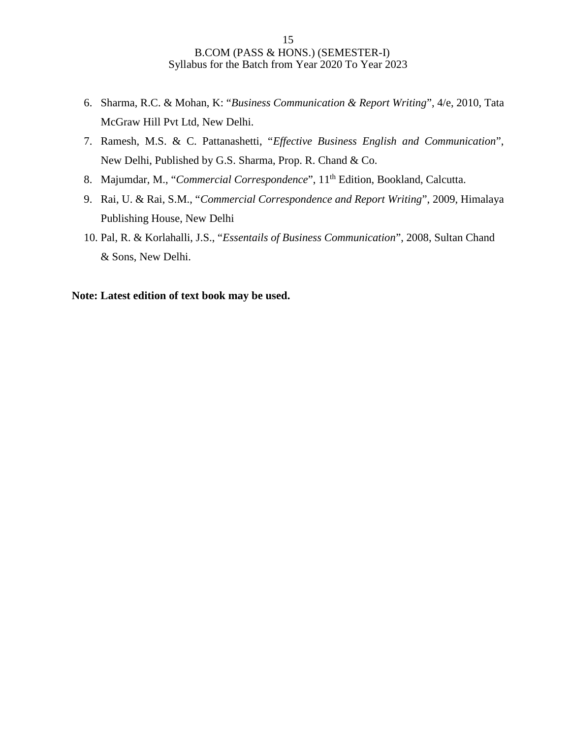- 6. Sharma, R.C. & Mohan, K: "*Business Communication & Report Writing*", 4/e, 2010, Tata McGraw Hill Pvt Ltd, New Delhi.
- 7. Ramesh, M.S. & C. Pattanashetti, "*Effective Business English and Communication*", New Delhi, Published by G.S. Sharma, Prop. R. Chand & Co.
- 8. Majumdar, M., "Commercial Correspondence", 11<sup>th</sup> Edition, Bookland, Calcutta.
- 9. Rai, U. & Rai, S.M., "*Commercial Correspondence and Report Writing*", 2009, Himalaya Publishing House, New Delhi
- 10. Pal, R. & Korlahalli, J.S., "*Essentails of Business Communication*", 2008, Sultan Chand & Sons, New Delhi.

### **Note: Latest edition of text book may be used.**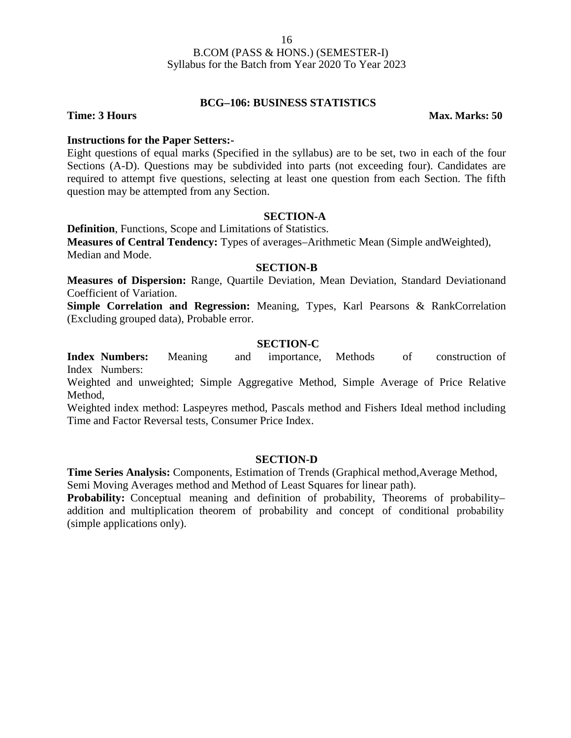### **BCG–106: BUSINESS STATISTICS**

**Time: 3 Hours Max. Marks: 50** 

### **Instructions for the Paper Setters:-**

Eight questions of equal marks (Specified in the syllabus) are to be set, two in each of the four Sections (A-D). Questions may be subdivided into parts (not exceeding four). Candidates are required to attempt five questions, selecting at least one question from each Section. The fifth question may be attempted from any Section.

### **SECTION-A**

**Definition**, Functions, Scope and Limitations of Statistics.

**Measures of Central Tendency:** Types of averages–Arithmetic Mean (Simple andWeighted), Median and Mode.

### **SECTION-B**

**Measures of Dispersion:** Range, Quartile Deviation, Mean Deviation, Standard Deviationand Coefficient of Variation.

**Simple Correlation and Regression:** Meaning, Types, Karl Pearsons & RankCorrelation (Excluding grouped data), Probable error.

### **SECTION-C**

**Index Numbers:** Meaning and importance, Methods of construction of Index Numbers:

Weighted and unweighted; Simple Aggregative Method, Simple Average of Price Relative Method,

Weighted index method: Laspeyres method, Pascals method and Fishers Ideal method including Time and Factor Reversal tests, Consumer Price Index.

### **SECTION-D**

**Time Series Analysis:** Components, Estimation of Trends (Graphical method, Average Method, Semi Moving Averages method and Method of Least Squares for linear path).

**Probability:** Conceptual meaning and definition of probability, Theorems of probability– addition and multiplication theorem of probability and concept of conditional probability (simple applications only).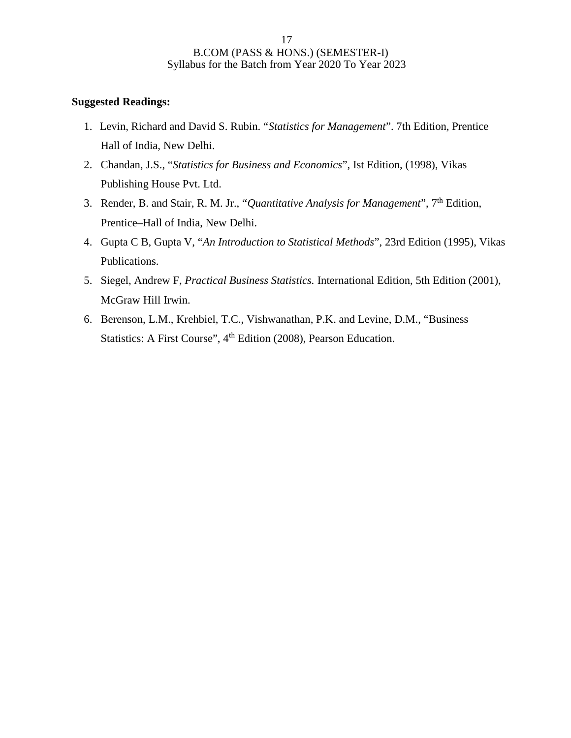### **Suggested Readings:**

- 1. Levin, Richard and David S. Rubin. "*Statistics for Management*". 7th Edition, Prentice Hall of India, New Delhi.
- 2. Chandan, J.S., "*Statistics for Business and Economics*", Ist Edition, (1998), Vikas Publishing House Pvt. Ltd.
- 3. Render, B. and Stair, R. M. Jr., "*Quantitative Analysis for Management*", 7th Edition, Prentice–Hall of India, New Delhi.
- 4. Gupta C B, Gupta V, "*An Introduction to Statistical Methods*", 23rd Edition (1995), Vikas Publications.
- 5. Siegel, Andrew F, *Practical Business Statistics.* International Edition, 5th Edition (2001), McGraw Hill Irwin.
- 6. Berenson, L.M., Krehbiel, T.C., Vishwanathan, P.K. and Levine, D.M., "Business Statistics: A First Course", 4<sup>th</sup> Edition (2008), Pearson Education.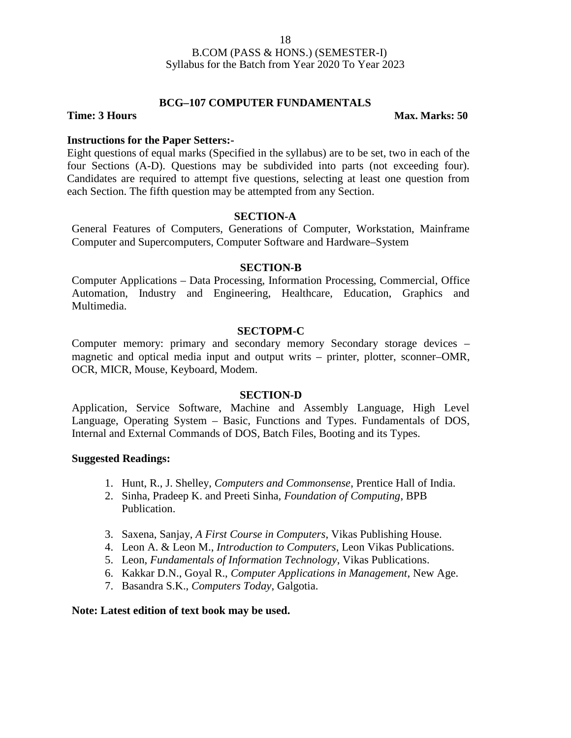### **BCG–107 COMPUTER FUNDAMENTALS**

**Time: 3 Hours Max. Marks: 50** 

### **Instructions for the Paper Setters:-**

Eight questions of equal marks (Specified in the syllabus) are to be set, two in each of the four Sections (A-D). Questions may be subdivided into parts (not exceeding four). Candidates are required to attempt five questions, selecting at least one question from each Section. The fifth question may be attempted from any Section.

### **SECTION-A**

General Features of Computers, Generations of Computer, Workstation, Mainframe Computer and Supercomputers, Computer Software and Hardware–System

### **SECTION-B**

Computer Applications – Data Processing, Information Processing, Commercial, Office Automation, Industry and Engineering, Healthcare, Education, Graphics and Multimedia.

### **SECTOPM-C**

Computer memory: primary and secondary memory Secondary storage devices – magnetic and optical media input and output writs – printer, plotter, sconner–OMR, OCR, MICR, Mouse, Keyboard, Modem.

### **SECTION-D**

Application, Service Software, Machine and Assembly Language, High Level Language, Operating System – Basic, Functions and Types. Fundamentals of DOS, Internal and External Commands of DOS, Batch Files, Booting and its Types.

### **Suggested Readings:**

- 1. Hunt, R., J. Shelley, *Computers and Commonsense*, Prentice Hall of India.
- 2. Sinha, Pradeep K. and Preeti Sinha, *Foundation of Computing*, BPB Publication.
- 3. Saxena, Sanjay, *A First Course in Computers*, Vikas Publishing House.
- 4. Leon A. & Leon M., *Introduction to Computers*, Leon Vikas Publications.
- 5. Leon, *Fundamentals of Information Technology*, Vikas Publications.
- 6. Kakkar D.N., Goyal R., *Computer Applications in Management*, New Age.
- 7. Basandra S.K., *Computers Today*, Galgotia.

### **Note: Latest edition of text book may be used.**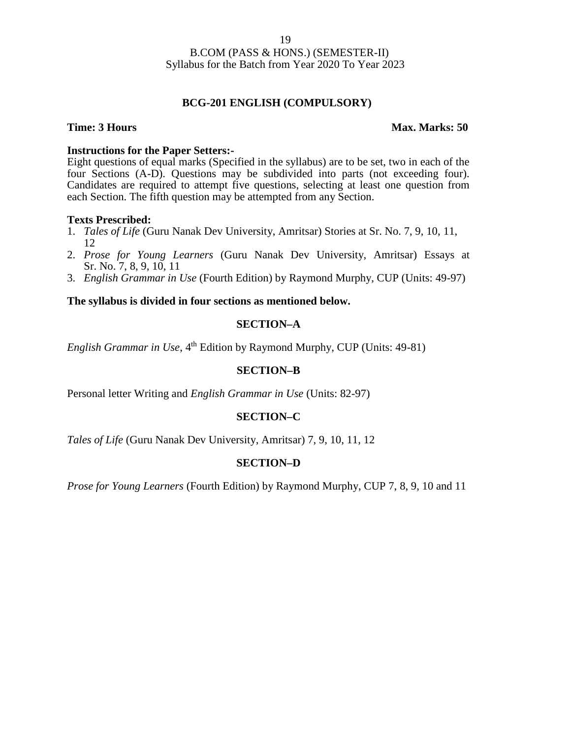### **BCG-201 ENGLISH (COMPULSORY)**

### **Time: 3 Hours Max. Marks: 50**

### **Instructions for the Paper Setters:-**

Eight questions of equal marks (Specified in the syllabus) are to be set, two in each of the four Sections (A-D). Questions may be subdivided into parts (not exceeding four). Candidates are required to attempt five questions, selecting at least one question from each Section. The fifth question may be attempted from any Section.

### **Texts Prescribed:**

- 1. *Tales of Life* (Guru Nanak Dev University, Amritsar) Stories at Sr. No. 7, 9, 10, 11, 12
- 2. *Prose for Young Learners* (Guru Nanak Dev University, Amritsar) Essays at Sr. No. 7, 8, 9, 10, 11
- 3. *English Grammar in Use* (Fourth Edition) by Raymond Murphy, CUP (Units: 49-97)

### **The syllabus is divided in four sections as mentioned below.**

### **SECTION–A**

*English Grammar in Use*, 4<sup>th</sup> Edition by Raymond Murphy, CUP (Units: 49-81)

### **SECTION–B**

Personal letter Writing and *English Grammar in Use* (Units: 82-97)

### **SECTION–C**

*Tales of Life* (Guru Nanak Dev University, Amritsar) 7, 9, 10, 11, 12

### **SECTION–D**

*Prose for Young Learners* (Fourth Edition) by Raymond Murphy, CUP 7, 8, 9, 10 and 11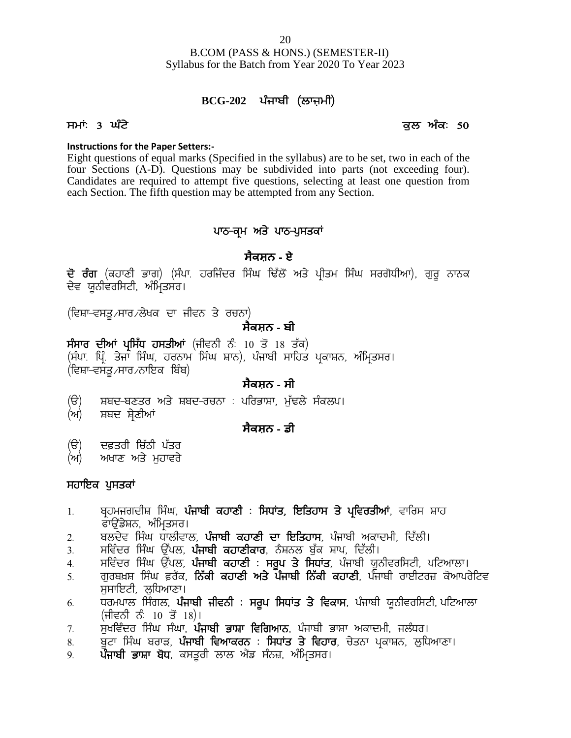B.COM (PASS & HONS.) (SEMESTER-II) Syllabus for the Batch from Year 2020 To Year 2023 <u>20</u><br>20 COM (PASS & HONS.) (SEMESTER-II)<br>s for the Batch from Year 2020 To Year 2023<br>**BCG-202** ਪੰਜਾਬੀ (ਲਾਜ਼ਮੀ) R.COM (PASS & HONS.) (SEMESTER-II)<br>Syllabus for the Batch from Year 2020 To Year 2023<br>**BCG-202** ਪੰਜਾਬੀ (ਲਾਜ਼ਮੀ)<br>ਸਮਾਂ: 3 ਘੰਟੇ<br>Instructions for the Paper Setters:-

### **Instructions for the Paper Setters:-**

Eight questions of equal marks (Specified in the syllabus) are to be set, two in each of the four Sections (A-D). Questions may be subdivided into parts (not exceeding four). Candidates are required to attempt five questions, selecting at least one question from each Section. The fifth question may be attempted from any Section. Specified in the syllabus) are to be set,<br>
is may be subdivided into parts (no<br>
mpt five questions, selecting at least<br>
may be attempted from any Section.<br> **PRACE ARCE ARCE PRACE PRACE PRACE PRACE PRACE PRACE PRACE PRACE** 

### **ਸੈਕਸ਼ਨ - ਏ**

each Section. The fifth question may be attempted from any Section.<br>**ਪਾਠ-ਕ੍ਰਮ ਅਤੇ ਪਾਠ-ਪੁਸਤਕਾਂ**<br>**ਸੈਕਸ਼ਨ - ਏ**<br>ਦੇਵ ਯੂਨੀਵਰਸਿਟੀ, ਅੰਮ੍ਰਿਤਸਰ।<br>(ਵਿਸ਼ਾ-ਵਸਤ<sub>⁄</sub>ਸਾਰ ⁄ਲੇਖਕ ਦਾ ਜੀਵਨ ਤੇ ਰਚਨਾ) ਪਾਠ-ਕ੍ਰਮ ਅਤੇ ਪ<br>ਸੈਕਸ਼ਨ<br>ਦੋਵ ਯੂਨੀਵਰਸਿਟੀ, ਅੰਮ੍ਰਿਤਸਰ।<br>ਦੋਵ ਯੂਨੀਵਰਸਿਟੀ, ਅੰਮ੍ਰਿਤਸਰ।<br>(ਵਿਸ਼ਾ-ਵਸਤੂ ਸਾਰ ਲੇਖਕ ਦਾ ਜੀਵਨ ਤੇ ਰਚਨਾ)<br>ਸੈਕਸ਼ਨ - ਇਮਾਂ ਮਾਇੰਸ ਜਾਈਆਂ (ਹੀਤਾਰੇ ਹੀ ਪਾਰੋਂ ।<br>ਇਸਤ ਤੀਆਂ ਮਾਇੰਸ ਜਾਈਆਂ (ਹੀਤਾਰੇ ਹੀ ਪਾਰੋਂ ।

### **ਸੈਕਸ਼ਨ - ਬੀ**

**ਦੋ ਰੰਗ** (ਕਹਾਣੀ ਭਾਗ) (ਸੰਪਾ. ਹਰਜਿੰਦਰ ਸਿੰਘ ਢਿੱਲੌਂ ਅਤੇ ਪ੍ਰੀਤਮ ਸਿੰਘ ਸਰਗੋਧੀਆ)<br>ਦੇਵ ਯੂਨੀਵਰਸਿਟੀ, ਅੰਮ੍ਰਿਤਸਰ।<br>(ਵਿਸ਼ਾ-ਵਸਤੂ*ਮ*ਸਾਰ ਲੇਖਕ ਦਾ ਜੀਵਨ ਤੇ ਰਚਨਾ)<br>ਸੰਸਾਰ ਦੀਆਂ **ਪ੍ਰਸਿੱਧ ਹਸਤੀਆਂ** (ਜੀਵਨੀ ਨੰ: 10 ਤੋਂ 18 ਤੱਕ)<br>(ਸੰਪਾ. ਪ੍ਰਿੰ. ਤੇਜਾ ਸਿੰਘ, ਹ ਦ ਰਗ (ਕਹਾਣਾ ਭਾਗ) (ਸਪਾ ਹਰਜਿਦਰ ਸਿਘ ਢਿਲ ਅਤ ਪ੍ਰਾਤਮ ਸਿਘ ਸਰਗਧਾਆ), ਗੁਰੂ<br>ਦੇਵ ਯੂਨੀਵਰਸਿਟੀ, ਅੰਮ੍ਰਿਤਸਰ।<br>(ਵਿਸ਼ਾ–ਵਸਤੂ ਸਾਰ ਲੇਖਕ ਦਾ ਜੀਵਨ ਤੇ ਰਚਨਾ)<br>**- ਸੈਕਸ਼ਨ - ਬੀ**<br>(ਸੰਪਾ ਪ੍ਰਿੰ ਤੇਜਾ ਸਿੰਘ, ਹਰਨਾਮ ਸਿੰਘ ਸ਼ਾਨ), ਪੰਜਾਬੀ ਸਾਹਿਤ ਪ੍ਰਕਾਸ਼ਨ, ਅੰਮ੍ਰਿਤਸਰ। (ਵਿਸ਼ਾ-ਵਸਤ∠ਸਾਰ∠ਨਾਇਕ ਬਿੰਬ) (ਦਿਸ ਦਸਭੂਸਾ ਝਾਲਾਬਜ ਦਾ ਜਿਵਨਾ ਤਾਂ ਤ**ਾਨ ਸੈਕਸ਼ਨ - ਬੀ**<br>ਸੰਸਾਰ ਦੀਆਂ ਪ੍ਰਸਿੱਧ ਹਸਤੀਆਂ (ਜੀਵਨੀ ਨੰ: 10 ਤੋਂ 18 ਤੱਕ)<br>(ਸੰਪਾ: ਪ੍ਰਿੰ: ਤੇਜਾ ਸਿੰਘ, ਹਰਨਾਮ ਸਿੰਘ ਸ਼ਾਨ), ਪੰਜਾਬੀ ਸਾਹਿਤ ਪ੍ਰਕਾਸ਼ਨ, ਅੰਮ੍ਰਿਤਸਰ।<br>(ਵਿਸ਼ਾ-ਵਸਤੂ ਸਾਰ ਨਾਇਕ ਬਿੰਬ)<br>(ੳ) ਸ਼ਬਦ-ਬਣਤਰ

### **ਸੈਕਸ਼ਨ - ਸੀ**

- (ਦਿਸ਼ਾ ਦਸਤੂਸਾ ਝਾਲਾ ਦਿਖਾ ਜਿਖੋਸ਼)<br>(ੳ) ਸ਼ਬਦ-ਬਣਤਰ ਅਤੇ ਸ਼ਬਦ-ਰਚਨਾ : ਪਰਿਭ<br>(ਅ) ਸ਼ਬਦ ਸ਼੍ਰੇਣੀਆਂ<br>(ੳ) ਦਫ਼ਤਰੀ ਚਿੱਠੀ ਪੱਤਰ<br>(ਅ) ਅਖਾਣ ਅਤੇ ਮੁਹਾਵਰੇ<br>ਸਹਾਇਕ ਪਸਤਕਾਂ
- (ਅ) ਸ਼ਬਦ ਸ਼ੇਣੀਆਂ

### **ਸੈਕਸ਼ਨ - ਡੀ**

- (ੳ) ਦਫ਼ਤਰੀ ਚਿੱਠੀ ਪੱਤਰ
- 

### ਸਹਾਇਕ ਪੁਸਤਕਾਂ

- **1 ਦ**ਫ਼ਤਰੀ ਚਿੱਠੀ ਪੱਤਰ<br>(ਅ) ਅਖਾਣ ਅਤੇ ਮੁਹਾਵਰੇ<br>ਸਹਾਇਕ ਪੁਸਤਕਾਂ<br>1. ਬ੍ਰਹਮਜਗਦੀਸ਼ ਸਿੰਘ, **ਪੰਜਾਬੀ ਕਹਾਣੀ : ਸਿਧਾਂਤ, ਇਤਿਹਾਸ ਤੇ ਪ੍ਰਵਿਰਤੀਆਂ**, ਵਾਰਿਸ ਸ਼ਾਹ<br>ਫਾਉਂਡੇਸ਼ਨ, ਅੰਮ੍ਰਿਤਸਰ।<br>2. ਬਲਦੇਵ ਸਿੰਘ ਧਾਲੀਵਾਲ, **ਪੰਜਾਬੀ ਕਹਾਣੀ ਦਾ ਇਤਿਹਾਸ**, ਪੰਜਾਬੀ ਦਫ਼ਤਰੀ ਚਿੱਠੀ ਪੱਤਰ<br>ਅਖਾਣ ਅਤੇ ਮੁਹਾਵਰੇ<br>**ਪੁਸਤਕਾਂ**<br>ਬ੍ਰਹਮਜਗਦੀਸ਼ ਸਿੰਘ, **ਪੰਜਾਬੀ ਕਹਾਣੀ**<br>ਫਾਉਂਡੇਸ਼ਨ, ਅੰਮ੍ਰਿਤਸਰ।<br>ਬਲਦੇਵ ਸਿੰਘ ਧਾਲੀਵਾਲ, **ਪੰਜਾਬੀ ਕਹਾ**ਰ<br>ਸਵਿੰਦਰ ਸਿੰਘ ਓੱਪਲ, **ਪੰਜਾਬੀ ਕਹਾ**ਰ (ਅ) ਅਖਾਣ ਅਤੇ ਮੁਹਾਵਰੇ<br>**ਸਹਾਇਕ ਪੁਸਤਕਾਂ**<br>1. ਬ੍ਰਹਮਜਗਦੀਸ਼ ਸਿੰਘ, **ਪੰਜਾਬੀ ਕਹਾਣੀ : ਸਿਧਾਂਤ, ਇਤਿਹਾਸ ਤੇ ਪ੍ਰਵਿਰਤੀਆਂ**, ਵਾਰਿਸ ਸ਼ਾਹ<br>ਫਾਉਂਡੇਸ਼ਨ, ਅੰਮ੍ਰਿਤਸਰ।<br>2. ਬਲਦੇਵ ਸਿੰਘ ਧਾਲੀਵਾਲ, **ਪੰਜਾਬੀ ਕਹਾਣੀ ਦਾ ਇਤਿਹਾਸ**, ਪੰਜਾਬੀ ਅਕਾਦਮੀ, ਦਿੱਲੀ।<br>3. ਮ**ਹਾਇਕ ਪੁਸਤਕਾਂ**<br>1. ਬ੍ਰਹਮਜਗਦੀਸ਼ ਸਿੰਘ, **ਪੰਜਾਬੀ ਕਹਾਣੀ : ਸਿਧਾਂਤ, ਇਤਿਹਾਸ ਤੇ ਪ੍ਰਵਿਰਤੀਆਂ**, ਵਾਰਿਸ ਸ<br>2. ਬਲਦੇਵ ਸਿੰਘ ਧਾਲੀਵਾਲ, **ਪੰਜਾਬੀ ਕਹਾਣੀ ਦਾ ਇਤਿਹਾਸ**, ਪੰਜਾਬੀ ਅਕਾਦਮੀ, ਦਿੱਲੀ।<br>3. ਸਵਿੰਦਰ ਸਿੰਘ ਉੱਪਲ, **ਪੰਜਾਬੀ ਕਹਾਣੀ ਦਾ ਇਤਿਹਾਸ**
- 
- 
- 
- **ਸਹਾਇਕ ਪੁਸਤਕਾਂ**<br>1. ਬ੍ਰਹਮਜਗਦੀਸ਼ ਸਿੰਘ, **ਪੰਜਾਬੀ ਕਹਾਣੀ : ਸਿਧਾਂਤ, ਇਤਿਹਾਸ ਤੇ ਪ੍ਰਵਿਰਤੀਆਂ**, ਵਾਰਿਸ ਸ਼ਾਹ<br>2. ਬਲਦੇਵ ਸਿੰਘ ਧਾਲੀਵਾਲ, **ਪੰਜਾਬੀ ਕਹਾਣੀ ਦਾ ਇਤਿਹਾਸ**, ਪੰਜਾਬੀ ਅਕਾਦਮੀ, ਦਿੱਲੀ।<br>3. ਸਵਿੰਦਰ ਸਿੰਘ ਉੱਪਲ, **ਪੰਜਾਬੀ ਕਹਾਣੀ ਦਾ ਇਤਿਹਾਸ** 1. ਬ੍ਰਹਮਜਗਦੀਸ਼ ਸਿੰਘ, **ਪੰਜਾਬੀ ਕਹਾਣੀ : ਸਿਧਾਂਤ, ਇਤਿਹਾਸ ਤੇ ਪ੍ਰਵਿਰਤੀਆਂ**, ਵਾਰਿਸ ਸ਼ਾਹ<br>ਫਾਉਂਡੇਸ਼ਨ, ਅੰਮ੍ਰਿਤਸਰ।<br>2. ਬਲਦੇਵ ਸਿੰਘ ਧਾਲੀਵਾਲ, **ਪੰਜਾਬੀ ਕਹਾਣੀ ਦਾ ਇਤਿਹਾਸ**, ਪੰਜਾਬੀ ਅਕਾਦਮੀ, ਦਿੱਲੀ।<br>4. ਸਵਿੰਦਰ ਸਿੰਘ ਉੱਪਲ, **ਪੰਜਾਬੀ ਕਹਾਣੀ : ਸਰੂਪ ਤੇ ਸਿਧ** ਫਾਉਂਡੇਸ਼ਨ, ਅੰਮ੍ਰਿਤਸਰ।<br>ਬਲਦੇਵ ਸਿੰਘ ਧਾਲੀਵਾਲ, **ਪੰਜਾਬੀ ਕਹਾਣੀ ਦਾ ਇਤਿਹਾਸ**, ਪੰਜਾਬੀ ਅਕਾਦਮੀ, ਦਿੱਲੀ।<br>ਸਵਿੰਦਰ ਸਿੰਘ ਉੱਪਲ, **ਪੰਜਾਬੀ ਕਹਾਣੀ : ਸਰੂਪ ਤੇ ਸਿਧਾਂਤ**, ਪੰਜਾਬੀ ਯੂਨੀਵਰਸਿਟੀ, ਪਟਿਆਲਾ।<br>ਗੁਰਬਖ਼ਸ਼ ਸਿੰਘ ਫ਼ੁਰੈਂਕ, **ਨਿੱਕੀ ਕਹਾਣੀ ਅਤੇ ਪੰਜਾਬੀ ਨਿੱਕੀ** - ਕਾਉਂਡੇਸ਼ਨ, ਅੰਮ੍ਰਿਤਸਰ।<br>2. ਬਲਦੇਵ ਸਿੰਘ ਧਾਲੀਵਾਲ, **ਪੰਜਾਬੀ ਕਹਾਣੀ ਦਾ ਇਤਿਹਾਸ**, ਪੰਜਾਬੀ ਅਕਾਦਮੀ, ਦਿੱਲੀ।<br>3. ਸਵਿੰਦਰ ਸਿੰਘ ਉੱਪਲ, **ਪੰਜਾਬੀ ਕਹਾਣੀ : ਸਰੂਪ ਤੇ ਸਿਧਾਂਤ**, ਪੰਜਾਬੀ ਯੂਨੀਵਰਸਿਟੀ, ਪਟਿਆਲਾ।<br>5. ਗੁਰਬਖ਼ਸ਼ ਸਿੰਘ ਫੁਰੈਂਕ, **ਨਿੱਕੀ ਕਹਾਣੀ : ਸਰੂਪ** 3. ਸਵਿੰਦਰ ਸਿੰਘ ਉੱਪਲ, **ਪੰਜਾਬੀ ਕਹਾਣੀਕਾਰ**, ਨੈਸ਼ਨਲ ਬੁੱਕ ਸ਼ਾਪ, ਦਿੱਲੀ।<br>4. ਸਵਿੰਦਰ ਸਿੰਘ ਉੱਪਲ, **ਪੰਜਾਬੀ ਕਹਾਣੀ : ਸਰੂਪ ਤੇ ਸਿਧਾਂਤ**, ਪੰਜਾਬੀ ਯੂਨੀਵਰਸਿਟੀ, ਪਟਿਆਲਾ।<br>5. ਗੁਰਬਖ਼ਸ਼ ਸਿੰਘ ਫ਼ਰੈਂਕ, **ਨਿੱਕੀ ਕਹਾਣੀ ਅਤੇ ਪੰਜਾਬੀ ਨਿੱਕੀ ਕਹਾਣੀ**, ਪੰਜਾਬੀ ਰਾਈਟ 4. ਸਵਿੰਦਰ ਸਿੰਘ ਉੱਪਲ, **ਪੰਜਾਬੀ ਕਹਾਣੀ : ਸਰੂਪ ਤੇ ਸਿਧਾਂਤ**, ਪੰਜਾਬੀ ਯੂਨੀਵਰਸਿਟੀ, ਪਟਿਆਲਾ।<br>5. ਗੁਰਬਖ਼ਸ ਸਿੰਘ ਫ਼ਰੈਂਕ, **ਨਿੱਕੀ ਕਹਾਣੀ ਅਤੇ ਪੰਜਾਬੀ ਨਿੱਕੀ ਕਹਾਣੀ**, ਪੰਜਾਬੀ ਰਾਈਟਰਜ਼ ਕੋਆਪਰੇਟਿਵ<br>6. ਧਰਮਪਾਲ ਸਿੰਗਲ, **ਪੰਜਾਬੀ ਜੀਵਨੀ : ਸਰੂਪ ਸਿਧਾਂਤ ਤ** 5. ਗੁਰਬਖ਼ਸ ਸਿੰਘ ਫ਼ਰੈਂਕ, **ਨਿੱਕੀ ਕਹਾਣੀ ਅਤੇ ਪੰਜਾਬੀ ਨਿੱਕੀ**<br>6. ਧਰਮਪਾਲ ਸਿੰਗਲ, **ਪੰਜਾਬੀ ਜੀਵਨੀ : ਸਰੂਪ ਸਿਧਾਂਤ ਤੇ ਵਿ**ਕ<br>(ਜੀਵਨੀ ਨੰ: 10 ਤੋਂ 18)।<br>7. ਸੁਖਵਿੰਦਰ ਸਿੰਘ ਸੰਘਾ, **ਪੰਜਾਬੀ ਭਾਸ਼ਾ ਵਿਗਿਆਨ**, ਪੰਜਾਬੀ ਭ<br>8. ਬੂਟਾ ਸਿੰਘ ਬਰਾੜ, **ਪੰ**
- (ਜੀਵਨੀ ਨੰਂ 10 ਤੋਂ 18)।<br>ਸਖਵਿੰਦਰ ਸਿੰਘ ਸੰਘਾ, **ਪੰਜਾਬੀ ਭਾਸ਼ਾ ਵਿਗਿਆਨ**, ਪੰਜਾਬੀ ਭਾਸ਼ਾ ਅਕਾਦਮੀ, ਜਲੰਧਰ।
- 
- 
-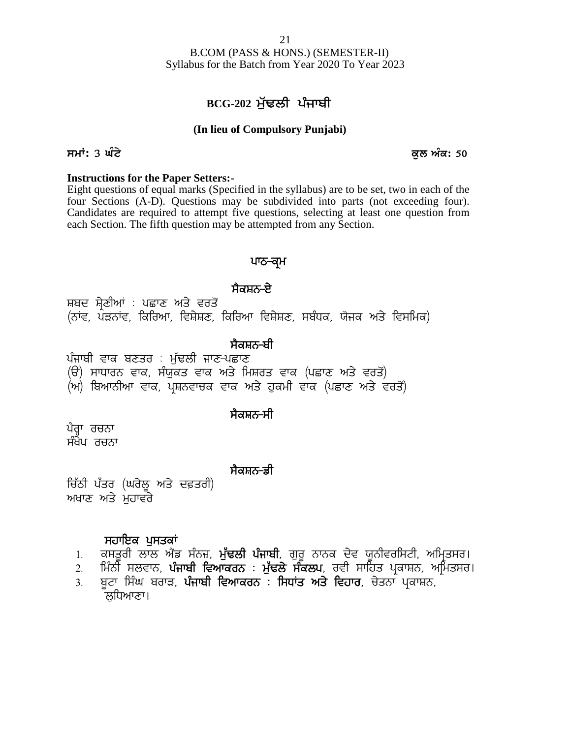B.COM (PASS & HONS.) (SEMESTER-II) Syllabus for the Batch from Year 2020 To Year 2023 <u>21</u><br>
COM (PASS & HONS.) (SEMESTER-II)<br>
for the Batch from Year 2020 To Year 2023<br> **BCG-202 ਮੁੱਢਲੀ ਪੰਜਾਬੀ**<br>
lieu of Compulsory Punjabi)

### **(In lieu of Compulsory Punjabi)**

### **smath: 3 ਘੰਟੇ** ਕਲ ਅੰਕ: 50

### **Instructions for the Paper Setters:-**

Eight questions of equal marks (Specified in the syllabus) are to be set, two in each of the four Sections (A-D). Questions may be subdivided into parts (not exceeding four). Candidates are required to attempt five questions, selecting at least one question from each Section. The fifth question may be attempted from any Section. ay be subdivided into parts (not of<br>five questions, selecting at least on<br>be attempted from any Section.<br>**ਪਾਠ–ਕ੍ਰਮ**<br>ਸੈਕਸ਼ਨ–ਏ<br>ਰਿਆ ਵਿਸ਼ੇਸ਼ਣ, ਸਬੰਧਕ, ਯੋਜਕ ਅਤੇ <sup>1</sup>

### ਪਾਠ<del>-</del>ਕ੍ਰਮ

cach section. The firm question may be attempted from any section.<br>PHO-**ਕ੍ਰਮ**<br>ਸ਼ਬਦ ਸ਼੍ਰੇਣੀਆਂ : ਪਛਾਣ ਅਤੇ ਵਰਤੋਂ<br>(ਨਾਂਵ, ਪੜਨਾਂਵ, ਕਿਰਿਆ, ਵਿਸ਼ੇਸ਼ਣ, ਕਿਰਿਆ ਵਿਸ਼ੇਸ਼ਣ, ਸਬੰਧਕ, ਯੋਜਕ ਅਤੇ ਵਿਸਮਿਕ)<br>ਸੈਕਸ਼ਨ<del>-ਬੀ</del> **ਸੰਬਦ ਸ਼੍ਰੇ**ਣੀਆਂ : ਪਛਾਣ ਅਤੇ ਵਰਤੋਂ<br>(ਨਾਂਵ, ਪੜਨਾਂਵ, ਕਿਰਿਆ, ਵਿਸ਼ੇਸ਼ਣ, ਕਿਰਿਆ ਵਿਸ਼ੇਸ਼ਣ, ਸ<br>ਪੰਜਾਬੀ ਵਾਕ ਬਣਤਰ : ਮੁੱਢਲੀ ਜਾਣ-ਪਛਾਣ<br>(ੳ) ਸਾਧਾਰਨ ਵਾਕ, ਸੰਯੁਕਤ ਵਾਕ ਅਤੇ ਮਿਸ਼ਰਤ ਵਾਕ<br>(ਅ) ਬਿਆਨੀਆ ਵਾਕ, ਪਸ਼ਨਵਾਚਕ ਵਾਕ ਅਤੇ ਹਕਮੀ ਵ ਸਬਦ ਸ੍ਰੇਣੀਆਂ : ਪਛਾਣ ਅਤੇ ਵਰਤੌਂ<br>(ਨਾਂਵ, ਪੜਨਾਂਵ, ਕਿਰਿਆ, ਵਿਸ਼ੇਸ਼ਣ, ਕਿਰਿਆ ਵਿਸ਼ੇਸ਼ਣ, ਸਬੰਧਕ, ਯੋਜਕ ਅਤੇ ਵਿਸਮਿ<br>ਪੰਜਾਬੀ ਵਾਕ ਬਣਤਰ : ਮੁੱਢਲੀ ਜਾਣ-ਪਛਾਣ<br>(ੳ) ਸਾਧਾਰਨ ਵਾਕ, ਸੰਯੁਕਤ ਵਾਕ ਅਤੇ ਮਿਸ਼ਰਤ ਵਾਕ (ਪਛਾਣ ਅਤੇ ਵਰਤੌਂ)<br>(ਅ) ਬਿਆਨੀਆ ਵਾਕ, ਪ੍ਰਸ਼ਨਵਾਚਕ

**: ਸੈਕਸ਼ਨ<del>-</del>ਬੀ<br>ਪੰਜਾਬੀ ਵਾਕ ਬਣਤਰ : ਮੱਢਲੀ ਜਾਣ-ਪਛਾਣ** 

ਪੰਜਾਬੀ ਵਾਕ ਬਣਤਰ : ਮੁੱਢਲੀ <sup>;</sup><br>(ੳ) ਸਾਧਾਰਨ ਵਾਕ, ਸੰਯੁਕਤ ਵਾ<br>(ਅ) ਬਿਆਨੀਆ ਵਾਕ, ਪ੍ਰਸ਼ਨਵਾਚ<br>ਪੈਰ੍ਹਾ ਰਚਨਾ<br>ਸੰਖੇਪ ਰਚਨਾ

(ਅ) ਬਿਆਨੀਆ ਵਾਕ, ਪਸ਼ਨਵਾਚਕ ਵਾਕ ਅਤੇ ਹਕਮੀ ਵਾਕ (ਪਛਾਣ ਅਤੇ ਵਰਤੋਂ)

### ਸੈਕਸ਼ਨ<del>-</del>ਸੀ

ਪੈਰ੍ਹਾ ਰਚਨਾ

### <u>ਸੈਕਸ਼ਨ–</u>ਡੀ

ੱ<sup>ਜ</sup>ਾ<br>ਪੈਰ੍ਹਾ ਰਚਨਾ<br>ਸੰਖੇਪ ਰਚਨਾ<br>ਚਿੱਠੀ ਪੱਤਰ (ਘਰੇਲੂ ਅਤੇ ਦਫ਼ਤਰੀ)<br>ਅਖਾਣ ਅਤੇ ਮੁਹਾਵਰੇ ਪੈਰ੍ਹਾ ਰਚਨਾ<br>ਸੰਖੇਪ ਰਚਨਾ<br>ਚਿੱਠੀ ਪੱਤਰ (ਘਰੇਲੂ ਅਤੇ ਦਫ਼ਤਰੀ)<br>ਅਖਾਣ ਅਤੇ ਮੁਹਾਵਰੇ

- ਚਿੱਠੀ ਪੱਤਰ (ਘਰੇਲੂ ਅਤੇ ਦਫ਼ਤਰੀ)<br>ਅਖਾਣ ਅਤੇ ਮੁਹਾਵਰੇ<br>- **ਸਹਾਇਕ ਪੁਸਤਕਾਂ**<br>1. ਕਸਤੁਰੀ ਲਾਲ ਐਂਡ ਸੰਨਜ਼, **ਮੁੱਢਲੀ ਪੰਜਾਬੀ**, ਗੁਰੁ ਨਾਨਕ ਦੇਵ ਯੁਨੀਵਰਸਿਟੀ, ਅਮਿ੍ਤਸਰ। **ਸੈਕਸ਼ਨ-ਡੀ**<br>ਸਹਾਇਕ ਪੁਸਤਕਾਂ<br>ਖਾਣ ਅਤੇ ਮੁਹਾਵਰੇ<br>1. ਕਸਤੂਰੀ ਲਾਲ ਐਂਡ ਸੰਨਜ਼, **ਮੁੰਢਲੀ ਪੰਜਾਬੀ**, ਗੁਰੂ ਨਾਨਕ ਦੇਵ ਯੂਨੀਵਰਸਿਟੀ, ਅਮ੍ਰਿਤਸਰ।<br>2. ਸਿੰਨੀ ਸਲਵਾਨ, **ਪੰਜਾਬੀ ਵਿਆਕਰਨ : ਮੁੱਢਲੇ ਸੰਕਲਪ**, ਰਵੀ ਸਾਹਿਤ ਪ੍ਰਕਾਸ਼ਨ, ਅਮਿਤਸਰ।<br>3. ਬਟਾ ਸਿੰਘ ਬਰਾੜ, **ਪੰ** 
	-
	- ੱਠੀ ਪੱਤਰ (ਘਰੇਲੂ ਅਤੇ ਦਫ਼ਤਰੀ)<br>ਖਾਣ ਅਤੇ ਮੁਹਾਵਰੇ<br>1. ਕਸਤੂਰੀ ਲਾਲ ਐਂਡ ਸੰਨਜ਼, **ਮੁੱਢਲੀ ਪੰਜਾਬੀ**, ਗੁਰੂ ਨਾਨਕ ਦੇਵ ਯੂਨੀਵਰਸਿਟੀ, ਅਮ੍ਰਿਤਸਰ।<br>2. ਸਿੰਨੀ ਸਲਵਾਨ, **ਪੰਜਾਬੀ ਵਿਆਕਰਨ : ਮੁੱਢਲੇ ਸੰਕਲਪ**, ਰਵੀ ਸਾਹਿਤ ਪ੍ਰਕਾਸ਼ਨ, ਅਮਿਤਸਰ।<br>3. ਭੂਟਾ ਸਿੰਘ ਬਰਾੜ, 1. ਕਸਤੂਰੀ ਲਾਲ ਐਂਡ ਸੰਨਜ਼, ਮੁੱ**ਢਲੀ ਪੰਜਾਬੀ**, ਗੁਰੂ ਨਾਨਕ ਦੇਵ ਯੂਨੀਵਰਸਿਟੀ, ਅਮ੍ਰਿਤਸਰ।<br>2. ਮਿੰਨੀ ਸਲਵਾਨ, **ਪੰਜਾਬੀ ਵਿਆਕਰਨ : ਮੁੱਢਲੇ ਸੰਕਲਪ**, ਰਵੀ ਸਾਹਿਤ ਪ੍ਰਕਾਸ਼ਨ, ਅਮਿਤਸਰ।<br>3. ਬੂਟਾ ਸਿੰਘ ਬਰਾੜ, **ਪੰਜਾਬੀ ਵਿਆਕਰਨ : ਸਿਧਾਂਤ ਅਤੇ ਵਿਹਾਰ**, ਚੇਤਨਾ ਪ੍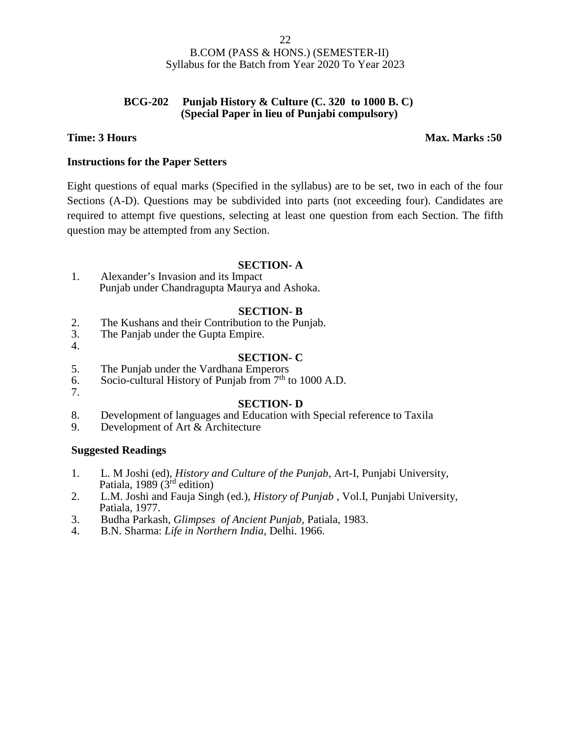### **BCG-202 Punjab History & Culture (C. 320 to 1000 B. C) (Special Paper in lieu of Punjabi compulsory)**

### **Time: 3 Hours Max. Marks :50**

### **Instructions for the Paper Setters**

Eight questions of equal marks (Specified in the syllabus) are to be set, two in each of the four Sections (A-D). Questions may be subdivided into parts (not exceeding four). Candidates are required to attempt five questions, selecting at least one question from each Section. The fifth question may be attempted from any Section.

### **SECTION- A**

1. Alexander's Invasion and its Impact Punjab under Chandragupta Maurya and Ashoka.

### **SECTION- B**

- 2. The Kushans and their Contribution to the Punjab.<br>3. The Panjab under the Gupta Empire.
- The Panjab under the Gupta Empire. 4.

### **SECTION- C**

- 5. The Punjab under the Vardhana Emperors
- 6. Socio-cultural History of Punjab from  $7<sup>th</sup>$  to 1000 A.D.
- 7.

### **SECTION- D**

- 8. Development of languages and Education with Special reference to Taxila
- 9. Development of Art & Architecture

### **Suggested Readings**

- 1. L. M Joshi (ed), *History and Culture of the Punjab*, Art-I, Punjabi University, Patiala, 1989 (3<sup>rd</sup> edition)
- 2. L.M. Joshi and Fauja Singh (ed.), *History of Punjab* , Vol.I, Punjabi University, Patiala, 1977.
- 3. Budha Parkash, *Glimpses of Ancient Punjab*, Patiala, 1983.
- 4. B.N. Sharma: *Life in Northern India*, Delhi. 1966.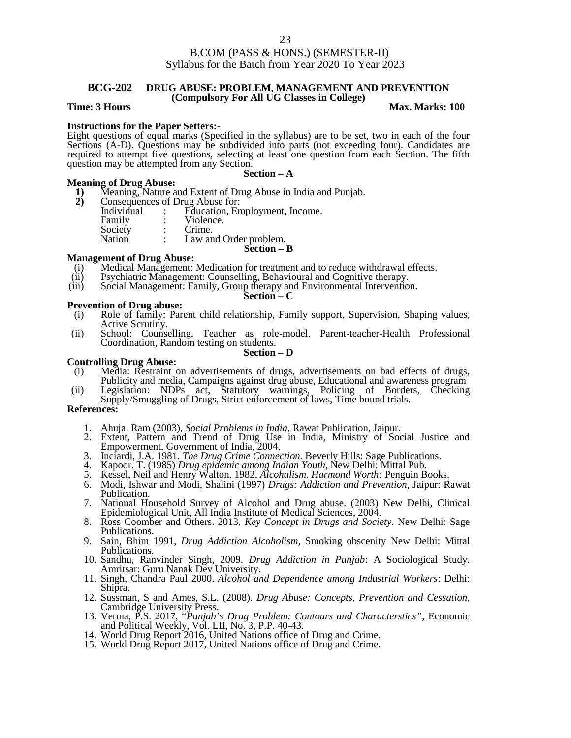### **BCG-202 DRUG ABUSE: PROBLEM, MANAGEMENT AND PREVENTION (Compulsory For All UG Classes in College)**

### **Time: 3 Hours Max.** Marks: 100

**Instructions for the Paper Setters:-** Eight questions of equal marks (Specified in the syllabus) are to be set, two in each of the four Sections (A-D). Questions may be subdivided into parts (not exceeding four). Candidates are required to attempt five questions, selecting at least one question from each Section. The fifth question may be attempted from any Section.

### **Section – A**

- **Meaning of Drug Abuse:**<br>1) Meaning, Nature a<br>2) Consequences of L **1)** Meaning, Nature and Extent of Drug Abuse in India and Punjab.
	-
- **2)** Consequences of Drug Abuse for:<br>
Individual : Education, En Individual : Education, Employment, Income.<br>Family : Violence. Violence.<br>Crime. Society<br>Nation Law and Order problem.

### **Section – B**

### **Management of Drug Abuse:**

- Medical Management: Medication for treatment and to reduce withdrawal effects.
- (ii) Psychiatric Management: Counselling, Behavioural and Cognitive therapy.<br>
(iii) Social Management: Family, Group therapy and Environmental Interventio
- Social Management: Family, Group therapy and Environmental Intervention.

### **Section – C**

- **Prevention of Drug abuse:**<br>(i) Role of family: Pare Role of family: Parent child relationship, Family support, Supervision, Shaping values, Active Scrutiny.
- (ii) School: Counselling, Teacher as role-model. Parent-teacher-Health Professional Coordination, Random testing on students.

### **Section – D**

### **Controlling Drug Abuse:**

- (i) Media: Restraint on advertisements of drugs, advertisements on bad effects of drugs, Publicity and media, Campaigns against drug abuse, Educational and awareness program
- (ii) Legislation: NDPs act, Statutory warnings, Policing of Borders, Checking Supply/Smuggling of Drugs, Strict enforcement of laws, Time bound trials.

### **References:**

- 1. Ahuja, Ram (2003), *Social Problems in India*, Rawat Publication, Jaipur.
- 2. Extent, Pattern and Trend of Drug Use in India, Ministry of Social Justice and Empowerment, Government of India, 2004.
- 3. Inciardi, J.A. 1981. *The Drug Crime Connection.* Beverly Hills: Sage Publications.
- 4. Kapoor. T. (1985) *Drug epidemic among Indian Youth*, New Delhi: Mittal Pub.
- 5. Kessel, Neil and Henry Walton. 1982, *Alcohalism. Harmond Worth:* Penguin Books.
- 6. Modi, Ishwar and Modi, Shalini (1997) *Drugs: Addiction and Prevention*, Jaipur: Rawat Publication.
- 7. National Household Survey of Alcohol and Drug abuse. (2003) New Delhi, Clinical Epidemiological Unit, All India Institute of Medical Sciences, 2004.
- 8. Ross Coomber and Others. 2013, *Key Concept in Drugs and Society.* New Delhi: Sage Publications.
- 9. Sain, Bhim 1991, *Drug Addiction Alcoholism,* Smoking obscenity New Delhi: Mittal Publications.
- 10. Sandhu, Ranvinder Singh, 2009, *Drug Addiction in Punjab*: A Sociological Study. Amritsar: Guru Nanak Dev University.
- 11. Singh, Chandra Paul 2000. *Alcohol and Dependence among Industrial Workers*: Delhi: Shipra.
- 12. Sussman, S and Ames, S.L. (2008). *Drug Abuse: Concepts, Prevention and Cessation,* Cambridge University Press.
- 13. Verma, P.S. 2017, "*Punjab's Drug Problem: Contours and Characterstics",* Economic and Political Weekly, Vol. LII, No. 3, P.P. 40-43.
- 14. World Drug Report 2016, United Nations office of Drug and Crime.
- 15. World Drug Report 2017, United Nations office of Drug and Crime.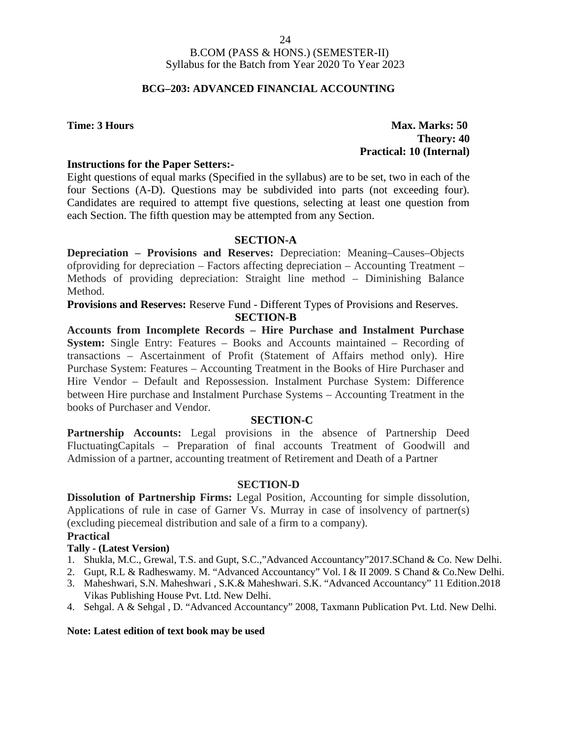### **BCG–203: ADVANCED FINANCIAL ACCOUNTING**

### **Time: 3 Hours Max. Marks: 50 Theory: 40 Practical: 10 (Internal)**

### **Instructions for the Paper Setters:-**

Eight questions of equal marks (Specified in the syllabus) are to be set, two in each of the four Sections (A-D). Questions may be subdivided into parts (not exceeding four). Candidates are required to attempt five questions, selecting at least one question from each Section. The fifth question may be attempted from any Section.

### **SECTION-A**

**Depreciation – Provisions and Reserves:** Depreciation: Meaning–Causes–Objects ofproviding for depreciation – Factors affecting depreciation – Accounting Treatment – Methods of providing depreciation: Straight line method – Diminishing Balance Method.

**Provisions and Reserves:** Reserve Fund - Different Types of Provisions and Reserves. **SECTION-B**

**Accounts from Incomplete Records – Hire Purchase and Instalment Purchase System:** Single Entry: Features – Books and Accounts maintained – Recording of transactions – Ascertainment of Profit (Statement of Affairs method only). Hire Purchase System: Features – Accounting Treatment in the Books of Hire Purchaser and Hire Vendor – Default and Repossession. Instalment Purchase System: Difference between Hire purchase and Instalment Purchase Systems – Accounting Treatment in the books of Purchaser and Vendor.

### **SECTION-C**

**Partnership Accounts:** Legal provisions in the absence of Partnership Deed FluctuatingCapitals – Preparation of final accounts Treatment of Goodwill and Admission of a partner, accounting treatment of Retirement and Death of a Partner

### **SECTION-D**

**Dissolution of Partnership Firms:** Legal Position, Accounting for simple dissolution, Applications of rule in case of Garner Vs. Murray in case of insolvency of partner(s) (excluding piecemeal distribution and sale of a firm to a company).

### **Practical**

### **Tally - (Latest Version)**

- 1. Shukla, M.C., Grewal, T.S. and Gupt, S.C.,"Advanced Accountancy"2017.SChand & Co. New Delhi.
- 2. Gupt, R.L & Radheswamy. M. "Advanced Accountancy" Vol. I & II 2009. S Chand & Co.New Delhi.
- 3. Maheshwari, S.N. Maheshwari , S.K.& Maheshwari. S.K. "Advanced Accountancy" 11 Edition.2018 Vikas Publishing House Pvt. Ltd. New Delhi.
- 4. Sehgal. A & Sehgal , D. "Advanced Accountancy" 2008, Taxmann Publication Pvt. Ltd. New Delhi.

### **Note: Latest edition of text book may be used**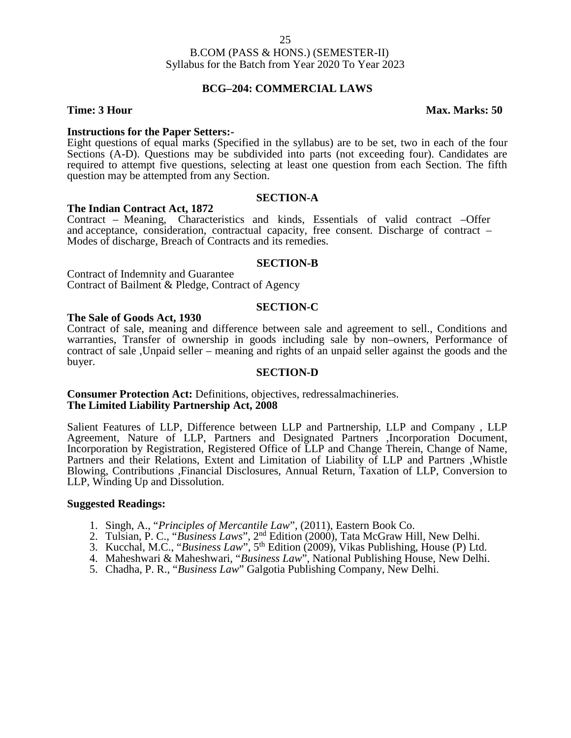### **BCG–204: COMMERCIAL LAWS**

### **Time: 3 Hour Max. Marks: 50**

**Instructions for the Paper Setters:-**<br>Eight questions of equal marks (Specified in the syllabus) are to be set, two in each of the four Sections (A-D). Questions may be subdivided into parts (not exceeding four). Candidates are required to attempt five questions, selecting at least one question from each Section. The fifth question may be attempted from any Section.

### **SECTION-A**

### **The Indian Contract Act, 1872**

Contract – Meaning, Characteristics and kinds, Essentials of valid contract –Offer and acceptance, consideration, contractual capacity, free consent. Discharge of contract – Modes of discharge, Breach of Contracts and its remedies.

### **SECTION-B**

Contract of Indemnity and Guarantee Contract of Bailment & Pledge, Contract of Agency

### **SECTION-C**

### **The Sale of Goods Act, 1930**

Contract of sale, meaning and difference between sale and agreement to sell., Conditions and warranties, Transfer of ownership in goods including sale by non–owners, Performance of contract of sale ,Unpaid seller – meaning and rights of an unpaid seller against the goods and the buyer.

### **SECTION-D**

### **Consumer Protection Act:** Definitions, objectives, redressalmachineries. **The Limited Liability Partnership Act, 2008**

Salient Features of LLP, Difference between LLP and Partnership, LLP and Company , LLP Agreement, Nature of LLP, Partners and Designated Partners ,Incorporation Document, Incorporation by Registration, Registered Office of LLP and Change Therein, Change of Name, Partners and their Relations, Extent and Limitation of Liability of LLP and Partners ,Whistle Blowing, Contributions ,Financial Disclosures, Annual Return, Taxation of LLP, Conversion to LLP, Winding Up and Dissolution.

### **Suggested Readings:**

- 1. Singh, A., "*Principles of Mercantile Law*", (2011), Eastern Book Co.
- 2. Tulsian, P. C., "*Business Laws*", 2nd Edition (2000), Tata McGraw Hill, New Delhi.
- 3. Kucchal, M.C., "*Business Law*", 5th Edition (2009), Vikas Publishing, House (P) Ltd.
- 4. Maheshwari & Maheshwari, "*Business Law*", National Publishing House, New Delhi.
- 5. Chadha, P. R., "*Business Law*" Galgotia Publishing Company, New Delhi.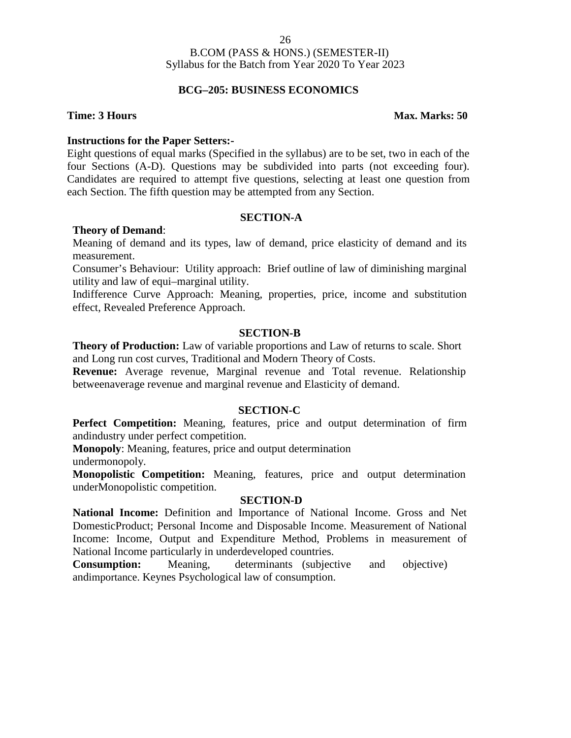### **BCG–205: BUSINESS ECONOMICS**

### **Time: 3 Hours Max. Marks: 50**

### **Instructions for the Paper Setters:-**

Eight questions of equal marks (Specified in the syllabus) are to be set, two in each of the four Sections (A-D). Questions may be subdivided into parts (not exceeding four). Candidates are required to attempt five questions, selecting at least one question from each Section. The fifth question may be attempted from any Section.

### **SECTION-A**

### **Theory of Demand**:

Meaning of demand and its types, law of demand, price elasticity of demand and its measurement.

Consumer's Behaviour: Utility approach: Brief outline of law of diminishing marginal utility and law of equi–marginal utility.

Indifference Curve Approach: Meaning, properties, price, income and substitution effect, Revealed Preference Approach.

### **SECTION-B**

**Theory of Production:** Law of variable proportions and Law of returns to scale. Short and Long run cost curves, Traditional and Modern Theory of Costs.

**Revenue:** Average revenue, Marginal revenue and Total revenue. Relationship betweenaverage revenue and marginal revenue and Elasticity of demand.

### **SECTION-C**

**Perfect Competition:** Meaning, features, price and output determination of firm andindustry under perfect competition.

**Monopoly**: Meaning, features, price and output determination undermonopoly.

**Monopolistic Competition:** Meaning, features, price and output determination underMonopolistic competition.

### **SECTION-D**

**National Income:** Definition and Importance of National Income. Gross and Net DomesticProduct; Personal Income and Disposable Income. Measurement of National Income: Income, Output and Expenditure Method, Problems in measurement of National Income particularly in underdeveloped countries.

**Consumption:** Meaning, determinants (subjective and objective) andimportance. Keynes Psychological law of consumption.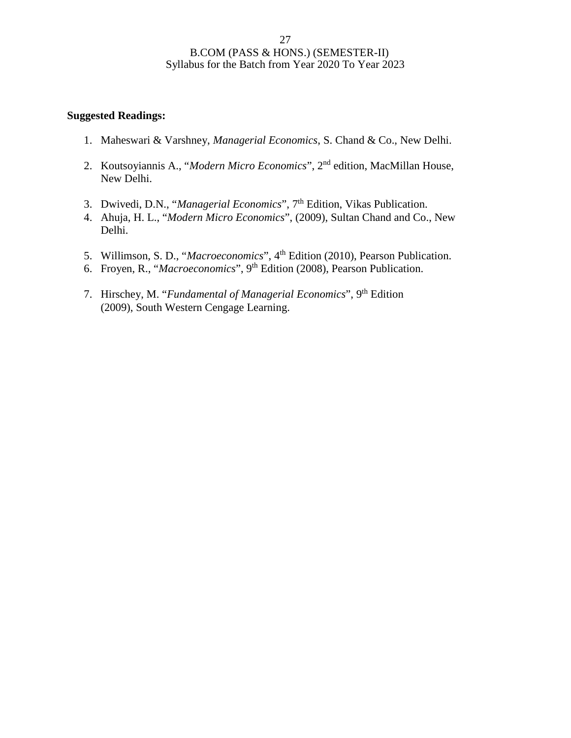### **Suggested Readings:**

- 1. Maheswari & Varshney, *Managerial Economics*, S. Chand & Co., New Delhi.
- 2. Koutsoyiannis A., "*Modern Micro Economics*", 2nd edition, MacMillan House, New Delhi.
- 3. Dwivedi, D.N., "*Managerial Economics*", 7<sup>th</sup> Edition, Vikas Publication.
- 4. Ahuja, H. L., "*Modern Micro Economics*", (2009), Sultan Chand and Co., New Delhi.
- 5. Willimson, S. D., "*Macroeconomics*", 4th Edition (2010), Pearson Publication.
- 6. Froyen, R., "*Macroeconomics*", 9th Edition (2008), Pearson Publication.
- 7. Hirschey, M. "*Fundamental of Managerial Economics*", 9th Edition (2009), South Western Cengage Learning.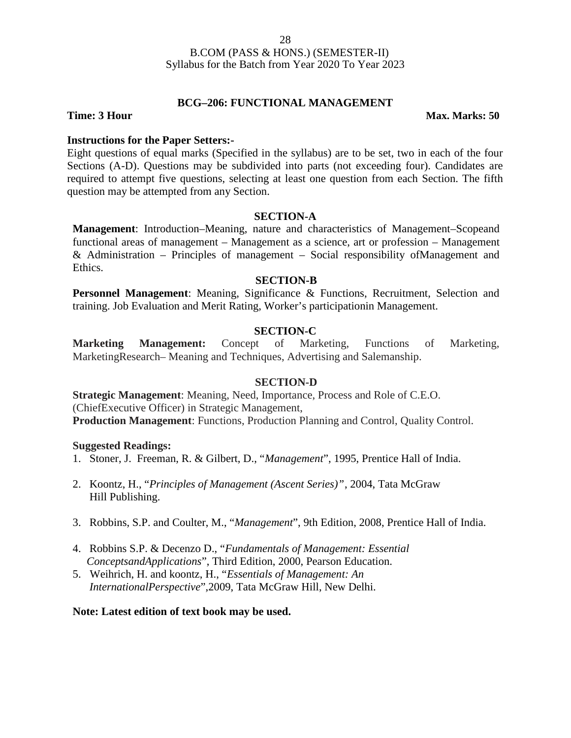### **BCG–206: FUNCTIONAL MANAGEMENT**

**Time: 3 Hour Max. Marks: 50** 

### **Instructions for the Paper Setters:-**

Eight questions of equal marks (Specified in the syllabus) are to be set, two in each of the four Sections (A-D). Questions may be subdivided into parts (not exceeding four). Candidates are required to attempt five questions, selecting at least one question from each Section. The fifth question may be attempted from any Section.

### **SECTION-A**

**Management**: Introduction–Meaning, nature and characteristics of Management–Scopeand functional areas of management – Management as a science, art or profession – Management & Administration – Principles of management – Social responsibility ofManagement and Ethics.

### **SECTION-B**

**Personnel Management**: Meaning, Significance & Functions, Recruitment, Selection and training. Job Evaluation and Merit Rating, Worker's participationin Management.

### **SECTION-C**

**Marketing Management:** Concept of Marketing, Functions of Marketing, MarketingResearch– Meaning and Techniques, Advertising and Salemanship.

### **SECTION-D**

**Strategic Management**: Meaning, Need, Importance, Process and Role of C.E.O. (ChiefExecutive Officer) in Strategic Management, **Production Management**: Functions, Production Planning and Control, Quality Control.

### **Suggested Readings:**

- 1. Stoner, J. Freeman, R. & Gilbert, D., "*Management*", 1995, Prentice Hall of India.
- 2. Koontz, H., "*Principles of Management (Ascent Series)"*, 2004, Tata McGraw Hill Publishing.
- 3. Robbins, S.P. and Coulter, M., "*Management*", 9th Edition, 2008, Prentice Hall of India.
- 4. Robbins S.P. & Decenzo D., "*Fundamentals of Management: Essential ConceptsandApplications*", Third Edition, 2000, Pearson Education.
- 5. Weihrich, H. and koontz, H., "*Essentials of Management: An InternationalPerspective*",2009, Tata McGraw Hill, New Delhi.

### **Note: Latest edition of text book may be used.**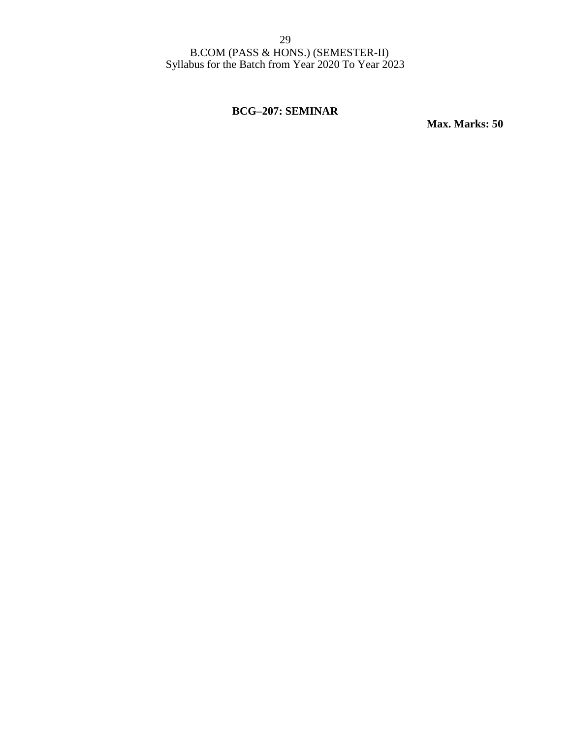### **BCG–207: SEMINAR**

**Max. Marks: 50**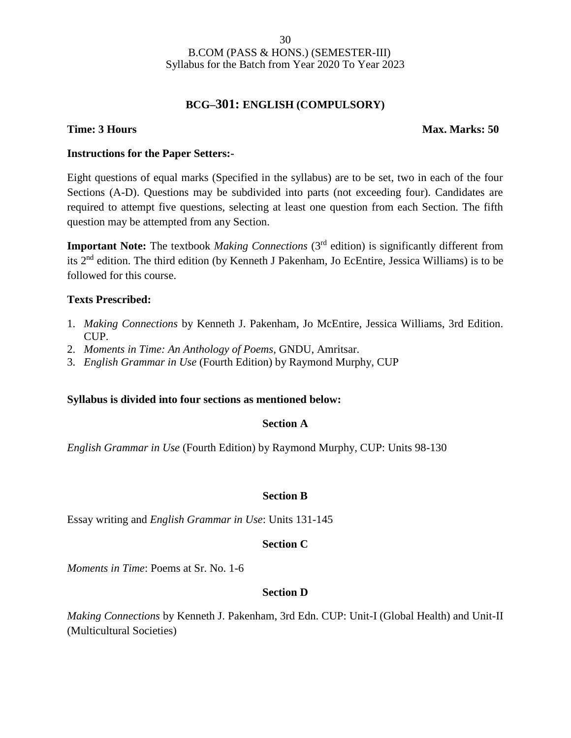### **BCG–301: ENGLISH (COMPULSORY)**

### **Time: 3 Hours Max. Marks: 50**

### **Instructions for the Paper Setters:-**

Eight questions of equal marks (Specified in the syllabus) are to be set, two in each of the four Sections (A-D). Questions may be subdivided into parts (not exceeding four). Candidates are required to attempt five questions, selecting at least one question from each Section. The fifth question may be attempted from any Section.

**Important Note:** The textbook *Making Connections* (3<sup>rd</sup> edition) is significantly different from its 2nd edition. The third edition (by Kenneth J Pakenham, Jo EcEntire, Jessica Williams) is to be followed for this course.

### **Texts Prescribed:**

- 1. *Making Connections* by Kenneth J. Pakenham, Jo McEntire, Jessica Williams, 3rd Edition. CUP.
- 2. *Moments in Time: An Anthology of Poems*, GNDU, Amritsar.
- 3. *English Grammar in Use* (Fourth Edition) by Raymond Murphy, CUP

### **Syllabus is divided into four sections as mentioned below:**

### **Section A**

*English Grammar in Use* (Fourth Edition) by Raymond Murphy, CUP: Units 98-130

### **Section B**

Essay writing and *English Grammar in Use*: Units 131-145

### **Section C**

*Moments in Time*: Poems at Sr. No. 1-6

### **Section D**

*Making Connections* by Kenneth J. Pakenham, 3rd Edn. CUP: Unit-I (Global Health) and Unit-II (Multicultural Societies)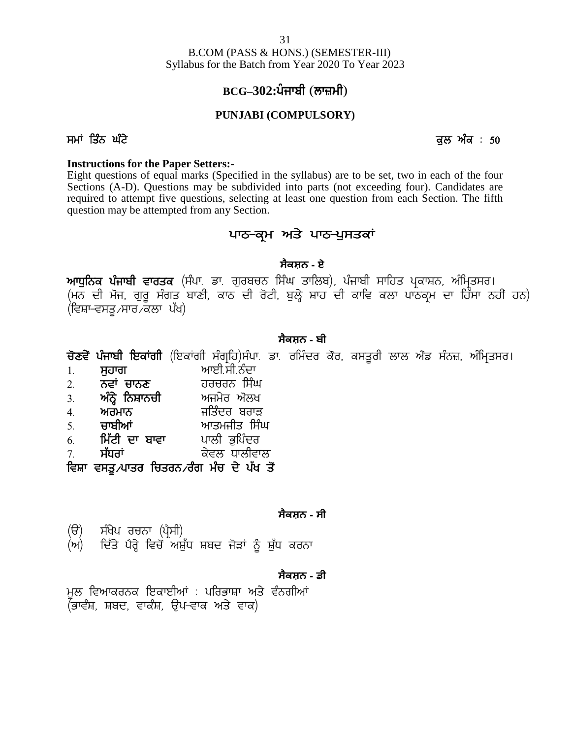B.COM (PASS & HONS.) (SEMESTER-III) Syllabus for the Batch from Year 2020 To Year 2023 Syllabus for the Batch from Year 2020 To Year 2023<br>**BCG-302:ਪੰਜਾਬੀ (ਲਾਜ਼ਮੀ)**<br>PUNJABI (COMPULSORY)<br>ਸਮਾਂ ਤਿੰਨ ਘੰਟੇ<br>Instructions for the Paper Setters:-

### **BCG–302:**

### **PUNJABI (COMPULSORY)**

### **Instructions for the Paper Setters:-**

Eight questions of equal marks (Specified in the syllabus) are to be set, two in each of the four Sections (A-D). Questions may be subdivided into parts (not exceeding four). Candidates are required to attempt five questions, selecting at least one question from each Section. The fifth question may be attempted from any Section. secified in the syllabus) are to be set, two in each of the subdivided into parts (not exceeding four). Candid selecting at least one question from each Section. The Section of the Section of the section of the section of

### **ਸੈਕਸ਼ਨ - ਏ**

required to attempt five questions, selecting at least one question from each Section. The fifth<br>question may be attempted from any Section.<br>
ਪਾਠ–**ਕ੍ਰਮ ਅਤੇ ਪਾਠ-ਪੁਸਤਕਾਂ**<br>ਅਧੁਨਿਕ ਪੰਜਾਬੀ ਵਾਰਤਕ (ਸੰਪਾ. ਡਾ. ਗੁਰਬਚਨ ਸਿੰਘ ਤਾਲਿਬ), question may be attempted from any Section.<br>**ਪਾਠ–ਕ੍ਰਮ ਅਤੇ ਪਾਠ-ਪੁਸਤਕਾਂ**<br>ਆਧੁਨਿਕ ਪੰਜਾਬੀ ਵਾਰਤਕ (ਸੰਪਾ ਡਾ. ਗੁਰਬਚਨ ਸਿੰਘ ਤਾਲਿਬ), ਪੰਜਾਬੀ ਸਾਹਿਤ ਪ੍ਰਕਾਸ਼ਨ, ਅੰਮ੍ਰਿਤਸਰ।<br>(ਮਨ ਦੀ ਮੌਜ, ਗੁਰੂ ਸੰਗਤ ਬਾਣੀ, ਕਾਠ ਦੀ ਰੋਟੀ, ਬੁਲ੍ਹੇ ਸ਼ਾਹ ਦੀ ਕਾਵਿ ਕਲਾ <mark>ਪਾਠ–ਕ੍ਰਮ ਅਤੇ</mark><br>ਸੈਕਸ਼<br>ਆਧੁਨਿਕ ਪੰਜਾਬੀ ਵਾਰਤਕ (ਸੰਪਾ ਡਾ ਗੁਰਬਚਨ ਸਿੰਘ<br>(ਮਨ ਦੀ ਮੌਜ, ਗੁਰੂ ਸੰਗਤ ਬਾਣੀ, ਕਾਠ ਦੀ ਰੋਟੀ, ਬੁਲ੍<br>(ਵਿਸ਼ਾ–ਵਸਤੂ ਸਾਰ ਕਲਾ ਪੱਖ)<br>ਸੈਕਸ **ਅਧੁਨਿਕ ਪੰਜਾਬੀ ਵਾਰਤਕ** (ਸੰਪਾ ਡਾ. ਗੁਰਬਚਨ ਸਿੰਘ ਤਾਲਿਬ), ਪੰਜਾਬੀ ਸਾਹਿਤ ਪ੍ਰਕਾਸ਼ਨ, ਅੰਮ੍ਰਿਤਸਰ।<br>(ਮਨ ਦੀ ਮੋਜ, ਗੁਰੂ ਸੰਗਤ ਬਾਣੀ, ਕਾਠ ਦੀ ਰੋਟੀ, ਬੁਲ੍ਹੇ ਸ਼ਾਹ ਦੀ ਕਾਵਿ ਕਲਾ ਪਾਠਕ੍ਰਮ ਦਾ ਹਿੱਸਾ ਨਹੀਂ ਹਨ)<br>(ਵਿਸ਼ਾ-ਵਸਤੂ ਸਾਰ ਕਲਾ ਪੱਖ)<br>ਚੋ**ਣਵੇਂ ਪੰਜਾਬੀ ਇਕਾ** ਅਾਧੁਨਿਕ ਪਜਾਬਾ ਵਾਰਤਕ (ਸਪਾ. ਡਾ. ਗੁਰਬਚਨ ਸਿਘ ਤਾਲਿਬ), ਪਜਾਬਾ<br>(ਮਨ ਦੀ ਮੌਜ, ਗੁਰੂ ਸੰਗਤ ਬਾਣੀ, ਕਾਠ ਦੀ ਰੋਟੀ, ਬੁਲ੍ਹੇ ਸ਼ਾਹ ਦੀ ਕਾਵਿ<br>(ਵਿਸ<del>਼ਾ ਵ</del>ਸਤੂ ਸਾਰ ਕਲਾ ਪੱਖ)<br>ਚੋ**ਣਵੇਂ ਪੰਜਾਬੀ ਇਕਾਂਗੀ (**ਇਕਾਂਗੀ ਸੰਗ੍ਰਹਿ)ਸੰਪਾ. ਡਾ. ਰਮਿੰਦਰ ਕੌਰ, ਕਸਤੂ<br>1. **ਸੁਹਾਗ** (ਮਨ ਦਾ ਮਜ, ਗੁਰੂ ਸਗਤ ਬਾਣਾ, ਕਾਠ ਦਾ ਰਟਾ, ਬੁਲ੍ਹ ਸ਼ਾਹ ਦਾ ਕਾਵਿ<br>(ਵਿਸ<del>਼ਾ ਵ</del>ਸਤੂ ਸਾਰ ਕਲਾ ਪੱਖ)<br>**ਚੋਣਵੇਂ ਪੰਜਾਬੀ ਇਕਾਂਗੀ** (ਇਕਾਂਗੀ ਸੰਗ੍ਰਹਿ)ਸੰਪਾ ਡਾ. ਰਮਿੰਦਰ ਕੋਰ, ਕਸਤੂਰ<br>1. **ਸੁਹਾਗ ਆ**ਈ.ਸੀ.ਨੰਦਾ<br>2. **ਨਵਾਂ ਚਾਨਣ ਹਰਚਰਨ ਸਿੰਘ**<br>3. **ਅੰਨ੍ਹੇ ਨਿਸ਼ਾਨਚੀ** 

### **ਸੈਕਸ਼ਨ - ਬੀ**

(lਵੰਸ਼ਾ-ਵੰਸਤੂੰਟਸਾਰਟਕਲਾ ਪਥ)<br>ਚੋ**ਣਵੇਂ ਪੰਜਾਬੀ ਇਕਾਂਗੀ** (ਇਕਾਂਗੀ ਸੰਗ੍ਰਹਿ)ਸੰਪਾ ਡਾ ਰਮਿੰਦਰ ਕੌਰ, ਕਸਤੂ<br>1. **ਸੁਹਾਗ ਆ**ਈ.ਸੀ.ਨੰਦਾ<br>2. **ਨਵਾਂ ਚਾਨਣ ਹਰਚਰਨ ਸਿੰਘ**<br>3. **ਅੰਨ੍ਹੇ ਨਿਸ਼ਾਨਚੀ ਅ**ਜਮੇਰ ਔਲਖ<br>4. **ਅਰਮਾਨ ਜ**ਤਿੰਦਰ ਬਰਾੜ<br>5. **ਚਾਬੀਆਂ ਅਾਤਮਜੀਤ ਸਿੰਘ ਚੋਣਵੇਂ ਪੰਜਾਬੀ ਇਕਾਂਗੀ** (ਇਕਾਂਗੀ ਸੰਗ੍ਰਹਿ)ਸੰਪਾ ਡਾ ਰਮਿੰਦਰ ਕੋਰ, ਕਸਤੂਰੀ<br>1. **ਸੁਹਾਗ ਆ**ਈ.ਸੀ.ਨੰਦਾ<br>2. **ਨਵਾਂ ਚਾਨਣ ਹਰਚਰਨ ਸਿੰਘ**<br>3. **ਅੰਨ੍ਹੇ ਨਿਸ਼ਾਨਚੀ ਅ**ਜਮੇਰ ਔਲਖ<br>4. **ਅਰਮਾਨ ਜ**ਤਿੰਦਰ ਬਰਾੜ<br>5. **ਚਾਬੀਆਂ ਆਤਮਜੀਤ ਸਿੰਘ**<br>6. **ਮਿੱਟੀ ਦਾ ਬਾਵਾ ਚੋਣਵੇਂ ਪੰਜਾਬੀ ਇਕਾਂਗੀ** (ਇਕਾਂਗੀ ਸੰਗ੍ਰਹਿ)ਸੰਪਾ ਡਾ ਰਮਿੰਦਰ ਕੋਰ, ਕਸਤੂ<br>1. **ਸੁਹਾਗ ਆ**ਈ.ਸੀ.ਨੰਦਾ<br>2. **ਨਵਾਂ ਚਾਨਣ ਹਰਚਰਨ ਸਿੰਘ**<br>3. **ਅੰਨ੍ਹੇ ਨਿਸ਼ਾਨਚੀ ਅ**ਜਮੇਰ ਔਲਖ<br>4. **ਅਰਮਾਨ ਜਤਿੰ**ਦਰ ਬਰਾੜ<br>5. **ਚਾਬੀਆਂ ਆਤਮਜੀਤ ਸਿੰਘ**<br>6. **ਮਿੱਟੀ ਦਾ ਬਾਵਾ** 

- 
- 
- 
- 4H **nowkB** ifszdo pokV
- 
- 
- 

1. **ਸੁਹਾਗ** ਆਈ.ਸੀ.ਨੰਦਾ<br>2. **ਨਵਾਂ ਚਾਨਣ** ਹਰਚਰਨ ਸਿੰਘ<br>3. **ਅੰਨ੍ਹੇ ਨਿਸ਼ਾਨਚੀ** ਅਜਮੇਰ ਔਲਖ<br>4. **ਅਰਮਾਨ ਜ**ਤਿੰਦਰ ਬਰਾੜ<br>5. **ਚਾਬੀਆਂ ਆਤਮਜੀਤ ਸਿੰਘ**<br>6. <mark>ਮਿੱਟੀ ਦਾ ਬਾਵਾ</mark> ਪਾਲੀ ਭੁਪਿੰਦਰ<br>7. ਸੱਧਰਾਂ ਕੇਵਲ ਧਾਲੀਵਾਲ<br>ਵਿਸ਼ਾ ਵਸਤੂ<sub>⁄</sub>ਪਾਤਰ ਚਿਤਰਨ ਰੰਗ ਮੰਚ ਦੇ ਪੱਖ ਤ 2. ਨਵਾਂ ਚਾਨਣ ਹਰਚਰਨ ਸਿੰਘ<br>3. **ਅੰਨ੍ਹੇ ਨਿਸ਼ਾਨਚੀ ਅ**ਜਮੇਰ ਔਲਖ<br>4. **ਅਰਮਾਨ ਜ**ਤਿੰਦਰ ਬਰਾੜ<br>5. ਚਾਬੀਆਂ ਆਤਮਜੀਤ ਸਿੰਘ<br>6. ਮਿੱਟੀ ਦਾ ਬਾਵਾ ਪਾਲੀ ਭੁਪਿੰਦਰ<br>7. ਸੱਧਰਾਂ ਕੇਵਲ ਧਾਲੀਵਾਲ<br>ਵਿਸ਼ਾ ਵਸਤੂ,ਪਾਤਰ ਚਿਤਰਨ ਰੰਗ ਮੰਚ ਦੇ ਪੱਖ ਤੋਂ

### **ਸੈਕਸ਼ਨ - ਸੀ**

- 
- (6. **ਮਿੰਟੀ ਦਾ ਬਾਵਾ ਤ** ਪਾਲੀ ਭੁਪਿੰਦਰ<br>7. **ਸੱਧਰਾਂ ਤੇ ਕੁਵਲ ਧਾਲੀਵਾਲ<br>ਵਿਸ਼ਾ ਵਸਤੂ ਪਾਤਰ ਚਿਤਰਨ ਰੰਗ ਮੰਚ ਦੇ ਪੱਖ ਤੋਂ<br>(ੳ) ਸੰਖੇਪ ਰਚਨਾ (ਪ੍ਰੈਸੀ)<br>(ਅ) ਦਿੱਤੇ ਪੈਰ੍ਹੇ ਵਿਚੋਂ ਅਸ਼ੱਧ ਸ਼ਬਦ ਜੋੜਾਂ ਨੰ ਸ਼ੱਧ ਕਰਨਾ** ਅ ਸੰਧਰਾਂ<br>ਵਿਸ਼ਾ ਵਸਤੂ ⁄ਪਾਤਰ ਚਿਤਰਨ ਰੰਗ ਮੰਚ ਦੇ ਪੱਖ ਤੋਂ<br>ਕੈਕਸ਼ਨ - ਸੀ<br>(ੳ) - ਸੰਖੇਪ ਰਚਨਾ (ਪ੍ਰੈਸੀ)<br>(ਅ) - ਦਿੱਤੇ ਪੈਰ੍ਹੇ ਵਿਚੋਂ ਅਸ਼ੁੱਧ ਸ਼ਬਦ ਜੋੜਾਂ ਨੂੰ ਸ਼ੁੱਧ ਕਰਨਾ<br>- ਕੈਕਸ਼ਨ - ਡੀ

### **ਸੈਕਸ਼ਨ - ਡੀ**

(ੳ) ਸੰਖੇਪ ਰਚਨਾ (ਪ੍ਰੈਸੀ)<br>(ਅ) ਦਿੱਤੇ ਪੈਰ੍ਹੇ ਵਿਚੋਂ ਅਸ਼ੁੱਧ ਸ਼ਬਦ ਜੋੜਾਂ ਨੂੰ ਸ਼ੁੱਧ ਕਰਨਾ<br>ਸੁਲ ਵਿਆਕਰਨਕ ਇਕਾਈਆਂ : ਪਰਿਭਾਸ਼ਾ ਅਤੇ ਵੰਨਗੀਆਂ<br>(ਭਾਵੰਸ਼, ਸ਼ਬਦ, ਵਾਕੰਸ਼, ਉਪ-ਵਾਕ ਅਤੇ ਵਾਕ)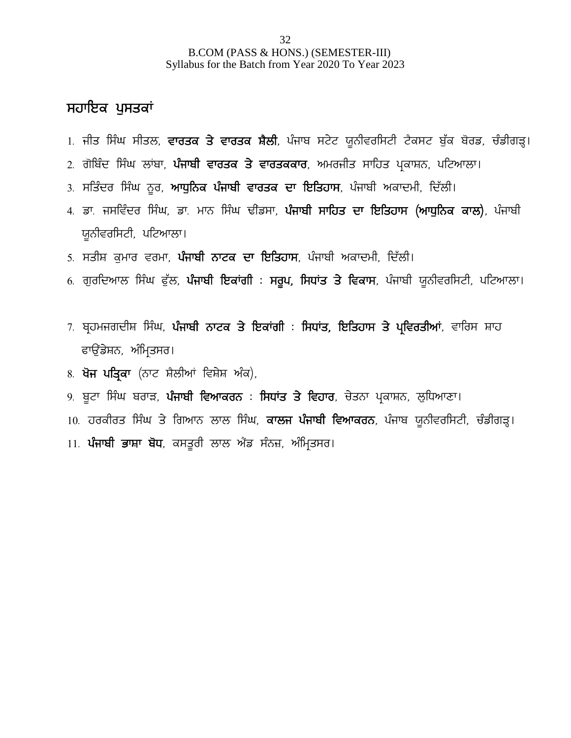### ਸਹਾਇਕ ਪੁਸਤਕਾ<u>ਂ</u>

- B.COM (PASS & HONS.) (SEMESTER-III)<br>1**H in**s fyllabus for the Batch from Year 2020 To Year 2023<br>1. ਜੀਤ ਸਿੰਘ ਸੀਤਲ, **ਵਾਰਤਕ ਤੇ ਵਾਰਤਕ ਸੈਲੀ**, ਪੰਜਾਬ ਸਟੇਟ ਯੂਨੀਵਰਸਿਟੀ ਟੈਕਸਟ ਬੁੱਕ ਬੋਰਡ, ਚੰਡੀਗੜ੍ਹ।<br>2. ਗੋਬਿੰਦ ਸਿੰਘ ਲਾਂਬਾ, **ਪੰਜਾਬੀ ਵਾਰਤ ਸਹਾਇਕ ਪੁਸਤਕਾਂ**<br>1. ਜੀਤ ਸਿੰਘ ਸੀਤਲ, <mark>ਵਾਰਤਕ ਤੇ ਵਾਰਤਕ ਸੈਲੀ</mark>, ਪੰਜਾਬ ਸਟੇਟ ਯੂਨੀਵਰਸਿਟੀ ਟੈਕਸਟ ਬੁੱਕ ਬੋਰਡ, ਚੰਡੀਗੜ੍ਹ<br>2. ਗੋਬਿੰਦ ਸਿੰਘ ਲਾਂਬਾ, **ਪੰਜਾਬੀ ਵਾਰਤਕ ਤੇ ਵਾਰਤਕਕਾਰ**, ਅਮਰਜੀਤ ਸਾਹਿਤ ਪ੍ਰਕਾਸ਼ਨ, ਪਟਿਆਲਾ।<br>3. ਸਤਿੰਦਰ ਸਿੰਘ ਨੂਰ, **ਆਧੁਨਿਕ ਪੰਜਾਬੀ**
- 
- 
- **ਸਹਾਇਕ ਪੁਸਤਕਾਂ**<br>1. ਜੀਤ ਸਿੰਘ ਸੀਤਲ, <mark>ਵਾਰਤਕ ਤੇ ਵਾਰਤਕ ਸ਼ੈਲੀ</mark>, ਪੰਜਾਬ ਸਟੇਟ ਯੂਨੀਵਰਸਿਟੀ ਟੈਕਸਟ ਬੁੱਕ ਬੋਰਡ, ਚੰ<sub></sub><br>2. ਗੋਬਿੰਦ ਸਿੰਘ ਲਾਂਬਾ, **ਪੰਜਾਬੀ ਵਾਰਤਕ ਤੇ ਵਾਰਤਕਕਾਰ**, ਅਮਰਜੀਤ ਸਾਹਿਤ ਪ੍ਰਕਾਸ਼ਨ, ਪਟਿਆਲਾ।<br>3. ਸਤਿੰਦਰ ਸਿੰਘ ਨੂਰ, <mark>ਆਧੁਨਿਕ ਪੰਜਾਬੀ ਵਾ</mark> 1. ਜੀਤ ਸਿੰਘ ਸੀਤਲ, **ਵਾਰਤਕ ਤੇ ਵਾਰਤਕ ਸੈਲੀ**, ਪੰਜਾਬ ਸਟੇਟ ਯੂਨੀਵਰਸਿਟੀ ਟੈਕਸਟ ਬੁੱਕ ਬੋਰਡ, ਚੰਡੀਗੜ੍ਹ।<br>2. ਗੋਬਿੰਦ ਸਿੰਘ ਲਾਂਬਾ, **ਪੰਜਾਬੀ ਵਾਰਤਕ ਤੇ ਵਾਰਤਕਕਾਰ**, ਅਮਰਜੀਤ ਸਾਹਿਤ ਪ੍ਰਕਾਸ਼ਨ, ਪਟਿਆਲਾ।<br>3. ਸਤਿੰਦਰ ਸਿੰਘ ਨੂਰ, **ਆਧੁਨਿਕ ਪੰਜਾਬੀ ਵਾਰਤਕ ਦਾ ਇਤਿਹਾ** ਯੁਨੀਵਰਸਿਟੀ, ਪਟਿਆਲਾ। <sup>2. ਗਾਂਧਦ ਜਾਂਘ ਲਾਖਾ, ਖੰਜਾਬੀ ਵਾਰਤਕ ਦਾ ਦਾਤਕਕ ਹੈ, ਅਸੰਗੀਤ ਸਾਂਝਤ ਪ੍ਰਕਾਸ਼ਨ, ਖੰਦ*ਾ*<br>3. ਸਤਿੰਦਰ ਸਿੰਘ ਨੂਰ, **ਆਧੁਨਿਕ ਪੰਜਾਬੀ ਵਾਰਤਕ ਦਾ ਇਤਿਹਾਸ**, ਪੰਜਾਬੀ ਅਕਾਦਮੀ, ਦਿੱਲੀ।<br>4. ਡਾ. ਜਸਵਿੰਦਰ ਸਿੰਘ, ਡਾ. ਮਾਨ ਸਿੰਘ ਢੀਡਸਾ, **ਪੰਜਾਬੀ ਸਾਹਿਤ ਦਾ ਇਤਿਹਾਸ (ਆਧ</sup>** 5: ਸੰਤਿੰਦਰ ਜਿੰਘ ਫੂਰ, ਸੰਪ੍ਰੋਲੈਂਕ ਪੰਜਾਬੀ ਵਾਰਤਕ ਦਾ ਦਿਤਿ**ਾ**, ਪੰਜਾਬੀ ਸਾਹੇ ਦੋਸ਼ਾਂ, ਦਿਨਸ<br>4. ਡਾ. ਜਸਵਿੰਦਰ ਸਿੰਘ, ਡਾ. ਮਾਨ ਸਿੰਘ ਢੀਂਡਸਾ, **ਪੰਜਾਬੀ ਸਾਹਿਤ ਦਾ ਇਤਿਹਾਸ (ਆਧੁਨਿਕ ਕਾਲ)**, ਪੰਜਾਬੀ<br>5. ਸਤੀਸ਼ ਕੁਮਾਰ ਵਰਮਾ, **ਪੰਜਾਬੀ ਨਾਟਕ ਦਾ ਇਤਿਹਾਸ**, ਪੰਜਾ
- 
- 
- <sub>ਤੂ</sub>ਨਾਂਵਰਸਟਾਂ, ਖੰਦਾਸਾਨ '<br>5. ਸਤੀਸ ਕੁਮਾਰ ਵਰਮਾ, **ਪੰਜਾਬੀ ਨਾਟਕ ਦਾ ਇਤਿਹਾਸ**, ਪੰਜਾਬੀ ਅਕਾਦਮੀ, ਦਿੱਲੀ।<br>6. ਗੁਰਦਿਆਲ ਸਿੰਘ ਫੁੱਲ, **ਪੰਜਾਬੀ ਇਕਾਂਗੀ : ਸਰੂਪ, ਸਿਧਾਂਤ ਤੇ ਵਿਕਾਸ**, ਪੰਜਾਬੀ ਯੂਨੀਵਰਸਿਟੀ, ਪਟਿਆਲਾ।<br>7. ਬ੍ਰਹਮਜਗਦੀਸ ਸਿੰਘ, **ਪੰਜਾਬੀ ਨਾਟਕ ਤੇ ਇਕ** ਸਤਾਸ਼ਾ ਕੁਸਾਰ ਵਰਸਾ, ਧਜਾਬੀ ਦਾਣਕ ਦਾ ਜ਼ਿ<br>ਗੁਰਦਿਆਲ ਸਿੰਘ ਫੁੱਲ, **ਪੰਜਾਬੀ ਇਕਾਂਗੀ : ਸ**<br>ਬ੍ਰਹਮਜਗਦੀਸ਼ ਸਿੰਘ, **ਪੰਜਾਬੀ ਨਾਟਕ ਤੇ ਇਕਾਂ**<br>ਫਾਉਂਡੇਸ਼ਨ, ਅੰਮ੍ਰਿਤਸਰ।<br>**ਖੋਜ ਪਤ੍ਰਿਕਾ** (ਨਾਟ ਸ਼ੈਲੀਆਂ ਵਿਸ਼ੇਸ਼ ਅੰਕ), 7. ਬ੍ਰਹਮਜਗਦੀਸ਼ ਸਿੰਘ, **ਪੰਜਾਬੀ ਨਾਟਕ ਤੇ ਇਕਾਂਗੀ : ਸਿਧਾਂਤ, ਇਤਿਹਾਸ ਤੇ ਪ੍ਰਵਿਰਤੀਆਂ**, ਵਾਰਿਸ ਸ਼ਾਹ<br>ਫਾਉਂਡੇਸ਼ਨ, ਅੰਮ੍ਰਿਤਸਰ।<br>8. **ਖੋਜ ਪਤਿਕਾ** (ਨਾਟ ਸ਼ੈਲੀਆਂ ਵਿਸ਼ੇਸ਼ ਅੰਕ), 7. ਪ੍ਰਹੰਸਜਗਦਾਸ਼ਾ ਜਾਕ, ਪੰਜਾਬੀ ਲੈਂਦਕ ਤੇ ਦਿੱਕਾਂਗਾ : ਜਿੱਥੇਤ, ਜ਼ਿਤਰ ਸਾਂਤ ਪ੍ਰਵਿਰਤਸ਼ਾ, ਵਾਰਸ ਸ਼ਾਂਤ<br>ਫਾਉਂਡੇਸ਼ਨ, ਅੰਮ੍ਰਿਤਸਰ।<br>8. <mark>ਖੋਜ ਪਤ੍ਰਿਕਾ</mark> (ਨਾਟ ਸ਼ੈਲੀਆਂ ਵਿਸ਼ੇਸ਼ ਅੰਕ),<br>9. ਬੂਟਾ ਸਿੰਘ ਬਰਾੜ, **ਪੰਜਾਬੀ ਵਿਆਕਰਨ : ਸਿਧਾਂਤ ਤੇ ਵਿਹਾਰ**, ਚੇਤਨਾ ਪ੍ਰ
- 
- 
- 10. ਹਰਕੀਰਤ ਸਿੰਘ ਤੇ ਗਿਆਨ ਲਾਲ ਸਿੰਘ, **ਕਾਲਜ ਪੰਜਾਬੀ ਵਿਆਕਰਨ**, ਪੰਜਾਬ ਯੂਨੀਵਰਸਿਟੀ, ਚੰਡੀਗੜ੍ਹ। 9. ਬੂਟਾ ਸਿੰਘ ਬਰਾੜ, **ਪੰਜਾਬੀ ਵਿਆਕਰਨ : ਸਿਧਾਂਤ ਤੇ ਵਿਹਾਰ**, ਚੇਤਨਾ ਪ੍ਰਕਾਸ਼ਨ, ਲੁਧਿਆਣਾ।<br>10. ਹਰਕੀਰਤ ਸਿੰਘ ਤੇ ਗਿਆਨ ਲਾਲ ਸਿੰਘ, **ਕਾਲਜ ਪੰਜਾਬੀ ਵਿਆਕਰਨ**, ਪੰਜਾਬ ਯੂਨੀਵਰਸਿਟ<mark>ਂ</mark><br>11. **ਪੰਜਾਬੀ ਭਾਸ਼ਾ ਬੋਧ**, ਕਸਤੁਰੀ ਲਾਲ ਐਂਡ ਸੰਨਜ਼, ਅੰਮਿਤਸਰ।
-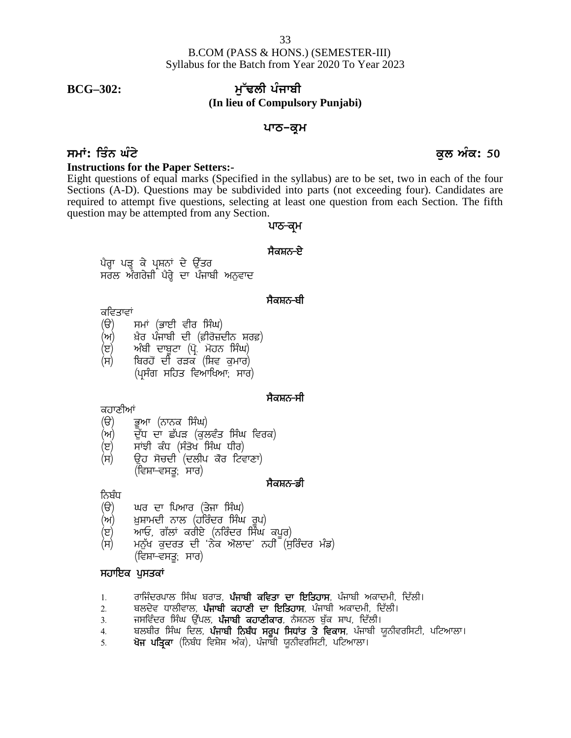### **BCG–302: mu~FlI pMjwbI (In lieu of Compulsory Punjabi)**

### ਪਾਠ–ਕੁ**ਮ**

### **smath: ਤਿੰਨ ਘੰਟੇ ਵਿੱਚ ਕਰ ਤੋਂ ਬਾਅਦ ਦੀ ਸਮਾਂ**ਤ ਵਿੱਚ ਕਰ ਅਤੇ ਬਾਅਦ ਦੀ ਸਮਾਂਤ ਵਿੱਚ ਕਰ ਅੰਕ: 50

### **Instructions for the Paper Setters:-**

Eight questions of equal marks (Specified in the syllabus) are to be set, two in each of the four Sections (A-D). Questions may be subdivided into parts (not exceeding four). Candidates are required to attempt five questions, selecting at least one question from each Section. The fifth question may be attempted from any Section. the syllabus) are to be set, two<br>led into parts (not exceeding for at least one question from each<br>**थाठ-व्यू** में<br>भैवम्<del>नठ-टे</del> <sup>1</sup> the syllabus) are to be s<br>
led into parts (not exceeder)<br>
i at least one question frot<br> **1175-न्यू**<br>**मैवम्रह-प्टे** s (A-D). Questions may be subdivided into ]<br>d to attempt five questions, selecting at least<br>n may be attempted from any Section.<br>ਪਾਠ–ਕ੍ਰਮ<br>ਪੈਰ੍ਹਾ ਪੜ੍ਹ ਕੇ ਪ੍ਰਸ਼ਨਾਂ ਦੇ ਉੱਤਰ<br>ਸਰਲ ਅੰਗਰੇਜ਼ੀ ਪੈਰ੍ਹੇ ਦਾ ਪੰਜਾਬੀ ਅਨੁਵਾਦ<br>ਸੈਕਸ਼ਨ–ਬੀ

# ਪਾਠ–ਕ੍ਰਮ<br>ਸੈਕਸ਼ਨ<del>-ਏ</del><br>ਸੈਕਸ਼ਨ<del>-</del>ਈ<br>ਸੈਕਸ਼ਨ<del>-</del>ਬੀ

- ਕਵਿਤਾਵਾਂ<br>(ੳ) ਸਮਾਂ (ਭਾਈ ਵੀਰ ਸਿੰਘ)
- 
- (ਅ) ਸ਼ੇਰ ਪੰਜਾਬੀ ਦੀ (ਫ਼ੀਰੋਜ਼ਦੀਨ ਸ਼ਰਫ਼)<br>(ੲ) ਅੰਬੀ ਦਾਬੂਟਾ (ਪ੍ਰੋ. ਮੋਹਨ ਸਿੰਘ)
- ਸਰਲ ਅੰਗਰੇਜ਼ੀ ਪੈਰ੍ਹੇ ਦਾ ਪੰਜਾਬੀ ਅਨੁਵਾਦ<br>ਕਵਿਤਾਵਾਂ<br>(ੳ) ਸਮਾਂ (ਭਾਈ ਵੀਰ ਸਿੰਘ)<br>(ਅ) ਖ਼ੈਰ ਪੰਜਾਬੀ ਦੀ (ਫ਼ੀਰੋਜ਼ਦੀਨ ਸ਼ਰਫ਼)<br>(ੲ) ਅੰਬੀ ਦਾਬੂਟਾ (ਪ੍ਰੋ. ਮੋਹਨ ਸਿੰਘ)<br>(ਸ) ਬਿਰਹੋਂ ਦੀ ਰੜਕ (ਸ਼ਿਵ ਕੁਮਾਰ)<br>(ਪ੍ਰਸੰਗ ਸਹਿਤ ਵਿਆਖਿਆ<sub>ਂ</sub> ਸਾਰ)  $\overline{H}$ ) ਬਿਰਹੋਂ ਦੀ ਰੜਕ (ਸ਼ਿਵ ਕਮਾਰ) (ਪਸੰਗ ਸਹਿਤ ਵਿਆਖਿਆ; ਸਾਰ) (ਸ) ਬਿਰਹੋਂ ਦੀ ਰੜਕ (ਸ਼ਿਵ ਕੁਮਾਰ)<br>(ਪ੍ਰਸੰਗ ਸਹਿਤ ਵਿਆਖਿਆ; ਸਾਰ)<br>ਕਹਾਣੀਆਂ<br>(ੳ) ਭੂਆ (ਨਾਨਕ ਸਿੰਘ)<br>(ਅ) ਦੁੱਧ ਦਾ ਛੱਪੜ (ਕੁਲਵੰਤ ਸਿੰਘ ਵਿਰਕ)<br>(ੲ) ਸਾਂਝੀ ਕੰਧ (ਸੰਤੋਖ ਸਿੰਘ ਧੀਰ)<br>(ਸ) ੳਹ ਸੋਚਦੀ (ਦਲੀਪ ਕੋਰ ਟਿਵਾਣਾ)

# <sub>ਸੈਕਸ਼ਨ</sub>-ਸੀ<br>ਸੈਕਸ਼ਨ-ਸੀ<br><sup>ਸੈਕਸ਼ਨ-ਸੀ</sup>

- 
- ਕਹਾਣੀਆਂ<br>(ੳ) ਭ
- ਭੂਆ (ਨਾਨਕ ਸਿੰਘ)<br>ਦੱਧ ਦਾ ਛੱਪੜ (ਕਲਵੰਤ ਸਿੰਘ ਵਿਰਕ)
- (ੲ) ਸਾਂਝੀ ਕੰਧ (ਸੰਤੋਖ ਸਿੰਘ ਧੀਰ)
- (ਸ) ਉਹ ਸੋਚਦੀ (ਦਲੀਪ ਕੋਰ ਟਿਵਾਣਾ)<br>(ਵਿਸ਼ਾ-ਵਸਤੂ; ਸਾਰ) <sub>ਭੂਆ</sub> (ਨਾਨਕ ਸਿੰਘ)<br>ਦੁੱਧ ਦਾ ਛੱਪੜ (ਕੁਲਵੰਤ ਸਿੰਘ ਵਿਰਕ)<br>ਸਾਂਝੀ ਕੰਧ (ਸੰਤੋਖ ਸਿੰਘ ਧੀਰ)<br>ਉਹ ਸੋਚਦੀ (ਦਲੀਪ ਕੋਰ ਟਿਵਾਣਾ)<br>(ਵਿਸ਼ਾ-ਵਸਤੂ<sub>:</sub> ਸਾਰ)<br>ਘਰ ਦਾ ਪਿਆਰ (ਤੇਜਾ ਸਿੰਘ)

- ਨਿਬੰਧ<br>(ੳ) ਘਰ ਦਾ ਪਿਆਰ (ਤੇਜਾ ਸਿੰਘ)
- (ਅ) ਮੁਸ਼ਾਮਦੀ ਨਾਲ (ਹਰਿੰਦਰ ਸਿੰਘ ਰੂਪ)
- 
- (ੲ) ਅਾਓ, ਗੱਲਾਂ ਕਰੀਏ (ਨਰਿੰਦਰ ਸਿੰੰਘ ਕਪੂਰ)<br>(ਸ) ਮਨੁੱਖ ਕੁਦਰਤ ਦੀ 'ਨੇਕ ਔਲਾਦ' ਨਹੀਂ (ਸੁਰਿੰਦਰ ਮੰਡ) ਂ (ਵਿਸ਼ਾ–ਵਸਤੂ; ਸਾਰ)<br>ਨਿਬੰਧ<br>(ੳ) ਘਰ ਦਾ ਪਿਆਰ (ਤੇਜਾ ਸਿੰਘ)<br>(ਅ) ਖ਼ੁਸ਼ਾਮਦੀ ਨਾਲ (ਹਰਿੰਦਰ ਸਿੰਘ ਰੂਪ)<br>(ੲ) ਆਓ, ਗੱਲਾਂ ਕਰੀਏ (ਨਰਿੰਦਰ ਸਿੰਘ ਕਪੂਰ)<br>(ਸ) ਮਨੁੱਖ ਕੁਦਰਤ ਦੀ 'ਨੇਕ ਔਲਾਦ' ਨਹੀਂ (ਸੁਰਿੰਦਰ ਮੰਡ)<br>ਪ੍ਰਾਇਕ ਮਾਦਕਾਂ ਸਾਰ) (ਵਿਸ਼ਾ–ਵਸਤੂ; ਸਾਰ) ਨਿਬਧ<br>(ੳ) ਘਰ ਦਾ ਪਿਆਰ (ਤੇਜਾ ਸਿੰਘ)<br>(ਅ) ਖ਼ੁਸ਼ਾਮਦੀ ਨਾਲ (ਹਰਿੰਦਰ ਸਿੰਘ<br>(ੲ) ਆਓ, ਗੱਲਾਂ ਕਰੀਏ (ਨਰਿੰਦਰ ਸ਼ਿੰ<br>(ਸ) ਮਨੁੱਖ ਕੁਦਰਤ ਦੀ 'ਨੇਕ ਔਲਾਦ<br>ਸਹਾਇਕ ਪੁਸਤਕਾਂ<br>ਸਹਾਇਕ ਪੁਸਤਕਾਂ<br>1. ਰਾਜਿੰਦਰਪਾਲ ਸਿੰਘ ਬਰਾੜ, **ਪੰਜਾਬੀ** ੇਲ) - ਆਓ, ਗੱਲਾਂ ਕਰੀਏ (ਨਰਿੰਦਰ ਸਿੰਘ ਕਪੂਰ)<br>(ਸ) - ਮਨੁੱਖ ਕੁਦਰਤ ਦੀ 'ਨੇਕ ਔਲਾਦ' ਨਹੀਂ (ਸੁਰਿੰਦਰ ਮੰਡ)<br>ਸ**ਹਾਇਕ ਪੁਸਤਕਾਂ**<br>ਸ**ਹਾਇਕ ਪੁਸਤਕਾਂ**<br>1. - ਰਾਜਿੰਦਰਪਾਲ ਸਿੰਘ ਬਰਾੜ, **ਪੰਜਾਬੀ ਕਵਿਤਾ ਦਾ ਇਤਿਹਾਸ**, ਪੰਜਾਬੀ ਅਕਾਦਮੀ, ਦਿੱਲੀ।<br>2. - ਬਲਦੇਵ ਧਾਲੀਵਾਲ, **ਪ** ੱਸ) ਸਾਲਾਂ ਚੱਲਾਂ ਜਾਂਦਾ (ਸਾਂਝਣਣ ਜਾਜ ਜਤੂਤ)<br>(ਸ) ਮਨੁੱਖ ਕੁਦਰਤ ਦੀ 'ਨੇਕ ਔਲਾਦ' ਨਹੀਂ (ਸੁਰਿੰਦਰ ਮੰਡ)<br>ਸ**ਹਾਇਕ ਪੁਸਤਕਾਂ**<br>1. ਗਰਜਿੰਦਰਪਾਲ ਸਿੰਘ ਬਰਾੜ, **ਪੰਜਾਬੀ ਕਵਿਤਾ ਦਾ ਇਤਿਹਾਸ**, ਪੰਜਾਬੀ ਅਕਾਦਮੀ, ਦਿੱਲੀ।<br>2. ਬਲਦੇਵ ਧਾਲੀਵਾਲ, **ਪੰਜਾਬੀ ਕਹਾਣੀ ਦਾ ਇਤਿਹਾਸ**

- 
- 
- 
- <sub>(</sub>ਸੰਦੁਖ ਤੁੁਦੰਤਤ ਦਾ ਲੋਕ ਸੱਲ ਦੇ ਲੋਕਾ <sub>(ਸ਼ਾ</sub>ਰਦੇਤ ਸੰਭ)<br>3 (ਵਿਸ਼ਾ–ਵਸਤੂ; ਸਾਰ)<br>ਸ**ਹਾਇਕ ਪੁਸਤਕਾਂ**<br>2. ਬਲਦੇਵ ਧਾਲੀਵਾਲ, **ਪੰਜਾਬੀ ਕਹਾਣੀ ਦਾ ਇਤਿਹਾਸ**, ਪੰਜਾਬੀ ਅਕਾਦਮੀ, ਦਿੱਲੀ।<br>3. ਜਸਵਿੰਦਰ ਸਿੰਘ ਉੱਪਲ, **ਪੰਜਾਬੀ ਕਹਾਣੀਕਾਰ**, ਨੈਸ਼ਨਲ ਬੁੱਕ ਸ਼ਾਪ, ਦਿੱਲੀ।<br> ਸ**ਹਾਇਕ ਪੁਸਤਕਾਂ**<br>ਸ**ਹਾਇਕ ਪੁਸਤਕਾਂ**<br>1. ਰਾਜਿੰਦਰਪਾਲ ਸਿੰਘ ਬਰਾੜ, **ਪੰਜਾਬੀ ਕਵਿਤਾ ਦਾ ਇਤਿਹਾਸ**, ਪੰਜਾਬੀ ਅਕਾਦਮੀ, ਦਿੱਲੀ।<br>2. ਬਲਦੇਵ ਧਾਲੀਵਾਲ, **ਪੰਜਾਬੀ ਕਹਾਣੀਕਾਰ,** ਨੈਸ਼ਨਲ ਬੁੱਕ ਸ਼ਾਪ, ਦਿੱਲੀ।<br>4. ਬਲਬੀਰ ਸਿੰਘ ਉੱਪਲ, **ਪੰਜਾਬੀ ਕਹਾਣੀਕਾਰ**,
- **ਸਹਾਇਕ ਪੁਸਤਕਾਂ**<br>1. ਰਾਜਿੰਦਰਪਾਲ ਸਿੰਘ ਬਰਾੜ, **ਪੰਜਾਬੀ ਕਵਿਤਾ ਦਾ ਇਤਿਹਾਸ**, ਪੰਜਾਬੀ ਅ<br>2. ਬਲਦੇਵ ਧਾਲੀਵਾਲ, **ਪੰਜਾਬੀ ਕਹਾਣੀ ਦਾ ਇਤਿਹਾਸ**, ਪੰਜਾਬੀ ਅਕਾਦਮੀ,<br>3. ਜਸਵਿੰਦਰ ਸਿੰਘ ਉੱਪਲ, **ਪੰਜਾਬੀ ਕਹਾਣੀਕਾਰ**, ਨੈਸ਼ਨਲ ਬੁੱਕ ਸ਼ਾਪ, ਦਿੱ<br>4.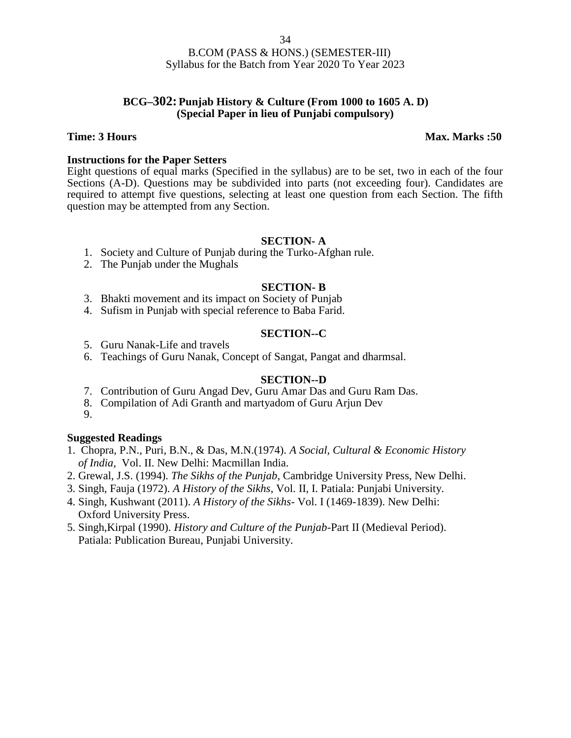### **BCG–302: Punjab History & Culture (From 1000 to 1605 A. D) (Special Paper in lieu of Punjabi compulsory)**

### **Time: 3 Hours Max. Marks :50**

### **Instructions for the Paper Setters**

Eight questions of equal marks (Specified in the syllabus) are to be set, two in each of the four Sections (A-D). Questions may be subdivided into parts (not exceeding four). Candidates are required to attempt five questions, selecting at least one question from each Section. The fifth question may be attempted from any Section.

### **SECTION- A**

- 1. Society and Culture of Punjab during the Turko-Afghan rule.
- 2. The Punjab under the Mughals

### **SECTION- B**

- 3. Bhakti movement and its impact on Society of Punjab
- 4. Sufism in Punjab with special reference to Baba Farid.

### **SECTION--C**

- 5. Guru Nanak-Life and travels
- 6. Teachings of Guru Nanak, Concept of Sangat, Pangat and dharmsal.

### **SECTION--D**

- 7. Contribution of Guru Angad Dev, Guru Amar Das and Guru Ram Das.
- 8. Compilation of Adi Granth and martyadom of Guru Arjun Dev
- 9.

### **Suggested Readings**

- 1. Chopra, P.N., Puri, B.N., & Das, M.N.(1974). *A Social, Cultural & Economic History of India,* Vol. II. New Delhi: Macmillan India.
- 2. Grewal, J.S. (1994). *The Sikhs of the Punjab*, Cambridge University Press, New Delhi.
- 3. Singh, Fauja (1972). *A History of the Sikhs*, Vol. II, I. Patiala: Punjabi University.
- 4. Singh, Kushwant (2011). *A History of the Sikhs-* Vol. I (1469-1839). New Delhi: Oxford University Press.
- 5. Singh,Kirpal (1990). *History and Culture of the Punjab*-Part II (Medieval Period). Patiala: Publication Bureau, Punjabi University.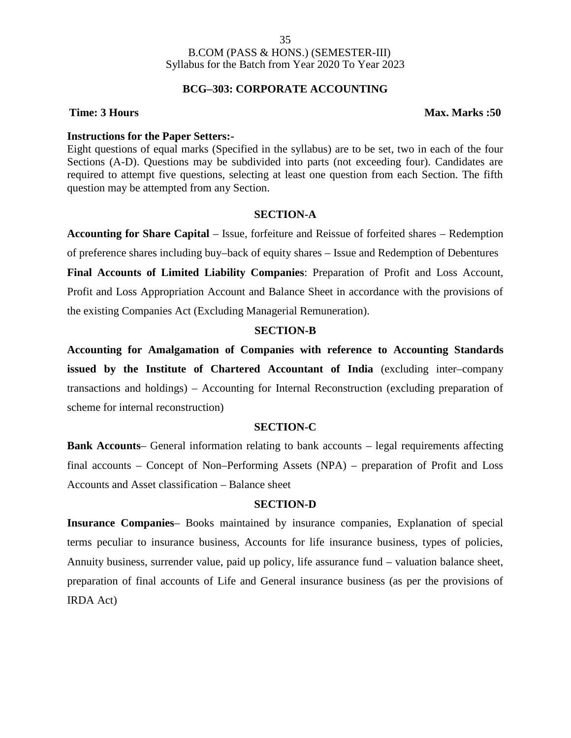### **BCG–303: CORPORATE ACCOUNTING**

### **Time: 3 Hours Max. Marks :50**

### **Instructions for the Paper Setters:-**

Eight questions of equal marks (Specified in the syllabus) are to be set, two in each of the four Sections (A-D). Questions may be subdivided into parts (not exceeding four). Candidates are required to attempt five questions, selecting at least one question from each Section. The fifth question may be attempted from any Section.

### **SECTION-A**

**Accounting for Share Capital** – Issue, forfeiture and Reissue of forfeited shares – Redemption

of preference shares including buy–back of equity shares – Issue and Redemption of Debentures

**Final Accounts of Limited Liability Companies**: Preparation of Profit and Loss Account, Profit and Loss Appropriation Account and Balance Sheet in accordance with the provisions of the existing Companies Act (Excluding Managerial Remuneration).

### **SECTION-B**

**Accounting for Amalgamation of Companies with reference to Accounting Standards issued by the Institute of Chartered Accountant of India** (excluding inter–company transactions and holdings) – Accounting for Internal Reconstruction (excluding preparation of scheme for internal reconstruction)

### **SECTION-C**

**Bank Accounts**– General information relating to bank accounts – legal requirements affecting final accounts – Concept of Non–Performing Assets (NPA) – preparation of Profit and Loss Accounts and Asset classification – Balance sheet

### **SECTION-D**

**Insurance Companies**– Books maintained by insurance companies, Explanation of special terms peculiar to insurance business, Accounts for life insurance business, types of policies, Annuity business, surrender value, paid up policy, life assurance fund – valuation balance sheet, preparation of final accounts of Life and General insurance business (as per the provisions of IRDA Act)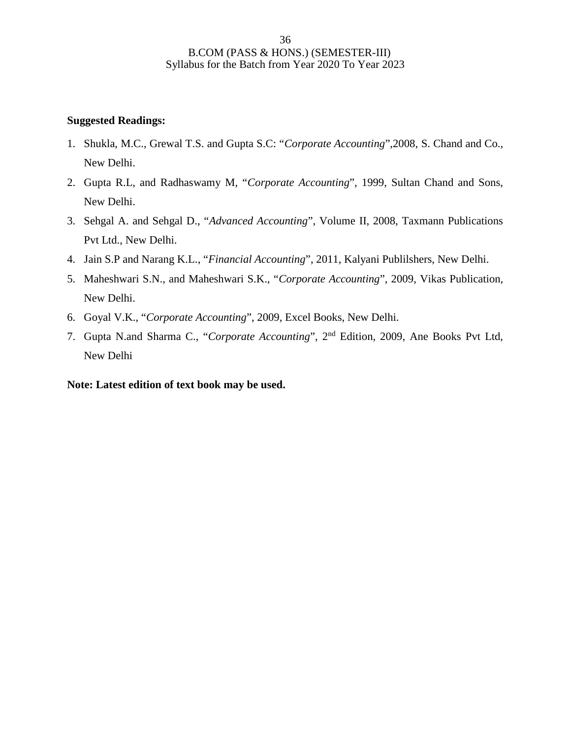### **Suggested Readings:**

- 1. Shukla, M.C., Grewal T.S. and Gupta S.C: "*Corporate Accounting*",2008, S. Chand and Co., New Delhi.
- 2. Gupta R.L, and Radhaswamy M, "*Corporate Accounting*", 1999, Sultan Chand and Sons, New Delhi.
- 3. Sehgal A. and Sehgal D., "*Advanced Accounting*", Volume II, 2008, Taxmann Publications Pvt Ltd., New Delhi.
- 4. Jain S.P and Narang K.L., "*Financial Accounting*", 2011, Kalyani Publilshers, New Delhi.
- 5. Maheshwari S.N., and Maheshwari S.K., "*Corporate Accounting*", 2009, Vikas Publication, New Delhi.
- 6. Goyal V.K., "*Corporate Accounting*", 2009, Excel Books, New Delhi.
- 7. Gupta N.and Sharma C., "*Corporate Accounting*", 2nd Edition, 2009, Ane Books Pvt Ltd, New Delhi

**Note: Latest edition of text book may be used.**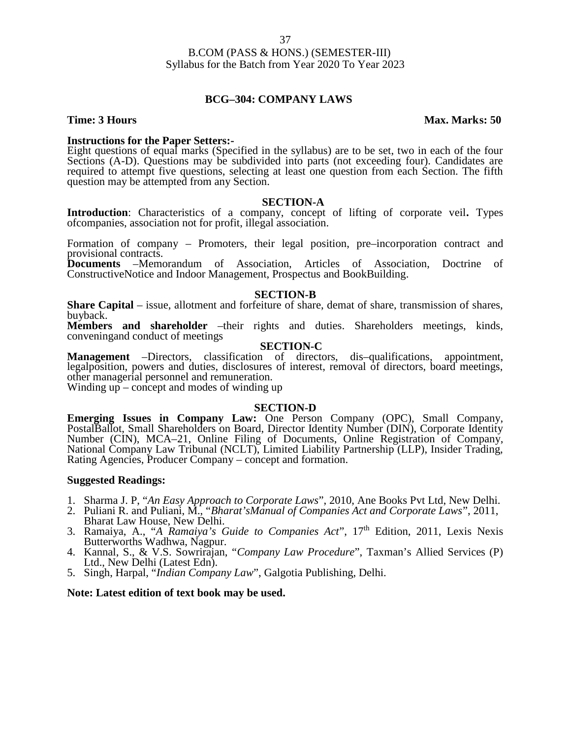### **BCG–304: COMPANY LAWS**

**Instructions for the Paper Setters:-**<br>Eight questions of equal marks (Specified in the syllabus) are to be set, two in each of the four Sections (A-D). Questions may be subdivided into parts (not exceeding four). Candidates are required to attempt five questions, selecting at least one question from each Section. The fifth question may be attempted from any Section.

### **SECTION-A**

**Introduction**: Characteristics of a company, concept of lifting of corporate veil**.** Types ofcompanies, association not for profit, illegal association.

Formation of company – Promoters, their legal position, pre–incorporation contract and provisional contracts.

**Documents** –Memorandum of Association, Articles of Association, Doctrine of ConstructiveNotice and Indoor Management, Prospectus and BookBuilding.

### **SECTION-B**

**Share Capital** – issue, allotment and forfeiture of share, demat of share, transmission of shares, buyback.

**Members and shareholder** –their rights and duties. Shareholders meetings, kinds, conveningand conduct of meetings

### **SECTION-C**

**Management** –Directors, classification of directors, dis–qualifications, appointment, legalposition, powers and duties, disclosures of interest, removal of directors, board meetings, other managerial personnel and remuneration.

Winding up – concept and modes of winding up

### **SECTION-D**

**Emerging Issues in Company Law:** One Person Company (OPC), Small Company, PostalBallot, Small Shareholders on Board, Director Identity Number (DIN), Corporate Identity Number (CIN), MCA–21, Online Filing of Documents, Online Registration of Company, National Company Law Tribunal (NCLT), Limited Liability Partnership (LLP), Insider Trading, Rating Agencies, Producer Company – concept and formation.

### **Suggested Readings:**

- 1. Sharma J. P, "*An Easy Approach to Corporate Laws*", 2010, Ane Books Pvt Ltd, New Delhi.
- 2. Puliani R. and Puliani, M., "*Bharat'sManual of Companies Act and Corporate Laws*", 2011, Bharat Law House, New Delhi.
- 3. Ramaiya, A., "*A Ramaiya's Guide to Companies Act*", 17th Edition, 2011, Lexis Nexis Butterworths Wadhwa, Nagpur.<br>4. Kannal, S., & V.S. Sowrirajan, "*Company Law Procedure*", Taxman's Allied Services (P)
- Ltd., New Delhi (Latest Edn).
- 5. Singh, Harpal, "*Indian Company Law*", Galgotia Publishing, Delhi.

### **Note: Latest edition of text book may be used.**

### **Time: 3 Hours Max. Marks: 50**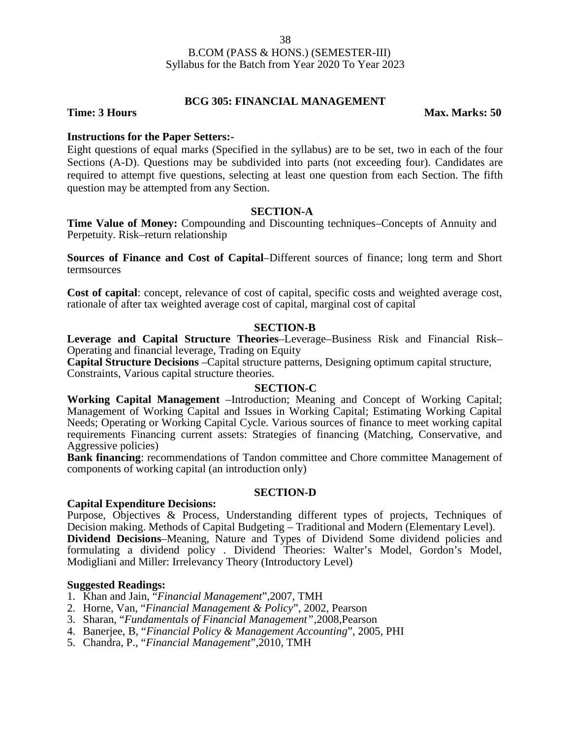# **BCG 305: FINANCIAL MANAGEMENT**

**Time: 3 Hours** Max. Marks: 50

# **Instructions for the Paper Setters:-**

Eight questions of equal marks (Specified in the syllabus) are to be set, two in each of the four Sections (A-D). Questions may be subdivided into parts (not exceeding four). Candidates are required to attempt five questions, selecting at least one question from each Section. The fifth question may be attempted from any Section.

### **SECTION-A**

**Time Value of Money:** Compounding and Discounting techniques–Concepts of Annuity and Perpetuity. Risk–return relationship

**Sources of Finance and Cost of Capital**–Different sources of finance; long term and Short termsources

**Cost of capital**: concept, relevance of cost of capital, specific costs and weighted average cost, rationale of after tax weighted average cost of capital, marginal cost of capital

# **SECTION-B**

**Leverage and Capital Structure Theories**–Leverage–Business Risk and Financial Risk– Operating and financial leverage, Trading on Equity

**Capital Structure Decisions** –Capital structure patterns, Designing optimum capital structure, Constraints, Various capital structure theories.

### **SECTION-C**

**Working Capital Management** –Introduction; Meaning and Concept of Working Capital; Management of Working Capital and Issues in Working Capital; Estimating Working Capital Needs; Operating or Working Capital Cycle. Various sources of finance to meet working capital requirements Financing current assets: Strategies of financing (Matching, Conservative, and Aggressive policies)

**Bank financing**: recommendations of Tandon committee and Chore committee Management of components of working capital (an introduction only)

### **SECTION-D**

### **Capital Expenditure Decisions:**

Purpose, Objectives & Process, Understanding different types of projects, Techniques of Decision making. Methods of Capital Budgeting – Traditional and Modern (Elementary Level). **Dividend Decisions**–Meaning, Nature and Types of Dividend Some dividend policies and formulating a dividend policy . Dividend Theories: Walter's Model, Gordon's Model, Modigliani and Miller: Irrelevancy Theory (Introductory Level)

- 1. Khan and Jain, "*Financial Management*",2007, TMH
- 2. Horne, Van, "*Financial Management & Policy*", 2002, Pearson
- 3. Sharan, "*Fundamentals of Financial Management"*,2008,Pearson
- 4. Banerjee, B, "*Financial Policy & Management Accounting*", 2005, PHI
- 5. Chandra, P., "*Financial Management*",2010, TMH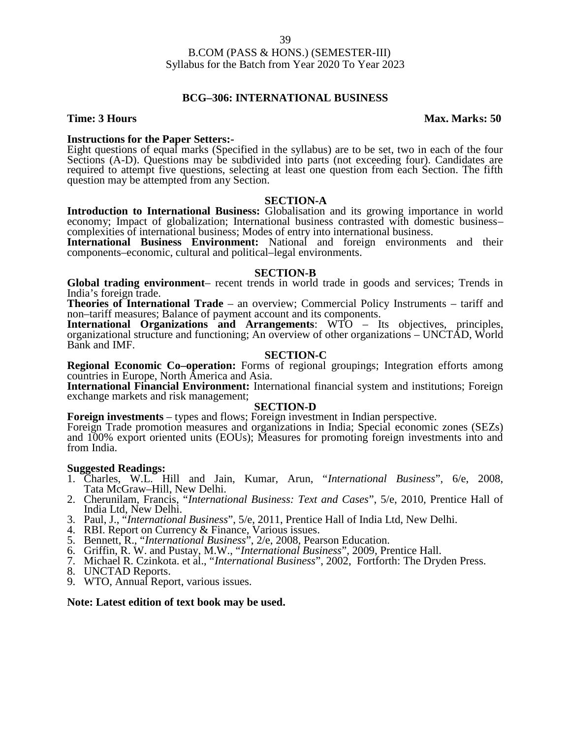### **BCG–306: INTERNATIONAL BUSINESS**

**Time: 3 Hours Max. Marks: 50** 

**Instructions for the Paper Setters:-**<br>Eight questions of equal marks (Specified in the syllabus) are to be set, two in each of the four Sections (A-D). Questions may be subdivided into parts (not exceeding four). Candidates are required to attempt five questions, selecting at least one question from each Section. The fifth question may be attempted from any Section.

### **SECTION-A**

**Introduction to International Business:** Globalisation and its growing importance in world economy; Impact of globalization; International business contrasted with domestic business– complexities of international business; Modes of entry into international business.

**International Business Environment:** National and foreign environments and their components–economic, cultural and political–legal environments.

### **SECTION-B**

**Global trading environment**– recent trends in world trade in goods and services; Trends in India's foreign trade.

**Theories of International Trade** – an overview; Commercial Policy Instruments – tariff and non–tariff measures; Balance of payment account and its components.

**International Organizations and Arrangements**: WTO – Its objectives, principles, organizational structure and functioning; An overview of other organizations – UNCTAD, World Bank and IMF.

### **SECTION-C**

**Regional Economic Co–operation:** Forms of regional groupings; Integration efforts among countries in Europe, North America and Asia.

**International Financial Environment:** International financial system and institutions; Foreign exchange markets and risk management;

### **SECTION-D**

**Foreign investments** – types and flows; Foreign investment in Indian perspective.

Foreign Trade promotion measures and organizations in India; Special economic zones (SEZs) and 100% export oriented units (EOUs); Measures for promoting foreign investments into and from India.

### **Suggested Readings:**

- 1. Charles, W.L. Hill and Jain, Kumar, Arun, "*International Business*", 6/e, 2008, Tata McGraw–Hill, New Delhi.
- 2. Cherunilam, Francis, "*International Business: Text and Cases*", 5/e, 2010, Prentice Hall of India Ltd, New Delhi.
- 3. Paul, J., "*International Business*", 5/e, 2011, Prentice Hall of India Ltd, New Delhi.
- 4. RBI. Report on Currency & Finance, Various issues.
- 5. Bennett, R., "*International Business*", 2/e, 2008, Pearson Education.
- 6. Griffin, R. W. and Pustay, M.W., "*International Business*", 2009, Prentice Hall.
- 7. Michael R. Czinkota. et al., "*International Business*", 2002, Fortforth: The Dryden Press.
- 8. UNCTAD Reports.
- 9. WTO, Annual Report, various issues.

**Note: Latest edition of text book may be used.**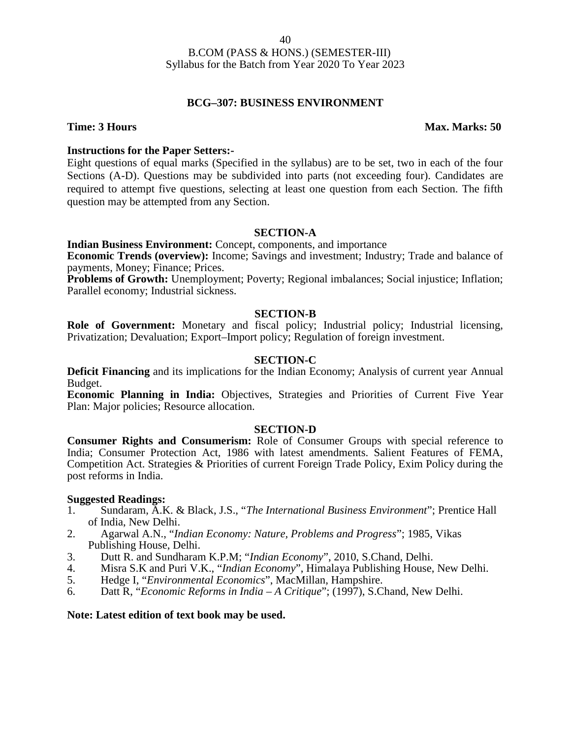# **BCG–307: BUSINESS ENVIRONMENT**

### **Time: 3 Hours Max. Marks: 50**

### **Instructions for the Paper Setters:-**

Eight questions of equal marks (Specified in the syllabus) are to be set, two in each of the four Sections (A-D). Questions may be subdivided into parts (not exceeding four). Candidates are required to attempt five questions, selecting at least one question from each Section. The fifth question may be attempted from any Section.

### **SECTION-A**

**Indian Business Environment:** Concept, components, and importance

**Economic Trends (overview):** Income; Savings and investment; Industry; Trade and balance of payments, Money; Finance; Prices.

**Problems of Growth:** Unemployment; Poverty; Regional imbalances; Social injustice; Inflation; Parallel economy; Industrial sickness.

### **SECTION-B**

**Role of Government:** Monetary and fiscal policy; Industrial policy; Industrial licensing, Privatization; Devaluation; Export–Import policy; Regulation of foreign investment.

### **SECTION-C**

**Deficit Financing** and its implications for the Indian Economy; Analysis of current year Annual Budget.

**Economic Planning in India:** Objectives, Strategies and Priorities of Current Five Year Plan: Major policies; Resource allocation.

### **SECTION-D**

**Consumer Rights and Consumerism:** Role of Consumer Groups with special reference to India; Consumer Protection Act, 1986 with latest amendments. Salient Features of FEMA, Competition Act. Strategies & Priorities of current Foreign Trade Policy, Exim Policy during the post reforms in India.

### **Suggested Readings:**

- 1. Sundaram, A.K. & Black, J.S., "*The International Business Environment*"; Prentice Hall of India, New Delhi.
- 2. Agarwal A.N., "*Indian Economy: Nature, Problems and Progress*"; 1985, Vikas Publishing House, Delhi.
- 3. Dutt R. and Sundharam K.P.M; "*Indian Economy*", 2010, S.Chand, Delhi.
- 4. Misra S.K and Puri V.K., "*Indian Economy*", Himalaya Publishing House, New Delhi.
- 5. Hedge I, "*Environmental Economics*", MacMillan, Hampshire.
- 6. Datt R, "*Economic Reforms in India – A Critique*"; (1997), S.Chand, New Delhi.

### **Note: Latest edition of text book may be used.**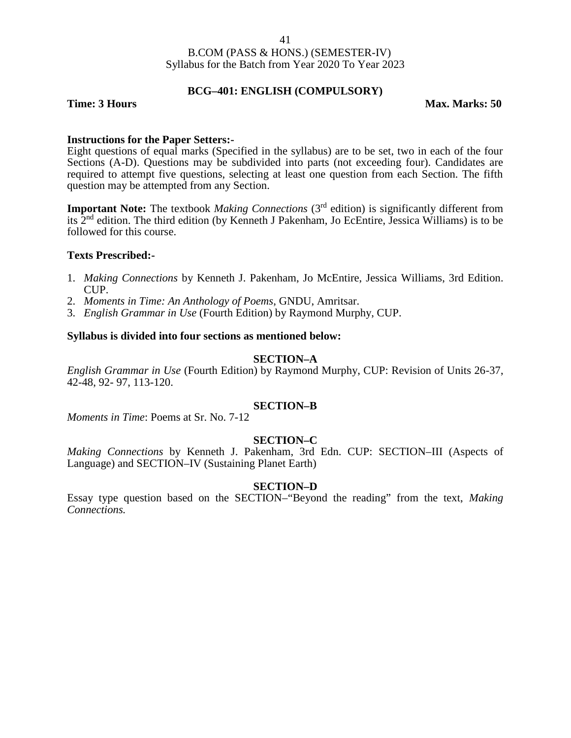### **BCG–401: ENGLISH (COMPULSORY)**

### **Time: 3 Hours Max. Marks: 50**

### **Instructions for the Paper Setters:-**

Eight questions of equal marks (Specified in the syllabus) are to be set, two in each of the four Sections (A-D). Questions may be subdivided into parts (not exceeding four). Candidates are required to attempt five questions, selecting at least one question from each Section. The fifth question may be attempted from any Section.

**Important Note:** The textbook *Making Connections* (3<sup>rd</sup> edition) is significantly different from its 2nd edition. The third edition (by Kenneth J Pakenham, Jo EcEntire, Jessica Williams) is to be followed for this course.

### **Texts Prescribed:-**

- 1. *Making Connections* by Kenneth J. Pakenham, Jo McEntire, Jessica Williams, 3rd Edition. CUP.
- 2. *Moments in Time: An Anthology of Poems*, GNDU, Amritsar.
- 3. *English Grammar in Use* (Fourth Edition) by Raymond Murphy, CUP.

### **Syllabus is divided into four sections as mentioned below:**

### **SECTION–A**

*English Grammar in Use* (Fourth Edition) by Raymond Murphy, CUP: Revision of Units 26-37, 42-48, 92- 97, 113-120.

### **SECTION–B**

*Moments in Time*: Poems at Sr. No. 7-12

### **SECTION–C**

*Making Connections* by Kenneth J. Pakenham, 3rd Edn. CUP: SECTION–III (Aspects of Language) and SECTION–IV (Sustaining Planet Earth)

### **SECTION–D**

Essay type question based on the SECTION–"Beyond the reading" from the text, *Making Connections.*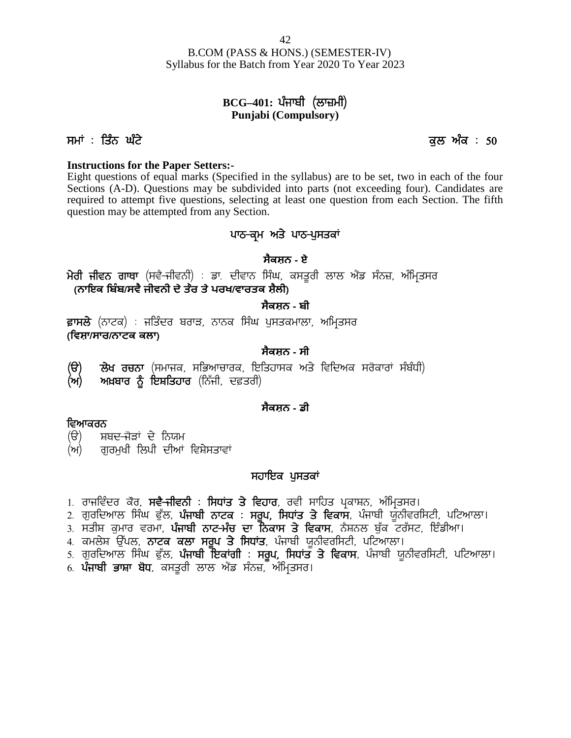B.COM (PASS & HONS.) (SEMESTER-IV) Syllabus for the Batch from Year 2020 To Year 2023 (PASS & HONS.) (SEMESTER-IV)<br>the Batch from Year 2020 To Year 2023<br>**BCG–401: धं**नार्धी (स्रान्न)<br>**Punjabi (Compulsory)** R.COM (PASS & HONS.) (SEMESTER-IV)<br>Syllabus for the Batch from Year 2020 To Year 2023<br>**BCG-401:** ਪੰਜਾਬੀ (ਲਾਜ਼ਮੀ)<br>**PHP 1908**<br>Punjabi (Compulsory)<br>Jean (Compulsory)<br>Jean 3 and 3 and 3 and 3 and 3 and 3 and 3 and 3 and 3 and

# **Punjabi (Compulsory)**

### **Instructions for the Paper Setters:-**

Eight questions of equal marks (Specified in the syllabus) are to be set, two in each of the four Sections (A-D). Questions may be subdivided into parts (not exceeding four). Candidates are required to attempt five questions, selecting at least one question from each Section. The fifth question may be attempted from any Section. ecified in the syllabus) are to be set, the subdivided into parts (not exceeding selecting at least one question from exection.<br>**ਪਾਠ-ਕ੍ਰਮ ਅਤੇ ਪਾਠ-ਪੁਸਤਕਾਂ**<br>ਪਾਠ-ਕ੍ਰਮ ਅਤੇ ਪਾਠ-ਪੁਸਤਕਾਂ<br>ਸੈਕਸ਼ਨ - ਏ wedden into parts (in the constrained into parts (in the constraints are required to attempt five questions, selecting at least one question from each Section. The fifth question may be attempted from any Section.<br>**ਪਾਠ-ਕ੍** 

# **ਸੈਕਸ਼ਨ - ਏ**

**ੀ ਤੇ ਕ੍ਰਿਸ਼ਾ ਸੈਂਡ ਤੇ ਤੇ ਸੁਸਤਿਕ**<br>ਸੈ**ਕਸ਼ਨ - ਏਸ਼ੀਵਨ ਗਾਥਾ (ਸਵੈ-ਜੀਵਨੀ) : ਡਾ. ਦੀਵਾਨ ਸਿੰਘ, ਕਸਤੂਰੀ ਲਾਲ ਐਂਡ ਸੰਨਜ਼,<br>(<b>ਨਾਇਕ ਬਿੰਬ/ਸਵੈ ਜੀਵਨੀ ਦੇ ਤੌਰ ਤੇ ਪਰਖ/ਵਾਰਤਕ ਸ਼ੈਲੀ)**<br>ਫ਼ਾਸਲੇ (ਨਾਟਕ) : ਜਤਿੰਦਰ ਬਰਾੜ, ਨਾਨਕ ਸਿੰਘ ਪੁਸਤਕਮਾਲਾ, ਅਮ੍ਰਿਤਸਰ<br>(ਵਿ

**ਸੈਕਸ਼ਨ - ਬੀ**

**(ਿਵਸ਼ਾ/ਸਾਰ/ਨਾਟਕ ਕਲਾ) (ਨਾਇਕ ਬਿੰਬ/ਸਵੈ ਜੀਵਨੀ ਦੇ ਤੇਰ ਤੇ ਪਰਖ/ਵਾਰਤਕ ਸ਼ੈਲੀ)**<br>- **ਸੈਕਸ਼ਨ - ਬੀ**<br>ਫ਼ਾਸਲੇ (ਨਾਟਕ) : ਜਤਿੰਦਰ ਬਰਾੜ, ਨਾਨਕ ਸਿੰਘ ਪੁਸਤਕਮਾਲਾ, ਅਮ੍ਰਿਤਸਰ<br>(ਵਿਸ਼ਾ/ਸਾਰ/ਨਾਟਕ ਕਲਾ)<br>(ੳ) ਲੇਖ ਰਚਨਾ (ਸਮਾਜਕ, ਸਭਿਆਚਾਰਕ, ਇਤਿਹਾਸਕ ਅਤੇ ਵਿਦਿਅਕ ਸਰੋਕਾਰਾਂ ਸੰਬੰਧੀ)<br>(ਅ) ਅਖ

# **ਸੈਕਸ਼ਨ - ਸੀ**

**(ਅ) ਅਖ਼ਬਾਰ ਨੂੰ ਇਸ਼ਤਿਹਾਰ** (ਨਿੱਜੀ, ਦਫ਼ਤਰੀ) (ੳ) ਲੇਖ ਰਚਨਾ (ਸਮਾਜਕ, ਸਭਿਆਚਾਰਕ, ਇਤਿ<sub>'</sub><br>(ਅ) ਅਖ਼ਬਾਰ ਨੂੰ ਇਸ਼ਤਿਹਾਰ (ਨਿੱਜੀ, ਦਫ਼ਤਰੀ)<br>ਵਿਆਕਰਨ<br>(ੳ) ਸ਼ਬਦ-ਜੋੜਾਂ ਦੇ ਨਿਯਮ<br>(ਅ) ਗੁਰਮੁਖੀ ਲਿਪੀ ਦੀਆਂ ਵਿਸ਼ੇਸਤਾਵਾਂ

### **ਸੈਕਸ਼ਨ - ਡੀ**

- **ਵਿਆਕਰਨ**<br>*(*ੳ) ਸ਼ਬਦ<del>-ਜੋ</del>ੜਾਂ ਦੇ ਨਿਯਮ
- (ਅ) ਗਰਮਖੀ ਲਿਪੀ ਦੀਆਂ ਵਿਸ਼ੇਸਤਾਵਾਂ

# ਸਹਾਇਕ ਪੁਸਤਕਾ<u>ਂ</u>

- 1. ਰਾਜਵਿੰਦਰ ਕੋਰ, **ਸਵ<del>ੈ ਜ</del>ੀਵਨੀ : ਸਿਧਾਂਤ ਤੇ ਵਿਹਾਰ**, ਰਵੀ ਸਾਹਿਤ ਪ੍ਰਕਾਸ਼ਨ, ਅੰਮ੍ਰਿਤਾ<br>2. ਗੁਰਦਿਆਲ ਸਿੰਘ ਫੁੱਲ, **ਪੰਜਾਬੀ ਨਾਟਕ : ਸਰੂਪ, ਸਿਧਾਂਤ ਤੇ ਵਿਕਾਸ**, ਪੰਜਾਬੀ ਯੂਨੀ<br>3. ਸਤੀਸ਼ ਕੁਮਾਰ ਵਰਮਾ, **ਪੰਜਾਬੀ ਨਾਟ-ਮੰਚ ਦਾ ਨਿਕਾਸ ਤੇ ਵਿਕਾਸ**, ਨੈਸ਼ਨਲ ਬੁੱਕ
- **ਵਿਆਕਰਨ**<br>(ੳ) ਸ਼ਬਦ-ਜੋੜਾਂ ਦੇ ਨਿਯਮ<br>(ਅ) ਗੁਰਮੁਖੀ ਲਿਪੀ ਦੀਆਂ ਵਿਸ਼ੇਸਤਾਵਾਂ<br>1. ਰਾਜਵਿੰਦਰ ਕੋਰ, **ਸਵੈ-ਜੀਵਨੀ : ਸਿਧਾਂਤ ਤੇ ਵਿਹਾਰ**, ਰਵੀ ਸਾਹਿਤ ਪ੍ਰਕਾਸ਼ਨ, ਅੰਮ੍ਰਿਤਸਰ।<br>2. ਗੁਰਦਿਆਲ ਸਿੰਘ ਫੁੱਲ, **ਪੰਜਾਬੀ ਨਾਟਕ : ਸਰੂਪ, ਸਿਧਾਂਤ ਤੇ ਵਿਕਾਸ**, ਪੰਜਾਬੀ ਯੂਨੀਵਰਸ (ੳ) ਸ਼ਬਦ-ਜੋੜਾਂ ਦੇ ਨਿਯਮ<br>(ਅ) ਗੁਰਮੁਖੀ ਲਿਪੀ ਦੀਆਂ ਵਿਸ਼ੇਸਤਾਵਾਂ<br>1. ਰਾਜਵਿੰਦਰ ਕੋਰ, **ਸਵੈ-ਜੀਵਨੀ : ਸਿਧਾਂਤ ਤੇ ਵਿਹਾਰ**, ਰਵੀ ਸਾਹਿਤ ਪ੍ਰਕਾਸ਼ਨ, ਅੰਮ੍ਰਿਤਸਰ।<br>2. ਗੁਰਦਿਆਲ ਸਿੰਘ ਫੁੱਲ, **ਪੰਜਾਬੀ ਨਾਟਕ : ਸਰੂਪ, ਸਿਧਾਂਤ ਤੇ ਵਿਕਾਸ**, ਪੰਜਾਬੀ ਯੂਨੀਵਰਸਿਟੀ, ਪਟਿ (ਅ) ਗੁਰਮੁਖੀ ਲਿਪੀ ਦੀਆਂ ਵਿਸ਼ੇਸਤਾਵਾਂ<br>- **ਸਹਾਇਕ ਪੁਸਤਕਾਂ ਦਾ ਸਹਾਇਕ ਪੁਸਤਕਾਂ**<br>1. ਰਾਜਵਿੰਦਰ ਕੌਰ, **ਸਵੈ-ਜੀਵਨੀ : ਸਿਧਾਂਤ ਤੇ ਵਿਹਾਰ, ਰ**ਵੀ ਸਾਹਿਤ ਪ੍ਰਕਾਸ਼ਨ, ਅੰਮ੍ਰਿਤਸਰ।<br>2. ਗੁਰਦਿਆਲ ਸਿੰਘ ਫੁੱਲ, **ਪੰਜਾਬੀ ਨਾਟ-ਮੰਚ ਦਾ ਨਿਕਾਸ ਤੇ ਵਿਕਾਸ**, ਨੈਸ਼ਨਲ ਬੁੱਕ ਟਰ ਮ ਰਾਜਵਿੰਦਰ ਕੌਰ, **ਸਵੈ-ਜੀਵਨੀ : ਸਿਧਾਂਤ ਤੇ ਵਿਹਾਰ**, ਰਵੀ ਸਾਹਿਤ ਪ੍ਰਕਾਸ਼ਨ, ਅੰਮ੍ਰਿਤਸਰ।<br>1. ਰਾਜਵਿੰਦਰ ਕੌਰ, **ਸਵੈ-ਜੀਵਨੀ : ਸਿਧਾਂਤ ਤੇ ਵਿਹਾਰ, ਰ**ਵੀ ਸਾਹਿਤ ਪ੍ਰਕਾਸ਼ਨ, ਅੰਮ੍ਰਿਤਸਰ।<br>3. ਸਤੀਸ਼ ਕੁਮਾਰ ਵਰਮਾ, **ਪੰਜਾਬੀ ਨਾਟ-ਮੰਚ ਦਾ ਨਿਕਾਸ ਤੇ ਵਿਕਾਸ**, ਨੰਸ਼ਨਲ
- 
- 
- **ਸਹਾਇਕ ਪੁਸਤਕਾਂ**<br>1. ਰਾਜਵਿੰਦਰ ਕੋਰ, **ਸਵੈ-ਜੀਵਨੀ : ਸਿਧਾਂਤ ਤੇ ਵਿਹਾਰ**, ਰਵੀ ਸਾਹਿਤ ਪ੍ਰਕਾਸ਼ਨ, ਅੰਮ੍ਰਿਤਸਰ।<br>2. ਗੁਰਦਿਆਲ ਸਿੰਘ ਫੁੱਲ, **ਪੰਜਾਬੀ ਨਾਟ-ਮੰਚ ਦਾ ਨਿਕਾਸ ਤੇ ਵਿਕਾਸ**, ਪੰਜਾਬੀ ਯੂਨੀਵਰਸਿਟੀ, ਪਟਿਆਲਾ।<br>4. ਕਮਲੇਸ਼ ਉੱਪਲ, **ਨਾਟਕ ਕਲਾ ਸਰੂਪ ਤੇ ਸਿਧਾਂਤ**
-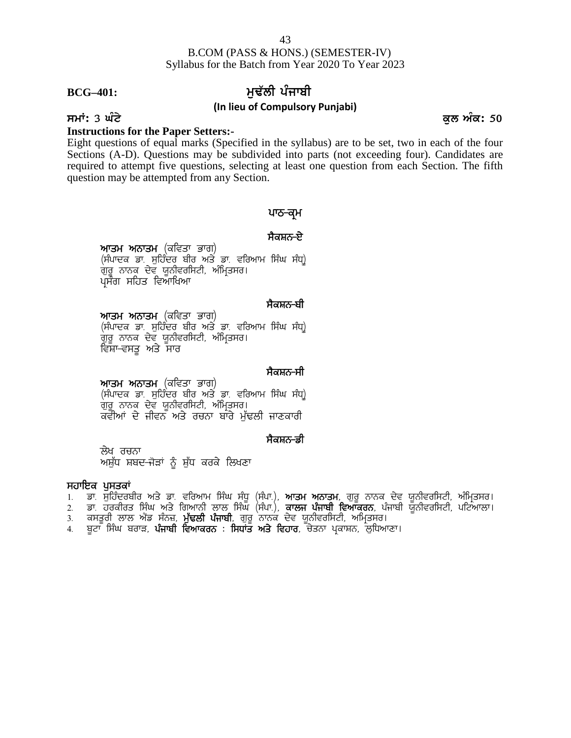# **BCG**<sup>–401:</sup> 1<br/>ਚਲ ਅਦਿੱਲੀ ਪੰਜਾਬੀ

### **(In lieu of Compulsory Punjabi)**

### **Instructions for the Paper Setters:-**

Eight questions of equal marks (Specified in the syllabus) are to be set, two in each of the four Sections (A-D). Questions may be subdivided into parts (not exceeding four). Candidates are required to attempt five questions, selecting at least one question from each Section. The fifth question may be attempted from any Section. the syllabus) are to be set, two<br>led into parts (not exceeding for at least one question from each<br>at least one question from each<br>**थाठ-बू**भ<br>मैकम्र<del>ठ-ष्</del>टे <sub>;</sub> at least one question from<br>; at least one question from<br>ਪਾਠ–ਕ੍ਰਮ<br>ਸੈਕਸ਼ਨ–ਏ<br>ਸਿੰਘ ਸੰਧ੍ਰ)

**ਆਤਮ ਅਨਾਤਮ** (ਕਵਿਤਾ ਭਾਗ)<br>(ਸੰਪਾਦਕ ਡਾ. ਸੁਹਿੰਦਰ ਬੀਰ ਅਤੇ ਡਾ. ਵਰਿਆਮ ਸਿੰਘ ਸੰਧ੍ਰ) **ਪਾਠ–ਕ੍ਰਮ**<br>ਅਾਤਮ ਅਨਾਤਮ (ਕਵਿਤਾ ਭਾਗ)<br>(ਸੰਪਾਦਕ ਡਾ. ਸੁਹਿੰਦਰ ਬੀਰ ਅਤੇ ਡਾ. ਵਰਿਆਮ ਸਿੰਘ ਸੰਧ੍ਰ)<br>ਗੁਰੂ ਨਾਨਕ ਦੇਵ ਯੂਨੀਵਰਸਿਟੀ, ਅੰਮ੍ਰਿਤਸਰ।<br>ਪ੍ਰਸੰਗ ਸਹਿਤ ਵਿਆਖਿਆ ਸੈਕਸ਼ਨ<del>-ਏ</del><br>ਸਿੰਘ ਸੰਧ੍ਰ<sup>)</sup><br>ਸੈਕਸ਼ਨ<del>-ਬੀ</del><br>ਸਿੰਘ ਸੰਧ੍ਰ<sup>)</sup>

**ਆਤਮ ਅਨਾਤਮ** (ਕਵਿਤਾ ਭਾਗ)<br>(ਸੰਪਾਦਕ ਡਾ. ਸਹਿੰਦਰ ਬੀਰ ਅਤੇ ਡਾ. ਵਰਿਆਮ ਸਿੰਘ ਸੰਧ<u>)</u> (ਸੰਪਾਦਕ ਡਾ. ਸੁਹਿੰਦਰ ਬੀਰ ਅਤੇ ਡਾ. ਵਰਿਆਮ ਸਿੰਘ ਸੰਧ੍ਰ)<br>ਗੁਰੂ ਨਾਨਕ ਦੇਵ ਯੂਨੀਵਰਸਿਟੀ, ਅੰਮ੍ਰਿਤਸਰ।<br>ਪ੍ਰਸੰਗ ਸਹਿਤ ਵਿਆਖਿਆ<br>**ਅਾਤਮ ਅਨਾਤਮ** (ਕਵਿਤਾ ਭਾਗ)<br>(ਸੰਪਾਦਕ ਡਾ. ਸੁਹਿੰਦਰ ਬੀਰ ਅਤੇ ਡਾ. ਵਰਿਆਮ ਸਿੰਘ ਸੰਧ੍ਰ)<br>ਗੁਰੂ ਨਾਨਕ ਦੇਵ ਯੂਨੀਵਰਸਿਟੀ, ਅੰਮ੍ਰਿਤਸਰ।<br>ਵਿ ਗੁਰੂ ਨਾਨਕ ਦੇਵ ਯੂਨੀਵਰਸਿਟੀ, ਅੰਮ੍ਰਿਤਸਰ।<br>ਵਿਸ਼ਾ–ਵਸਤ ਅਤੇ ਸਾਰ ਸੈਕਸ਼ਨ<del>-ਬੀ</del><br>ਸਿੰਘ ਸੰਧ੍ਰ<sup>)</sup><br>ਸੈਕਸ਼ਨ<del>-</del>ਸੀ<br>ਸਿੰਘ ਸੰਧ੍ਰ<sup>)</sup>

**ਆਤਮ ਅਨਾਤਮ** (ਕਵਿਤਾ ਭਾਗ)<br>(ਸੰਪਾਦਕ ਡਾ. ਸੁਹਿੰਦਰ ਬੀਰ ਅਤੇ ਡਾ. ਵਰਿਆਮ ਸਿੰਘ ਸੰਧ<u>)</u> (ਸੰਪਾਦਕ ਡਾ. ਸੁਹਿੰਦਰ ਬੀਰ ਅਤੇ ਡਾ. ਵਰਿਆਮ ਸਿੰਘ ਸੰਧ੍ਰ)<br>ਗੁਰੂ ਨਾਨਕ ਦੇਵ ਯੂਨੀਵਰਸਿਟੀ, ਅੰਮ੍ਰਿਤਸਰ।<br>ਵਿਸ਼ਾ-ਵਸਤੂ ਅਤੇ ਸਾਰ<br>(ਸੰਪਾਦਕ ਡਾ. ਸੁਹਿੰਦਰ ਬੀਰ ਅਤੇ ਡਾ. ਵਰਿਆਮ ਸਿੰਘ ਸੰਧ੍ਰ)<br>ਗੁਰੂ ਨਾਨਕ ਦੇਵ ਯੂਨੀਵਰਸਿਟੀ, ਅੰਮ੍ਰਿਤਸਰ।<br>ਕਵੀਆਂ ਦੇ ਜੀਵਨ ਅਤੇ ਰਚਨਾ ਬਾਰੇ ਸੈਕਸ਼ਨ-ਸੀ<br>ਸਿੰਘ ਸੰਧ੍ਰ<sup>)</sup><br>ਜਾਣਕਾਰੀ<br>ਸੈਕਸ਼ਨ<del>-ਡੀ</del> **ਅ'ਤਮ ਅਨਾਤਮ** (ਕੀਵਤਾ ਭਾਗ)<br>(ਸੰਪਾਦਕ ਡਾ. ਸੁਹਿੰਦਰ ਬੀਰ ਅਤੇ ਡਾ. ਵਰਿਆਮ ਸਿੰਘ ਸੰਧ੍ਰ)<br>ਗੁਰੂ ਨਾਨਕ ਦੇਵ ਯੂਨੀਵਰਸਿਟੀ, ਅੰਮ੍ਰਿਤਸਰ।<br>ਕਵੀਆਂ ਦੇ ਜੀਵਨ ਅਤੇ ਰਚਨਾ ਬਾਰੇ ਮੁੱਢਲੀ ਜਾਣਕਾਰੀ<br>ਲੇਖ ਰਚਨਾ<br>ਅਸ਼ੁੱਧ ਸ਼ਬਦ-ਜੋੜਾਂ ਨੂੰ ਸ਼ੁੱਧ ਕਰਕੇ ਲਿਖਣਾ<br>**ਪੁਸਤਕਾਂ** 

ਲੇਖ ਰਚਨਾ<br>ਅਸ਼ੁੱਧ ਸ਼ਬਦ<del>-</del>ਜੋੜਾਂ ਨੂੰ ਸ਼ੁੱਧ ਕਰਕੇ ਲਿਖਣਾ ਗੁਰੂ ਨਾਨਕ ਦਵ ਯੂਨਾਵਗਸਟਾ, ਅ<br>ਕਵੀਆਂ ਦੇ ਜੀਵਨ ਅਤੇ ਰਚਨਾ<br>ਅਸ਼ੁੱਧ ਸ਼ਬਦ-ਜੋੜਾਂ ਨੂੰ ਸ਼ੁੱਧ ਕਰਕੇ<br>ਸ**ਹਾਇਕ ਪੁਸਤਕਾਂ**<br>1. ਡਾ. ਸੁਹਿੰਦਰਬੀਰ ਅਤੇ ਡਾ. ਵਰਿਆਮ 1<br>2. ਡਾ. ਹਰਕੀਰਤ ਸਿੰਘ ਅਤੇ ਗਿਆਨੀ ਲੂ

- 
- ੱਲੇਖ ਰਚਨਾ<br>ਅਸ਼ੁੱਧ ਸ਼ਬਦ-ਜੋੜਾਂ ਨੂੰ ਸ਼ੁੱਧ ਕਰਕੇ ਲਿਖਣਾ<br>ਸ**ਹਾਇਕ ਪੁਸਤਕਾਂ**<br>1. ਡਾ. ਸੁਹਿੰਦਰਬੀਰ ਅਤੇ ਡਾ. ਵਰਿਆਮ ਸਿੰਘ ਸੰਧੂ (ਸੰਪਾ.), **ਆਤਮ ਅਨਾਤਮ**, ਗੁਰੂ ਨਾਨਕ ਦੇਵ ਯੂਨੀਵਰਸਿਟੀ, ਅੰਮ੍ਰਿਤਸਰ।<br>2. ਡਾ. ਹਰਕੀਰਤ ਸਿੰਘ ਅਤੇ ਗਿਆਨੀ ਲਾਲ ਸਿੰਘ (ਸੰਪਾ.), **ਕਾਲਜ ਪ** ਼ ਲੇਖ ਰਚਨਾ<br>ਅਸ਼ੁੱਧ ਸ਼ਬਦ-ਜੋੜਾਂ ਨੂੰ ਸ਼ੁੱਧ ਕਰਕੇ ਲਿਖਣਾ<br>1. ਡਾ. ਸੁਹਿੰਦਰਬੀਰ ਅਤੇ ਡਾ. ਵਰਿਆਮ ਸਿੰਘ ਸੰਧੂ (ਸੰਪਾ.), **ਆਤਮ ਅਨਾਤਮ**, ਗੁਰੂ ਨਾਨਕ ਦੇਵ ਯੂਨੀਵਰਸਿਟੀ, ਅੰਮ੍ਰਿਤਸਰ।<br>2. ਡਾ. ਸੁਹਿੰਦਰਬੀਰ ਅਤੇ ਡਾ. ਵਰਿਆਮ ਸਿੰਘ ਸੰਧੂ (ਸੰਪਾ.), **ਕਾਲਜ ਪੰਜਾਬੀ ਵਿਆਕਰ** ਲੇਖ ਰਚਨਾ<br>ਅਸ਼ੁੱਧ ਸ਼ਬਦ-ਜੋੜਾਂ ਨੂੰ ਸ਼ੁੱਧ ਕਰਕੇ ਲਿਖਣਾ<br>1. ਡਾ. ਸੁਹਿੰਦਰਬੀਰ ਅਤੇ ਡਾ. ਵਰਿਆਮ ਸਿੰਘ ਸੰਧੂ (ਸੰਪਾ.), **ਆਤਮ ਅਨਾਤਮ**, ਗੁਰੂ ਨਾਨਕ ਦੇਵ ਯੂਨੀ<br>2. ਡਾ. ਹਰਕੀਰਤ ਸਿੰਘ ਅਤੇ ਗਿਆਨੀ ਲਾਲ ਸਿੰਘ (ਸੰਪਾ.), **ਕਾਲਜ ਪੰਜਾਬੀ ਵਿਆਕਰਨ**, ਪੰਜਾਬੀ ਯੂਨੀ<u>ਂ</u><br>3. ਕਸ ਅਸੁੱਧ ਸ਼ਬਦ-ਜੋੜਾਂ ਨੂੰ ਸ਼ੁੱਧ ਕਰਕੇ ਲਿਖਣਾ<br>ਸ**ਹਾਇਕ ਪੁਸਤਕਾਂ**<br>1. ਡਾ. ਸੁਹਿੰਦਰਬੀਰ ਅਤੇ ਡਾ. ਵਰਿਆਮ ਸਿੰਘ ਸੰਧੂ (ਸੰਪਾ.), **ਆਤਮ ਅਨਾਤਮ**, ਗੁਰੂ ਨਾਨਕ ਦੇਵ ਯੂ<br>2. ਡਾ. ਹਰਕੀਰਤ ਸਿੰਘ ਅਤੇ ਗਿਆਨੀ ਲਾਲ ਸਿੰਘ (ਸੰਪਾ.), **ਕਾਲਜ ਪੰਜਾਬੀ ਵਿਆਕਰਨ**, ਪੰਜਾਬੀ ਯੂ<br>3. ਕਸਤ
- 
- 

**smatrix 3 ਘੰਟੇ** ਕਲ ਅੰਕ: 50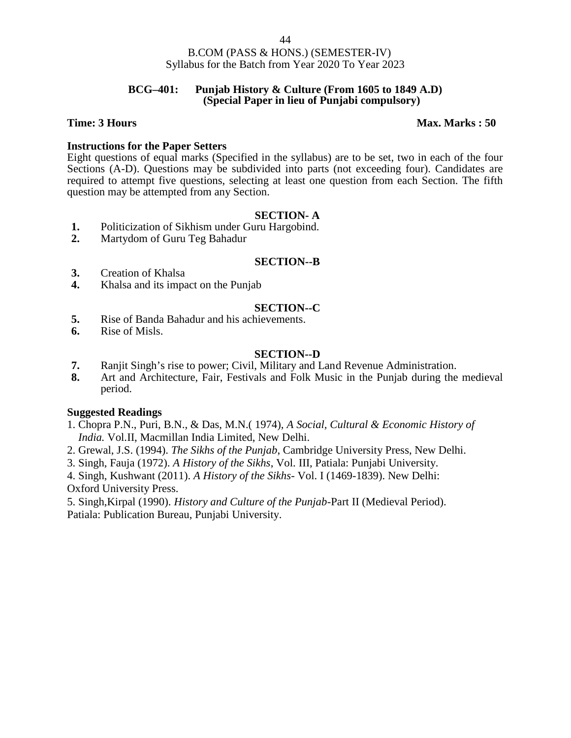### **BCG–401: Punjab History & Culture (From 1605 to 1849 A.D) (Special Paper in lieu of Punjabi compulsory)**

### **Time: 3 Hours Max. Marks : 50**

# **Instructions for the Paper Setters**

Eight questions of equal marks (Specified in the syllabus) are to be set, two in each of the four Sections (A-D). Questions may be subdivided into parts (not exceeding four). Candidates are required to attempt five questions, selecting at least one question from each Section. The fifth question may be attempted from any Section.

### **SECTION- A**

- 1. Politicization of Sikhism under Guru Hargobind.<br>2. Martydom of Guru Teg Bahadur
- **2.** Martydom of Guru Teg Bahadur

# **SECTION--B**

- **3.** Creation of Khalsa
- **4.** Khalsa and its impact on the Punjab

# **SECTION--C**

- **5.** Rise of Banda Bahadur and his achievements.
- **6.** Rise of Misls.

# **SECTION--D**

- **7.** Ranjit Singh's rise to power; Civil, Military and Land Revenue Administration.<br>**8.** Art and Architecture. Fair, Festivals and Folk Music in the Puniab during the
- **8.** Art and Architecture, Fair, Festivals and Folk Music in the Punjab during the medieval period.

### **Suggested Readings**

- 1. Chopra P.N., Puri, B.N., & Das, M.N.( 1974), *A Social, Cultural & Economic History of India.* Vol.II, Macmillan India Limited, New Delhi.
- 2. Grewal, J.S. (1994). *The Sikhs of the Punjab*, Cambridge University Press, New Delhi.
- 3. Singh, Fauja (1972). *A History of the Sikhs*, Vol. III, Patiala: Punjabi University.

4. Singh, Kushwant (2011). *A History of the Sikhs-* Vol. I (1469-1839). New Delhi:

Oxford University Press.

5. Singh,Kirpal (1990). *History and Culture of the Punjab*-Part II (Medieval Period). Patiala: Publication Bureau, Punjabi University.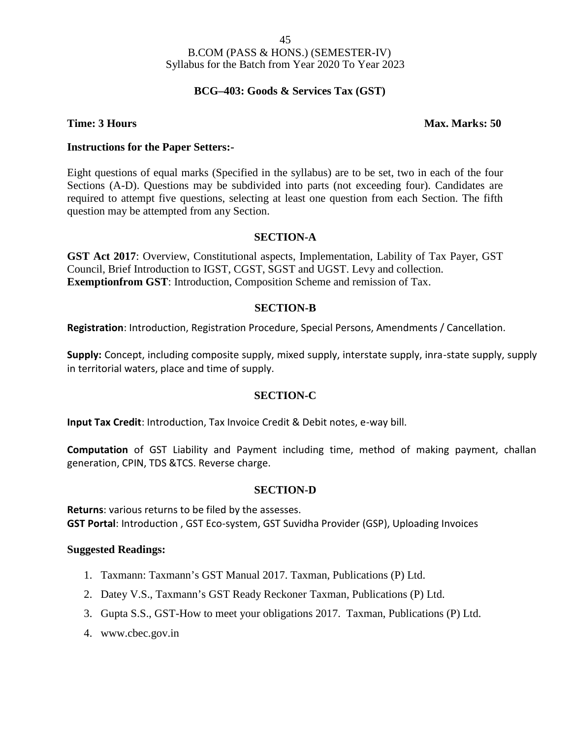# **BCG–403: Goods & Services Tax (GST)**

### **Time: 3 Hours Max. Marks: 50**

### **Instructions for the Paper Setters:-**

Eight questions of equal marks (Specified in the syllabus) are to be set, two in each of the four Sections (A-D). Questions may be subdivided into parts (not exceeding four). Candidates are required to attempt five questions, selecting at least one question from each Section. The fifth question may be attempted from any Section.

# **SECTION-A**

**GST Act 2017**: Overview, Constitutional aspects, Implementation, Lability of Tax Payer, GST Council, Brief Introduction to IGST, CGST, SGST and UGST. Levy and collection. **Exemptionfrom GST**: Introduction, Composition Scheme and remission of Tax.

### **SECTION-B**

**Registration**: Introduction, Registration Procedure, Special Persons, Amendments / Cancellation.

**Supply:** Concept, including composite supply, mixed supply, interstate supply, inra-state supply, supply in territorial waters, place and time of supply.

### **SECTION-C**

**Input Tax Credit**: Introduction, Tax Invoice Credit & Debit notes, e-way bill.

**Computation** of GST Liability and Payment including time, method of making payment, challan generation, CPIN, TDS &TCS. Reverse charge.

### **SECTION-D**

**Returns**: various returns to be filed by the assesses. **GST Portal**: Introduction , GST Eco-system, GST Suvidha Provider (GSP), Uploading Invoices

- 1. Taxmann: Taxmann's GST Manual 2017. Taxman, Publications (P) Ltd.
- 2. Datey V.S., Taxmann's GST Ready Reckoner Taxman, Publications (P) Ltd.
- 3. Gupta S.S., GST-How to meet your obligations 2017. Taxman, Publications (P) Ltd.
- 4. www.cbec.gov.in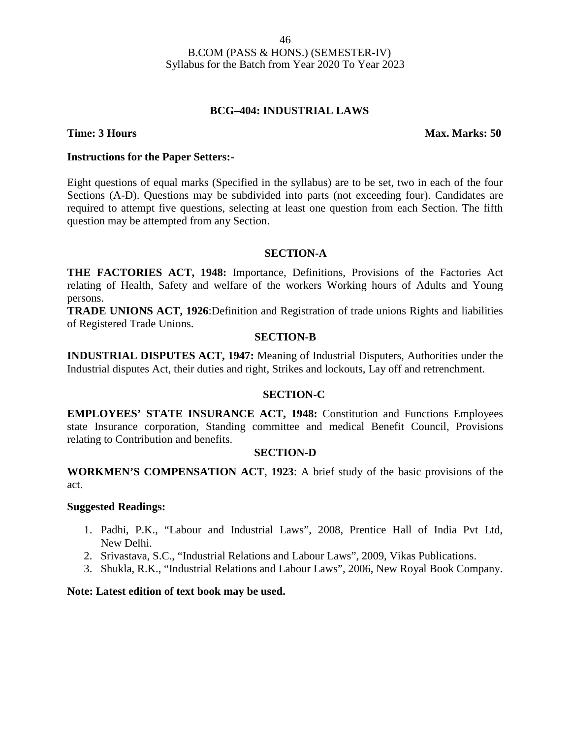### **BCG–404: INDUSTRIAL LAWS**

### **Time: 3 Hours Max. Marks: 50**

### **Instructions for the Paper Setters:-**

Eight questions of equal marks (Specified in the syllabus) are to be set, two in each of the four Sections (A-D). Questions may be subdivided into parts (not exceeding four). Candidates are required to attempt five questions, selecting at least one question from each Section. The fifth question may be attempted from any Section.

### **SECTION-A**

**THE FACTORIES ACT, 1948:** Importance, Definitions, Provisions of the Factories Act relating of Health, Safety and welfare of the workers Working hours of Adults and Young persons.

**TRADE UNIONS ACT, 1926**:Definition and Registration of trade unions Rights and liabilities of Registered Trade Unions.

### **SECTION-B**

**INDUSTRIAL DISPUTES ACT, 1947:** Meaning of Industrial Disputers, Authorities under the Industrial disputes Act, their duties and right, Strikes and lockouts, Lay off and retrenchment.

### **SECTION-C**

**EMPLOYEES' STATE INSURANCE ACT, 1948:** Constitution and Functions Employees state Insurance corporation, Standing committee and medical Benefit Council, Provisions relating to Contribution and benefits.

### **SECTION-D**

**WORKMEN'S COMPENSATION ACT**, **1923**: A brief study of the basic provisions of the act.

### **Suggested Readings:**

- 1. Padhi, P.K., "Labour and Industrial Laws", 2008, Prentice Hall of India Pvt Ltd, New Delhi.
- 2. Srivastava, S.C., "Industrial Relations and Labour Laws", 2009, Vikas Publications.
- 3. Shukla, R.K., "Industrial Relations and Labour Laws", 2006, New Royal Book Company.

### **Note: Latest edition of text book may be used.**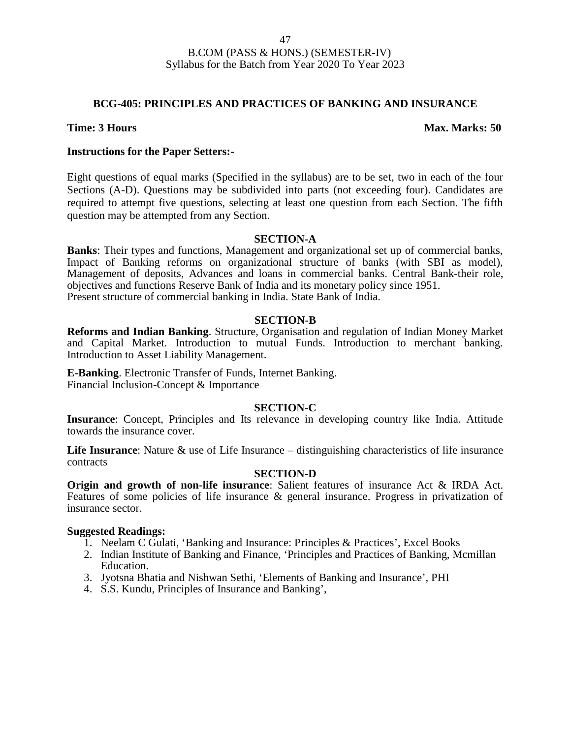# **BCG-405: PRINCIPLES AND PRACTICES OF BANKING AND INSURANCE**

### **Time: 3 Hours Max. Marks: 50**

### **Instructions for the Paper Setters:-**

Eight questions of equal marks (Specified in the syllabus) are to be set, two in each of the four Sections (A-D). Questions may be subdivided into parts (not exceeding four). Candidates are required to attempt five questions, selecting at least one question from each Section. The fifth question may be attempted from any Section.

### **SECTION-A**

**Banks**: Their types and functions, Management and organizational set up of commercial banks, Impact of Banking reforms on organizational structure of banks (with SBI as model), Management of deposits, Advances and loans in commercial banks. Central Bank-their role, objectives and functions Reserve Bank of India and its monetary policy since 1951. Present structure of commercial banking in India. State Bank of India.

### **SECTION-B**

**Reforms and Indian Banking**. Structure, Organisation and regulation of Indian Money Market and Capital Market. Introduction to mutual Funds. Introduction to merchant banking. Introduction to Asset Liability Management.

**E-Banking**. Electronic Transfer of Funds, Internet Banking. Financial Inclusion-Concept & Importance

### **SECTION-C**

**Insurance**: Concept, Principles and Its relevance in developing country like India. Attitude towards the insurance cover.

**Life Insurance**: Nature & use of Life Insurance – distinguishing characteristics of life insurance contracts

### **SECTION-D**

**Origin and growth of non-life insurance**: Salient features of insurance Act & IRDA Act. Features of some policies of life insurance & general insurance. Progress in privatization of insurance sector.

- 1. Neelam C Gulati, 'Banking and Insurance: Principles & Practices', Excel Books
- 2. Indian Institute of Banking and Finance, 'Principles and Practices of Banking, Mcmillan Education.
- 3. Jyotsna Bhatia and Nishwan Sethi, 'Elements of Banking and Insurance', PHI
- 4. S.S. Kundu, Principles of Insurance and Banking',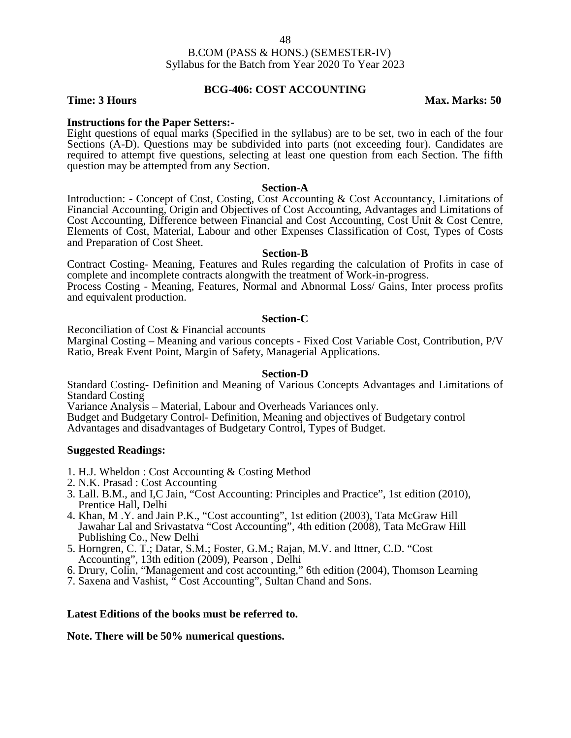# **BCG-406: COST ACCOUNTING**

**Time: 3 Hours Max. Marks: 50** 

**Instructions for the Paper Setters:-** Eight questions of equal marks (Specified in the syllabus) are to be set, two in each of the four Sections (A-D). Questions may be subdivided into parts (not exceeding four). Candidates are required to attempt five questions, selecting at least one question from each Section. The fifth question may be attempted from any Section.

### **Section-A**

Introduction: - Concept of Cost, Costing, Cost Accounting & Cost Accountancy, Limitations of Financial Accounting, Origin and Objectives of Cost Accounting, Advantages and Limitations of Cost Accounting, Difference between Financial and Cost Accounting, Cost Unit & Cost Centre, Elements of Cost, Material, Labour and other Expenses Classification of Cost, Types of Costs and Preparation of Cost Sheet.

### **Section-B**

Contract Costing- Meaning, Features and Rules regarding the calculation of Profits in case of complete and incomplete contracts alongwith the treatment of Work-in-progress.

Process Costing - Meaning, Features, Normal and Abnormal Loss/ Gains, Inter process profits and equivalent production.

### **Section-C**

Reconciliation of Cost & Financial accounts

Marginal Costing – Meaning and various concepts - Fixed Cost Variable Cost, Contribution, P/V Ratio, Break Event Point, Margin of Safety, Managerial Applications.

### **Section-D**

Standard Costing- Definition and Meaning of Various Concepts Advantages and Limitations of Standard Costing

Variance Analysis – Material, Labour and Overheads Variances only.

Budget and Budgetary Control- Definition, Meaning and objectives of Budgetary control Advantages and disadvantages of Budgetary Control, Types of Budget.

### **Suggested Readings:**

- 1. H.J. Wheldon : Cost Accounting & Costing Method
- 2. N.K. Prasad : Cost Accounting
- 3. Lall. B.M., and I,C Jain, "Cost Accounting: Principles and Practice", 1st edition (2010), Prentice Hall, Delhi
- 4. Khan, M .Y. and Jain P.K., "Cost accounting", 1st edition (2003), Tata McGraw Hill Jawahar Lal and Srivastatva "Cost Accounting", 4th edition (2008), Tata McGraw Hill Publishing Co., New Delhi
- 5. Horngren, C. T.; Datar, S.M.; Foster, G.M.; Rajan, M.V. and Ittner, C.D. "Cost Accounting", 13th edition (2009), Pearson , Delhi
- 6. Drury, Colin, "Management and cost accounting," 6th edition (2004), Thomson Learning
- 7. Saxena and Vashist, " Cost Accounting", Sultan Chand and Sons.

### **Latest Editions of the books must be referred to.**

**Note. There will be 50% numerical questions.**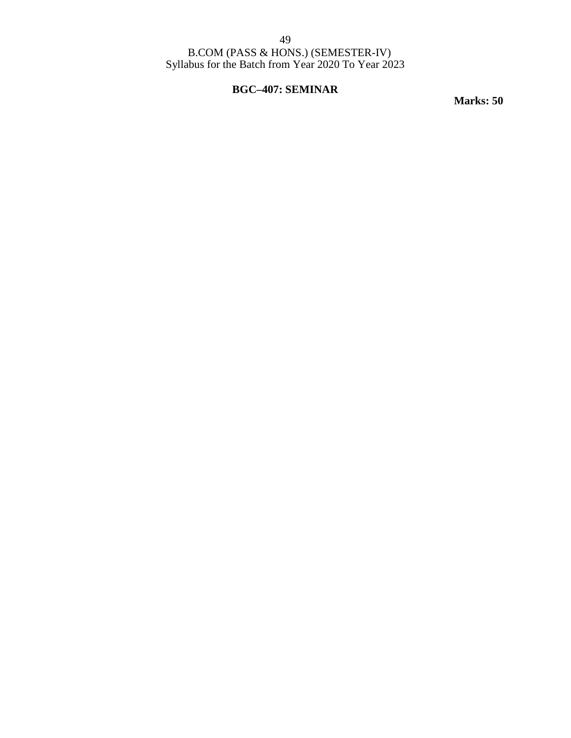49

B.COM (PASS & HONS.) (SEMESTER-IV) Syllabus for the Batch from Year 2020 To Year 2023

# **BGC–407: SEMINAR**

**Marks: 50**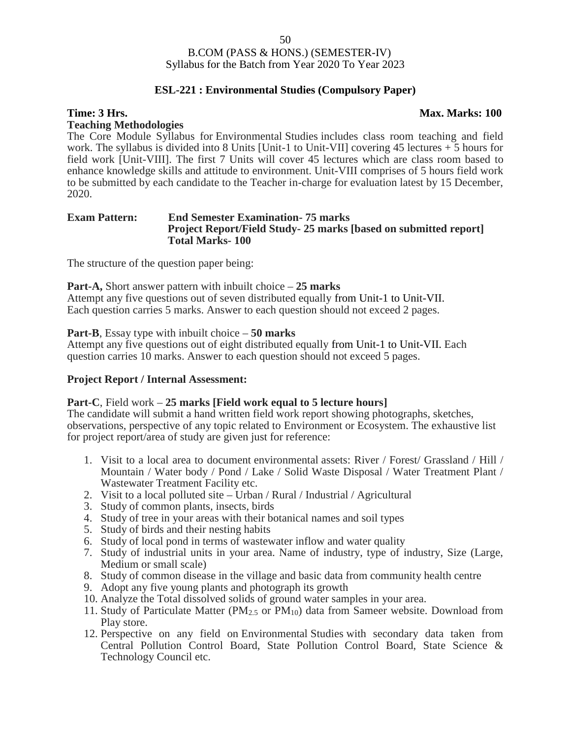# **ESL-221 : Environmental Studies (Compulsory Paper)**

### **Time: 3 Hrs. Max. Marks: 100**

### **Teaching Methodologies**

The Core Module Syllabus for Environmental Studies includes class room teaching and field work. The syllabus is divided into 8 Units [Unit-1 to Unit-VII] covering 45 lectures + 5 hours for field work [Unit-VIII]. The first 7 Units will cover 45 lectures which are class room based to enhance knowledge skills and attitude to environment. Unit-VIII comprises of 5 hours field work to be submitted by each candidate to the Teacher in-charge for evaluation latest by 15 December, 2020.

### **Exam Pattern: End Semester Examination- 75 marks Project Report/Field Study- 25 marks [based on submitted report] Total Marks- 100**

The structure of the question paper being:

**Part-A,** Short answer pattern with inbuilt choice – **25 marks** Attempt any five questions out of seven distributed equally from Unit-1 to Unit-VII. Each question carries 5 marks. Answer to each question should not exceed 2 pages.

**Part-B**, Essay type with inbuilt choice – **50 marks**

Attempt any five questions out of eight distributed equally from Unit-1 to Unit-VII. Each question carries 10 marks. Answer to each question should not exceed 5 pages.

### **Project Report / Internal Assessment:**

### **Part-C**, Field work – **25 marks [Field work equal to 5 lecture hours]**

The candidate will submit a hand written field work report showing photographs, sketches, observations, perspective of any topic related to Environment or Ecosystem. The exhaustive list for project report/area of study are given just for reference:

- 1. Visit to a local area to document environmental assets: River / Forest/ Grassland / Hill / Mountain / Water body / Pond / Lake / Solid Waste Disposal / Water Treatment Plant / Wastewater Treatment Facility etc.
- 2. Visit to a local polluted site Urban / Rural / Industrial / Agricultural
- 3. Study of common plants, insects, birds
- 4. Study of tree in your areas with their botanical names and soil types
- 5. Study of birds and their nesting habits
- 6. Study of local pond in terms of wastewater inflow and water quality
- 7. Study of industrial units in your area. Name of industry, type of industry, Size (Large, Medium or small scale)
- 8. Study of common disease in the village and basic data from community health centre
- 9. Adopt any five young plants and photograph its growth
- 10. Analyze the Total dissolved solids of ground water samples in your area.
- 11. Study of Particulate Matter ( $PM_{2.5}$  or  $PM_{10}$ ) data from Sameer website. Download from Play store.
- 12. Perspective on any field on Environmental Studies with secondary data taken from Central Pollution Control Board, State Pollution Control Board, State Science & Technology Council etc.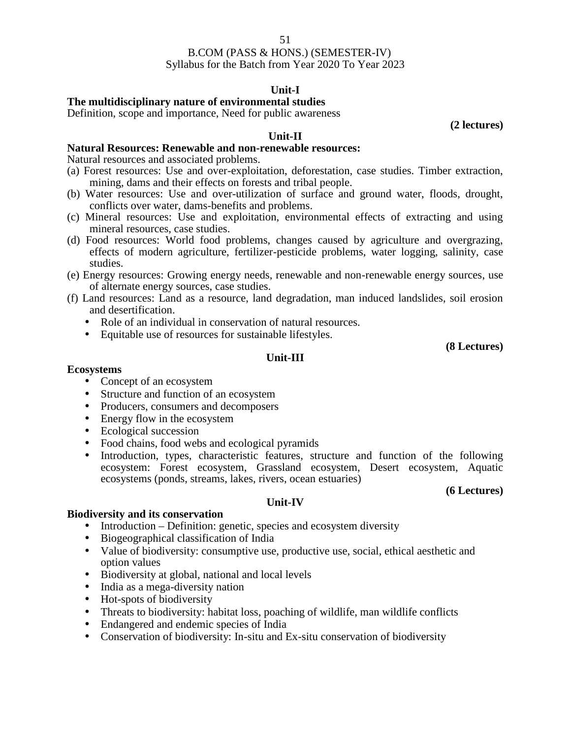### 51

### B.COM (PASS & HONS.) (SEMESTER-IV) Syllabus for the Batch from Year 2020 To Year 2023

# **Unit-I**

**The multidisciplinary nature of environmental studies**

Definition, scope and importance, Need for public awareness

**(2 lectures)**

# **Natural Resources: Renewable and non-renewable resources:**

Natural resources and associated problems.

(a) Forest resources: Use and over-exploitation, deforestation, case studies. Timber extraction, mining, dams and their effects on forests and tribal people.

**Unit-II**

- (b) Water resources: Use and over-utilization of surface and ground water, floods, drought, conflicts over water, dams-benefits and problems.
- (c) Mineral resources: Use and exploitation, environmental effects of extracting and using mineral resources, case studies.
- (d) Food resources: World food problems, changes caused by agriculture and overgrazing, effects of modern agriculture, fertilizer-pesticide problems, water logging, salinity, case studies.
- (e) Energy resources: Growing energy needs, renewable and non-renewable energy sources, use of alternate energy sources, case studies.
- (f) Land resources: Land as a resource, land degradation, man induced landslides, soil erosion and desertification.
	- Role of an individual in conservation of natural resources.
	- Equitable use of resources for sustainable lifestyles.

**(8 Lectures)**

### **Unit-III**

### **Ecosystems**

- Concept of an ecosystem
- Structure and function of an ecosystem
- Producers, consumers and decomposers
- Energy flow in the ecosystem
- Ecological succession
- Food chains, food webs and ecological pyramids
- Introduction, types, characteristic features, structure and function of the following ecosystem: Forest ecosystem, Grassland ecosystem, Desert ecosystem, Aquatic ecosystems (ponds, streams, lakes, rivers, ocean estuaries)

### **(6 Lectures)**

### **Unit-IV**

### **Biodiversity and its conservation**

- Introduction Definition: genetic, species and ecosystem diversity
- Biogeographical classification of India
- Value of biodiversity: consumptive use, productive use, social, ethical aesthetic and option values
- Biodiversity at global, national and local levels
- India as a mega-diversity nation
- Hot-spots of biodiversity
- Threats to biodiversity: habitat loss, poaching of wildlife, man wildlife conflicts
- Endangered and endemic species of India
- Conservation of biodiversity: In-situ and Ex-situ conservation of biodiversity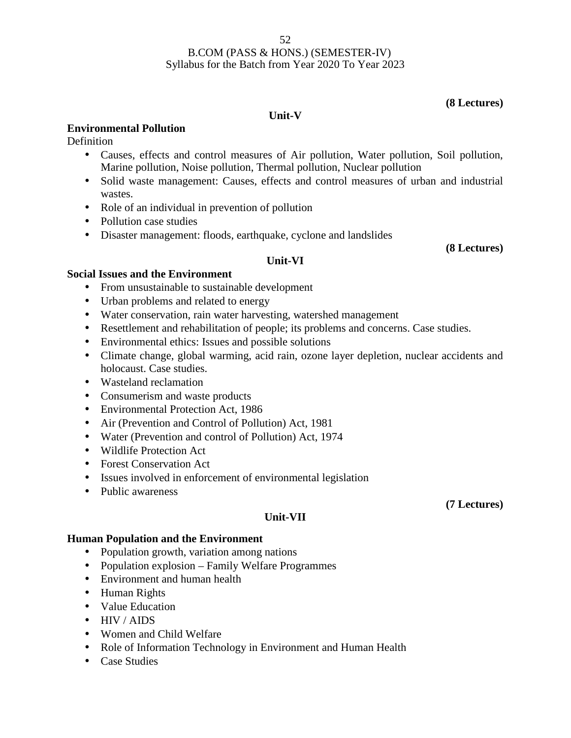**(8 Lectures)**

# **Unit-V**

# **Environmental Pollution**

**Definition** 

- Causes, effects and control measures of Air pollution, Water pollution, Soil pollution, Marine pollution, Noise pollution, Thermal pollution, Nuclear pollution
- Solid waste management: Causes, effects and control measures of urban and industrial wastes.
- Role of an individual in prevention of pollution
- Pollution case studies
- Disaster management: floods, earthquake, cyclone and landslides

**(8 Lectures)**

# **Unit-VI**

# **Social Issues and the Environment**

- From unsustainable to sustainable development
- Urban problems and related to energy
- Water conservation, rain water harvesting, watershed management
- Resettlement and rehabilitation of people; its problems and concerns. Case studies.
- Environmental ethics: Issues and possible solutions
- Climate change, global warming, acid rain, ozone layer depletion, nuclear accidents and holocaust. Case studies.
- Wasteland reclamation
- Consumerism and waste products
- Environmental Protection Act, 1986
- Air (Prevention and Control of Pollution) Act, 1981
- Water (Prevention and control of Pollution) Act, 1974
- Wildlife Protection Act
- Forest Conservation Act
- Issues involved in enforcement of environmental legislation
- Public awareness

# **Unit-VII**

# **Human Population and the Environment**

- Population growth, variation among nations
- Population explosion Family Welfare Programmes
- Environment and human health
- Human Rights
- Value Education
- HIV / AIDS
- Women and Child Welfare
- Role of Information Technology in Environment and Human Health
- Case Studies

# **(7 Lectures)**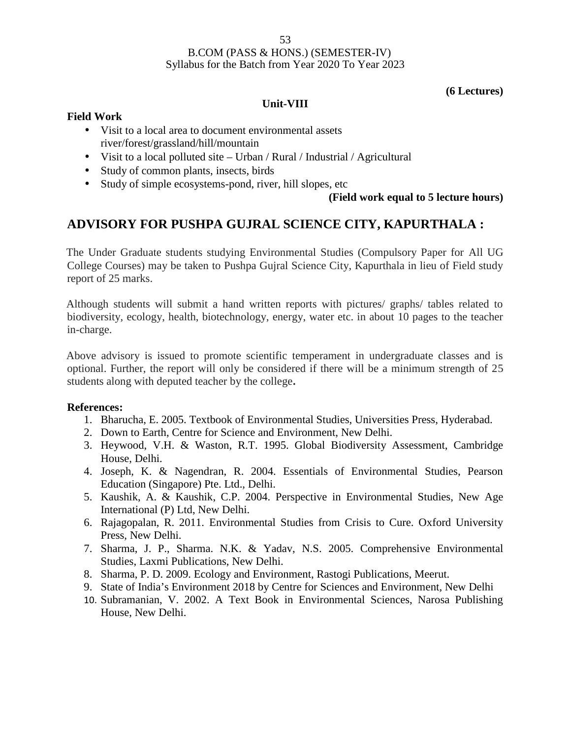### 53

# B.COM (PASS & HONS.) (SEMESTER-IV) Syllabus for the Batch from Year 2020 To Year 2023

**(6 Lectures)**

### **Unit-VIII**

# **Field Work**

- Visit to a local area to document environmental assets river/forest/grassland/hill/mountain
- Visit to a local polluted site Urban / Rural / Industrial / Agricultural
- Study of common plants, insects, birds
- Study of simple ecosystems-pond, river, hill slopes, etc

# **(Field work equal to 5 lecture hours)**

# **ADVISORY FOR PUSHPA GUJRAL SCIENCE CITY, KAPURTHALA :**

The Under Graduate students studying Environmental Studies (Compulsory Paper for All UG College Courses) may be taken to Pushpa Gujral Science City, Kapurthala in lieu of Field study report of 25 marks.

Although students will submit a hand written reports with pictures/ graphs/ tables related to biodiversity, ecology, health, biotechnology, energy, water etc. in about 10 pages to the teacher in-charge.

Above advisory is issued to promote scientific temperament in undergraduate classes and is optional. Further, the report will only be considered if there will be a minimum strength of 25 students along with deputed teacher by the college**.**

# **References:**

- 1. Bharucha, E. 2005. Textbook of Environmental Studies, Universities Press, Hyderabad.
- 2. Down to Earth, Centre for Science and Environment, New Delhi.
- 3. Heywood, V.H. & Waston, R.T. 1995. Global Biodiversity Assessment, Cambridge House, Delhi.
- 4. Joseph, K. & Nagendran, R. 2004. Essentials of Environmental Studies, Pearson Education (Singapore) Pte. Ltd., Delhi.
- 5. Kaushik, A. & Kaushik, C.P. 2004. Perspective in Environmental Studies, New Age International (P) Ltd, New Delhi.
- 6. Rajagopalan, R. 2011. Environmental Studies from Crisis to Cure. Oxford University Press, New Delhi.
- 7. Sharma, J. P., Sharma. N.K. & Yadav, N.S. 2005. Comprehensive Environmental Studies, Laxmi Publications, New Delhi.
- 8. Sharma, P. D. 2009. Ecology and Environment, Rastogi Publications, Meerut.
- 9. State of India's Environment 2018 by Centre for Sciences and Environment, New Delhi
- 10. Subramanian, V. 2002. A Text Book in Environmental Sciences, Narosa Publishing House, New Delhi.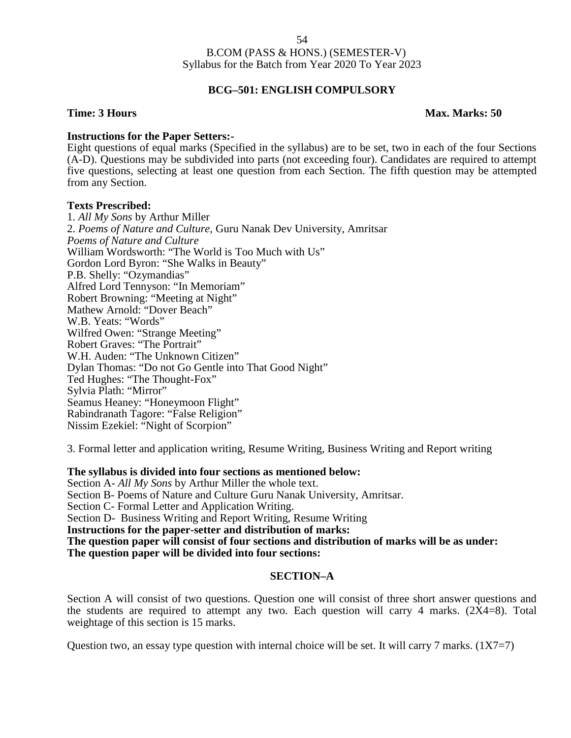# **BCG–501: ENGLISH COMPULSORY**

### **Time: 3 Hours Max. Marks: 50**

### **Instructions for the Paper Setters:-**

Eight questions of equal marks (Specified in the syllabus) are to be set, two in each of the four Sections (A-D). Questions may be subdivided into parts (not exceeding four). Candidates are required to attempt five questions, selecting at least one question from each Section. The fifth question may be attempted from any Section.

### **Texts Prescribed:**

1. *All My Sons* by Arthur Miller 2. *Poems of Nature and Culture,* Guru Nanak Dev University, Amritsar *Poems of Nature and Culture* William Wordsworth: "The World is Too Much with Us" Gordon Lord Byron: "She Walks in Beauty" P.B. Shelly: "Ozymandias" Alfred Lord Tennyson: "In Memoriam" Robert Browning: "Meeting at Night" Mathew Arnold: "Dover Beach" W.B. Yeats: "Words" Wilfred Owen: "Strange Meeting" Robert Graves: "The Portrait" W.H. Auden: "The Unknown Citizen" Dylan Thomas: "Do not Go Gentle into That Good Night" Ted Hughes: "The Thought-Fox" Sylvia Plath: "Mirror" Seamus Heaney: "Honeymoon Flight" Rabindranath Tagore: "False Religion" Nissim Ezekiel: "Night of Scorpion"

3. Formal letter and application writing, Resume Writing, Business Writing and Report writing

### **The syllabus is divided into four sections as mentioned below:**

Section A- *All My Sons* by Arthur Miller the whole text. Section B- Poems of Nature and Culture Guru Nanak University, Amritsar. Section C- Formal Letter and Application Writing. Section D- Business Writing and Report Writing, Resume Writing **Instructions for the paper-setter and distribution of marks: The question paper will consist of four sections and distribution of marks will be as under: The question paper will be divided into four sections:**

### **SECTION–A**

Section A will consist of two questions. Question one will consist of three short answer questions and the students are required to attempt any two. Each question will carry 4 marks.  $(2X4=8)$ . Total weightage of this section is 15 marks.

Question two, an essay type question with internal choice will be set. It will carry 7 marks.  $(1X7=7)$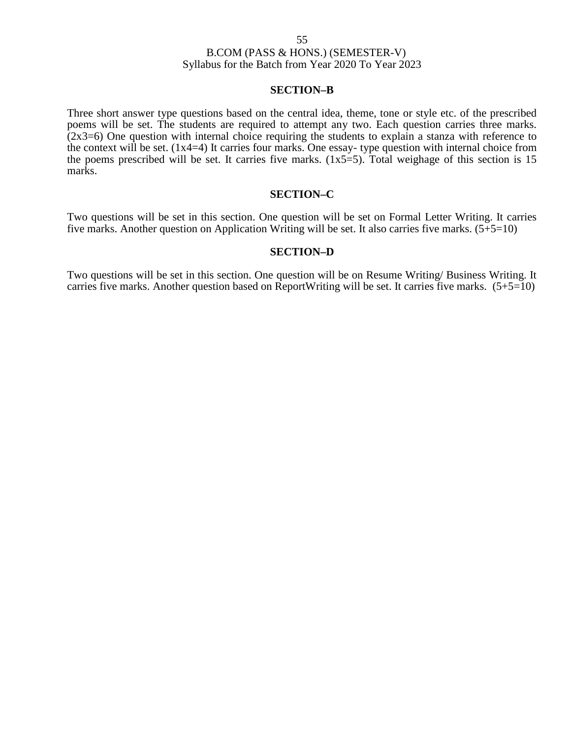### **SECTION–B**

Three short answer type questions based on the central idea, theme, tone or style etc. of the prescribed poems will be set. The students are required to attempt any two. Each question carries three marks.  $(2x3=6)$  One question with internal choice requiring the students to explain a stanza with reference to the context will be set. (1x4=4) It carries four marks. One essay- type question with internal choice from the poems prescribed will be set. It carries five marks.  $(1x5=5)$ . Total weighage of this section is 15 marks.

### **SECTION–C**

Two questions will be set in this section. One question will be set on Formal Letter Writing. It carries five marks. Another question on Application Writing will be set. It also carries five marks. (5+5=10)

### **SECTION–D**

Two questions will be set in this section. One question will be on Resume Writing/ Business Writing. It carries five marks. Another question based on ReportWriting will be set. It carries five marks.  $(5+5=10)$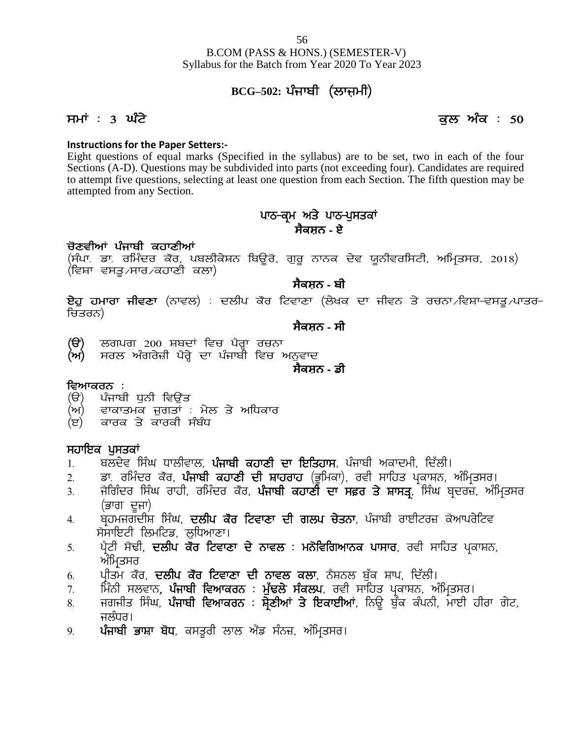### **Instructions for the Paper Setters:-**

Eight questions of equal marks (Specified in the syllabus) are to be set, two in each of the four Sections (A-D). Questions may be subdivided into parts (not exceeding four). Candidates are required to attempt five questions, selecting at least one question from each Section. The fifth question may be attempted from any Section. d in the syllabus) are to be set, two in each c<br>led into parts (not exceeding four). Candidates a<br>one question from each Section. The fifth questi<br>ਪਾਠ–ਕ੍ਰਮ ਅਤੇ ਪਾਠ–ਪੁਸਤਕਾਂ<br>ਸੈਕਸ਼ਨ - ਏ

# **ਸੈਕਸ਼ਨ - ਏ**

# ਚੋਣਵੀਆਂ ਪੰਜਾਬੀ ਕਹਾਣੀਆਂ

to attempt nve questions, selecting at least one question from each Section. The fifth question may be<br>attempted from any Section.<br>**ਪਾਠ-ਕ੍ਰਮ ਅਤੇ ਪਾਠ-ਪੁਸਤਕਾਂ ਸੈਕਸ਼ਨ - ਏ**<br>(ਸੋਪਾ. ਡਾ. ਰਮਿੰਦਰ ਕੋਰ, ਪਬਲੀਕੇਸ਼ਨ ਬਿਊਰੋ, ਗੁਰੂ ਨਾਨਕ ਦੇ (ਵਿਸ਼ਾ ਵਸਤੂ ∕ਸਾਰ ∕ਕਹਾਣੀ ਕਲਾ)

# **ਸੈਕਸ਼ਨ - ਬੀ**

ਚੋਣਵੀਆਂ ਪੰਜਾਬੀ ਕਹਾਣੀਆਂ<br>(ਸੰਪਾ ਡਾ. ਰਮਿੰਦਰ ਕੌਰ, ਪਬਲੀਕੇਸ਼ਨ ਬਿਊਰੋ, ਗੁਰੂ ਨਾਨਕ ਦੇਵ ਯੂਨੀਵਰਸਿਟੀ, ਅਮ੍ਰਿਤਸਰ, 2018)<br>(ਵਿਸ਼ਾ ਵਸਤੂ.⁄ਸਾਰ.⁄ਕਹਾਣੀ ਕਲਾ)<br>**ਬੇਕਸ਼ਨ - ਬੀ**<br>ਚਿਤਰਨ)<br>ਚਿਤਰਨ) ਚਿਤਰਨ) (ਵਿਸ਼ਾ ਵਸਤੂ<sub>৴</sub>ਸਾਰ<sub>৴</sub>ਕਹਾਣੀ ਕਲਾ)<br>**ਏਹੁ ਹਮਾਰਾ ਜੀਵਣਾ** (ਨਾਵਲ) : ਦਲੀਪ ਕੌਰ ਟਿਵਾਣਾ (ਲੇਖਕ ਦਾ ਜ<br>ਚਿਤਰਨ)<br>(ੳ) ਲਗਪਗ 200 ਸ਼ਬਦਾਂ ਵਿਚ ਪੈਰ੍ਹਾ ਰਚਨਾ<br>(ਅ) ਸਰਲ ਅੰਗਰੇਜ਼ੀ ਪੈਰ੍ਹੇ ਦਾ ਪੰਜਾਬੀ ਵਿਚ ਅਨੁਵਾਦ<br>ਸੈਕਸ਼ਨ - ਡੀ<br>ਸੈਅਨਾਨਸਨ :

**ਸੈਕਸ਼ਨ - ਸੀ**

- (**ੳ**) ਲਗਪਗ 200 ਸ਼ਬਦਾਂ ਵਿਚ ਪੈਰ੍ਹਾ ਰਚਨਾ<br>(ਅ) ਸਰਲ ਅੰਗਰੇਜ਼ੀ ਪੈਰ੍ਹੇ ਦਾ ਪੰਜਾਬੀ ਵਿਚ ਅ<br>ਵਿਆਕਰਨ :<br>(ੳ) ਪੰਜਾਬੀ ਧੁਨੀ ਵਿਉਂਤ<br>(ਅ) ਵਾਕਾਤਮਕ ਜੁਗਤਾਂ : ਮੇਲ ਤੇ ਅਧਿਕਾਰ<br>(ੲ) ਕਾਰਕ ਤੇ ਕਾਰਕੀ ਸੰਬੰਧ
- (ੳ) ਲਗਪਗ 200 ਸ਼ਬਦਾਂ ਵਿਚ ਪੈਰ੍ਹਾ ਰਚਨਾ<br>(ਅ) ਸਰਲ ਅੰਗਰੇਜ਼ੀ ਪੈਰ੍ਹੇ ਦਾ ਪੰਜਾਬੀ ਵਿਚ ਅਨੁਵਾਦ<br>ਵਿਆਕਰਨ :<br>(ੳ) ਪੰਜਾਬੀ ਧੁਨੀ ਵਿਉਂਤ<br>(ਅ) ਵਾਕਾਤਮਕ ਜੁਗਤਾਂ : ਮੇਲ ਤੇ ਅਧਿਕਾਰ<br>(ੲ) ਕਾਰਕ ਤੇ ਕਾਰਕੀ ਸੰਬੰਧ (ਚ) ਲਗਪਗ 200 ਸ਼ਬਦਾ ਵਿਚ ਪਰ੍ਹਾ ਰਚਨਾ<br>(ਅ) ਸਰਲ ਅੰਗਰੇਜ਼ੀ ਪੈਰ੍ਹੇ ਦਾ ਪੰਜਾਬੀ ਵਿਚ ਅਨੁਵ<br>ਵਿਆਕਰਨ :<br>(ੳ) ਪੰਜਾਬੀ ਧੁਨੀ ਵਿਉਂਤ<br>(ਅ) ਵਾਕਾਤਮਕ ਜੁਗਤਾਂ : ਮੇਲ ਤੇ ਅਧਿਕਾਰ<br>(ੲ) ਕਾਰਕ ਤੇ ਕਾਰਕੀ ਸੰਬੰਧ<br>ਸਹਾਇਕ ਪਸਤਕਾਂ

**ਸੈਕਸ਼ਨ - ਡੀ**

- **ਵਿਆਕਰਨ :**<br>(ੳ) ਪੰਜਾਬੀ ਧੁਨੀ ਵਿਉਂਤ
- 
- 

- (ਜ)<br>**ਵਿਆਕਰਨ :**<br>(ੳ) ਪੰਜਾਬੀ ਧੁਨੀ ਵਿਉਂਤ<br>(ਅ) ਵਾਕਾਤਮਕ ਜੁਗਤਾਂ : ਮੇਲ ਤੇ<br>(ੲ) ਕਾਰਕ ਤੇ ਕਾਰਕੀ ਸੰਬੰਧ<br>ਸਹਾਇਕ ਪੁਸਤਕਾਂ<br>1. ਬਲਦੇਵ ਸਿੰਘ ਧਾਲੀਵਾਲ, **ਪੰਜਾਬੀ**<br>2. ਡਾ. ਰਮਿੰਦਰ ਕੌਰ, ਪੰਜਾਬੀ ਕਹਾਣ
- (ਅ) ਵਾਕਾਤਮਕ ਜੁਗਤਾਂ : ਮੇਲ ਤੇ ਅਧਿਕਾਰ<br>(ੲ) ਕਾਰਕ ਤੇ ਕਾਰਕੀ ਸੰਬੰਧ<br>1. ਬਲਦੇਵ ਸਿੰਘ ਧਾਲੀਵਾਲ, **ਪੰਜਾਬੀ ਕਹਾਣੀ ਦਾ ਇਤਿਹਾਸ**, ਪੰਜਾਬੀ ਅਕਾਦਮੀ, ਦਿੱਲੀ।<br>2. ਡਾ. ਰਮਿੰਦਰ ਕੌਰ, **ਪੰਜਾਬੀ ਕਹਾਣੀ ਦੀ ਸ਼ਾਹਰਾਹ** (ਭੂਮਿਕਾ), ਰਵੀ ਸਾਹਿਤ ਪ੍ਰਕਾਸ਼ਨ, ਅੰਮ੍ਰਿਤਸਰ।
- ਵਿਆਕਰਨ .<br>(ੳ) ਪੰਜਾਬੀ ਧੁਨੀ ਵਿਉਂਤ<br>(ਅ) ਵਾਕਾਤਮਕ ਜੁਗਤਾਂ : ਮੇਲ ਤੇ ਅਧਿਕਾਰ<br>(ੲ) ਕਾਰਕ ਤੇ ਕਾਰਕੀ ਸੰਬੰਧ<br>1. ਬਲਦੇਵ ਸਿੰਘ ਧਾਲੀਵਾਲ, **ਪੰਜਾਬੀ ਕਹਾਣੀ ਦਾ ਇਤਿਹਾਸ**, ਪੰਜਾਬੀ ਅਕਾਦਮੀ, ਦਿੱਲੀ।<br>2. ਡਾ. ਰਮਿੰਦਰ ਕੌਰ, **ਪੰਜਾਬੀ ਕਹਾਣੀ ਦੀ ਸ਼ਾਹਰਾਹ** (ਭੂਮਿਕਾ), ਰਵੀ ੱਨ) ਵਾਕਾਤਮਕ ਜੁਗਤਾਂ : ਮੇਲ ਤੇ ਅਧਿਕਾਰ<br>(ੲ) ਵਾਕਾਤਮਕ ਜੁਗਤਾਂ : ਮੇਲ ਤੇ ਅਧਿਕਾਰ<br>1. ਬਲਦੇਵ ਸਿੰਘ ਧਾਲੀਵਾਲ, **ਪੰਜਾਬੀ ਕਹਾਣੀ ਦਾ ਇਤਿਹਾਸ**, ਪੰਜਾਬੀ ਅਕਾਦਮੀ, ਦਿੱਲੀ।<br>1. ਬਲਦੇਵ ਸਿੰਘ ਧਾਲੀਵਾਲ, **ਪੰਜਾਬੀ ਕਹਾਣੀ ਦਾ ਇਤਿਹਾਸ**, ਪੰਜਾਬੀ ਅਕਾਦਮੀ, ਦਿੱਲੀ।<br>2. ਡਾ. ਰ 4H pqjwirdhF f; zx, **dbhg e "o fNtkDk dh rbg u /sBk**, g zikph okJhNo} e'nkgo /fNt 1. ਬਲਦੇਵ ਸਿੰਘ ਧਾਲੀਵਾਲ, **ਪੰਜਾਬੀ ਕਹਾਣੀ ਦਾ ਇਤਿਹਾਸ**, ਪੰਜਾਬੀ ਅਕਾਦਮੀ, ਦਿੱਲੀ।<br>2. ਡਾ. ਰਮਿੰਦਰ ਕੋਰ, **ਪੰਜਾਬੀ ਕਹਾਣੀ ਦੀ ਸ਼ਾਹਰਾਹ** (ਭੂਮਿਕਾ), ਰਵੀ ਸਾਹਿਤ ਪ੍ਰਕਾਸ਼ਨ, ਅੰਮ੍ਰਿਤਸਰ।<br>3. ਜੋਗਿੰਦਰ ਸਿੰਘ ਰਾਹੀ, ਰਮਿੰਦਰ ਕੋਰ, **ਪੰਜਾਬੀ ਕਹਾਣੀ ਦਾ ਸਫ਼ਰ ਤੇ ਸ਼**
- (ਭਾਗ ਦੂਜਾ)<br>ਬਹਮਜਗਦੀਸ਼ ਸਿੰਘ, **ਦਲੀਪ ਕੌਰ ਟਿਵਾਣਾ ਦੀ ਗਲਪ ਚੇਤਨਾ**, ਪੰਜਾਬੀ ਰਾਈਟਰਜ਼ ਕੋਆਪਰੇਟਿਵ 3. ਜੋਗਿੰਦਰ ਸਿੰਘ ਰਾਹੀ, ਰਮਿੰਦਰ ਕੋਰ, **ਪੰਜਾਬੀ ਕਹਾਣੀ ਦਾ ਸਫ਼ਰ ਤੇ ਸ਼ਾਸਤ੍ਰ** ਸਿੰਘ ਬ੍ਰਦਰਜ਼, ਅੰ<br>(ਭਾਗ ਦੂਜਾ)<br>4. ਬ੍ਰਹਮਜਗਦੀਸ਼ ਸਿੰਘ, **ਦਲੀਪ ਕੋਰ ਟਿਵਾਣਾ ਦੀ ਗਲਪ ਚੇਤਨਾ**, ਪੰਜਾਬੀ ਰਾਈਟਰਜ਼ ਕੋਆਪਰੇਟਿਵ<br>5. ਪ੍ਰੈਟੀ ਸੋਢੀ, **ਦਲੀਪ ਕੋਰ ਟਿਵਾਣਾ ਦੇ ਨਾ**
- ਸੋਸਾਇਟੀ ਲਿਮਟਿਡ, ਲੁਧਿਆਣਾ।<br>ਪੈਟੀ ਸੋਢੀ, **ਦਲੀਪ ਕੌਰ ਟਿਵਾਣਾ ਦੇ ਨਾਵਲ : ਮਨੋਵਿਗਿਆਨਕ ਪਾਸਾਰ**, ਰਵੀ ਸਾਹਿਤ ਪ੍ਰਕਾਸ਼ਨ,
- 
- 
- (ਭਾਗ ਦੂਜਾ)<br>4. ਬ੍ਰਹਮਜਗਦੀਸ਼ ਸਿੰਘ, **ਦਲੀਪ ਕੌਰ ਟਿਵਾਣਾ ਦੀ ਗਲਪ ਚੇਤਨਾ**, ਪੰਜਾਬੀ ਰਾਈਟਰਜ਼ ਕੋਆਪਰੇਟਿਵ<br>ਸੰਸਾਇਟੀ ਲਿਮਟਿਡ, ਲੁਧਿਆਣਾ।<br>5. ਪ੍ਰੀਟੀ ਸੋਢੀ, **ਦਲੀਪ ਕੌਰ ਟਿਵਾਣਾ ਦੇ ਨਾਵਲ : ਮਨੋਵਿਗਿਆਨਕ ਪਾਸਾਰ**, ਰਵੀ ਸਾਹਿਤ ਪ੍ਰਕਾਸ਼ਨ,<br>ਅੰਮ੍ਰਿਤਸਰ<br>7. ਮਿੰਨੀ ਸਲਵ 4. ਬ੍ਰਹਮਜਗਦੀਸ਼ ਸਿੰਘ, **ਦਲੀਪ ਕੌਰ ਟਿਵਾਣਾ ਦੀ ਗਲਪ ਚੇਤਨਾ**, ਪੰਜਾਬੀ ਰਾਈਟਰਜ਼ ਕੌਆਪਰੇਟਿਵ<br>ਸੰਸਾਇਟੀ ਲਿਮਟਿਡ, ਲੁਧਿਆਣਾ।<br>5. ਪ੍ਰੀਟੀ ਸੋਢੀ, **ਦਲੀਪ ਕੌਰ ਟਿਵਾਣਾ ਦੇ ਨਾਵਲ : ਮਨੋਵਿਗਿਆਨਕ ਪਾਸਾਰ**, ਰਵੀ ਸਾਹਿਤ ਪ੍ਰਕਾਸ਼ਨ,<br>ਅੰਮ੍ਰਿਤਸਰ<br>7. ਮਿੰਨੀ ਸਲਵਾਨ, **ਪੰਜਾਬੀ ਵ** ਜਲੰਧਰ।<br>**ਪੰਜਾਬੀ ਭਾਸ਼ਾ ਬੋਧ**, ਕਸਤੁਰੀ ਲਾਲ ਐਂਡ ਸੰਨਜ਼, ਅੰਮਿਤਸਰ। 5. ਪ੍ਰੈਟੀ ਸੋਢੀ, **ਦਲੀਪ ਕੌਰ ਟਿਵਾਣਾ ਦੇ ਨਾਵਲ : ਮਨੋਵਿਗਿਆਨਕ ਪਾਸਾਰ**, ਰਵੀ ਸਾਹਿ<br>6. ਪ੍ਰੀਤਮ ਕੌਰ, **ਦਲੀਪ ਕੌਰ ਟਿਵਾਣਾ ਦੀ ਨਾਵਲ ਕਲਾ**, ਨੈਸ਼ਨਲ ਬੁੱਕ ਸ਼ਾਪ, ਦਿੱਲੀ।<br>7. ਮਿੰਨੀ ਸਲਵਾਨ**, ਪੰਜਾਬੀ ਵਿਆਕਰਨ : ਮੁੱਢਲੇ ਸੰਕਲਪ**, ਰਵੀ ਸਾਹਿਤ ਪ੍ਰਕਾਸ਼ਨ, ਅੰਮਿ<br>8.
-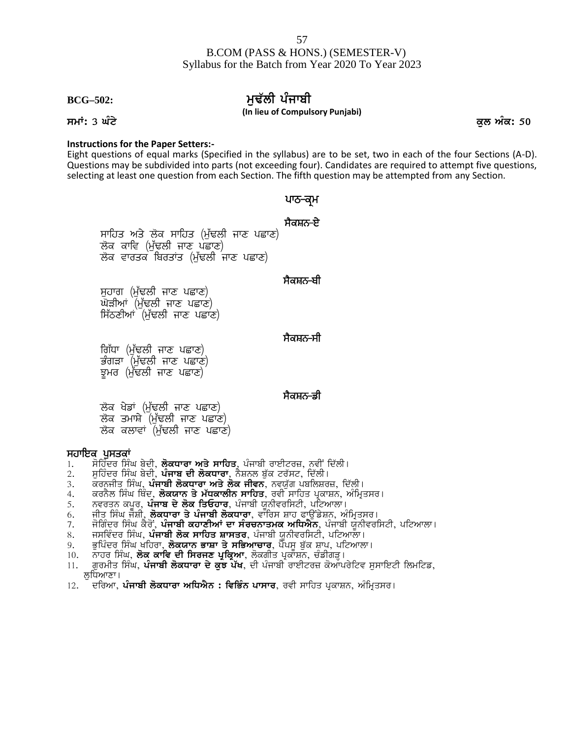# **BCG–502: muF`lI pMjwbI**

**(In lieu of Compulsory Punjabi)**

### **Instructions for the Paper Setters:-**

Eight questions of equal marks (Specified in the syllabus) are to be set, two in each of the four Sections (A-D). Questions may be subdivided into parts (not exceeding four). Candidates are required to attempt five questions, selecting at least one question from each Section. The fifth question may be attempted from any Section. simpaisory Panjasi,<br>abus) are to be set, two in each c<br>ing four). Candidates are required<br>e fifth question may be attempted<br>थाठ-बूभ<br>मैवम्<del>नठ-ष्</del>टे labus) are to be set, two in<br>ing four). Candidates are re<br>ne fifth question may be atte<br>**ਪਾਠ–ਕ੍ਰਮ**<br>ਸੈਕਸ਼ਨ<del>-</del>ਏ

restions or equal marks (specified in the syllabus) ans may be subdivided into parts (not exceeding four)<br>g at least one question from each Section. The fifth q<br>ਪਾਠ-ਕ੍ਰਮ<br>ਸਾਹਿਤ ਅਤੇ ਲੋਕ ਸਾਹਿਤ (ਮੁੱਢਲੀ ਜਾਣ ਪਛਾਣ)<br>ਲੋਕ ਕਾਵਿ (ਮੁੱ ਸਾਹਿਤ ਅਤੇ ਲੋਕ ਸਾਹਿਤ (ਮੁੱਢਲੀ ਜਾਣ ਪਛਾਣ)<br>ਲੋਕ ਕਾਵਿ (ਮੁੱਢਲੀ ਜਾਣ ਪਛਾਣ)<br>ਲੋਕ ਵਾਰਤਕ ਬਿਰਤਾਂਤ (ਮੁੱਢਲੀ ਜਾਣ ਪਛਾਣ)<br>ਸੁਹਾਗ (ਮੁੱਢਲੀ ਜਾਣ ਪਛਾਣ)<br>ਘੋੜੀਆਂ (ਮੁੱਢਲੀ ਜਾਣ ਪਛਾਣ) ਸਾਹਿਤ ਅਤੇ ਲੋਕ ਸਾਹਿਤ (ਸੁਫਲੀ ਜਾਣ ਪ<br>ਲੋਕ ਕਾਵਿ (ਮੁੱਢਲੀ ਜਾਣ ਪਛਾਣ)<br>ਲੋਕ ਵਾਰਤਕ ਬਿਰਤਾਂਤ (ਮੁੱਢਲੀ ਜਾਣ ਪਛਾ<br>ਸੁਹਾਗ (ਮੁੱਢਲੀ ਜਾਣ ਪਛਾਣ)<br>ਘੋੜੀਆਂ (ਮੁੱਢਲੀ ਜਾਣ ਪਛਾਣ)<br>ਸਿੱਠਣੀਆਂ (ਮੁੱਢਲੀ ਜਾਣ ਪਛਾਣ)

# ਖ-੦ ਪ੍ਰਮਾ<br>ਸੈਕਸ਼ਨ<del>-</del>ਏ<br>ਸੈਕਸ਼ਨ<del>-</del>ਏ<br>ਸੈਕਸ਼ਨ<del>-</del>ਬੀ

ਸੁਹਾਗ (ਮੁੱਢਲੀ ਜਾਣ ਪਛਾਣ)<br>ਘੋੜੀਆਂ (ਮੁੱਢਲੀ ਜਾਣ ਪਛਾਣ)<br>ਸਿੱਠਣੀਆਂ (ਮੁੱਢਲੀ ਜਾਣ ਪਛਾਣ)<br>ਗਿੱਧਾ (ਮੁੱਢਲੀ ਜਾਣ ਪਛਾਣ)<br>ਭੁੰਸਰ (ਮੁੱਢਲੀ ਜਾਣ ਪਛਾਣ)<br>ਝੂਮਰ (ਮੁੱਢਲੀ ਜਾਣ ਪਛਾਣ)

# ਸੈਕਸ਼ਨ<del>-</del>ਬੀ<br>ਸੈਕਸ਼ਨ<del>-</del>ਬੀ<br>ਸੈਕਸ਼ਨ<del>-</del>ਸੀ ਸੈਕਸ਼ਨ<del>-</del>ਸੀ<br>ਸੈਕਸ਼ਨ<del>-</del>ਸੀ<br>ਸੈਕਸ਼ਨ<del>-ਡੀ</del>

ਗਿੱਧਾ (ਮੁੱਢਲੀ ਜਾਣ ਪਛਾਣ)<br>ਭੰਗੜਾ (ਮੁੱਢਲੀ ਜਾਣ ਪਛਾਣ)<br>ਝੂਮਰ (ਮੁੱਢਲੀ ਜਾਣ ਪਛਾਣ)<br>ਲੋਕ ਖੇਡਾਂ (ਮੁੱਢਲੀ ਜਾਣ ਪਛਾਣ)<br>ਲੋਕ ਕਲਾਵਾਂ (ਮੁੱਢਲੀ ਜਾਣ ਪਛਾਣ)<br>**ਪੁਸਤਕਾਂ** ਤੂਜਰ (ਸੁਫ਼ਲਮ ਜਾਣ ਖਛਾਣ*)*<br>ਨੋਕ ਖੇਡਾਂ (ਮੁੱਢਲੀ ਜਾਣ ਪਛਾਣ<br>ਲੋਕ ਤਮਾਸ਼ੇ (ਮੁੱਢਲੀ ਜਾਣ ਪਛਾਨ<br>ਲੋਕ ਕਲਾਵਾਂ (ਮੁੱਢਲੀ ਜਾਣ ਪਛਾ<br>**ਸਹਾਇਕ ਪੁਸਤਕਾਂ**<br>1. ਸੋਹਿੰਦਰ ਸਿੰਘ ਬੇਦੀ, **ਲੋਕਧਾਰਾ ਅਤੇ ਸ**<br>2. ਸੁਹਿੰਦਰ ਸਿੰਘ ਬੇਦੀ, **ਪੰਜਾਬ ਦੀ ਲੋਕਧਾ** 

- 1. ਸੋਹਿੰਦਰ ਸਿੰਘ ਬੇਦੀ, **ਲੋਕਧਾਰਾ ਅਤੇ ਸਾਹਿਤ**, ਪੰਜਾਬੀ ਰਾਈਟਰਜ਼, ਨਵੀਂ ਦਿੱਲੀ।
- 2. ਸੁਹਿੰਦਰ ਸਿੰਘ ਬੇਦੀ, **ਪੰਜਾਬ ਦੀ ਲੋਕਧਾਰਾ**, ਨੈਸ਼ਨਲ ਬੁੱਕ ਟਰੱਸਟ, ਦਿੱਲੀ।<br>3. ਕਰਨਜੀਤ ਸਿੰਘ**. ਪੰਜਾਬੀ ਲੋਕਧਾਰਾ ਅਤੇ ਲੋਕ ਜੀਵਨ.** ਨਵਯੱਗ ਪਬਲਿਸ਼ਰ
- ਕਰਨਜੀਤ ਸਿੰਘ, **ਪੰਜਾਬੀ ਲੋਕਧਾਰਾ ਅਤੇ ਲੋਕ ਜੀਵਨ**, ਨਵਯੁੱਗ ਪਬਲਿਸ਼ਰਜ਼, ਦਿੱਲੀ।
- 4. ਕਰਨੈਲ ਸਿੰਘ ਥਿੰਦ, **ਲੋਕਯਾਨ ਤੇ ਮੱਧਕਾਲੀਨ ਸਾਹਿਤ**, ਰਵੀ ਸਾਹਿਤ ਪ੍ਰਕਾਸ਼ਨ, ਅੰਮ੍ਰਿਤਸਰ।
- 5. ਨਵਰਤਨ ਕਪੁਰ, **ਪੰਜਾਬ ਦੇ ਲੋਕ ਤਿਓਹਾਰ**, ਪੰਜਾਬੀ ਯੂਨੀਵਰਸਿਟੀ, ਪਟਿਆਲਾ।
- 6. ਜੀਤ ਸਿੰਘ ਜੇਸ਼ੀ, **ਲੋਕਧਾਰਾ ਤੇ ਪੰਜਾਬੀ ਲੋਕਧਾਰਾ**, ਵਾਰਿਸ ਸ਼ਾਹ ਫਾਊਂਡੇਸ਼ਨ, ਅੰਮ੍ਰਿਤਸਰ।
- 7. ਜੋਗਿੰਦਰ ਸਿੰਘ ਕੈਰੋਂ, **ਪੰਜਾਬੀ ਕਹਾਣੀਆਂ ਦਾ ਸੰਰਚਨਾਤਮਕ ਅਧਿਐਨ**, ਪੰਜਾਬੀ ਯੂਨੀਵਰਸਿਟੀ, ਪਟਿਆਲਾ।<br>8. ਜਸਵਿੰਦਰ ਸਿੰਘ, **ਪੰਜਾਬੀ ਲੋਕ ਸਾਹਿਤ ਸ਼ਾਸਤਰ**, ਪੰਜਾਬੀ ਯੂਨੀਵਰਸਿਟੀ, ਪਟਿਆਲਾ।<br>9. ਭੁਪਿੰਦਰ ਸਿੰਘ ਖਹਿਰਾ. **ਲੋਕਯਾਨ ਭਾਸ਼ਾ ਤੇ ਸਭਿਆਚਾਰ**.
- 
- 8. ਜਸਵਿੰਦਰ ਸਿੰਘ, **ਪੰਜਾਬੀ ਲੋਕ ਸਾਹਿਤ ਸ਼ਾਸਤਰ**, ਪੰਜਾਬੀ ਯੂਨੀਵਰਸਿਟੀ, ਪਟਿਆਲਾ।<br>9. ਭੁਪਿੰਦਰ ਸਿੰਘ ਖਹਿਰਾ, **ਲੋਕਯਾਨ ਭਾਸ਼ਾ ਤੇ ਸਭਿਆਚਾਰ**, ਪੈਪਸੂ ਬੁੱਕ ਸ਼ਾਪ, ਪਟਿਆਲ<br>10. ਨਾਹਰ ਸਿੰਘ, **ਲੋਕ ਕਾਵਿ ਦੀ ਸਿਰਜਣ ਪੁਕਿਆ**, ਲੋਕਗੀਤ ਪੁਕਾਸ਼ਨ, ਚੰਡੀਗ ਭੁਪਿੰਦਰ ਸਿੰਘ ਖਹਿਰਾ, **ਲੋਕਯਾਨ ਭਾਸ਼ਾ ਤੇ ਸਭਿਆਚਾਰ**, ਪੈੱਪਸ ਬੁੱਕ ਸ਼ਾਪ, ਪਟਿਆਲਾ।
- ਨਾਹਰ ਸਿੰਘ, **ਲੋਕ ਕਾਵਿ ਦੀ ਸਿਰਜਣ ਪੁਕਿਆ**, ਲੋਕਗੀਤ ਪ੍ਰਕਾਸ਼ਨ, ਚੰਡੀਗੜ੍ਹ।
- 11. ਗਰਮੀਤ ਸਿੰਘ, **ਪੰਜਾਬੀ ਲੋਕਧਾਰਾ ਦੇ ਕੰਝ ਪੇਂਖ**, ਦੀ ਪੰਜਾਬੀ ਰਾਈਟਰਜ਼ ਕੋਆਪਰੇਟਿਵ ਸਸਾਇਟੀ ਲਿਮਟਿਡ, ਲਧਿਆਣਾ।
- 12. <sup>ੱ</sup> ਦਰਿਆ, **ਪੰਜਾਬੀ ਲੋਕਧਾਰਾ ਅਧਿਐਨ : ਵਿਭਿੰਨ ਪਾਸਾਰ**, ਰਵੀ ਸਾਹਿਤ ਪਕਾਸ਼ਨ, ਅੰਮਿਤਸਰ।

**smW: 3 GMty kul AMk: 50**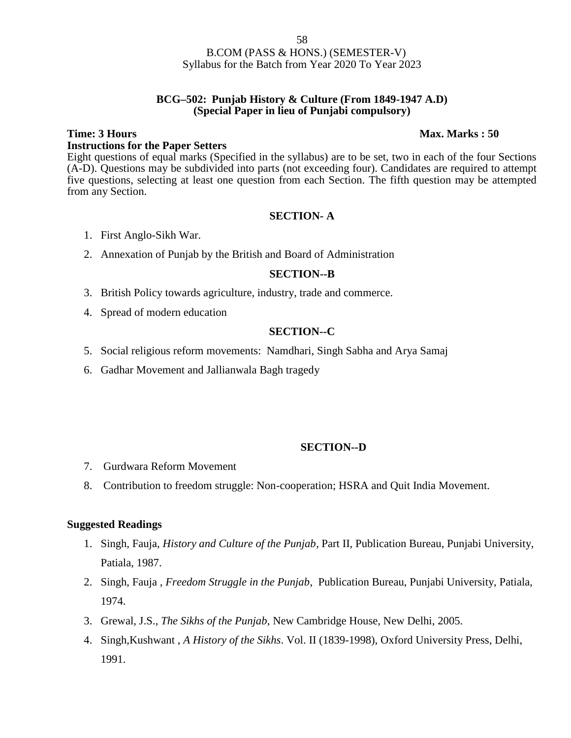### **BCG–502: Punjab History & Culture (From 1849-1947 A.D) (Special Paper in lieu of Punjabi compulsory)**

# **Time: 3 Hours Max. Marks : 50 Instructions for the Paper Setters**

Eight questions of equal marks (Specified in the syllabus) are to be set, two in each of the four Sections (A-D). Questions may be subdivided into parts (not exceeding four). Candidates are required to attempt five questions, selecting at least one question from each Section. The fifth question may be attempted from any Section.

# **SECTION- A**

- 1. First Anglo-Sikh War.
- 2. Annexation of Punjab by the British and Board of Administration

### **SECTION--B**

- 3. British Policy towards agriculture, industry, trade and commerce.
- 4. Spread of modern education

# **SECTION--C**

- 5. Social religious reform movements: Namdhari, Singh Sabha and Arya Samaj
- 6. Gadhar Movement and Jallianwala Bagh tragedy

### **SECTION--D**

- 7. Gurdwara Reform Movement
- 8. Contribution to freedom struggle: Non-cooperation; HSRA and Quit India Movement.

- 1. Singh, Fauja, *History and Culture of the Punjab*, Part II, Publication Bureau, Punjabi University, Patiala, 1987.
- 2. Singh, Fauja , *Freedom Struggle in the Punjab*, Publication Bureau, Punjabi University, Patiala, 1974.
- 3. Grewal, J.S., *The Sikhs of the Punjab*, New Cambridge House, New Delhi, 2005.
- 4. Singh,Kushwant , *A History of the Sikhs*. Vol. II (1839-1998), Oxford University Press, Delhi, 1991.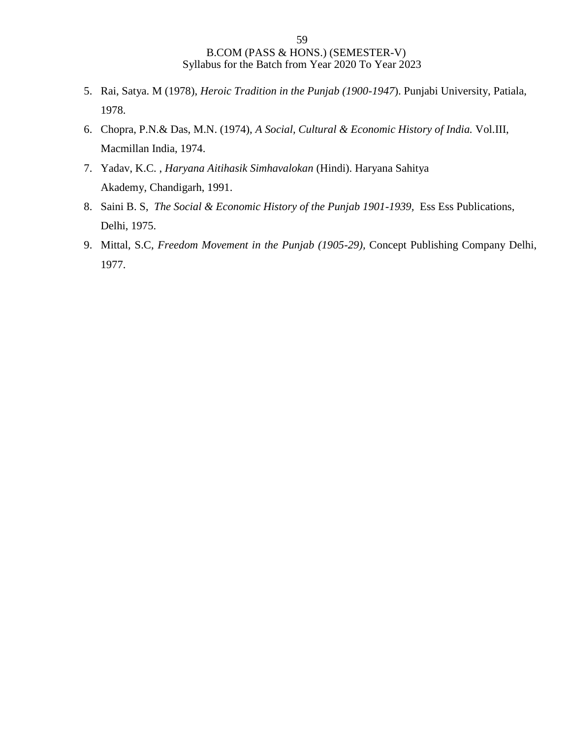- 5. Rai, Satya. M (1978), *Heroic Tradition in the Punjab (1900-1947*). Punjabi University, Patiala, 1978.
- 6. Chopra, P.N.& Das, M.N. (1974), *A Social, Cultural & Economic History of India.* Vol.III, Macmillan India, 1974.
- 7. Yadav, K.C. , *Haryana Aitihasik Simhavalokan* (Hindi). Haryana Sahitya Akademy, Chandigarh, 1991.
- 8. Saini B. S, *The Social & Economic History of the Punjab 1901-1939,* Ess Ess Publications, Delhi, 1975.
- 9. Mittal, S.C, *Freedom Movement in the Punjab (1905-29),* Concept Publishing Company Delhi, 1977.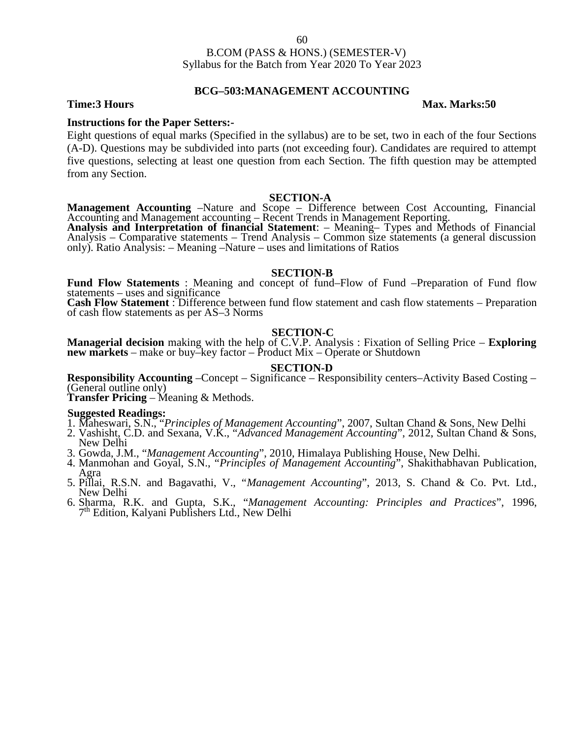### **BCG–503:MANAGEMENT ACCOUNTING**

### **Time:3 Hours Max. Marks:50**

### **Instructions for the Paper Setters:-**

Eight questions of equal marks (Specified in the syllabus) are to be set, two in each of the four Sections (A-D). Questions may be subdivided into parts (not exceeding four). Candidates are required to attempt five questions, selecting at least one question from each Section. The fifth question may be attempted from any Section.

**SECTION-A**<br>**Management Accounting** –Nature and Scope – Difference between Cost Accounting, Financial

Accounting and Management accounting – Recent Trends in Management Reporting.<br>
Analysis and Interpretation of financial Statement: – Meaning– Types and Methods of Financial<br>
Analysis – Comparative statements – Trend Analys only). Ratio Analysis: – Meaning –Nature – uses and limitations of Ratios

### **SECTION-B**

**Fund Flow Statements** : Meaning and concept of fund–Flow of Fund –Preparation of Fund flow

**Cash Flow Statement**: Difference between fund flow statement and cash flow statements – Preparation of cash flow statements as per AS–3 Norms

### **SECTION-C**

**Managerial decision** making with the help of C.V.P. Analysis : Fixation of Selling Price – **Exploring new markets** – make or buy–key factor – Product Mix – Operate or Shutdown

### **SECTION-D**

**Responsibility Accounting** –Concept – Significance – Responsibility centers–Activity Based Costing – (General outline only) **Transfer Pricing** – Meaning & Methods.

- **Suggested Readings:** 1. Maheswari, S.N., "*Principles of Management Accounting*", 2007, Sultan Chand & Sons, New Delhi
- 2. Vashisht, C.D. and Sexana, V.K., "*Advanced Management Accounting*", 2012, Sultan Chand & Sons, New Delhi
- 3. Gowda, J.M., "*Management Accounting*", 2010, Himalaya Publishing House, New Delhi.
- 4. Manmohan and Goyal, S.N., "*Principles of Management Accounting*", Shakithabhavan Publication, Agra 5. Pillai, R.S.N. and Bagavathi, V., "*Management Accounting*", 2013, S. Chand & Co. Pvt. Ltd.,
- New Delhi
- 6. Sharma, R.K. and Gupta, S.K., "*Management Accounting: Principles and Practices*", 1996, 7 th Edition, Kalyani Publishers Ltd., New Delhi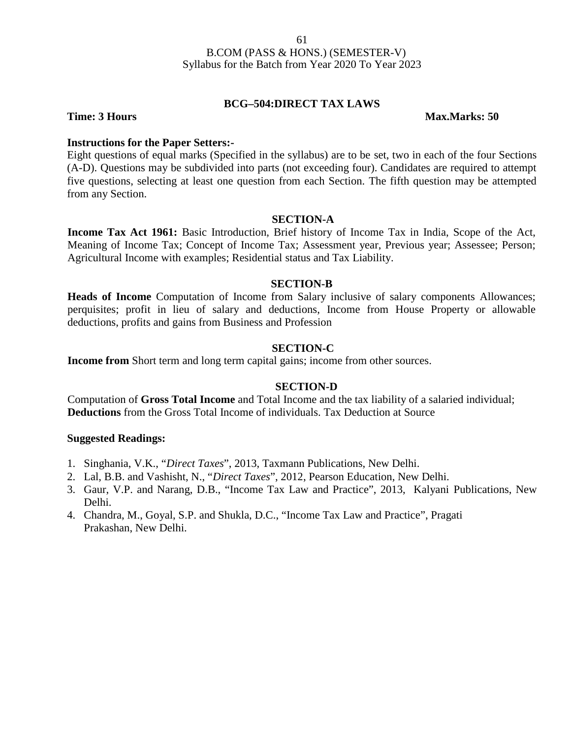### **BCG–504:DIRECT TAX LAWS**

**Time: 3 Hours Max.Marks: 50** 

### **Instructions for the Paper Setters:-**

Eight questions of equal marks (Specified in the syllabus) are to be set, two in each of the four Sections (A-D). Questions may be subdivided into parts (not exceeding four). Candidates are required to attempt five questions, selecting at least one question from each Section. The fifth question may be attempted from any Section.

### **SECTION-A**

**Income Tax Act 1961:** Basic Introduction, Brief history of Income Tax in India, Scope of the Act, Meaning of Income Tax; Concept of Income Tax; Assessment year, Previous year; Assessee; Person; Agricultural Income with examples; Residential status and Tax Liability.

### **SECTION-B**

**Heads of Income** Computation of Income from Salary inclusive of salary components Allowances; perquisites; profit in lieu of salary and deductions, Income from House Property or allowable deductions, profits and gains from Business and Profession

### **SECTION-C**

**Income from** Short term and long term capital gains; income from other sources.

### **SECTION-D**

Computation of **Gross Total Income** and Total Income and the tax liability of a salaried individual; **Deductions** from the Gross Total Income of individuals. Tax Deduction at Source

- 1. Singhania, V.K., "*Direct Taxes*", 2013, Taxmann Publications, New Delhi.
- 2. Lal, B.B. and Vashisht, N., "*Direct Taxes*", 2012, Pearson Education, New Delhi.
- 3. Gaur, V.P. and Narang, D.B., "Income Tax Law and Practice", 2013, Kalyani Publications, New Delhi.
- 4. Chandra, M., Goyal, S.P. and Shukla, D.C., "Income Tax Law and Practice", Pragati Prakashan, New Delhi.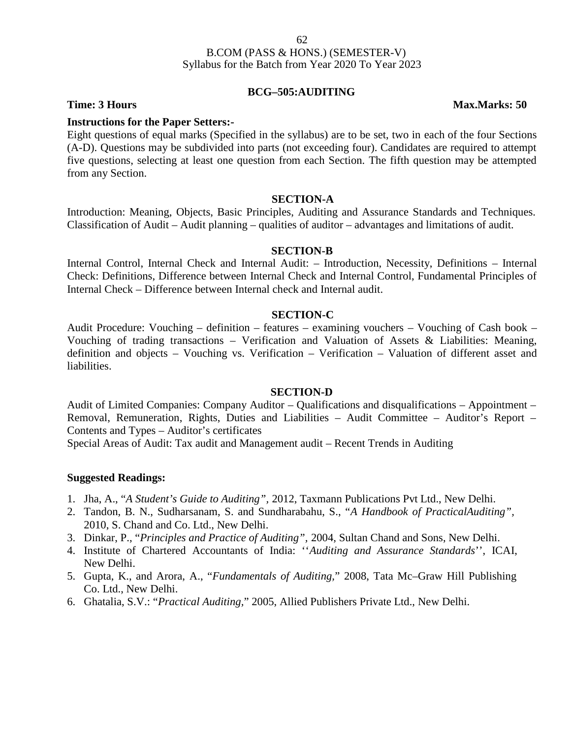# **BCG–505:AUDITING**

**Time: 3 Hours Max.Marks: 50**

### **Instructions for the Paper Setters:-**

Eight questions of equal marks (Specified in the syllabus) are to be set, two in each of the four Sections (A-D). Questions may be subdivided into parts (not exceeding four). Candidates are required to attempt five questions, selecting at least one question from each Section. The fifth question may be attempted from any Section.

### **SECTION-A**

Introduction: Meaning, Objects, Basic Principles, Auditing and Assurance Standards and Techniques. Classification of Audit – Audit planning – qualities of auditor – advantages and limitations of audit.

### **SECTION-B**

Internal Control, Internal Check and Internal Audit: – Introduction, Necessity, Definitions – Internal Check: Definitions, Difference between Internal Check and Internal Control, Fundamental Principles of Internal Check – Difference between Internal check and Internal audit.

### **SECTION-C**

Audit Procedure: Vouching – definition – features – examining vouchers – Vouching of Cash book – Vouching of trading transactions – Verification and Valuation of Assets & Liabilities: Meaning, definition and objects – Vouching vs. Verification – Verification – Valuation of different asset and liabilities.

### **SECTION-D**

Audit of Limited Companies: Company Auditor – Qualifications and disqualifications – Appointment – Removal, Remuneration, Rights, Duties and Liabilities – Audit Committee – Auditor's Report – Contents and Types – Auditor's certificates

Special Areas of Audit: Tax audit and Management audit – Recent Trends in Auditing

### **Suggested Readings:**

- 1. Jha, A., "*A Student's Guide to Auditing",* 2012, Taxmann Publications Pvt Ltd., New Delhi.
- 2. Tandon, B. N., Sudharsanam, S. and Sundharabahu, S., "*A Handbook of PracticalAuditing",* 2010, S. Chand and Co. Ltd., New Delhi.
- 3. Dinkar, P., "*Principles and Practice of Auditing",* 2004, Sultan Chand and Sons, New Delhi.
- 4. Institute of Chartered Accountants of India: ''*Auditing and Assurance Standards*'', ICAI, New Delhi.
- 5. Gupta, K., and Arora, A., "*Fundamentals of Auditing,*" 2008, Tata Mc–Graw Hill Publishing Co. Ltd., New Delhi.
- 6. Ghatalia, S.V.: "*Practical Auditing,*" 2005, Allied Publishers Private Ltd., New Delhi.

62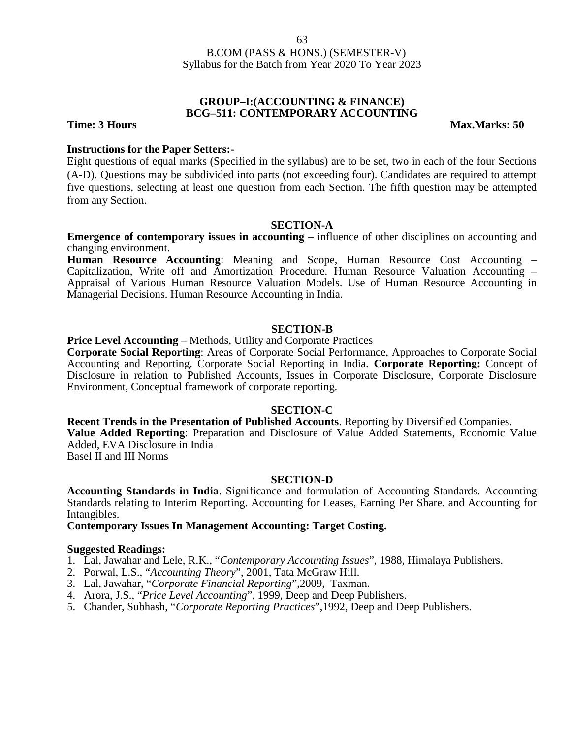### **GROUP–I:(ACCOUNTING & FINANCE) BCG–511: CONTEMPORARY ACCOUNTING**

**Time: 3 Hours Max.Marks: 50** 

### **Instructions for the Paper Setters:-**

Eight questions of equal marks (Specified in the syllabus) are to be set, two in each of the four Sections (A-D). Questions may be subdivided into parts (not exceeding four). Candidates are required to attempt five questions, selecting at least one question from each Section. The fifth question may be attempted from any Section.

### **SECTION-A**

**Emergence of contemporary issues in accounting** – influence of other disciplines on accounting and changing environment.

**Human Resource Accounting**: Meaning and Scope, Human Resource Cost Accounting – Capitalization, Write off and Amortization Procedure. Human Resource Valuation Accounting – Appraisal of Various Human Resource Valuation Models. Use of Human Resource Accounting in Managerial Decisions. Human Resource Accounting in India.

### **SECTION-B**

### **Price Level Accounting** – Methods, Utility and Corporate Practices

**Corporate Social Reporting**: Areas of Corporate Social Performance, Approaches to Corporate Social Accounting and Reporting. Corporate Social Reporting in India. **Corporate Reporting:** Concept of Disclosure in relation to Published Accounts, Issues in Corporate Disclosure, Corporate Disclosure Environment, Conceptual framework of corporate reporting.

### **SECTION-C**

# **Recent Trends in the Presentation of Published Accounts**. Reporting by Diversified Companies.

**Value Added Reporting**: Preparation and Disclosure of Value Added Statements, Economic Value Added, EVA Disclosure in India

Basel II and III Norms

### **SECTION-D**

**Accounting Standards in India**. Significance and formulation of Accounting Standards. Accounting Standards relating to Interim Reporting. Accounting for Leases, Earning Per Share. and Accounting for Intangibles.

**Contemporary Issues In Management Accounting: Target Costing.**

- 1. Lal, Jawahar and Lele, R.K., "*Contemporary Accounting Issues*", 1988, Himalaya Publishers.
- 2. Porwal, L.S., "*Accounting Theory*", 2001, Tata McGraw Hill.
- 3. Lal, Jawahar, "*Corporate Financial Reporting*",2009, Taxman.
- 4. Arora, J.S., "*Price Level Accounting*", 1999, Deep and Deep Publishers.
- 5. Chander, Subhash, "*Corporate Reporting Practices*",1992, Deep and Deep Publishers.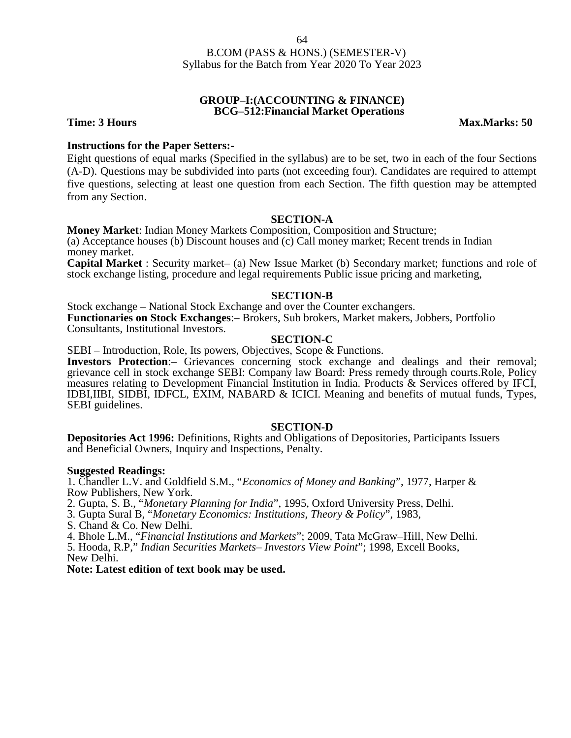### **GROUP–I:(ACCOUNTING & FINANCE) BCG–512:Financial Market Operations**

**Time: 3 Hours Max.Marks: 50** 

### **Instructions for the Paper Setters:-**

Eight questions of equal marks (Specified in the syllabus) are to be set, two in each of the four Sections (A-D). Questions may be subdivided into parts (not exceeding four). Candidates are required to attempt five questions, selecting at least one question from each Section. The fifth question may be attempted from any Section.

### **SECTION-A**

**Money Market**: Indian Money Markets Composition, Composition and Structure; (a) Acceptance houses (b) Discount houses and (c) Call money market; Recent trends in Indian money market.

**Capital Market** : Security market– (a) New Issue Market (b) Secondary market; functions and role of stock exchange listing, procedure and legal requirements Public issue pricing and marketing,

### **SECTION-B**

Stock exchange – National Stock Exchange and over the Counter exchangers. **Functionaries on Stock Exchanges**:– Brokers, Sub brokers, Market makers, Jobbers, Portfolio Consultants, Institutional Investors.

### **SECTION-C**

SEBI – Introduction, Role, Its powers, Objectives, Scope & Functions.

**Investors Protection**:– Grievances concerning stock exchange and dealings and their removal; grievance cell in stock exchange SEBI: Company law Board: Press remedy through courts.Role, Policy measures relating to Development Financial Institution in India. Products & Services offered by IFCI, IDBI,IIBI, SIDBI, IDFCL, EXIM, NABARD & ICICI. Meaning and benefits of mutual funds, Types, SEBI guidelines.

### **SECTION-D**

**Depositories Act 1996:** Definitions, Rights and Obligations of Depositories, Participants Issuers and Beneficial Owners, Inquiry and Inspections, Penalty.

### **Suggested Readings:**

1. Chandler L.V. and Goldfield S.M., "*Economics of Money and Banking*", 1977, Harper & Row Publishers, New York.

2. Gupta, S. B., "*Monetary Planning for India*", 1995, Oxford University Press, Delhi.

3. Gupta Sural B, "*Monetary Economics: Institutions, Theory & Policy*", 1983,

S. Chand & Co. New Delhi.

4. Bhole L.M., "*Financial Institutions and Markets*"; 2009, Tata McGraw–Hill, New Delhi.

5. Hooda, R.P," *Indian Securities Markets– Investors View Point*"; 1998, Excell Books, New Delhi.

**Note: Latest edition of text book may be used.**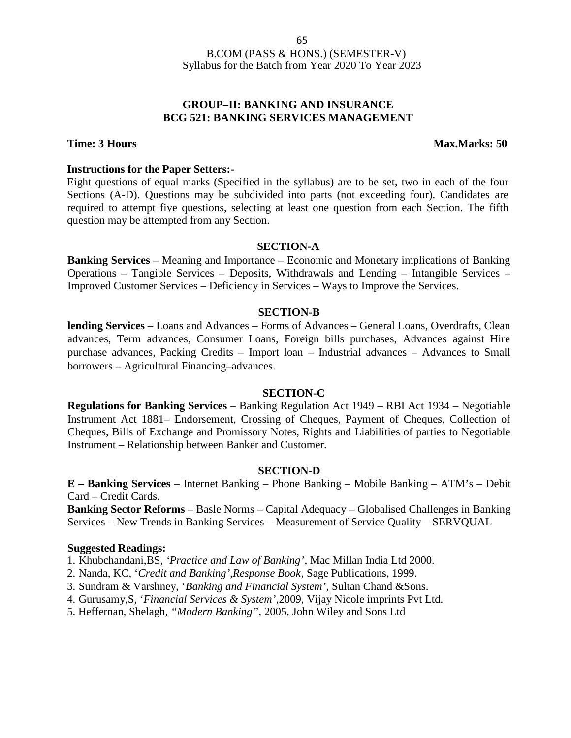# **GROUP–II: BANKING AND INSURANCE BCG 521: BANKING SERVICES MANAGEMENT**

### **Time: 3 Hours Max.Marks: 50**

### **Instructions for the Paper Setters:-**

Eight questions of equal marks (Specified in the syllabus) are to be set, two in each of the four Sections (A-D). Questions may be subdivided into parts (not exceeding four). Candidates are required to attempt five questions, selecting at least one question from each Section. The fifth question may be attempted from any Section.

### **SECTION-A**

**Banking Services** – Meaning and Importance – Economic and Monetary implications of Banking Operations – Tangible Services – Deposits, Withdrawals and Lending – Intangible Services – Improved Customer Services – Deficiency in Services – Ways to Improve the Services.

### **SECTION-B**

**lending Services** – Loans and Advances – Forms of Advances – General Loans, Overdrafts, Clean advances, Term advances, Consumer Loans, Foreign bills purchases, Advances against Hire purchase advances, Packing Credits – Import loan – Industrial advances – Advances to Small borrowers – Agricultural Financing–advances.

### **SECTION-C**

**Regulations for Banking Services** – Banking Regulation Act 1949 – RBI Act 1934 – Negotiable Instrument Act 1881– Endorsement, Crossing of Cheques, Payment of Cheques, Collection of Cheques, Bills of Exchange and Promissory Notes, Rights and Liabilities of parties to Negotiable Instrument – Relationship between Banker and Customer.

### **SECTION-D**

**E – Banking Services** – Internet Banking – Phone Banking – Mobile Banking – ATM's – Debit Card – Credit Cards.

**Banking Sector Reforms** – Basle Norms – Capital Adequacy – Globalised Challenges in Banking Services – New Trends in Banking Services – Measurement of Service Quality – SERVQUAL

### **Suggested Readings:**

1. Khubchandani,BS, *'Practice and Law of Banking'*, Mac Millan India Ltd 2000.

- 2. Nanda, KC, '*Credit and Banking',Response Book*, Sage Publications, 1999.
- 3. Sundram & Varshney, '*Banking and Financial System'*, Sultan Chand &Sons.

4. Gurusamy,S, '*Financial Services & System'*,2009, Vijay Nicole imprints Pvt Ltd.

5. Heffernan, Shelagh*, "Modern Banking"*, 2005, John Wiley and Sons Ltd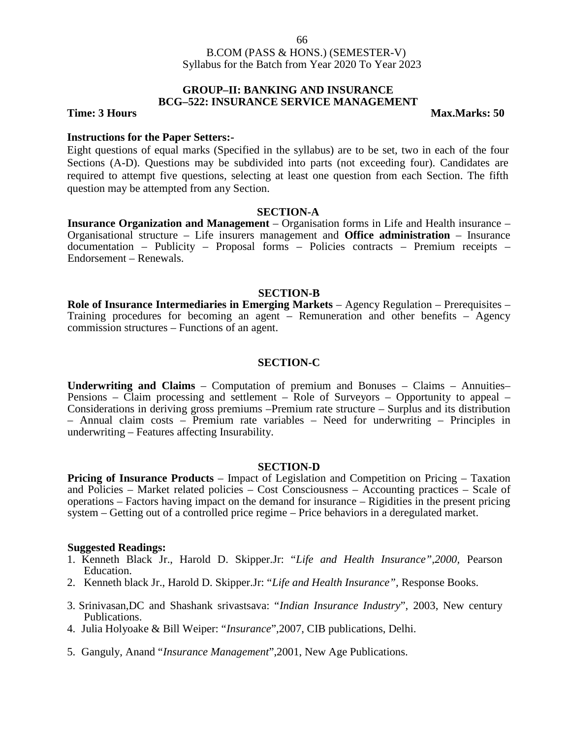### **GROUP–II: BANKING AND INSURANCE BCG–522: INSURANCE SERVICE MANAGEMENT**

**Time: 3 Hours Max.Marks: 50** 

### **Instructions for the Paper Setters:-**

Eight questions of equal marks (Specified in the syllabus) are to be set, two in each of the four Sections (A-D). Questions may be subdivided into parts (not exceeding four). Candidates are required to attempt five questions, selecting at least one question from each Section. The fifth question may be attempted from any Section.

### **SECTION-A**

**Insurance Organization and Management** – Organisation forms in Life and Health insurance – Organisational structure – Life insurers management and **Office administration** – Insurance documentation – Publicity – Proposal forms – Policies contracts – Premium receipts – Endorsement – Renewals.

### **SECTION-B**

**Role of Insurance Intermediaries in Emerging Markets** – Agency Regulation – Prerequisites – Training procedures for becoming an agent – Remuneration and other benefits – Agency commission structures – Functions of an agent.

### **SECTION-C**

**Underwriting and Claims** – Computation of premium and Bonuses – Claims – Annuities– Pensions – Claim processing and settlement – Role of Surveyors – Opportunity to appeal – Considerations in deriving gross premiums –Premium rate structure – Surplus and its distribution – Annual claim costs – Premium rate variables – Need for underwriting – Principles in underwriting – Features affecting Insurability.

### **SECTION-D**

**Pricing of Insurance Products** – Impact of Legislation and Competition on Pricing – Taxation and Policies – Market related policies – Cost Consciousness – Accounting practices – Scale of operations – Factors having impact on the demand for insurance – Rigidities in the present pricing system – Getting out of a controlled price regime – Price behaviors in a deregulated market.

- 1. Kenneth Black Jr., Harold D. Skipper.Jr: "*Life and Health Insurance",2000,* Pearson Education.
- 2. Kenneth black Jr., Harold D. Skipper.Jr: "*Life and Health Insurance",* Response Books.
- 3. Srinivasan,DC and Shashank srivastsava: "*Indian Insurance Industry*", 2003, New century Publications.
- 4. Julia Holyoake & Bill Weiper: "*Insurance*",2007, CIB publications, Delhi.
- 5. Ganguly, Anand "*Insurance Management*",2001, New Age Publications.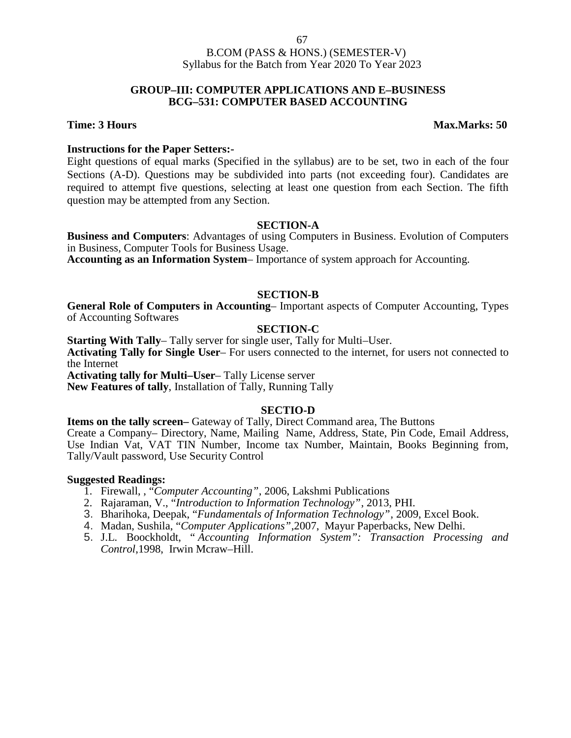### **GROUP–III: COMPUTER APPLICATIONS AND E–BUSINESS BCG–531: COMPUTER BASED ACCOUNTING**

### **Time: 3 Hours Max.Marks: 50**

### **Instructions for the Paper Setters:-**

Eight questions of equal marks (Specified in the syllabus) are to be set, two in each of the four Sections (A-D). Questions may be subdivided into parts (not exceeding four). Candidates are required to attempt five questions, selecting at least one question from each Section. The fifth question may be attempted from any Section.

### **SECTION-A**

**Business and Computers**: Advantages of using Computers in Business. Evolution of Computers in Business, Computer Tools for Business Usage.

**Accounting as an Information System**– Importance of system approach for Accounting.

### **SECTION-B**

**General Role of Computers in Accounting**– Important aspects of Computer Accounting, Types of Accounting Softwares

# **SECTION-C**

**Starting With Tally**– Tally server for single user, Tally for Multi–User. **Activating Tally for Single User**– For users connected to the internet, for users not connected to the Internet **Activating tally for Multi–User**– Tally License server **New Features of tally**, Installation of Tally, Running Tally

# **SECTIO-D**

**Items on the tally screen–** Gateway of Tally, Direct Command area, The Buttons Create a Company– Directory, Name, Mailing Name, Address, State, Pin Code, Email Address, Use Indian Vat, VAT TIN Number, Income tax Number, Maintain, Books Beginning from, Tally/Vault password, Use Security Control

- 1. Firewall, , "*Computer Accounting"*, 2006, Lakshmi Publications
- 2. Rajaraman, V., "*Introduction to Information Technology"*, 2013, PHI.
- 3. Bharihoka, Deepak, "*Fundamentals of Information Technology"*, 2009, Excel Book.
- 4. Madan, Sushila, "*Computer Applications"*,2007, Mayur Paperbacks, New Delhi.
- 5. J.L. Boockholdt, " *Accounting Information System": Transaction Processing and Control*,1998, Irwin Mcraw–Hill.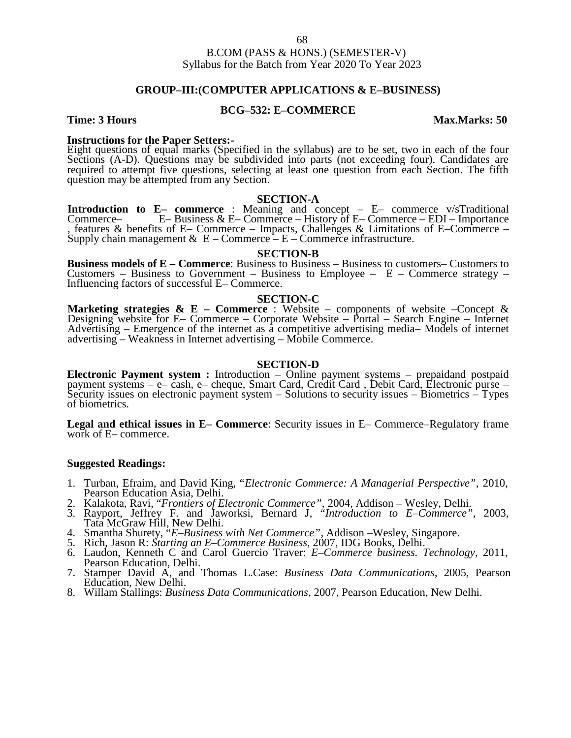### **GROUP–III:(COMPUTER APPLICATIONS & E–BUSINESS)**

### **BCG–532: E–COMMERCE**

### **Time: 3 Hours Max.Marks: 50**

**Instructions for the Paper Setters:-** Eight questions of equal marks (Specified in the syllabus) are to be set, two in each of the four Sections (A-D). Questions may be subdivided into parts (not exceeding four). Candidates are required to attempt five questions, selecting at least one question from each Section. The fifth question may be attempted from any Section.

### **SECTION-A**

**Introduction to E– commerce** : Meaning and concept – E– commerce v/sTraditional Commerce– E– Business & E– Commerce – History of E– Commerce – EDI – Importance , features & benefits of E– Commerce – Impacts, Challenges & Limitations of E–Commerce – Supply chain management &  $E$  – Commerce – E – Commerce infrastructure.

### **SECTION-B**

**Business models of E – Commerce**: Business to Business – Business to customers– Customers to Customers – Business to Government – Business to Employee –  $E$  – Commerce strategy – Influencing factors of successful E– Commerce.

### **SECTION-C**

**Marketing strategies & E – Commerce** : Website – components of website –Concept & Designing website for E– Commerce – Corporate Website – Portal – Search Engine – Internet Advertising – Emergence of the internet as a competitive advertising media– Models of internet advertising – Weakness in Internet advertising – Mobile Commerce.

### **SECTION-D**

**Electronic Payment system :** Introduction – Online payment systems – prepaidand postpaid payment systems – <sup>e</sup>– cash, e– cheque, Smart Card, Credit Card , Debit Card, Electronic purse – Security issues on electronic payment system – Solutions to security issues – Biometrics – Types of biometrics.

**Legal and ethical issues in E– Commerce**: Security issues in E– Commerce–Regulatory frame work of E– commerce.

- 1. Turban, Efraim, and David King, "*Electronic Commerce: A Managerial Perspective",* 2010, Pearson Education Asia, Delhi.
- 
- 2. Kalakota, Ravi, "*Frontiers of Electronic Commerce",* 2004, Addison Wesley, Delhi. 3. Rayport, Jeffrey F. and Jaworksi, Bernard J, "*Introduction to E–Commerce"*, 2003, Tata McGraw Hill, New Delhi.
- 4. Smantha Shurety, "*E–Business with Net Commerce"*, Addison –Wesley, Singapore. 5. Rich, Jason R: *Starting an E–Commerce Business,* 2007, IDG Books, Delhi.
- 
- 6. Laudon, Kenneth C and Carol Guercio Traver: *E–Commerce business. Technology*, 2011, Pearson Education, Delhi.
- 7. Stamper David A, and Thomas L.Case: *Business Data Communications*, 2005, Pearson Education, New Delhi.
- 8. Willam Stallings: *Business Data Communications*, 2007, Pearson Education, New Delhi.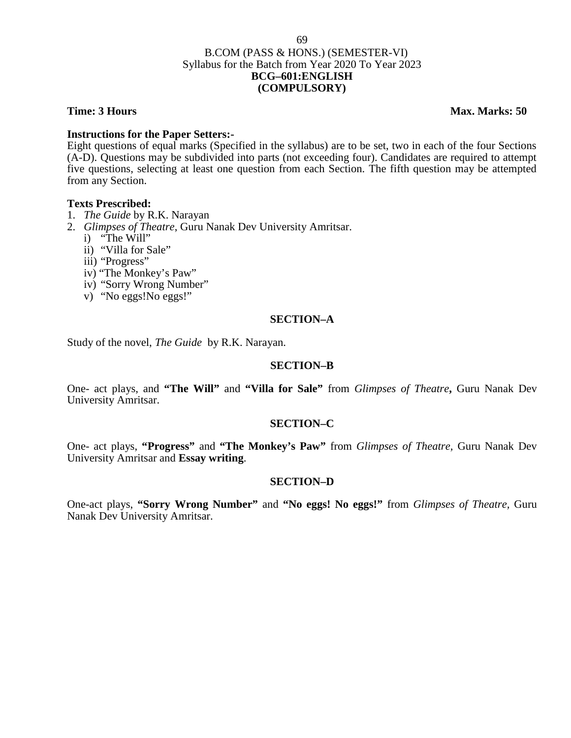# B.COM (PASS & HONS.) (SEMESTER-VI) Syllabus for the Batch from Year 2020 To Year 2023 **BCG–601:ENGLISH (COMPULSORY)**

**Time: 3 Hours Max. Marks: 50** 

### **Instructions for the Paper Setters:-**

Eight questions of equal marks (Specified in the syllabus) are to be set, two in each of the four Sections (A-D). Questions may be subdivided into parts (not exceeding four). Candidates are required to attempt five questions, selecting at least one question from each Section. The fifth question may be attempted from any Section.

### **Texts Prescribed:**

- 1. *The Guide* by R.K. Narayan
- 2. *Glimpses of Theatre*, Guru Nanak Dev University Amritsar.
	- i) "The Will"
	- ii) "Villa for Sale"
	- iii) "Progress"
	- iv) "The Monkey's Paw"
	- iv) "Sorry Wrong Number"
	- v) "No eggs!No eggs!"

### **SECTION–A**

Study of the novel, *The Guide* by R.K. Narayan.

### **SECTION–B**

One- act plays, and **"The Will"** and **"Villa for Sale"** from *Glimpses of Theatre***,** Guru Nanak Dev University Amritsar.

### **SECTION–C**

One- act plays, **"Progress"** and **"The Monkey's Paw"** from *Glimpses of Theatre,* Guru Nanak Dev University Amritsar and **Essay writing**.

### **SECTION–D**

One-act plays, **"Sorry Wrong Number"** and **"No eggs! No eggs!"** from *Glimpses of Theatre,* Guru Nanak Dev University Amritsar.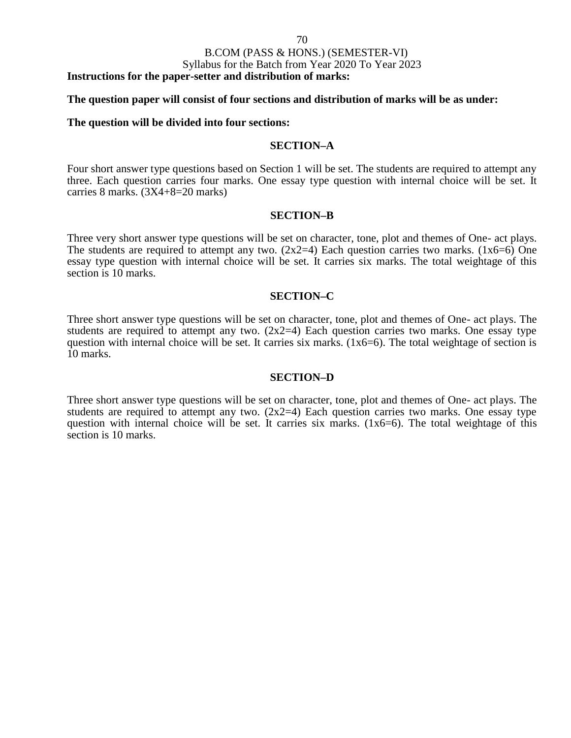### B.COM (PASS & HONS.) (SEMESTER-VI)

Syllabus for the Batch from Year 2020 To Year 2023

**Instructions for the paper-setter and distribution of marks:**

### **The question paper will consist of four sections and distribution of marks will be as under:**

### **The question will be divided into four sections:**

### **SECTION–A**

Four short answer type questions based on Section 1 will be set. The students are required to attempt any three. Each question carries four marks. One essay type question with internal choice will be set. It carries 8 marks. (3X4+8=20 marks)

### **SECTION–B**

Three very short answer type questions will be set on character, tone, plot and themes of One- act plays. The students are required to attempt any two.  $(2x2=4)$  Each question carries two marks.  $(1x6=6)$  One essay type question with internal choice will be set. It carries six marks. The total weightage of this section is 10 marks.

### **SECTION–C**

Three short answer type questions will be set on character, tone, plot and themes of One- act plays. The students are required to attempt any two.  $(2x2=4)$  Each question carries two marks. One essay type question with internal choice will be set. It carries six marks. (1x6=6). The total weightage of section is 10 marks.

### **SECTION–D**

Three short answer type questions will be set on character, tone, plot and themes of One- act plays. The students are required to attempt any two.  $(2x2=4)$  Each question carries two marks. One essay type question with internal choice will be set. It carries six marks. (1x6=6). The total weightage of this section is 10 marks.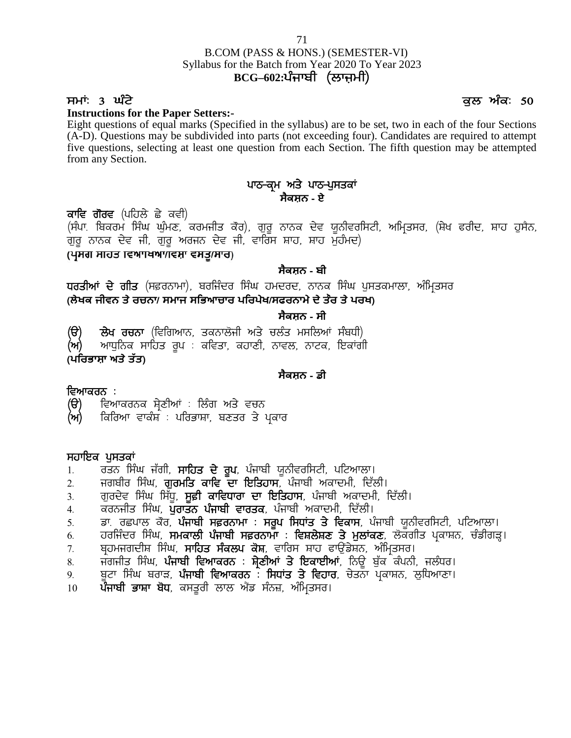# B.COM (PASS & HONS.) (SEMESTER-VI) Syllabus for the Batch from Year 2020 To Year 2023<br>BCG-602:ਪੰਜਾਬੀ (ਲਾਜ਼ਮੀ) <sup>71</sup><br>M (PASS & HONS.) (SEMESTER-VI)<br>r the Batch from Year 2020 To Year 2023<br>**BCG–602:ਪੰਜਾਬੀ (ਲਾਜ਼ਮੀ)** <sup>71</sup><br>B.COM (PASS & HONS.) (SEMESTER-VI)<br>Syllabus for the Batch from Year 2020 To Year 2023<br>**ECG-602:**  $\frac{1}{\sqrt{1 + \frac{1}{n}}}$  ( $\frac{1}{\sqrt{1 + \frac{1}{n}}}$  ( $\frac{1}{\sqrt{1 + \frac{1}{n}}}$  and  $\frac{1}{\sqrt{1 + \frac{1}{n}}}$  and  $\frac{1}{\sqrt{1 + \frac{1}{n}}}$  and  $\frac{1}{$

71

### **Instructions for the Paper Setters:-**

Eight questions of equal marks (Specified in the syllabus) are to be set, two in each of the four Sections (A-D). Questions may be subdivided into parts (not exceeding four). Candidates are required to attempt five questions, selecting at least one question from each Section. The fifth question may be attempted from any Section. ed in the syllabus) are to be set, two in<br>to parts (not exceeding four). Candida<br>estion from each Section. The fifth q<br>ਪਾਠ-ਕ੍ਰਮ ਅਤੇ ਪਾਠ-ਪੁਸਤਕਾਂ<br>ਸੈਕਸ਼ਨ - ਏ (A-D). Questions may be subdivided into p<br>five questions, selecting at least one questi<br>from any Section.<br>**ਕਾਵਿ ਗੋਰਵ** (ਪਹਿਲੇ ਛੇ ਕਵੀ)<br>(ਸੰਪਾ. ਬਿਕਰਮ ਸਿੰਘ ਘੁੰਮਣ, ਕਰਮਜੀਤ ਕੋਰ), ਰੁ<br>ਗਰ ਨਾਨਕ ਦੇਵ ਜੀ, ਗਰ ਅਰਜਨ ਦੇਵ ਜੀ, ਵਾ

# **ਸੈਕਸ਼ਨ - ਏ**

five questions, selecting at least one question from each Section. The fifth question may be attempted<br>from any Section.<br>**ਪਾਠ-ਕ੍ਰਮ ਅਤੇ ਪਾਠ-ਪੁਸਤਕਾਂ**<br>(ਸੰਪਾ. ਬਿਕਰਮ ਸਿੰਘ ਘੁੰਮਣ, ਕਰਮਜੀਤ ਕੋਰ), ਗੁਰੂ ਨਾਨਕ ਦੇਵ ਯੂਨੀਵਰਸਿਟੀ, ਅਮ੍ਰਿਤਸਰ, from any Section.<br>ਕਾਵਿ ਗੋਰਵ (ਪਹਿਲੇ ਛੇ ਕਵੀ)<br>(ਸੰਪਾ. ਬਿਕਰਮ ਸਿੰਘ ਘੁੰਮਣ, ਕਰਮਜੀਤ ਕੋਰ), ਗੁਰੂ ਨਾਨਕ ਦੇਵ ਯੂਨੀਵਰਸਿਟੀ, ਗੁਰੂ ਨਾਨਕ ਦੇਵ ਯੂਨੀਵਰਸਿਟੀ,<br>ਗੁਰੂ ਨਾਨਕ ਦੇਵ ਜੀ, ਗੁਰੂ ਅਰਜਨ ਦੇਵ ਜੀ, ਵਾਰਿਸ ਸ਼ਾਹ, ਸ਼ਾਹ ਮੁਹੰਮਦ)<br>(ਪ੍ਰਸਗ ਸਾਹਤ ਵਿਆਾਖਆ/ਵਿਸ਼ਾ ਵਸ ਕਾਵਿ ਗੋਰਵ (ਪਹਿਲੇ ਛੇ ਕਵੀ)<br>(ਸੰਪਾ. ਬਿਕਰਮ ਸਿੰਘ ਘੁੰਮਣ, ਕਰਮਜੀਤ ਕੋਰ), ਗੁਰੂ ਨਾਨਕ ਦੇਵ ਯੂਨੀਵਰਸਿਟੀ, ਅਮ੍ਰਿਤਸਰ, (ਸ਼ੇਖ ਫਰੀਦ, ਸ਼ਾਹ ਹੁਸੈਨ,<br>ਗੁਰੂ ਨਾਨਕ ਦੇਵ ਜੀ, ਗੁਰੂ ਅਰਜਨ ਦੇਵ ਜੀ, ਵਾਰਿਸ ਸ਼ਾਹ, ਸ਼ਾਹ ਮੁਹੰਮਦ)<br>ਅ**ਮਾਜ਼ ਸਾਹਤ ਵਿਆਸਥਾਆਂ ਵਸਤੂ/ਸਾਰ)<br>ਪੁਰਤ** 

# **ਸੈਕਸ਼ਨ - ਬੀ**

**(ਲੇਖਕ ਜੀਵਨ ਤੇ ਰਚਨਾ/ ਸਮਾਜ ਸਿਭਆਚਾਰ ਪਿਰਪੇਖ/ਸਫਰਨਾਮੇ ਦੇ ਤੌਰ ਤੇ ਪਰਖ)** (ਪ੍ਰਸਗ ਸਾਹਤ ਾਵਆਾਖਆ/ਵਿਸ਼ਾ ਵਸਤੂ/ਸਾਰ)<br>ਪਰਤੀਆਂ ਦੇ ਗੀਤ (ਸਫ਼ਰਨਾਮਾ), ਬਰਜਿੰਦਰ ਸਿੰਘ ਹਮਦਰਦ, ਨਾਨਕ ਸਿੰਘ ਪੁਸਤਕਮਾਲ<br>(ਲੇਖਕ ਜੀਵਨ ਤੇ ਰਚਨਾ/ ਸਮਾਜ ਸਭਿਆਚਾਰ ਪਰਿਪੇਖ/ਸਫਰਨਾਮੇ ਦੇ ਤੇਰ ਤੇ ਪਰਖ)<br>(ੳ) ਲੇਖ ਰਚਨਾ (ਵਿਗਿਆਨ, ਤਕਨਾਲੋਜੀ ਅਤੇ ਚਲੰਤ ਮਸਲਿਆਂ ਸੰਬਧੀ)<br>(ਅ)

# **ਸੈਕਸ਼ਨ - ਸੀ**

**(ਅ)** ਆਧਨਿਕ ਸਾਹਿਤ ਰਪ : ਕਵਿਤਾ, ਕਹਾਣੀ, ਨਾਵਲ, ਨਾਟਕ, ਇਕਾਂਗੀ **(ੳ) ਲੇਖ ਰਚਨਾ** (ਵਿਗਿਆਨ, ਤਕਨਾਲੋਜੀ ਅਤੇ ਚਲੰਤ ਮਸਲਿਆਂ ਸੰਬਧੀ)<br>**(ਅ) ਆ**ਧੁਨਿਕ ਸਾਹਿਤ ਰੂਪ : ਕਵਿਤਾ, ਕਹਾਣੀ, ਨਾਵਲ, ਨਾਟਕ, ਇਕਾਂਗੀ<br>**(ਪਰਿਭਾਸ਼ਾ ਅਤੇ ਤੱਤ)** (ੳ) ਲੇਖ ਰਚਨਾ (ਵਿਗਿਆਨ, ਤਕਨਾਲੋਜੀ ਅਤੇ ਚਲੰਤ ਮਸਲਿਆਂ ਸੰਬਾ<br>(ਅ) ਆਧੁਨਿਕ ਸਾਹਿਤ ਰੂਪ : ਕਵਿਤਾ, ਕਹਾਣੀ, ਨਾਵਲ, ਨਾਟਕ, ਇਕਾਂ<br>(**ਪਰਿਭਾਸ਼ਾ ਅਤੇ ਤੱਤ)**<br>ਵਿ<mark>ਆਕਰਨ :</mark><br>(ੳ) ਵਿਆਕਰਨਕ ਸ੍ਰੇਣੀਆਂ : ਲਿੰਗ ਅਤੇ ਵਚਨ<br>(ਅ) ਕਿਰਿਆ ਵਾਕੰਸ਼ : ਪਰਿਭਾਸ਼ਾ, ਬਣਤਰ ਤੇ ਪ੍ਰਕਾਰ

# **ਸੈਕਸ਼ਨ - ਡੀ**

- **ਵਿਆਕਰਨ :**<br>(**ੳ**) ਵਿਆਕਰਨਕ ਸ਼ੇਣੀਆਂ : ਲਿੰਗ ਅਤੇ ਵਚਨ
- **(ਅ)** ਕਿਰਿਆ ਵਾਕੰਸ਼<sup>ੋ</sup> : ਪਰਿਭਾਸ਼ਾ, ਬਣਤਰ ਤੇ ਪਕਾਰ

- **ਸਹਾਇਕ ਪੁਸਤਕਾਂ**<br>1. ਰਤਨ ਸਿੰਘ ਜੱਗੀ, **ਸਾਹਿਤ ਦੇ ਰੂਪ**, ਪੰਜਾਬੀ ਯੂਨੀਵਰਸਿਟੀ, ਪਟਿਆਲਾ।
- **ਵਿਆਕਰਨ** :<br>(ੳ) ਵਿਆਕਰਨਕ ਸ੍ਰੇਣੀਆਂ : ਲਿੰਗ ਅਤੇ ਵਚਨ<br>(ਅ) ਕਿਰਿਆ ਵਾਕੰਸ਼ : ਪਰਿਭਾਸ਼ਾ, ਬਣਤਰ ਤੇ ਪ੍ਰਕਾਰ<br>1. ਰਤਨ ਸਿੰਘ ਜੱਗੀ, **ਸਾਹਿਤ ਦੇ ਰੂਪ**, ਪੰਜਾਬੀ ਯੂਨੀਵਰਸਿਟੀ, ਪਟਿਆਲਾ।<br>2. ਜਗਬੀਰ ਸਿੰਘ, **ਗੁਰਮਤਿ ਕਾਵਿ ਦਾ ਇਤਿਹਾਸ**, ਪੰਜਾਬੀ ਅਕਾਦਮੀ, ਦਿੱਲੀ।<br>3.
- **(ੳ)** ਵਿਆਕਰਨਕ ਸ਼੍ਰੇਣੀਆਂ : ਲਿੰਗ ਅਤੇ ਵਚਨ<br>(ਅ) ਕਿਰਿਆ ਵਾਕੰਸ਼ : ਪਰਿਭਾਸ਼ਾ, ਬਣਤਰ ਤੇ ਪ੍ਰਕਾਰ<br>ਸ**ਹਾਇਕ ਪੁਸਤਕਾਂ**<br>1. ਰਤਨ ਸਿੰਘ ਜੱਗੀ, **ਸਾਹਿਤ ਦੇ ਰੂਪ**, ਪੰਜਾਬੀ ਯੂਨੀਵਰਸਿਟੀ, ਪਟਿਆਲਾ।<br>2. ਗੁਰਦੇਵ ਸਿੰਘ ਸਿੱਧੂ, **ਸੂਫ਼ੀ ਕਾਵਿਧਾਰਾ ਦਾ ਇਤਿਹਾਸ**, ਪੰਜਾਬ **(ਅ)** ਕਿਰਿਆ ਵਾਕੰਸ : ਪਰਿਭਾਸ਼ਾ, ਬਣਤਰ ਤੇ ਪ੍ਰਕਾਰ<br>ਸਹਾਇਕ **ਪੁਸਤਕਾਂ**<br>1. ਰਤਨ ਸਿੰਘ ਜੱਗੀ, **ਸਾਹਿਤ ਦੇ ਰੂਪ**, ਪੰਜਾਬੀ ਯੂਨੀਵਰਸਿਟੀ, ਪਟਿਆਲਾ।<br>2. ਜਗਬੀਰ ਸਿੰਘ, **ਗੁਰਮਤਿ ਕਾਵਿ ਦਾ ਇਤਿਹਾਸ**, ਪੰਜਾਬੀ ਅਕਾਦਮੀ, ਦਿੱਲੀ।<br>3. ਗੁਰਦੇਵ ਸਿੰਘ ਸਿੱਧੂ, **ਸੂਫ਼ੀ**
- 
- 
- 1. ਰਤਨ ਸਿੰਘ ਜੱਗੀ, **ਸਾਹਿਤ ਦੇ ਰੂਪ**, ਪੰਜਾਬੀ ਯੂਨੀਵਰਸਿਟੀ, ਪਟਿਆਲਾ।<br>2. ਜਗਬੀਰ ਸਿੰਘ, **ਗੁਰਮਤਿ ਕਾਵਿ ਦਾ ਇਤਿਹਾਸ**, ਪੰਜਾਬੀ ਅਕਾਦਮੀ, ਦਿੱਲੀ।<br>3. ਗੁਰਦੇਵ ਸਿੰਘ ਸਿੱਧੂ, **ਸੂਫ਼ੀ ਕਾਵਿਧਾਰਾ ਦਾ ਇਤਿਹਾਸ**, ਪੰਜਾਬੀ ਅਕਾਦਮੀ, ਦਿੱਲੀ।<br>4. ਕਰਨਜ **ਸਹਾਇਕ ਪੁਸਤਕਾਂ**<br>1. ਰਤਨ ਸਿੰਘ ਜੱਗੀ, **ਸਾਹਿਤ ਦੇ ਰੂਪ**, ਪੰਜਾਬੀ ਯੂਨੀਵਰਸਿਟੀ, ਪਟਿਆਲਾ।<br>2. ਜੁਗਬੀਰ ਸਿੰਘ, **ਗੁਰਮਤਿ ਕਾਵਿ ਦਾ ਇਤਿਹਾਸ**, ਪੰਜਾਬੀ ਅਕਾਦਮੀ, ਦਿੱਲੀ।<br>3. ਗੁਰਦੇਵ ਸਿੰਘ ਸਿੱਧੂ, **ਸੂਫ਼ੀ ਕਾਵਿਧਾਰਾ ਦਾ ਇਤਿਹਾਸ**, ਪੰਜਾਬੀ ਅਕਾਦਮੀ, ਦ **ਸਹਾਇਕ ਪੁਸਤਕਾਂ**<br>1. ਰਤਨ ਸਿੰਘ ਜੱਗੀ, **ਸਾਹਿਤ ਦੇ ਰੂਪ**, ਪੰਜਾਬੀ ਯੂਨੀਵਰਸਿਟੀ, ਪਟਿਆਲਾ।<br>2. ਜਗਬੀਰ ਸਿੰਘ, **ਗੁਰਮਤਿ ਕਾਵਿ ਦਾ ਇਤਿਹਾਸ**, ਪੰਜਾਬੀ ਅਕਾਦਮੀ, ਦਿੱਲੀ।<br>4. ਕਰਨਜੀਤ ਸਿੰਘ, ਪੁਰਾਤ<mark>ਨ ਪੰਜਾਬੀ ਵਾਰਤਕ</mark>, ਪੰਜਾਬੀ ਅਕਾਦਮੀ, ਦਿੱਲੀ।<br>5. ਡਾ. 1. ਰਤਨ ਸਿੰਘ ਜੱਗੀ, **ਸਾਹਿਤ ਦੇ ਰੂਪ**, ਪੰਜਾਬੀ ਯੂਨੀਵਰਸਿਟੀ, ਪਟਿਆਲਾ।<br>2. ਜਗਬੀਰ ਸਿੰਘ, **ਗੁਰਮਤਿ ਕਾਵਿ ਦਾ ਇਤਿਹਾਸ**, ਪੰਜਾਬੀ ਅਕਾਦਮੀ, ਦਿੱਲੀ।<br>3. ਗੁਰਦੇਵ ਸਿੰਘ ਸਿੱਧੂ, **ਸੂਫ਼ੀ ਕਾਵਿਧਾਰਾ ਦਾ ਇਤਿਹਾਸ**, ਪੰਜਾਬੀ ਅਕਾਦਮੀ, ਦਿੱਲੀ।<br>5. ਡਾ. ਰਛਪ 2. ਜਗਬੀਰ ਸਿੰਘ, **ਗੁਰਮਤਿ ਕਾਵਿ ਦਾ ਇਤਿਹਾਸ**, ਪੰਜਾਬੀ ਅਕਾਦਮੀ, ਦਿੱਲੀ।<br>3. ਗੁਰਦੇਵ ਸਿੰਘ ਸਿੱਧੂ, **ਸੂਫ਼ੀ ਕਾਵਿਧਾਰਾ ਦਾ ਇਤਿਹਾਸ**, ਪੰਜਾਬੀ ਅਕਾਦਮੀ, ਦਿੱਲੀ।<br>4. ਕਰਨਜੀਤ ਸਿੰਘ, ਪੁਰਾਤਨ <mark>ਪੰਜਾਬੀ ਵਾਰਤਕ</mark>, ਪੰਜਾਬੀ ਅਕਾਦਮੀ, ਦਿੱਲੀ।<br>6. ਹਰਜਿੰਦਰ ਸਿੰਘ 3. ਗੁਰਦੇਵ ਸਿੰਘ ਸਿੱਧੂ, **ਸੂਫ਼ੀ ਕਾਵਿਧਾਰਾ ਦਾ ਇਤਿਹਾਸ**, ਪੰਜਾਬੀ ਅਕਾਦਮੀ, ਦਿੱਲੀ।<br>4. ਕਰਨਜੀਤ ਸਿੰਘ, **ਪੁਰਾਤਨ ਪੰਜਾਬੀ ਵਾਰਤਕ**, ਪੰਜਾਬੀ ਅਕਾਦਮੀ, ਦਿੱਲੀ।<br>5. ਡਾ. ਰਛਪਾਲ ਕੋਰ, **ਪੰਜਾਬੀ ਸਫ਼ਰਨਾਮਾ** : **ਸਰੂਪ ਸਿਧਾਂਤ ਤੇ ਵਿਕਾਸ**, ਪੰਜਾਬੀ ਯੂਨੀਵਰਸਿਟੀ, ਪ 4. ਕਰਨਜੀਤ ਸਿੰਘ, ਪੁ**ਰਾਤਨ ਪੰਜਾਬੀ ਵਾਰਤਕ**, ਪੰਜਾਬੀ ਅਕਾਦਮ<br>5. ਡਾ. ਰਛਪਾਲ ਕੋਰ, <mark>ਪੰਜਾਬੀ ਸਫ਼ਰਨਾਮਾ : ਸਰੂਪ ਸਿਧਾਂਤ ਤੇ</mark><br>6. ਹਰਜਿੰਦਰ ਸਿੰਘ, **ਸਮਕਾਲੀ ਪੰਜਾਬੀ ਸਫ਼ਰਨਾਮਾ : ਵਿਸ਼ਲੇਸ਼ਣ**<br>7. ਬ੍ਰਹਮਜਗਦੀਸ਼ ਸਿੰਘ, **ਸਾਹਿਤ ਸੰਕਲਪ ਕੋਸ਼**, ਵਾਰਿਸ ਸ਼ਾਹ ਫ
- 
- 
-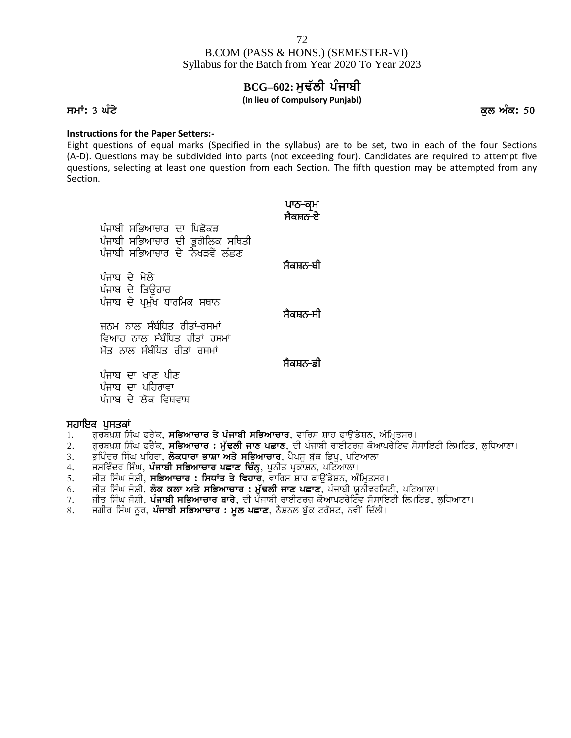# **BCG-602: ਮੁਢੱਲੀ ਪੰਜਾਬੀ**

### **(In lieu of Compulsory Punjabi)**

**smW: 3 GMty kul AMk: 50**

### **Instructions for the Paper Setters:-**

Eight questions of equal marks (Specified in the syllabus) are to be set, two in each of the four Sections (A-D). Questions may be subdivided into parts (not exceeding four). Candidates are required to attempt five questions, selecting at least one question from each Section. The fifth question may be attempted from any Section. syllabus) are to be set, two in e<br>t exceeding four). Candidates are<br>ch Section. The fifth question ma<sup>.</sup><br>ਪਾਠ<del>-</del>ਕ੍ਰਮ<br>ਸੈਕਸ਼ਨ<del>-</del>ਏ syllabus) are to be set, tw<br>t exceeding four). Candida<sup>:</sup><br>ch Section. The fifth questi<br>ਪਾਠ<del>-</del>ਕ੍ਰਮ<br>ਮੈਕਸ਼ਨ<del>-</del>ਏ

| (A-D). Questions may be subdivided into parts (not exceeding four). Candida<br>questions, selecting at least one question from each Section. The fifth questi<br>Section.                           |                     |
|-----------------------------------------------------------------------------------------------------------------------------------------------------------------------------------------------------|---------------------|
| ਪੰਜਾਬੀ ਸਭਿਆਚਾਰ ਦਾ ਪਿਛੋਕੜ<br>ਪੰਜਾਬੀ ਸਭਿਆਚਾਰ ਦੀ ਭੂਗੋਲਿਕ ਸਥਿਤੀ<br>ਪੰਜਾਬੀ ਸਭਿਆਚਾਰ ਦੇ ਨਿਖੜਵੇਂ ਲੱਛਣ                                                                                                       | ਪਾਠ–ਕ੍ਮ<br>ਸੈਕਸ਼ਨ-ਏ |
|                                                                                                                                                                                                     | ਸੈਕਸ਼ਨ-ਬੀ           |
| ਪੰਜਾਬ ਦੇ ਮੇਲੇ<br>ਪੰਜਾਬ ਦੇ ਤਿੳਹਾਰ<br>ਪੰਜਾਬ ਦੇ ਪ੍ਰਮੁੱਖ ਧਾਰਮਿਕ ਸਥਾਨ                                                                                                                                    |                     |
| ਜਨਮ ਨਾਲ ਸੰਬੰਧਿਤ ਰੀਤਾਂ-ਰਸਮਾਂ<br>ਵਿਆਹ ਨਾਲ ਸੰਬੰਧਿਤ ਰੀਤਾਂ ਰਸਮਾਂ<br>ਮੌਤ ਨਾਲ ਸੰਬੰਧਿਤ ਰੀਤਾਂ ਰਸਮਾਂ                                                                                                          | ਸੈਕਸ਼ਨ-ਸੀ           |
|                                                                                                                                                                                                     | ਸੈਕਸ਼ਨ-ਡੀ           |
| ਪੰਜਾਬ ਦਾ ਖਾਣ ਪੀਣ<br>ਪੰਜਾਬ ਦਾ ਪਹਿਰਾਵਾ<br>ਪੰਜਾਬ ਦੇ ਲੋਕ ਵਿਸ਼ਵਾਸ਼                                                                                                                                       |                     |
| ਸਹਾਇਕ ਪਸਤਕਾਂ                                                                                                                                                                                        |                     |
| ਗੁਰਬਖ਼ਸ਼ ਸਿੰਘ ਫਰੈਂਕ, <b>ਸਭਿਆਚਾਰ ਤੇ ਪੰਜਾਬੀ ਸਭਿਆਚਾਰ</b> , ਵਾਰਿਸ ਸ਼ਾਹ ਫਾਉਂਡੇਸ਼ਨ, ਅੰਮ੍ਰਿ <del>:</del><br>1.<br>ਗੁਰਬਖ਼ਸ਼ ਸਿੰਘ ਫਰੈਂਕ, <b>ਸਭਿਆਚਾਰ : ਮੁੱਢਲੀ ਜਾਣ ਪਛਾਣ</b> , ਦੀ ਪੰਜਾਬੀ ਰਾਈਟਰਜ਼ ਕੋਆਪਰੇਰਿ<br>2. |                     |

- 1. ਗਰਬਖ਼ਸ਼ ਸਿੰਘ ਫਰੈਂਕ, **ਸਭਿਆਚਾਰ ਤੇ ਪੰਜਾਬੀ ਸਭਿਆਚਾਰ**, ਵਾਰਿਸ ਸ਼ਾਹ ਫਾੳਂਡੇਸ਼ਨ, ਅੰਮ੍ਰਿਤਸਰ।
- 2. ਗੁਰਬਖ਼ਸ਼ ਸਿੰਘ ਫਰੈਂਕ, **ਸਭਿਆਚਾਰ : ਮੁੱਢਲੀ ਜਾਣ ਪਛਾਣ**, ਦੀ ਪੰਜਾਬੀ ਰਾਈਟਰਜ਼ ਕੋਆਪਰੇਟਿਵ ਸੋਸਾਇਟੀ ਲਿਮਟਿਡ, ਲੁਧਿਆਣਾ।
- 3. ਭੁਪਿੰਦਰ ਸਿੰਘ ਖਹਿਰਾ, **ਲੋਕਧਾਰਾ ਭਾਸ਼ਾ ਅਤੇ ਸਭਿਆਚਾਰ**, ਪੈਪਸੂ ਬੁੱਕ ਡਿਪੂ, ਪਟਿਆਲਾ।
- 4. jsivMdr isMG, **pMjwbI siBAwcwr pCwx icMn**H, punIq pRkwSn, pitAwlw[
- 5. ਜੀਤ ਸਿੰਘ ਜੋਸ਼ੀ, **ਸਭਿਆਚਾਰ : ਸਿਧਾਂਤ ਤੇ ਵਿਹਾਰ**, ਵਾਰਿਸ ਸ਼ਾਹ ਫਾਉਂਡੇਸ਼ਨ, ਅੰਮ੍ਰਿਤਸਰ।
- 6. ਜੀਤ ਸਿੰਘ ਜੋਸ਼ੀ, **ਲੋਕ ਕਲਾ ਅਤੇ ਸਭਿਆਚਾਰ : ਮੁੱਢਲੀ ਜਾਣ ਪਛਾਣ**, ਪੰਜਾਬੀ ਯੂਨੀਵਰਸਿਟੀ, ਪਟਿਆਲਾ।
- 7. ਜੀਤ ਸਿੰਘ ਜੋਸ਼ੀ, **ਪੰਜਾਬੀ ਸਭਿਆਚਾਰ ਬਾਰੇ**, ਦੀ ਪੰਜਾਬੀ ਰਾਈਟਰਜ਼ ਕੋਆਪਟਰੇਟਿੰਵ ਸੋਸਾਇਟੀ ਲਿਮਟਿਡ, ਲੁਧਿਆਣਾ।
- 8. ਜਗੀਰ ਸਿੰਘ ਨੂਰ, **ਪੰਜਾਬੀ ਸਭਿਆਚਾਰ : ਮੂਲ ਪਛਾਣ**, ਨੈਸ਼ਨਲ ਬੁੱਕ ਟਰੱਸਟ, ਨਵੀਂ ਦਿੱਲੀ।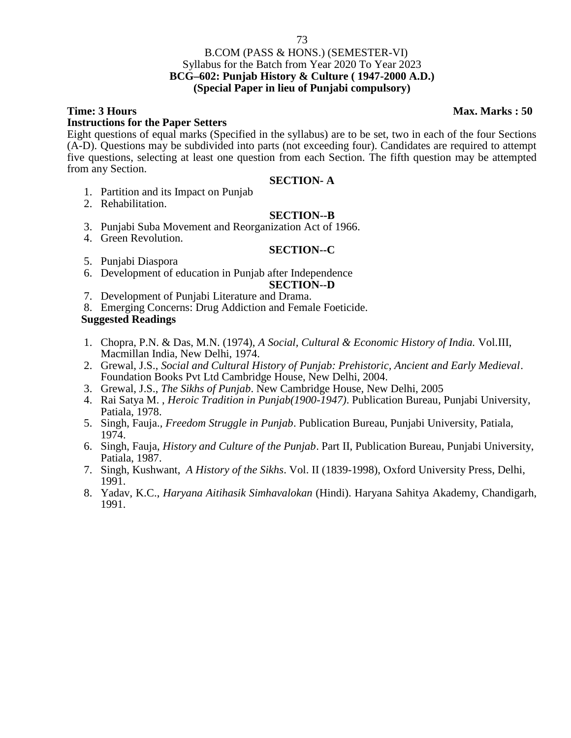## 73

## B.COM (PASS & HONS.) (SEMESTER-VI) Syllabus for the Batch from Year 2020 To Year 2023 **BCG–602: Punjab History & Culture ( 1947-2000 A.D.) (Special Paper in lieu of Punjabi compulsory)**

## **Instructions for the Paper Setters**

Eight questions of equal marks (Specified in the syllabus) are to be set, two in each of the four Sections (A-D). Questions may be subdivided into parts (not exceeding four). Candidates are required to attempt five questions, selecting at least one question from each Section. The fifth question may be attempted from any Section.

## **SECTION- A**

- 1. Partition and its Impact on Punjab
- 2. Rehabilitation.

## **SECTION--B**

- 3. Punjabi Suba Movement and Reorganization Act of 1966.
- 4. Green Revolution.

## **SECTION--C**

- 5. Punjabi Diaspora
- 6. Development of education in Punjab after Independence

## **SECTION--D**

- 7. Development of Punjabi Literature and Drama.
- 8. Emerging Concerns: Drug Addiction and Female Foeticide.

## **Suggested Readings**

- 1. Chopra, P.N. & Das, M.N. (1974), *A Social, Cultural & Economic History of India.* Vol.III, Macmillan India, New Delhi, 1974.
- 2. Grewal, J.S., *Social and Cultural History of Punjab: Prehistoric, Ancient and Early Medieval*. Foundation Books Pvt Ltd Cambridge House, New Delhi, 2004.
- 3. Grewal, J.S., *The Sikhs of Punjab*. New Cambridge House, New Delhi, 2005
- 4. Rai Satya M. , *Heroic Tradition in Punjab(1900-1947)*. Publication Bureau, Punjabi University, Patiala, 1978.
- 5. Singh, Fauja.*, Freedom Struggle in Punjab*. Publication Bureau, Punjabi University, Patiala, 1974.
- 6. Singh, Fauja, *History and Culture of the Punjab*. Part II, Publication Bureau, Punjabi University, Patiala, 1987.
- 7. Singh, Kushwant, *A History of the Sikhs*. Vol. II (1839-1998), Oxford University Press, Delhi, 1991.
- 8. Yadav, K.C., *Haryana Aitihasik Simhavalokan* (Hindi). Haryana Sahitya Akademy, Chandigarh, 1991.

**Time: 3 Hours Max. Marks : 50**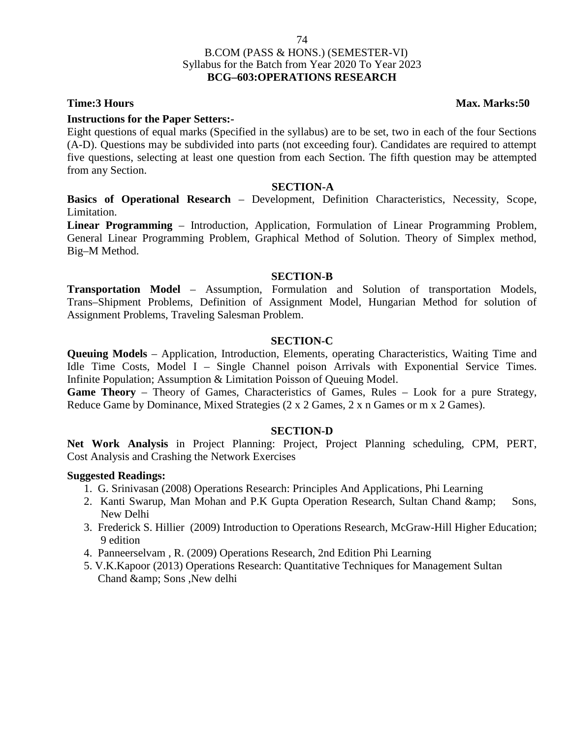# B.COM (PASS & HONS.) (SEMESTER-VI) Syllabus for the Batch from Year 2020 To Year 2023 **BCG–603:OPERATIONS RESEARCH**

## **Instructions for the Paper Setters:-**

Eight questions of equal marks (Specified in the syllabus) are to be set, two in each of the four Sections (A-D). Questions may be subdivided into parts (not exceeding four). Candidates are required to attempt five questions, selecting at least one question from each Section. The fifth question may be attempted from any Section.

## **SECTION-A**

**Basics of Operational Research** – Development, Definition Characteristics, Necessity, Scope, Limitation.

**Linear Programming** – Introduction, Application, Formulation of Linear Programming Problem, General Linear Programming Problem, Graphical Method of Solution. Theory of Simplex method, Big–M Method.

## **SECTION-B**

**Transportation Model** – Assumption, Formulation and Solution of transportation Models, Trans–Shipment Problems, Definition of Assignment Model, Hungarian Method for solution of Assignment Problems, Traveling Salesman Problem.

## **SECTION-C**

**Queuing Models** – Application, Introduction, Elements, operating Characteristics, Waiting Time and Idle Time Costs, Model I – Single Channel poison Arrivals with Exponential Service Times. Infinite Population; Assumption & Limitation Poisson of Queuing Model.

**Game Theory** – Theory of Games, Characteristics of Games, Rules – Look for a pure Strategy, Reduce Game by Dominance, Mixed Strategies (2 x 2 Games, 2 x n Games or m x 2 Games).

## **SECTION-D**

**Net Work Analysis** in Project Planning: Project, Project Planning scheduling, CPM, PERT, Cost Analysis and Crashing the Network Exercises

## **Suggested Readings:**

- 1. G. Srinivasan (2008) Operations Research: Principles And Applications, Phi Learning
- 2. Kanti Swarup, Man Mohan and P.K Gupta Operation Research, Sultan Chand & amp; Sons, New Delhi
- 3. Frederick S. Hillier (2009) Introduction to Operations Research, McGraw-Hill Higher Education; 9 edition
- 4. Panneerselvam , R. (2009) Operations Research, 2nd Edition Phi Learning
- 5. V.K.Kapoor (2013) Operations Research: Quantitative Techniques for Management Sultan Chand & amp; Sons , New delhi

**Time:3 Hours Max. Marks:50**

74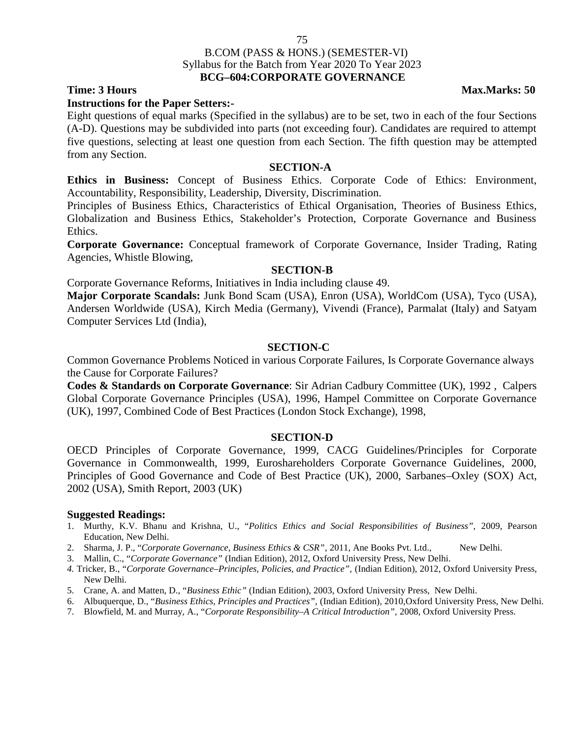## B.COM (PASS & HONS.) (SEMESTER-VI) Syllabus for the Batch from Year 2020 To Year 2023 **BCG–604:CORPORATE GOVERNANCE**

75

### **Instructions for the Paper Setters:-**

Eight questions of equal marks (Specified in the syllabus) are to be set, two in each of the four Sections (A-D). Questions may be subdivided into parts (not exceeding four). Candidates are required to attempt five questions, selecting at least one question from each Section. The fifth question may be attempted from any Section.

### **SECTION-A**

**Ethics in Business:** Concept of Business Ethics. Corporate Code of Ethics: Environment, Accountability, Responsibility, Leadership, Diversity, Discrimination.

Principles of Business Ethics, Characteristics of Ethical Organisation, Theories of Business Ethics, Globalization and Business Ethics, Stakeholder's Protection, Corporate Governance and Business Ethics.

**Corporate Governance:** Conceptual framework of Corporate Governance, Insider Trading, Rating Agencies, Whistle Blowing,

### **SECTION-B**

Corporate Governance Reforms, Initiatives in India including clause 49.

**Major Corporate Scandals:** Junk Bond Scam (USA), Enron (USA), WorldCom (USA), Tyco (USA), Andersen Worldwide (USA), Kirch Media (Germany), Vivendi (France), Parmalat (Italy) and Satyam Computer Services Ltd (India),

## **SECTION-C**

Common Governance Problems Noticed in various Corporate Failures, Is Corporate Governance always the Cause for Corporate Failures?

**Codes & Standards on Corporate Governance**: Sir Adrian Cadbury Committee (UK), 1992 , Calpers Global Corporate Governance Principles (USA), 1996, Hampel Committee on Corporate Governance (UK), 1997, Combined Code of Best Practices (London Stock Exchange), 1998,

## **SECTION-D**

OECD Principles of Corporate Governance, 1999, CACG Guidelines/Principles for Corporate Governance in Commonwealth, 1999, Euroshareholders Corporate Governance Guidelines, 2000, Principles of Good Governance and Code of Best Practice (UK), 2000, Sarbanes–Oxley (SOX) Act, 2002 (USA), Smith Report, 2003 (UK)

### **Suggested Readings:**

- 1. Murthy, K.V. Bhanu and Krishna, U., "*Politics Ethics and Social Responsibilities of Business",* 2009, Pearson Education, New Delhi.
- 2. Sharma, J. P., "*Corporate Governance, Business Ethics & CSR*", 2011, Ane Books Pvt. Ltd., New Delhi.
- 3. Mallin, C., "*Corporate Governance"* (Indian Edition), 2012, Oxford University Press, New Delhi.
- *4.* Tricker, B., "*Corporate Governance–Principles, Policies, and Practice",* (Indian Edition), 2012, Oxford University Press, New Delhi.
- 5. Crane, A. and Matten, D., "*Business Ethic"* (Indian Edition), 2003, Oxford University Press, New Delhi.
- 6. Albuquerque, D., "*Business Ethics, Principles and Practices",* (Indian Edition), 2010,Oxford University Press, New Delhi.
- 7. Blowfield, M. and Murray, A., "*Corporate Responsibility–A Critical Introduction",* 2008, Oxford University Press.

## **Time: 3 Hours Max.Marks: 50**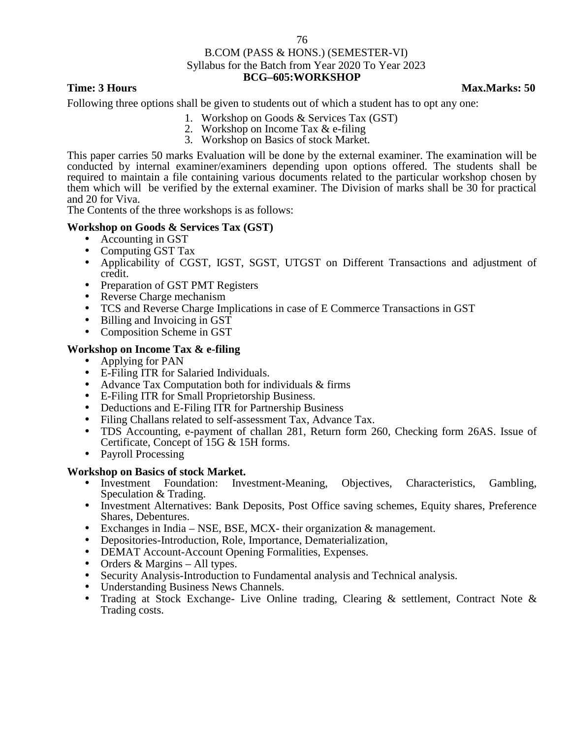## B.COM (PASS & HONS.) (SEMESTER-VI) Syllabus for the Batch from Year 2020 To Year 2023 **BCG–605:WORKSHOP**

## **Time: 3 Hours Max.Marks: 50**

Following three options shall be given to students out of which a student has to opt any one:

- 1. Workshop on Goods & Services Tax (GST)
- 2. Workshop on Income Tax & e-filing
- 3. Workshop on Basics of stock Market.

This paper carries 50 marks Evaluation will be done by the external examiner. The examination will be conducted by internal examiner/examiners depending upon options offered. The students shall be required to maintain a file containing various documents related to the particular workshop chosen by them which will be verified by the external examiner. The Division of marks shall be 30 for practical and 20 for Viva.

The Contents of the three workshops is as follows:

## **Workshop on Goods & Services Tax (GST)**

- Accounting in GST
- Computing GST Tax
- Applicability of CGST, IGST, SGST, UTGST on Different Transactions and adjustment of credit.
- Preparation of GST PMT Registers
- Reverse Charge mechanism
- TCS and Reverse Charge Implications in case of E Commerce Transactions in GST
- Billing and Invoicing in GST
- Composition Scheme in GST

## **Workshop on Income Tax & e-filing**

- Applying for PAN
- E-Filing ITR for Salaried Individuals.
- Advance Tax Computation both for individuals & firms
- E-Filing ITR for Small Proprietorship Business.
- Deductions and E-Filing ITR for Partnership Business
- Filing Challans related to self-assessment Tax, Advance Tax.
- TDS Accounting, e-payment of challan 281, Return form 260, Checking form 26AS. Issue of Certificate, Concept of 15G & 15H forms.
- Payroll Processing

- **Workshop on Basics of stock Market.**<br>
Investment Foundation: Investment-Meaning, Objectives, Characteristics, Gambling, Speculation & Trading.
	- Investment Alternatives: Bank Deposits, Post Office saving schemes, Equity shares, Preference Shares, Debentures.
	- Exchanges in India NSE, BSE, MCX- their organization & management. Depositories-Introduction, Role, Importance, Dematerialization,
	-
	-
	-
	- DEMAT Account-Account Opening Formalities, Expenses. Orders & Margins All types. Security Analysis-Introduction to Fundamental analysis and Technical analysis.
	- Understanding Business News Channels.
	- Trading at Stock Exchange- Live Online trading, Clearing & settlement, Contract Note & Trading costs.

76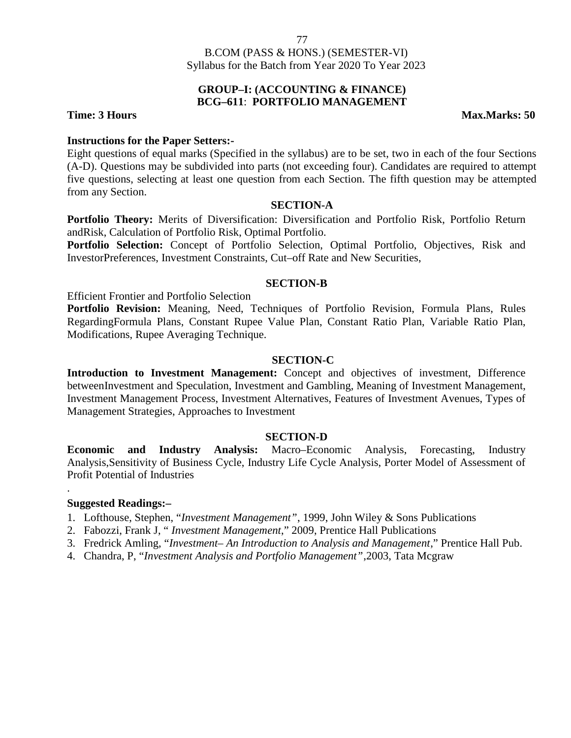## **GROUP–I: (ACCOUNTING & FINANCE) BCG–611**: **PORTFOLIO MANAGEMENT**

## **Time: 3 Hours Max.Marks: 50**

## **Instructions for the Paper Setters:-**

Eight questions of equal marks (Specified in the syllabus) are to be set, two in each of the four Sections (A-D). Questions may be subdivided into parts (not exceeding four). Candidates are required to attempt five questions, selecting at least one question from each Section. The fifth question may be attempted from any Section.

## **SECTION-A**

**Portfolio Theory:** Merits of Diversification: Diversification and Portfolio Risk, Portfolio Return andRisk, Calculation of Portfolio Risk, Optimal Portfolio.

**Portfolio Selection:** Concept of Portfolio Selection, Optimal Portfolio, Objectives, Risk and InvestorPreferences, Investment Constraints, Cut–off Rate and New Securities,

## **SECTION-B**

Efficient Frontier and Portfolio Selection

**Portfolio Revision:** Meaning, Need, Techniques of Portfolio Revision, Formula Plans, Rules RegardingFormula Plans, Constant Rupee Value Plan, Constant Ratio Plan, Variable Ratio Plan, Modifications, Rupee Averaging Technique.

## **SECTION-C**

**Introduction to Investment Management:** Concept and objectives of investment, Difference betweenInvestment and Speculation, Investment and Gambling, Meaning of Investment Management, Investment Management Process, Investment Alternatives, Features of Investment Avenues, Types of Management Strategies, Approaches to Investment

## **SECTION-D**

**Economic and Industry Analysis:** Macro–Economic Analysis, Forecasting, Industry Analysis,Sensitivity of Business Cycle, Industry Life Cycle Analysis, Porter Model of Assessment of Profit Potential of Industries

## **Suggested Readings:–**

.

- 1. Lofthouse, Stephen, "*Investment Management"*, 1999, John Wiley & Sons Publications
- 2. Fabozzi, Frank J, " *Investment Management*," 2009, Prentice Hall Publications
- 3. Fredrick Amling, "*Investment– An Introduction to Analysis and Management*," Prentice Hall Pub.
- 4. Chandra, P, "*Investment Analysis and Portfolio Management"*,2003, Tata Mcgraw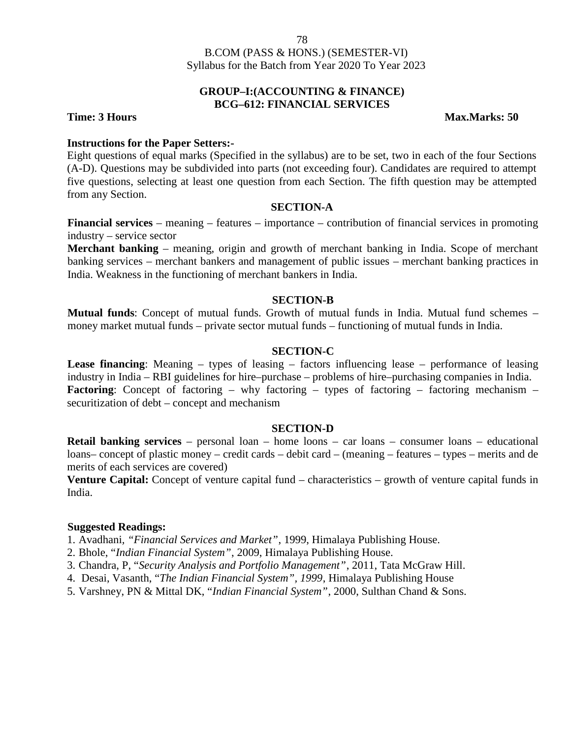## **GROUP–I:(ACCOUNTING & FINANCE) BCG–612: FINANCIAL SERVICES**

**Time: 3 Hours Max.Marks: 50**

## **Instructions for the Paper Setters:-**

Eight questions of equal marks (Specified in the syllabus) are to be set, two in each of the four Sections (A-D). Questions may be subdivided into parts (not exceeding four). Candidates are required to attempt five questions, selecting at least one question from each Section. The fifth question may be attempted from any Section.

## **SECTION-A**

**Financial services** – meaning – features – importance – contribution of financial services in promoting industry – service sector

**Merchant banking** – meaning, origin and growth of merchant banking in India. Scope of merchant banking services – merchant bankers and management of public issues – merchant banking practices in India. Weakness in the functioning of merchant bankers in India.

## **SECTION-B**

**Mutual funds**: Concept of mutual funds. Growth of mutual funds in India. Mutual fund schemes – money market mutual funds – private sector mutual funds – functioning of mutual funds in India.

## **SECTION-C**

**Lease financing**: Meaning – types of leasing – factors influencing lease – performance of leasing industry in India – RBI guidelines for hire–purchase – problems of hire–purchasing companies in India. **Factoring**: Concept of factoring – why factoring – types of factoring – factoring mechanism – securitization of debt – concept and mechanism

## **SECTION-D**

**Retail banking services** – personal loan – home loons – car loans – consumer loans – educational loans– concept of plastic money – credit cards – debit card – (meaning – features – types – merits and de merits of each services are covered)

**Venture Capital:** Concept of venture capital fund – characteristics – growth of venture capital funds in India.

### **Suggested Readings:**

1. Avadhani*, "Financial Services and Market"*, 1999, Himalaya Publishing House.

- 2. Bhole, "*Indian Financial System"*, 2009, Himalaya Publishing House.
- 3. Chandra, P, "*Security Analysis and Portfolio Management"*, 2011, Tata McGraw Hill.
- 4. Desai, Vasanth, "*The Indian Financial System", 1999*, Himalaya Publishing House
- 5. Varshney, PN & Mittal DK, "*Indian Financial System"*, 2000, Sulthan Chand & Sons.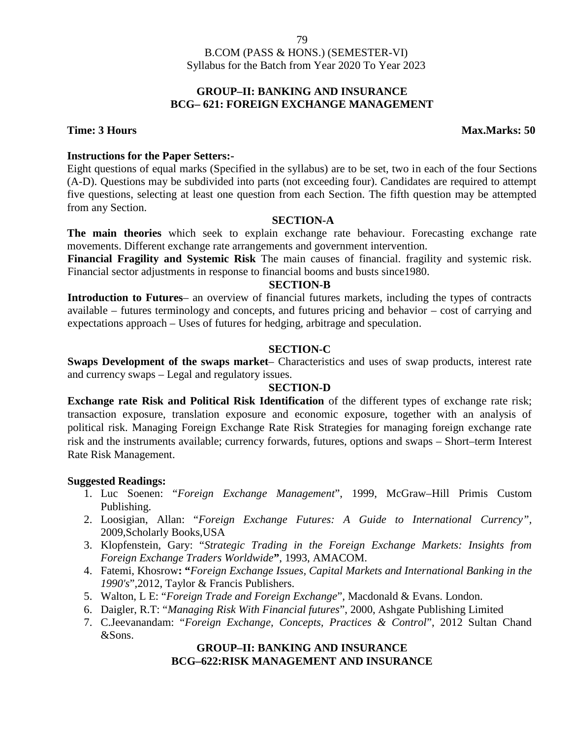## **GROUP–II: BANKING AND INSURANCE BCG– 621: FOREIGN EXCHANGE MANAGEMENT**

**Time: 3 Hours Max.Marks: 50**

## **Instructions for the Paper Setters:-**

Eight questions of equal marks (Specified in the syllabus) are to be set, two in each of the four Sections (A-D). Questions may be subdivided into parts (not exceeding four). Candidates are required to attempt five questions, selecting at least one question from each Section. The fifth question may be attempted from any Section.

## **SECTION-A**

**The main theories** which seek to explain exchange rate behaviour. Forecasting exchange rate movements. Different exchange rate arrangements and government intervention.

**Financial Fragility and Systemic Risk** The main causes of financial. fragility and systemic risk. Financial sector adjustments in response to financial booms and busts since1980.

## **SECTION-B**

**Introduction to Futures**– an overview of financial futures markets, including the types of contracts available – futures terminology and concepts, and futures pricing and behavior – cost of carrying and expectations approach – Uses of futures for hedging, arbitrage and speculation.

## **SECTION-C**

**Swaps Development of the swaps market**– Characteristics and uses of swap products, interest rate and currency swaps – Legal and regulatory issues.

## **SECTION-D**

**Exchange rate Risk and Political Risk Identification** of the different types of exchange rate risk; transaction exposure, translation exposure and economic exposure, together with an analysis of political risk. Managing Foreign Exchange Rate Risk Strategies for managing foreign exchange rate risk and the instruments available; currency forwards, futures, options and swaps – Short–term Interest Rate Risk Management.

## **Suggested Readings:**

- 1. Luc Soenen: "*Foreign Exchange Management*", 1999, McGraw–Hill Primis Custom Publishing.
- 2. Loosigian, Allan: "*Foreign Exchange Futures: A Guide to International Currency",* 2009,Scholarly Books,USA
- 3. Klopfenstein, Gary: "*Strategic Trading in the Foreign Exchange Markets: Insights from Foreign Exchange Traders Worldwide***"**, 1993, AMACOM.
- 4. Fatemi, Khosrow**: "***Foreign Exchange Issues, Capital Markets and International Banking in the 1990's*",2012, Taylor & Francis Publishers.
- 5. Walton, L E: "*Foreign Trade and Foreign Exchange*", Macdonald & Evans. London.
- 6. Daigler, R.T: "*Managing Risk With Financial futures*", 2000, Ashgate Publishing Limited
- 7. C.Jeevanandam: "*Foreign Exchange, Concepts, Practices & Control*", 2012 Sultan Chand &Sons.

## **GROUP–II: BANKING AND INSURANCE BCG–622:RISK MANAGEMENT AND INSURANCE**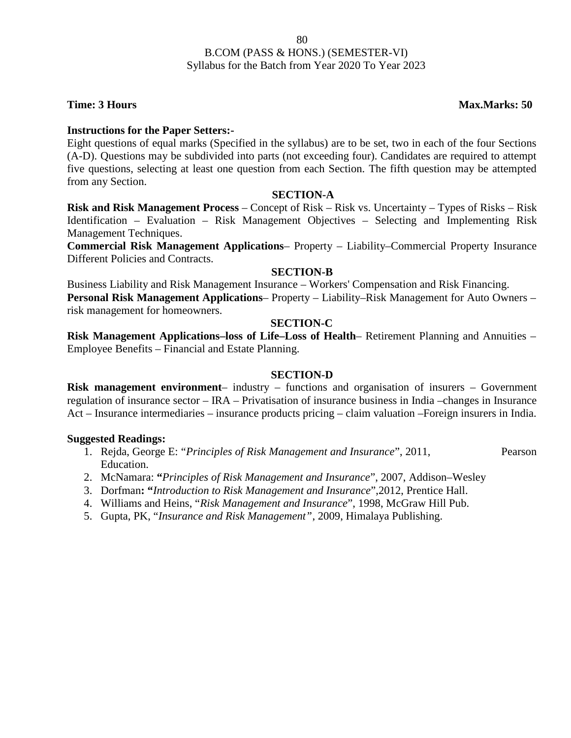## **Time: 3 Hours Max.Marks: 50**

## **Instructions for the Paper Setters:-**

Eight questions of equal marks (Specified in the syllabus) are to be set, two in each of the four Sections (A-D). Questions may be subdivided into parts (not exceeding four). Candidates are required to attempt five questions, selecting at least one question from each Section. The fifth question may be attempted from any Section.

## **SECTION-A**

**Risk and Risk Management Process** – Concept of Risk – Risk vs. Uncertainty – Types of Risks – Risk Identification – Evaluation – Risk Management Objectives – Selecting and Implementing Risk Management Techniques.

**Commercial Risk Management Applications**– Property – Liability–Commercial Property Insurance Different Policies and Contracts.

## **SECTION-B**

Business Liability and Risk Management Insurance – Workers' Compensation and Risk Financing. **Personal Risk Management Applications**– Property – Liability–Risk Management for Auto Owners – risk management for homeowners.

## **SECTION-C**

**Risk Management Applications–loss of Life–Loss of Health**– Retirement Planning and Annuities – Employee Benefits – Financial and Estate Planning.

## **SECTION-D**

**Risk management environment**– industry – functions and organisation of insurers – Government regulation of insurance sector – IRA – Privatisation of insurance business in India –changes in Insurance Act – Insurance intermediaries – insurance products pricing – claim valuation –Foreign insurers in India.

- 1. Rejda, George E: "*Principles of Risk Management and Insurance*", 2011, Pearson Education.
- 2. McNamara: **"***Principles of Risk Management and Insurance*", 2007, Addison–Wesley
- 3. Dorfman**: "***Introduction to Risk Management and Insurance*",2012, Prentice Hall.
- 4. Williams and Heins, "*Risk Management and Insurance*", 1998, McGraw Hill Pub.
- 5. Gupta, PK, "*Insurance and Risk Management"*, 2009, Himalaya Publishing.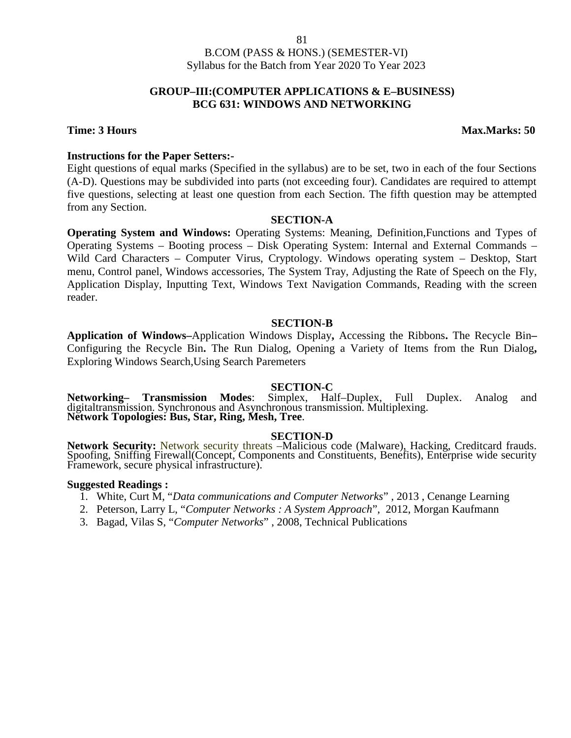## **GROUP–III:(COMPUTER APPLICATIONS & E–BUSINESS) BCG 631: WINDOWS AND NETWORKING**

## **Time: 3 Hours Max.Marks: 50**

## **Instructions for the Paper Setters:-**

Eight questions of equal marks (Specified in the syllabus) are to be set, two in each of the four Sections (A-D). Questions may be subdivided into parts (not exceeding four). Candidates are required to attempt five questions, selecting at least one question from each Section. The fifth question may be attempted from any Section.

## **SECTION-A**

**Operating System and Windows:** Operating Systems: Meaning, Definition,Functions and Types of Operating Systems – Booting process – Disk Operating System: Internal and External Commands – Wild Card Characters – Computer Virus, Cryptology. Windows operating system – Desktop, Start menu, Control panel, Windows accessories, The System Tray, Adjusting the Rate of Speech on the Fly, Application Display, Inputting Text, Windows Text Navigation Commands, Reading with the screen reader.

## **SECTION-B**

**Application of Windows–**Application Windows Display**,** Accessing the Ribbons**.** The Recycle Bin**–** Configuring the Recycle Bin**.** The Run Dialog, Opening a Variety of Items from the Run Dialog**,** Exploring Windows Search,Using Search Paremeters

**SECTION-C**<br>Simplex. Half–Duplex. Full Duplex. **Networking– Transmission Modes**: Simplex, Half–Duplex, Full Duplex. Analog and digitaltransmission. Synchronous and Asynchronous transmission. Multiplexing. **Network Topologies: Bus, Star, Ring, Mesh, Tree**.

**SECTION-D**<br>**Network Security:** Network security threats –Malicious code (Malware), Hacking, Creditcard frauds. Spoofing, Sniffing Firewall(Concept, Components and Constituents, Benefits), Enterprise wide security Framework, secure physical infrastructure).

- 1. White, Curt M, "*Data communications and Computer Networks*" , 2013 , Cenange Learning
- 2. Peterson, Larry L, "*Computer Networks : A System Approach*", 2012, Morgan Kaufmann
- 3. Bagad, Vilas S, "*Computer Networks*" , 2008, Technical Publications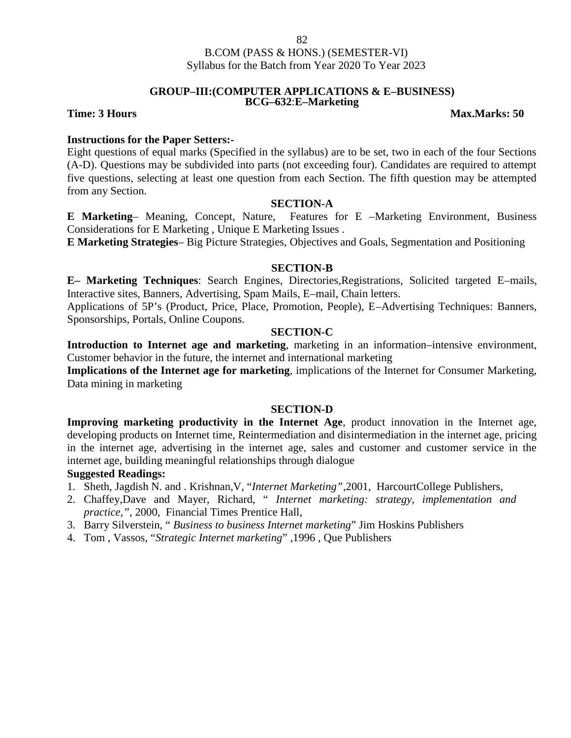### **GROUP–III:(COMPUTER APPLICATIONS & E–BUSINESS) BCG–632**:**E–Marketing**

## **Time: 3 Hours Max.Marks: 50**

## **Instructions for the Paper Setters:-**

Eight questions of equal marks (Specified in the syllabus) are to be set, two in each of the four Sections (A-D). Questions may be subdivided into parts (not exceeding four). Candidates are required to attempt five questions, selecting at least one question from each Section. The fifth question may be attempted from any Section.

## **SECTION-A**

**E Marketing**– Meaning, Concept, Nature, Features for E –Marketing Environment, Business Considerations for E Marketing , Unique E Marketing Issues .

**E Marketing Strategies**– Big Picture Strategies, Objectives and Goals, Segmentation and Positioning

## **SECTION-B**

**E– Marketing Techniques**: Search Engines, Directories,Registrations, Solicited targeted E–mails, Interactive sites, Banners, Advertising, Spam Mails, E–mail, Chain letters.

Applications of 5P's (Product, Price, Place, Promotion, People), E–Advertising Techniques: Banners, Sponsorships, Portals, Online Coupons.

## **SECTION-C**

**Introduction to Internet age and marketing**, marketing in an information–intensive environment, Customer behavior in the future, the internet and international marketing

**Implications of the Internet age for marketing**, implications of the Internet for Consumer Marketing, Data mining in marketing

## **SECTION-D**

**Improving marketing productivity in the Internet Age**, product innovation in the Internet age, developing products on Internet time, Reintermediation and disintermediation in the internet age, pricing in the internet age, advertising in the internet age, sales and customer and customer service in the internet age, building meaningful relationships through dialogue

- 1. Sheth, Jagdish N. and . Krishnan,V, "*Internet Marketing"*,2001, HarcourtCollege Publishers,
- 2. Chaffey,Dave and Mayer, Richard, " *Internet marketing: strategy, implementation and practice,"*, 2000, Financial Times Prentice Hall,
- 3. Barry Silverstein, " *Business to business Internet marketing*" Jim Hoskins Publishers
- 4. Tom , Vassos, "*Strategic Internet marketing*" ,1996 , Que Publishers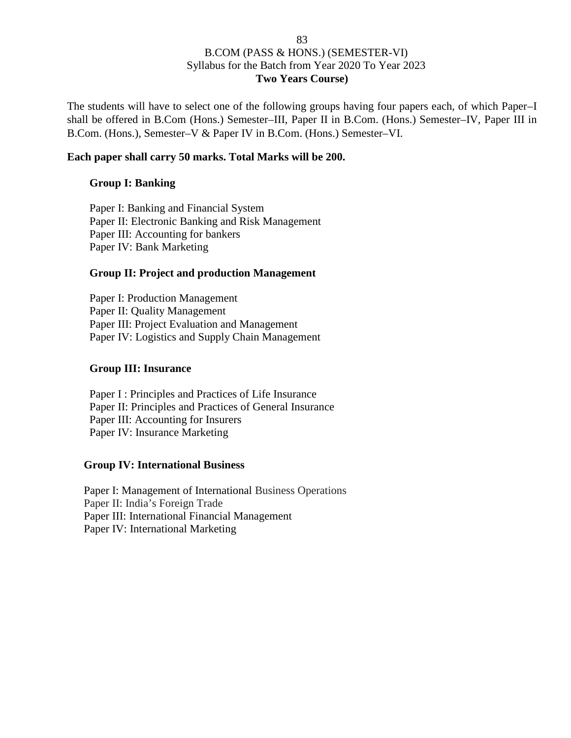# B.COM (PASS & HONS.) (SEMESTER-VI) Syllabus for the Batch from Year 2020 To Year 2023 **Two Years Course)**

The students will have to select one of the following groups having four papers each, of which Paper–I shall be offered in B.Com (Hons.) Semester–III, Paper II in B.Com. (Hons.) Semester–IV, Paper III in B.Com. (Hons.), Semester–V & Paper IV in B.Com. (Hons.) Semester–VI.

## **Each paper shall carry 50 marks. Total Marks will be 200.**

## **Group I: Banking**

Paper I: Banking and Financial System Paper II: Electronic Banking and Risk Management Paper III: Accounting for bankers Paper IV: Bank Marketing

## **Group II: Project and production Management**

Paper I: Production Management Paper II: Quality Management Paper III: Project Evaluation and Management Paper IV: Logistics and Supply Chain Management

## **Group III: Insurance**

Paper I : Principles and Practices of Life Insurance Paper II: Principles and Practices of General Insurance Paper III: Accounting for Insurers Paper IV: Insurance Marketing

## **Group IV: International Business**

Paper I: Management of International Business Operations Paper II: India's Foreign Trade Paper III: International Financial Management Paper IV: International Marketing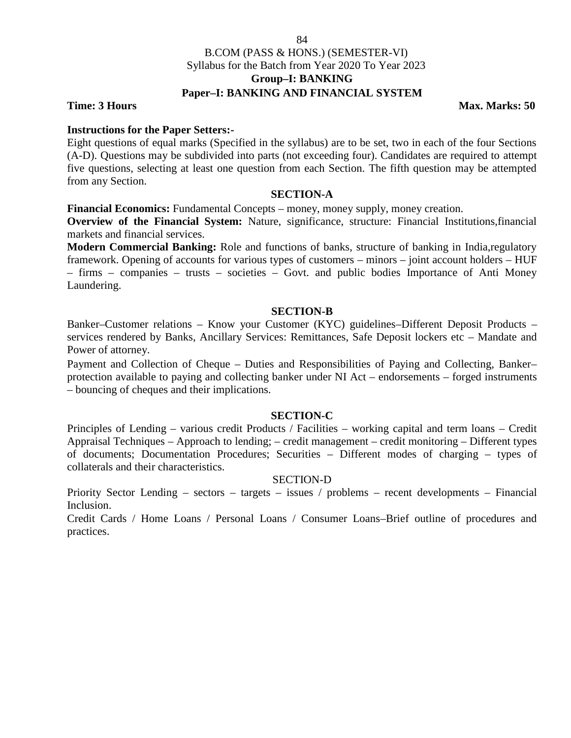## B.COM (PASS & HONS.) (SEMESTER-VI) Syllabus for the Batch from Year 2020 To Year 2023 **Group–I: BANKING Paper–I: BANKING AND FINANCIAL SYSTEM**

## **Time: 3 Hours Max.** Marks: 50

## **Instructions for the Paper Setters:-**

Eight questions of equal marks (Specified in the syllabus) are to be set, two in each of the four Sections (A-D). Questions may be subdivided into parts (not exceeding four). Candidates are required to attempt five questions, selecting at least one question from each Section. The fifth question may be attempted from any Section.

## **SECTION-A**

**Financial Economics:** Fundamental Concepts – money, money supply, money creation.

**Overview of the Financial System:** Nature, significance, structure: Financial Institutions,financial markets and financial services.

**Modern Commercial Banking:** Role and functions of banks, structure of banking in India, regulatory framework. Opening of accounts for various types of customers – minors – joint account holders – HUF – firms – companies – trusts – societies – Govt. and public bodies Importance of Anti Money Laundering.

## **SECTION-B**

Banker–Customer relations – Know your Customer (KYC) guidelines–Different Deposit Products – services rendered by Banks, Ancillary Services: Remittances, Safe Deposit lockers etc – Mandate and Power of attorney.

Payment and Collection of Cheque – Duties and Responsibilities of Paying and Collecting, Banker– protection available to paying and collecting banker under NI Act – endorsements – forged instruments – bouncing of cheques and their implications.

## **SECTION-C**

Principles of Lending – various credit Products / Facilities – working capital and term loans – Credit Appraisal Techniques – Approach to lending; – credit management – credit monitoring – Different types of documents; Documentation Procedures; Securities – Different modes of charging – types of collaterals and their characteristics.

## SECTION-D

Priority Sector Lending – sectors – targets – issues / problems – recent developments – Financial Inclusion.

Credit Cards / Home Loans / Personal Loans / Consumer Loans–Brief outline of procedures and practices.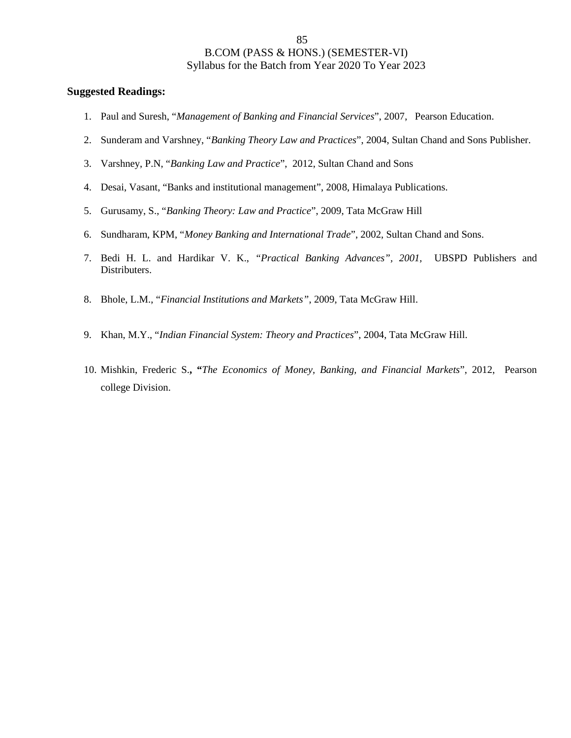- 1. Paul and Suresh, "*Management of Banking and Financial Services*", 2007, Pearson Education.
- 2. Sunderam and Varshney, "*Banking Theory Law and Practices*", 2004, Sultan Chand and Sons Publisher.
- 3. Varshney, P.N, "*Banking Law and Practice*", 2012, Sultan Chand and Sons
- 4. Desai, Vasant, "Banks and institutional management", 2008, Himalaya Publications.
- 5. Gurusamy, S., "*Banking Theory: Law and Practice*", 2009, Tata McGraw Hill
- 6. Sundharam, KPM, "*Money Banking and International Trade*", 2002, Sultan Chand and Sons.
- 7. Bedi H. L. and Hardikar V. K., *"Practical Banking Advances", 2001,* UBSPD Publishers and Distributers.
- 8. Bhole, L.M., "*Financial Institutions and Markets"*, 2009, Tata McGraw Hill.
- 9. Khan, M.Y., "*Indian Financial System: Theory and Practices*", 2004, Tata McGraw Hill.
- 10. Mishkin, Frederic S.**, "***The Economics of Money, Banking, and Financial Markets*", 2012, Pearson college Division.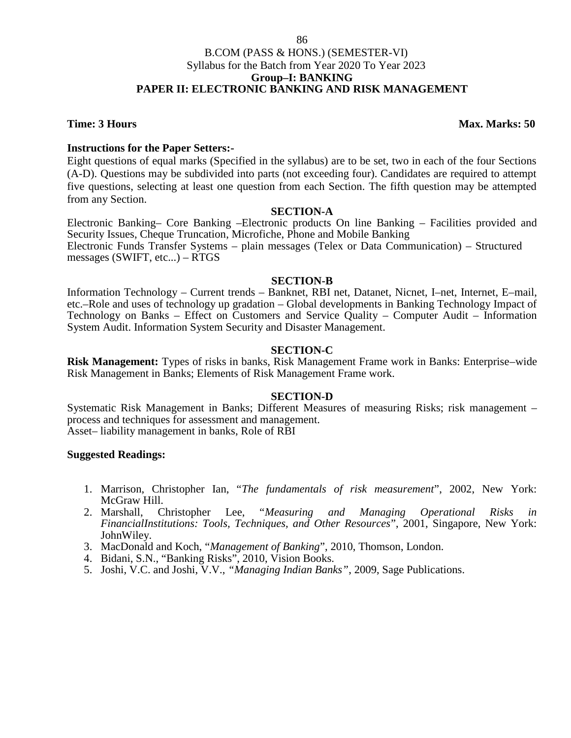### 86

## B.COM (PASS & HONS.) (SEMESTER-VI) Syllabus for the Batch from Year 2020 To Year 2023 **Group–I: BANKING PAPER II: ELECTRONIC BANKING AND RISK MANAGEMENT**

**Time: 3 Hours Max. Marks: 50** 

## **Instructions for the Paper Setters:-**

Eight questions of equal marks (Specified in the syllabus) are to be set, two in each of the four Sections (A-D). Questions may be subdivided into parts (not exceeding four). Candidates are required to attempt five questions, selecting at least one question from each Section. The fifth question may be attempted from any Section.

## **SECTION-A**

Electronic Banking– Core Banking –Electronic products On line Banking – Facilities provided and Security Issues, Cheque Truncation, Microfiche, Phone and Mobile Banking Electronic Funds Transfer Systems – plain messages (Telex or Data Communication) – Structured messages (SWIFT, etc...) – RTGS

## **SECTION-B**

Information Technology – Current trends – Banknet, RBI net, Datanet, Nicnet, I–net, Internet, E–mail, etc.–Role and uses of technology up gradation – Global developments in Banking Technology Impact of Technology on Banks – Effect on Customers and Service Quality – Computer Audit – Information System Audit. Information System Security and Disaster Management.

## **SECTION-C**

**Risk Management:** Types of risks in banks, Risk Management Frame work in Banks: Enterprise–wide Risk Management in Banks; Elements of Risk Management Frame work.

## **SECTION-D**

Systematic Risk Management in Banks; Different Measures of measuring Risks; risk management – process and techniques for assessment and management. Asset– liability management in banks, Role of RBI

- 1. Marrison, Christopher Ian, "*The fundamentals of risk measurement*", 2002, New York: McGraw Hill.
- 2. Marshall, Christopher Lee, "*Measuring and Managing Operational Risks in FinancialInstitutions: Tools, Techniques, and Other Resources*", 2001, Singapore, New York: JohnWiley.
- 3. MacDonald and Koch, "*Management of Banking*", 2010, Thomson, London.
- 4. Bidani, S.N., "Banking Risks", 2010, Vision Books.
- 5. Joshi, V.C. and Joshi, V.V., *"Managing Indian Banks"*, 2009, Sage Publications.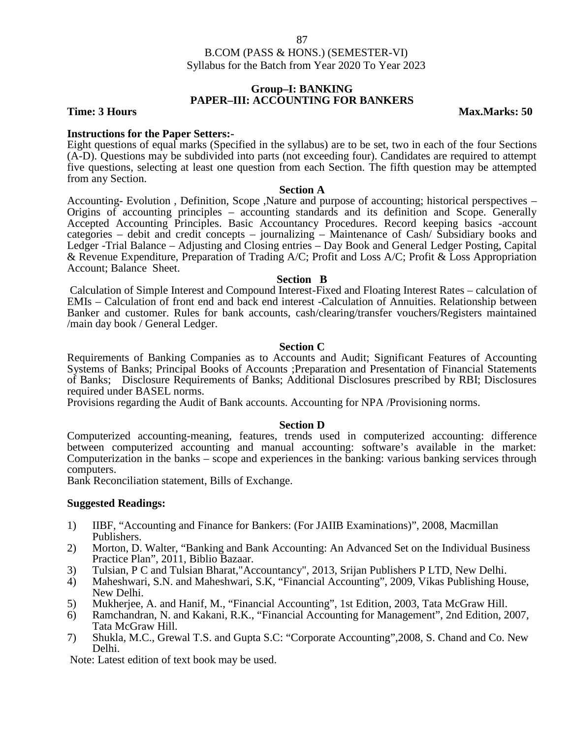## **Group–I: BANKING PAPER–III: ACCOUNTING FOR BANKERS**

**Time: 3 Hours Max.Marks: 50** 

**Instructions for the Paper Setters:-**<br>Eight questions of equal marks (Specified in the syllabus) are to be set, two in each of the four Sections (A-D). Questions may be subdivided into parts (not exceeding four). Candidates are required to attempt five questions, selecting at least one question from each Section. The fifth question may be attempted from any Section.

**Section A**<br>Accounting- Evolution, Definition, Scope ,Nature and purpose of accounting; historical perspectives – Origins of accounting principles – accounting standards and its definition and Scope. Generally Accepted Accounting Principles. Basic Accountancy Procedures. Record keeping basics -account categories – debit and credit concepts – journalizing – Maintenance of Cash/ Subsidiary books and Ledger -Trial Balance – Adjusting and Closing entries – Day Book and General Ledger Posting, Capital & Revenue Expenditure, Preparation of Trading A/C; Profit and Loss A/C; Profit & Loss Appropriation Account; Balance Sheet.

### **Section B**

Calculation of Simple Interest and Compound Interest-Fixed and Floating Interest Rates – calculation of EMIs – Calculation of front end and back end interest -Calculation of Annuities. Relationship between Banker and customer. Rules for bank accounts, cash/clearing/transfer vouchers/Registers maintained /main day book / General Ledger.

## **Section C**

Requirements of Banking Companies as to Accounts and Audit; Significant Features of Accounting Systems of Banks; Principal Books of Accounts ;Preparation and Presentation of Financial Statements of Banks; Disclosure Requirements of Banks; Additional Disclosures prescribed by RBI; Disclosures required under BASEL norms.

Provisions regarding the Audit of Bank accounts. Accounting for NPA /Provisioning norms.

## **Section D**

Computerized accounting-meaning, features, trends used in computerized accounting: difference between computerized accounting and manual accounting: software's available in the market: Computerization in the banks – scope and experiences in the banking: various banking services through computers.

Bank Reconciliation statement, Bills of Exchange.

## **Suggested Readings:**

- 1) IIBF, "Accounting and Finance for Bankers: (For JAIIB Examinations)", 2008, Macmillan Publishers.
- 2) Morton, D. Walter, "Banking and Bank Accounting: An Advanced Set on the Individual Business Practice Plan", 2011, Biblio Bazaar.
- 3) Tulsian, P C and Tulsian Bharat,"Accountancy", 2013, Srijan Publishers P LTD, New Delhi.
- 4) Maheshwari, S.N. and Maheshwari, S.K, "Financial Accounting", 2009, Vikas Publishing House, New Delhi.
- 5) Mukherjee, A. and Hanif, M., "Financial Accounting", 1st Edition, 2003, Tata McGraw Hill.
- Ramchandran, N. and Kakani, R.K., "Financial Accounting for Management", 2nd Edition, 2007, Tata McGraw Hill.
- 7) Shukla, M.C., Grewal T.S. and Gupta S.C: "Corporate Accounting",2008, S. Chand and Co. New Delhi.

Note: Latest edition of text book may be used.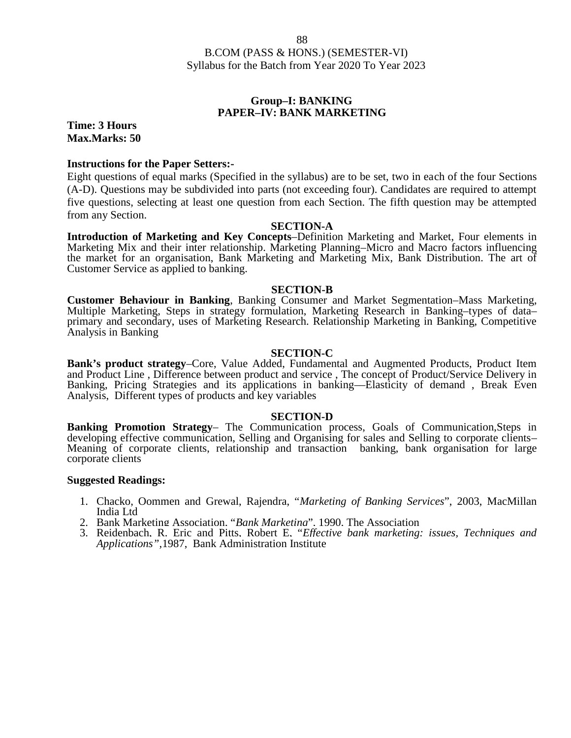## **Group–I: BANKING PAPER–IV: BANK MARKETING**

**Time: 3 Hours Max.Marks: 50**

### **Instructions for the Paper Setters:-**

Eight questions of equal marks (Specified in the syllabus) are to be set, two in each of the four Sections (A-D). Questions may be subdivided into parts (not exceeding four). Candidates are required to attempt five questions, selecting at least one question from each Section. The fifth question may be attempted from any Section.

### **SECTION-A**

**Introduction of Marketing and Key Concepts**–Definition Marketing and Market, Four elements in Marketing Mix and their inter relationship. Marketing Planning–Micro and Macro factors influencing the market for an organisation, Bank Marketing and Marketing Mix, Bank Distribution. The art of Customer Service as applied to banking.

### **SECTION-B**

**Customer Behaviour in Banking**, Banking Consumer and Market Segmentation–Mass Marketing, Multiple Marketing, Steps in strategy formulation, Marketing Research in Banking–types of data– primary and secondary, uses of Marketing Research. Relationship Marketing in Banking, Competitive Analysis in Banking

### **SECTION-C**

**Bank's product strategy**–Core, Value Added, Fundamental and Augmented Products, Product Item and Product Line , Difference between product and service , The concept of Product/Service Delivery in Banking, Pricing Strategies and its applications in banking––Elasticity of demand , Break Even Analysis, Different types of products and key variables

### **SECTION-D**

**Banking Promotion Strategy**– The Communication process, Goals of Communication,Steps in developing effective communication, Selling and Organising for sales and Selling to corporate clients– Meaning of corporate clients, relationship and transaction banking, bank organisation for large corporate clients

- 1. Chacko, Oommen and Grewal, Rajendra, "*Marketing of Banking Services*", 2003, MacMillan India Ltd
- 2. Bank Marketing Association, "*Bank Marketing*", 1990, The Association
- 3. Reidenbach, R. Eric and Pitts, Robert E, "*Effective bank marketing: issues, Techniques and Applications",*1987, Bank Administration Institute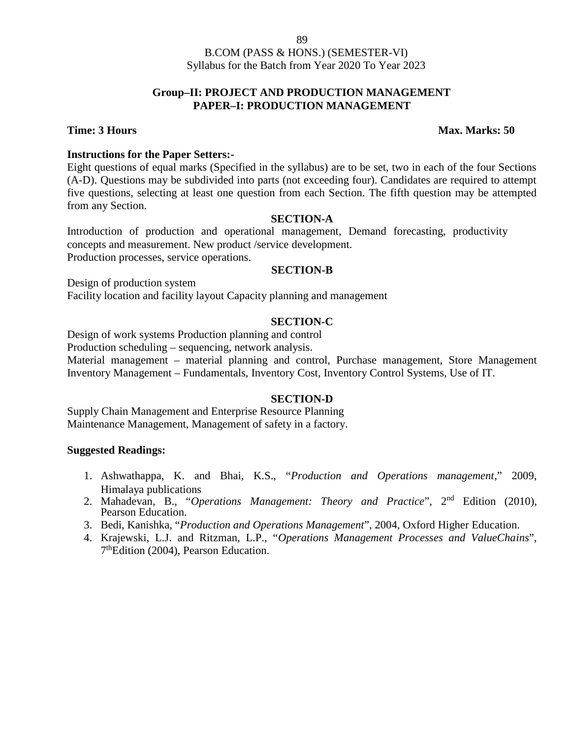## **Group–II: PROJECT AND PRODUCTION MANAGEMENT PAPER–I: PRODUCTION MANAGEMENT**

## **Time: 3 Hours Max. Marks: 50**

## **Instructions for the Paper Setters:-**

Eight questions of equal marks (Specified in the syllabus) are to be set, two in each of the four Sections (A-D). Questions may be subdivided into parts (not exceeding four). Candidates are required to attempt five questions, selecting at least one question from each Section. The fifth question may be attempted from any Section.

## **SECTION-A**

Introduction of production and operational management, Demand forecasting, productivity concepts and measurement. New product /service development. Production processes, service operations.

## **SECTION-B**

Design of production system

Facility location and facility layout Capacity planning and management

## **SECTION-C**

Design of work systems Production planning and control

Production scheduling – sequencing, network analysis.

Material management – material planning and control, Purchase management, Store Management Inventory Management – Fundamentals, Inventory Cost, Inventory Control Systems, Use of IT.

## **SECTION-D**

Supply Chain Management and Enterprise Resource Planning Maintenance Management, Management of safety in a factory.

- 1. Ashwathappa, K. and Bhai, K.S., "*Production and Operations management*," 2009, Himalaya publications
- 2. Mahadevan, B., "*Operations Management: Theory and Practice*", 2nd Edition (2010), Pearson Education.
- 3. Bedi, Kanishka, "*Production and Operations Management*", 2004, Oxford Higher Education.
- 4. Krajewski, L.J. and Ritzman, L.P., "*Operations Management Processes and ValueChains*", 7<sup>th</sup>Edition (2004), Pearson Education.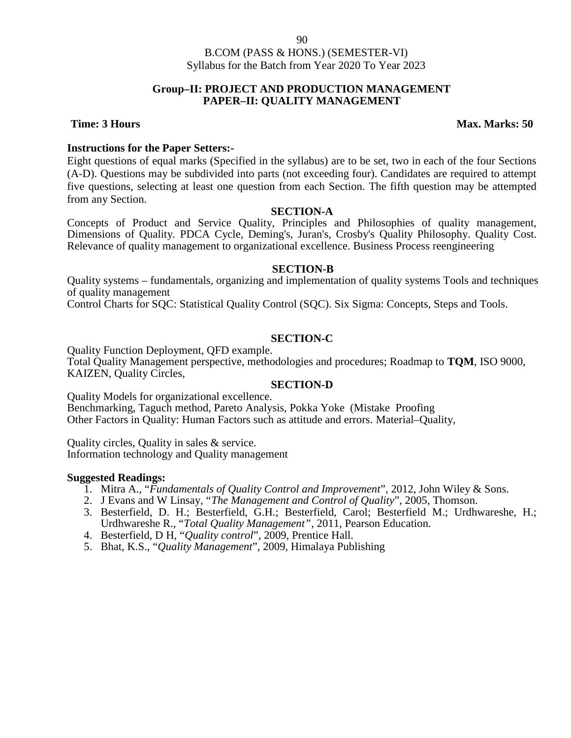90

## B.COM (PASS & HONS.) (SEMESTER-VI) Syllabus for the Batch from Year 2020 To Year 2023

## **Group–II: PROJECT AND PRODUCTION MANAGEMENT PAPER–II: QUALITY MANAGEMENT**

## **Time: 3 Hours Max. Marks: 50**

## **Instructions for the Paper Setters:-**

Eight questions of equal marks (Specified in the syllabus) are to be set, two in each of the four Sections (A-D). Questions may be subdivided into parts (not exceeding four). Candidates are required to attempt five questions, selecting at least one question from each Section. The fifth question may be attempted from any Section.

### **SECTION-A**

Concepts of Product and Service Quality, Principles and Philosophies of quality management, Dimensions of Quality. PDCA Cycle, Deming's, Juran's, Crosby's Quality Philosophy. Quality Cost. Relevance of quality management to organizational excellence. Business Process reengineering

## **SECTION-B**

Quality systems – fundamentals, organizing and implementation of quality systems Tools and techniques of quality management

Control Charts for SQC: Statistical Quality Control (SQC). Six Sigma: Concepts, Steps and Tools.

## **SECTION-C**

Quality Function Deployment, QFD example.

Total Quality Management perspective, methodologies and procedures; Roadmap to **TQM**, ISO 9000, KAIZEN, Quality Circles,

## **SECTION-D**

Quality Models for organizational excellence. Benchmarking, Taguch method, Pareto Analysis, Pokka Yoke (Mistake Proofing Other Factors in Quality: Human Factors such as attitude and errors. Material–Quality,

Quality circles, Quality in sales & service. Information technology and Quality management

- 1. Mitra A., "*Fundamentals of Quality Control and Improvement*", 2012, John Wiley & Sons.
- 2. J Evans and W Linsay, "*The Management and Control of Quality*", 2005, Thomson.
- 3. Besterfield, D. H.; Besterfield, G.H.; Besterfield, Carol; Besterfield M.; Urdhwareshe, H.; Urdhwareshe R., "*Total Quality Management"*, 2011, Pearson Education.
- 4. Besterfield, D H, "*Quality control*", 2009, Prentice Hall.
- 5. Bhat, K.S., "*Quality Management*", 2009, Himalaya Publishing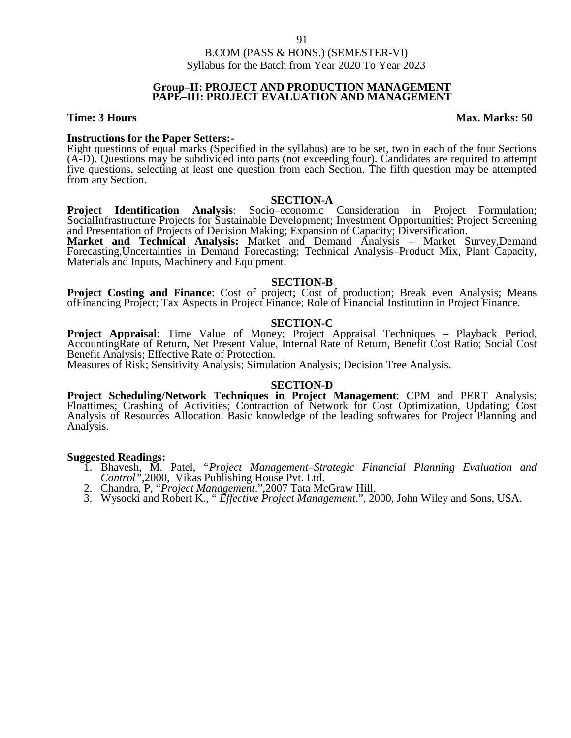### **Group–II: PROJECT AND PRODUCTION MANAGEMENT PAPE–III: PROJECT EVALUATION AND MANAGEMENT**

**Time: 3 Hours Max. Marks: 50** 

**Instructions for the Paper Setters:-**<br>Eight questions of equal marks (Specified in the syllabus) are to be set, two in each of the four Sections (A-D). Questions may be subdivided into parts (not exceeding four). Candidates are required to attempt five questions, selecting at least one question from each Section. The fifth question may be attempted from any Section.

### **SECTION-A**

**Project Identification Analysis**: Socio–economic Consideration in Project Formulation; SocialInfrastructure Projects for Sustainable Development; Investment Opportunities; Project Screening and Presentation of Projects of Decision Making; Expansion of Capacity; Diversification.

**Market and Technical Analysis:** Market and Demand Analysis – Market Survey,Demand Forecasting,Uncertainties in Demand Forecasting; Technical Analysis–Product Mix, Plant Capacity, Materials and Inputs, Machinery and Equipment.

### **SECTION-B**

**Project Costing and Finance:** Cost of project; Cost of production; Break even Analysis; Means ofFinancing Project; Tax Aspects in Project Finance; Role of Financial Institution in Project Finance.

## **SECTION-C**

**Project Appraisal**: Time Value of Money; Project Appraisal Techniques – Playback Period, AccountingRate of Return, Net Present Value, Internal Rate of Return, Benefit Cost Ratio; Social Cost Benefit Analysis; Effective Rate of Protection.

Measures of Risk; Sensitivity Analysis; Simulation Analysis; Decision Tree Analysis.

## **SECTION-D**

**Project Scheduling/Network Techniques in Project Management**: CPM and PERT Analysis; Floattimes; Crashing of Activities; Contraction of Network for Cost Optimization, Updating; Cost Analysis of Resources Allocation. Basic knowledge of the leading softwares for Project Planning and Analysis.

- 1. Bhavesh, M. Patel, "*Project Management–Strategic Financial Planning Evaluation and Control"*,2000, Vikas Publishing House Pvt. Ltd.
- 2. Chandra, P, "*Project Management*.",2007 Tata McGraw Hill.
- 3. Wysocki and Robert K., " *Effective Project Management*.", 2000, John Wiley and Sons, USA.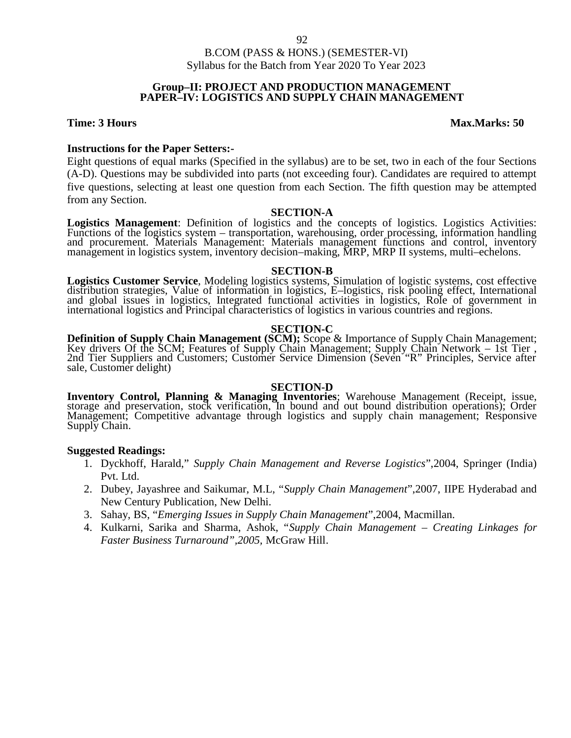## **Group–II: PROJECT AND PRODUCTION MANAGEMENT PAPER–IV: LOGISTICS AND SUPPLY CHAIN MANAGEMENT**

## **Time: 3 Hours Max.Marks: 50**

## **Instructions for the Paper Setters:-**

Eight questions of equal marks (Specified in the syllabus) are to be set, two in each of the four Sections (A-D). Questions may be subdivided into parts (not exceeding four). Candidates are required to attempt five questions, selecting at least one question from each Section. The fifth question may be attempted from any Section.

**SECTION-A**<br>**Logistics Management**: Definition of logistics and the concepts of logistics. Logistics Activities: **Logistics Management**: Definition of logistics and the concepts of logistics. Logistics Activities: Functions of the logistics system – transportation, warehousing, order processing, information handling and procurement. Materials Management: Materials management functions and control, inventory management in logistics system, inventory decision–making, MRP, MRP II systems, multi–echelons.

## **SECTION-B**

**Logistics Customer Service**, Modeling logistics systems, Simulation of logistic systems, cost effective distribution strategies, Value of information in logistics, E-logistics, risk pooling effect, International and globa international logistics and Principal characteristics of logistics in various countries and regions.

## **SECTION-C**

**Definition of Supply Chain Management (SCM);** Scope & Importance of Supply Chain Management; Key drivers Of the SCM; Features of Supply Chain Management; Supply Chain Network – 1st Tier , 2nd Tier Suppliers and Customers; Customer Service Dimension (Seven "R" Principles, Service after sale, Customer delight)

## **SECTION-D**

Inventory Control, Planning & Managing Inventories; Warehouse Management (Receipt, issue, storage and preservation, stock verification, In bound and out bound distribution operations); Order Management; Competitive advanta

- 1. Dyckhoff, Harald," *Supply Chain Management and Reverse Logistics*",2004, Springer (India) Pvt. Ltd.
- 2. Dubey, Jayashree and Saikumar, M.L, "*Supply Chain Management*",2007, IIPE Hyderabad and New Century Publication, New Delhi.
- 3. Sahay, BS, "*Emerging Issues in Supply Chain Management*",2004, Macmillan.
- 4. Kulkarni, Sarika and Sharma, Ashok, "*Supply Chain Management – Creating Linkages for Faster Business Turnaround",2005,* McGraw Hill.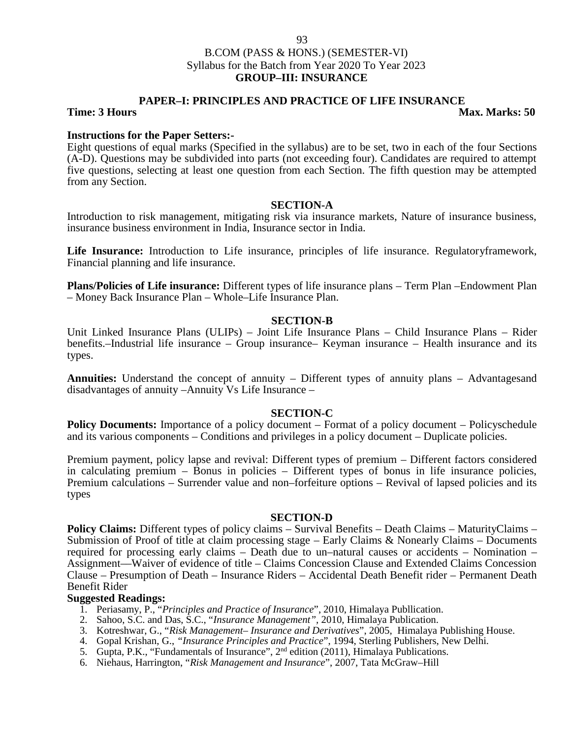## B.COM (PASS & HONS.) (SEMESTER-VI) Syllabus for the Batch from Year 2020 To Year 2023 **GROUP–III: INSURANCE**

### **PAPER–I: PRINCIPLES AND PRACTICE OF LIFE INSURANCE Time: 3 Hours Max. Marks: 50**

## **Instructions for the Paper Setters:-**

Eight questions of equal marks (Specified in the syllabus) are to be set, two in each of the four Sections (A-D). Questions may be subdivided into parts (not exceeding four). Candidates are required to attempt five questions, selecting at least one question from each Section. The fifth question may be attempted from any Section.

### **SECTION-A**

Introduction to risk management, mitigating risk via insurance markets, Nature of insurance business, insurance business environment in India, Insurance sector in India.

**Life Insurance:** Introduction to Life insurance, principles of life insurance. Regulatoryframework, Financial planning and life insurance.

**Plans/Policies of Life insurance:** Different types of life insurance plans – Term Plan –Endowment Plan – Money Back Insurance Plan – Whole–Life Insurance Plan.

## **SECTION-B**

Unit Linked Insurance Plans (ULIPs) – Joint Life Insurance Plans – Child Insurance Plans – Rider benefits.–Industrial life insurance – Group insurance– Keyman insurance – Health insurance and its types.

**Annuities:** Understand the concept of annuity – Different types of annuity plans – Advantagesand disadvantages of annuity –Annuity Vs Life Insurance –

## **SECTION-C**

**Policy Documents:** Importance of a policy document – Format of a policy document – Policyschedule and its various components – Conditions and privileges in a policy document – Duplicate policies.

Premium payment, policy lapse and revival: Different types of premium – Different factors considered in calculating premium – Bonus in policies – Different types of bonus in life insurance policies, Premium calculations – Surrender value and non–forfeiture options – Revival of lapsed policies and its types

### **SECTION-D**

**Policy Claims:** Different types of policy claims – Survival Benefits – Death Claims – MaturityClaims – Submission of Proof of title at claim processing stage – Early Claims & Nonearly Claims – Documents required for processing early claims – Death due to un–natural causes or accidents – Nomination – Assignment––Waiver of evidence of title – Claims Concession Clause and Extended Claims Concession Clause – Presumption of Death – Insurance Riders – Accidental Death Benefit rider – Permanent Death Benefit Rider

### **Suggested Readings:**

1. Periasamy, P., "*Principles and Practice of Insurance*", 2010, Himalaya Publlication.

- 2. Sahoo, S.C. and Das, S.C., "*Insurance Management",* 2010, Himalaya Publication.
- 3. Kotreshwar, G., "*Risk Management– Insurance and Derivatives*", 2005, Himalaya Publishing House.
- 4. Gopal Krishan, G., *"Insurance Principles and Practice*", 1994, Sterling Publishers, New Delhi.
- 5. Gupta, P.K., "Fundamentals of Insurance",  $2<sup>nd</sup>$  edition (2011), Himalaya Publications.
- 6. Niehaus, Harrington, "*Risk Management and Insurance*", 2007, Tata McGraw–Hill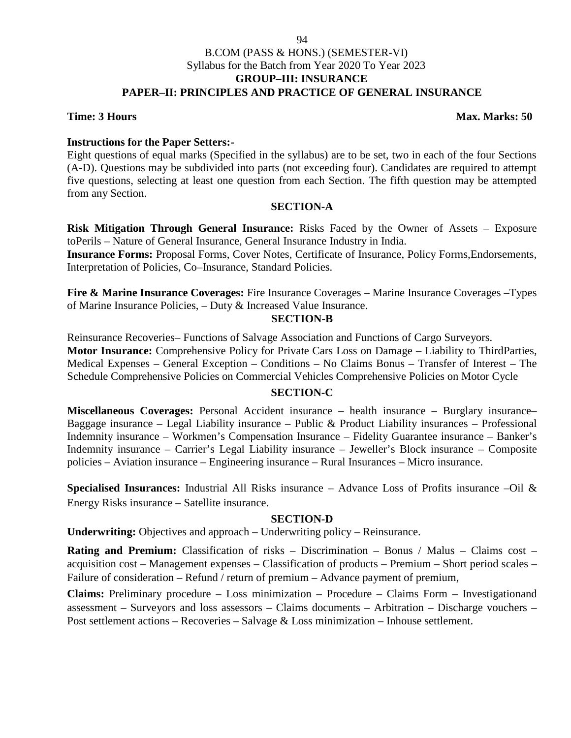### 94

## B.COM (PASS & HONS.) (SEMESTER-VI) Syllabus for the Batch from Year 2020 To Year 2023 **GROUP–III: INSURANCE PAPER–II: PRINCIPLES AND PRACTICE OF GENERAL INSURANCE**

## **Time: 3 Hours Max. Marks: 50**

## **Instructions for the Paper Setters:-**

Eight questions of equal marks (Specified in the syllabus) are to be set, two in each of the four Sections (A-D). Questions may be subdivided into parts (not exceeding four). Candidates are required to attempt five questions, selecting at least one question from each Section. The fifth question may be attempted from any Section.

## **SECTION-A**

**Risk Mitigation Through General Insurance:** Risks Faced by the Owner of Assets – Exposure toPerils – Nature of General Insurance, General Insurance Industry in India.

**Insurance Forms:** Proposal Forms, Cover Notes, Certificate of Insurance, Policy Forms,Endorsements, Interpretation of Policies, Co–Insurance, Standard Policies.

**Fire & Marine Insurance Coverages:** Fire Insurance Coverages – Marine Insurance Coverages –Types of Marine Insurance Policies, – Duty & Increased Value Insurance.

## **SECTION-B**

Reinsurance Recoveries– Functions of Salvage Association and Functions of Cargo Surveyors. **Motor Insurance:** Comprehensive Policy for Private Cars Loss on Damage – Liability to ThirdParties, Medical Expenses – General Exception – Conditions – No Claims Bonus – Transfer of Interest – The Schedule Comprehensive Policies on Commercial Vehicles Comprehensive Policies on Motor Cycle

## **SECTION-C**

**Miscellaneous Coverages:** Personal Accident insurance – health insurance – Burglary insurance– Baggage insurance – Legal Liability insurance – Public & Product Liability insurances – Professional Indemnity insurance – Workmen's Compensation Insurance – Fidelity Guarantee insurance – Banker's Indemnity insurance – Carrier's Legal Liability insurance – Jeweller's Block insurance – Composite policies – Aviation insurance – Engineering insurance – Rural Insurances – Micro insurance.

**Specialised Insurances:** Industrial All Risks insurance – Advance Loss of Profits insurance –Oil & Energy Risks insurance – Satellite insurance.

## **SECTION-D**

**Underwriting:** Objectives and approach – Underwriting policy – Reinsurance.

**Rating and Premium:** Classification of risks – Discrimination – Bonus / Malus – Claims cost – acquisition cost – Management expenses – Classification of products – Premium – Short period scales – Failure of consideration – Refund / return of premium – Advance payment of premium,

**Claims:** Preliminary procedure – Loss minimization – Procedure – Claims Form – Investigationand assessment – Surveyors and loss assessors – Claims documents – Arbitration – Discharge vouchers – Post settlement actions – Recoveries – Salvage & Loss minimization – Inhouse settlement.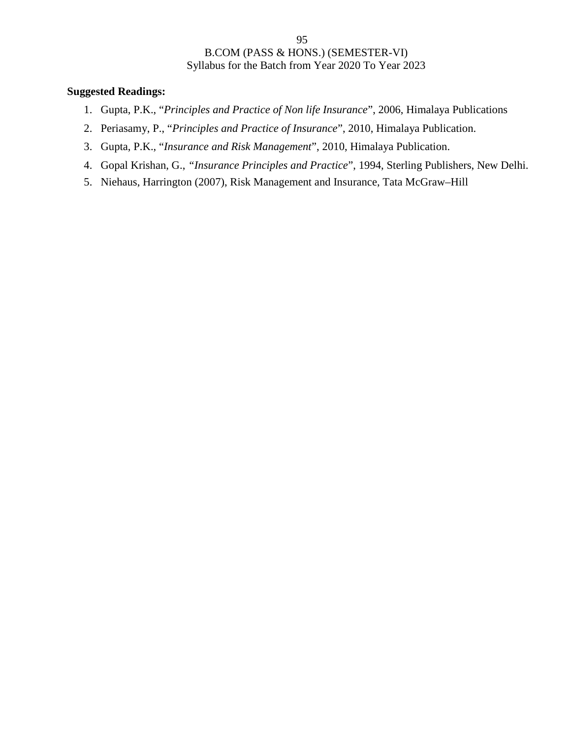- 1. Gupta, P.K., "*Principles and Practice of Non life Insurance*", 2006, Himalaya Publications
- 2. Periasamy, P., "*Principles and Practice of Insurance*", 2010, Himalaya Publication.
- 3. Gupta, P.K., "*Insurance and Risk Management*", 2010, Himalaya Publication.
- 4. Gopal Krishan, G., *"Insurance Principles and Practice*", 1994, Sterling Publishers, New Delhi.
- 5. Niehaus, Harrington (2007), Risk Management and Insurance, Tata McGraw–Hill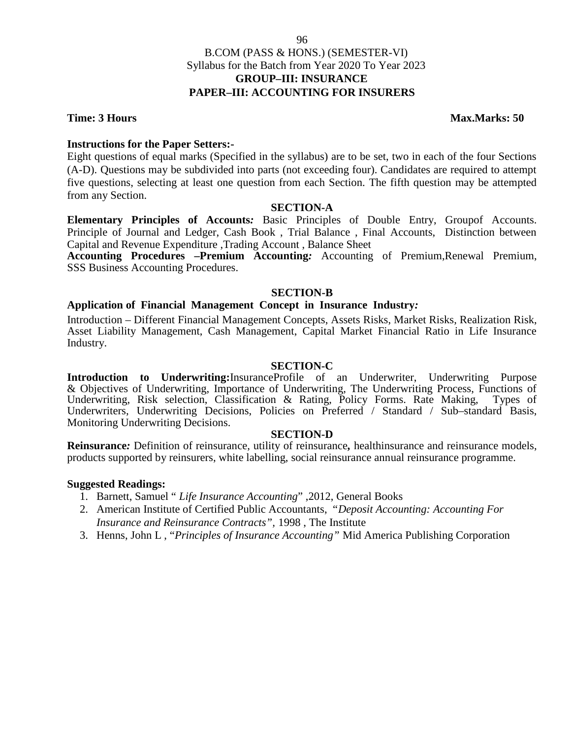**Time: 3 Hours Max.Marks: 50** 

## **Instructions for the Paper Setters:-**

Eight questions of equal marks (Specified in the syllabus) are to be set, two in each of the four Sections (A-D). Questions may be subdivided into parts (not exceeding four). Candidates are required to attempt five questions, selecting at least one question from each Section. The fifth question may be attempted from any Section.

## **SECTION-A**

**Elementary Principles of Accounts***:* Basic Principles of Double Entry, Groupof Accounts. Principle of Journal and Ledger, Cash Book , Trial Balance , Final Accounts, Distinction between Capital and Revenue Expenditure ,Trading Account , Balance Sheet

**Accounting Procedures –Premium Accounting***:* Accounting of Premium,Renewal Premium, SSS Business Accounting Procedures.

## **SECTION-B**

## **Application of Financial Management Concept in Insurance Industry***:*

Introduction – Different Financial Management Concepts, Assets Risks, Market Risks, Realization Risk, Asset Liability Management, Cash Management, Capital Market Financial Ratio in Life Insurance Industry.

### **SECTION-C**

**Introduction to Underwriting:**InsuranceProfile of an Underwriter, Underwriting Purpose & Objectives of Underwriting, Importance of Underwriting, The Underwriting Process, Functions of Underwriting, Risk selection, Classification & Rating, Policy Forms. Rate Making, Types of Underwriting, Risk selection, Classification & Rating, Policy Forms. Rate Making, Underwriters, Underwriting Decisions, Policies on Preferred / Standard / Sub–standard Basis, Monitoring Underwriting Decisions.

### **SECTION-D**

**Reinsurance***:* Definition of reinsurance, utility of reinsurance*,* healthinsurance and reinsurance models, products supported by reinsurers, white labelling, social reinsurance annual reinsurance programme.

## **Suggested Readings:**

- 1. Barnett, Samuel " *Life Insurance Accounting*" ,2012, General Books
- 2. American Institute of Certified Public Accountants, "*Deposit Accounting: Accounting For Insurance and Reinsurance Contracts",* 1998 , The Institute
- 3. Henns, John L , "*Principles of Insurance Accounting"* Mid America Publishing Corporation

96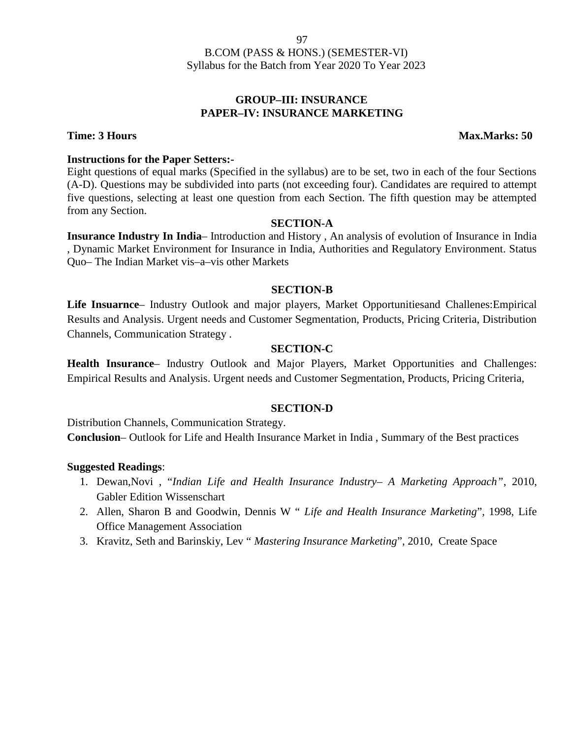## **GROUP–III: INSURANCE PAPER–IV: INSURANCE MARKETING**

**Time: 3 Hours Max.Marks: 50** 

## **Instructions for the Paper Setters:-**

Eight questions of equal marks (Specified in the syllabus) are to be set, two in each of the four Sections (A-D). Questions may be subdivided into parts (not exceeding four). Candidates are required to attempt five questions, selecting at least one question from each Section. The fifth question may be attempted from any Section.

## **SECTION-A**

**Insurance Industry In India**– Introduction and History , An analysis of evolution of Insurance in India , Dynamic Market Environment for Insurance in India, Authorities and Regulatory Environment. Status Quo– The Indian Market vis–a–vis other Markets

## **SECTION-B**

**Life Insuarnce**– Industry Outlook and major players, Market Opportunitiesand Challenes:Empirical Results and Analysis. Urgent needs and Customer Segmentation, Products, Pricing Criteria, Distribution Channels, Communication Strategy .

## **SECTION-C**

**Health Insurance**– Industry Outlook and Major Players, Market Opportunities and Challenges: Empirical Results and Analysis. Urgent needs and Customer Segmentation, Products, Pricing Criteria,

## **SECTION-D**

Distribution Channels, Communication Strategy.

**Conclusion**– Outlook for Life and Health Insurance Market in India , Summary of the Best practices

- 1. Dewan,Novi , "*Indian Life and Health Insurance Industry– A Marketing Approach"*, 2010, Gabler Edition Wissenschart
- 2. Allen, Sharon B and Goodwin, Dennis W " *Life and Health Insurance Marketing*", 1998, Life Office Management Association
- 3. Kravitz, Seth and Barinskiy, Lev " *Mastering Insurance Marketing*", 2010, Create Space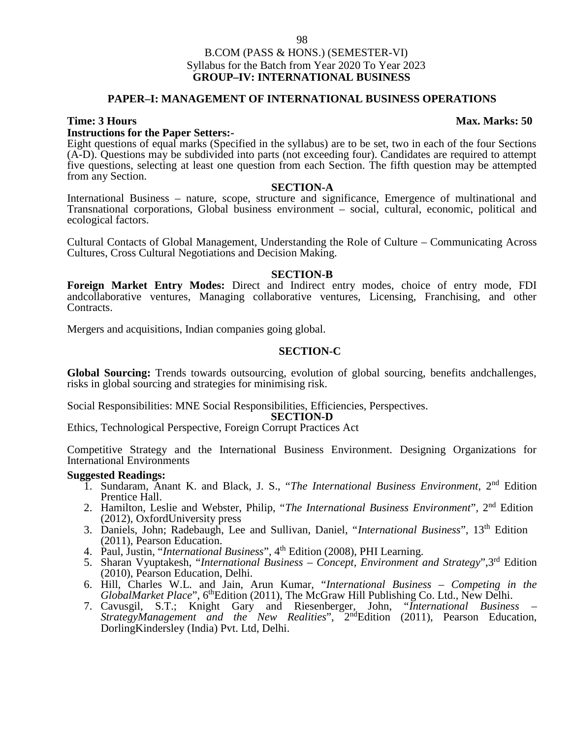## B.COM (PASS & HONS.) (SEMESTER-VI) Syllabus for the Batch from Year 2020 To Year 2023 **GROUP–IV: INTERNATIONAL BUSINESS**

## **PAPER–I: MANAGEMENT OF INTERNATIONAL BUSINESS OPERATIONS**

**Instructions for the Paper Setters:-** Eight questions of equal marks (Specified in the syllabus) are to be set, two in each of the four Sections (A-D). Questions may be subdivided into parts (not exceeding four). Candidates are required to attempt five questions, selecting at least one question from each Section. The fifth question may be attempted from any Section.

### **SECTION-A**

International Business – nature, scope, structure and significance, Emergence of multinational and Transnational corporations, Global business environment – social, cultural, economic, political and ecological factors.

Cultural Contacts of Global Management, Understanding the Role of Culture – Communicating Across Cultures, Cross Cultural Negotiations and Decision Making.

### **SECTION-B**

**Foreign Market Entry Modes:** Direct and Indirect entry modes, choice of entry mode, FDI andcollaborative ventures, Managing collaborative ventures, Licensing, Franchising, and other Contracts.

Mergers and acquisitions, Indian companies going global.

## **SECTION-C**

**Global Sourcing:** Trends towards outsourcing, evolution of global sourcing, benefits andchallenges, risks in global sourcing and strategies for minimising risk.

Social Responsibilities: MNE Social Responsibilities, Efficiencies, Perspectives.

### **SECTION-D**

Ethics, Technological Perspective, Foreign Corrupt Practices Act

Competitive Strategy and the International Business Environment. Designing Organizations for International Environments

## **Suggested Readings:**

- 1. Sundaram, Anant K. and Black, J. S., "The International Business Environment, 2<sup>nd</sup> Edition Prentice Hall.
- 2. Hamilton, Leslie and Webster, Philip, "*The International Business Environment*", 2nd Edition (2012), OxfordUniversity press
- 3. Daniels, John; Radebaugh, Lee and Sullivan, Daniel, "*International Business*", 13th Edition (2011), Pearson Education.
- 4. Paul, Justin, "*International Business*", 4<sup>th</sup> Edition (2008), PHI Learning.
- 5. Sharan Vyuptakesh, "*International Business – Concept, Environment and Strategy*",3rd Edition (2010), Pearson Education, Delhi.
- 6. Hill, Charles W.L. and Jain, Arun Kumar, "*International Business – Competing in the GlobalMarket Place*", 6<sup>th</sup>Edition (2011), The McGraw Hill Publishing Co. Ltd., New Delhi.
- 7. Cavusgil, S.T.; Knight Gary and Riesenberger, John, "*International Business – StrategyManagement and the New Realities*", 2<sup>nd</sup>Edition (2011), Pearson Education, DorlingKindersley (India) Pvt. Ltd, Delhi.

### **Time: 3 Hours Max. Marks: 50**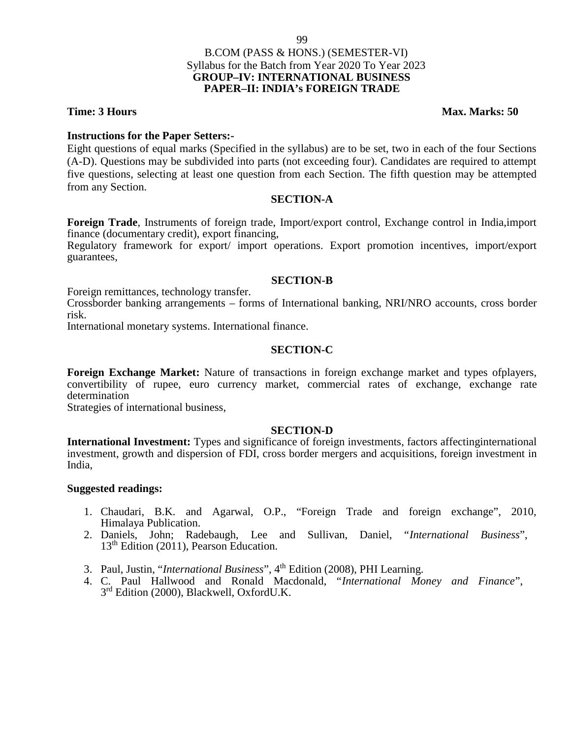## **Time: 3 Hours Max. Marks: 50**

## **Instructions for the Paper Setters:-**

Eight questions of equal marks (Specified in the syllabus) are to be set, two in each of the four Sections (A-D). Questions may be subdivided into parts (not exceeding four). Candidates are required to attempt five questions, selecting at least one question from each Section. The fifth question may be attempted from any Section.

## **SECTION-A**

**Foreign Trade**, Instruments of foreign trade, Import/export control, Exchange control in India,import finance (documentary credit), export financing,

Regulatory framework for export/ import operations. Export promotion incentives, import/export guarantees,

## **SECTION-B**

Foreign remittances, technology transfer.

Crossborder banking arrangements – forms of International banking, NRI/NRO accounts, cross border risk.

International monetary systems. International finance.

## **SECTION-C**

**Foreign Exchange Market:** Nature of transactions in foreign exchange market and types ofplayers, convertibility of rupee, euro currency market, commercial rates of exchange, exchange rate determination

Strategies of international business,

## **SECTION-D**

**International Investment:** Types and significance of foreign investments, factors affectinginternational investment, growth and dispersion of FDI, cross border mergers and acquisitions, foreign investment in India,

- 1. Chaudari, B.K. and Agarwal, O.P., "Foreign Trade and foreign exchange", 2010, Himalaya Publication.
- 2. Daniels, John; Radebaugh, Lee and Sullivan, Daniel, "*International Business*", 13th Edition (2011), Pearson Education.
- 3. Paul, Justin, "*International Business*", 4th Edition (2008), PHI Learning.
- 4. C. Paul Hallwood and Ronald Macdonald, "*International Money and Finance*", 3<sup>rd</sup> Edition (2000), Blackwell, OxfordU.K.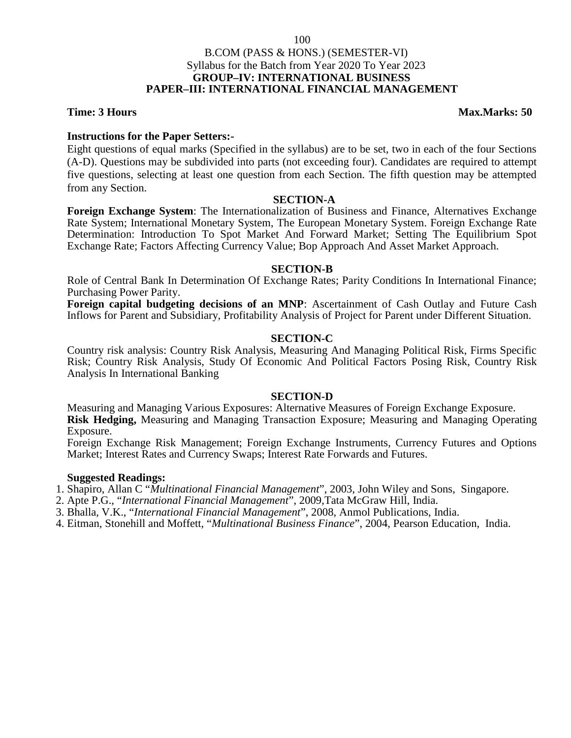## B.COM (PASS & HONS.) (SEMESTER-VI) Syllabus for the Batch from Year 2020 To Year 2023 **GROUP–IV: INTERNATIONAL BUSINESS PAPER–III: INTERNATIONAL FINANCIAL MANAGEMENT**

**Time: 3 Hours Max.Marks: 50** 

## **Instructions for the Paper Setters:-**

Eight questions of equal marks (Specified in the syllabus) are to be set, two in each of the four Sections (A-D). Questions may be subdivided into parts (not exceeding four). Candidates are required to attempt five questions, selecting at least one question from each Section. The fifth question may be attempted from any Section.

## **SECTION-A**

**Foreign Exchange System**: The Internationalization of Business and Finance, Alternatives Exchange Rate System; International Monetary System, The European Monetary System. Foreign Exchange Rate Determination: Introduction To Spot Market And Forward Market; Setting The Equilibrium Spot Exchange Rate; Factors Affecting Currency Value; Bop Approach And Asset Market Approach.

## **SECTION-B**

Role of Central Bank In Determination Of Exchange Rates; Parity Conditions In International Finance; Purchasing Power Parity.

**Foreign capital budgeting decisions of an MNP**: Ascertainment of Cash Outlay and Future Cash Inflows for Parent and Subsidiary, Profitability Analysis of Project for Parent under Different Situation.

## **SECTION-C**

Country risk analysis: Country Risk Analysis, Measuring And Managing Political Risk, Firms Specific Risk; Country Risk Analysis, Study Of Economic And Political Factors Posing Risk, Country Risk Analysis In International Banking

## **SECTION-D**

Measuring and Managing Various Exposures: Alternative Measures of Foreign Exchange Exposure. **Risk Hedging,** Measuring and Managing Transaction Exposure; Measuring and Managing Operating Exposure.

Foreign Exchange Risk Management; Foreign Exchange Instruments, Currency Futures and Options Market; Interest Rates and Currency Swaps; Interest Rate Forwards and Futures.

## **Suggested Readings:**

1. Shapiro, Allan C "*Multinational Financial Management*", 2003, John Wiley and Sons, Singapore.

2. Apte P.G., "*International Financial Management*", 2009,Tata McGraw Hill, India.

3. Bhalla, V.K., "*International Financial Management*", 2008, Anmol Publications, India.

4. Eitman, Stonehill and Moffett, "*Multinational Business Finance*", 2004, Pearson Education, India.